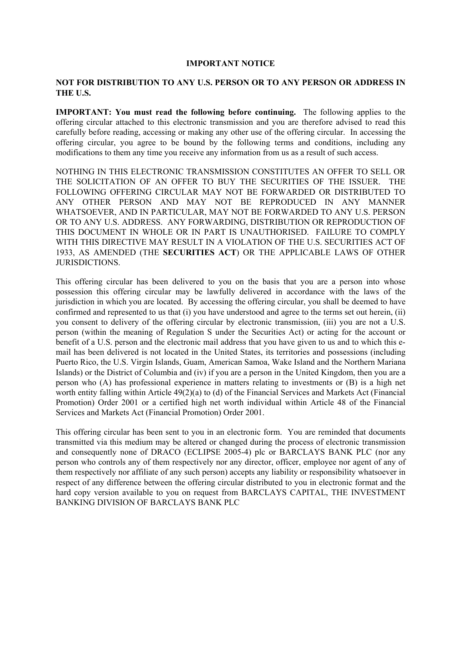#### **IMPORTANT NOTICE**

#### **NOT FOR DISTRIBUTION TO ANY U.S. PERSON OR TO ANY PERSON OR ADDRESS IN THE U.S.**

**IMPORTANT:** You must read the following before continuing. The following applies to the offering circular attached to this electronic transmission and you are therefore advised to read this carefully before reading, accessing or making any other use of the offering circular. In accessing the offering circular, you agree to be bound by the following terms and conditions, including any modifications to them any time you receive any information from us as a result of such access.

NOTHING IN THIS ELECTRONIC TRANSMISSION CONSTITUTES AN OFFER TO SELL OR THE SOLICITATION OF AN OFFER TO BUY THE SECURITIES OF THE ISSUER. THE FOLLOWING OFFERING CIRCULAR MAY NOT BE FORWARDED OR DISTRIBUTED TO ANY OTHER PERSON AND MAY NOT BE REPRODUCED IN ANY MANNER WHATSOEVER, AND IN PARTICULAR, MAY NOT BE FORWARDED TO ANY U.S. PERSON OR TO ANY U.S. ADDRESS. ANY FORWARDING, DISTRIBUTION OR REPRODUCTION OF THIS DOCUMENT IN WHOLE OR IN PART IS UNAUTHORISED. FAILURE TO COMPLY WITH THIS DIRECTIVE MAY RESULT IN A VIOLATION OF THE U.S. SECURITIES ACT OF 1933, AS AMENDED (THE **SECURITIES ACT**) OR THE APPLICABLE LAWS OF OTHER JURISDICTIONS.

This offering circular has been delivered to you on the basis that you are a person into whose possession this offering circular may be lawfully delivered in accordance with the laws of the jurisdiction in which you are located. By accessing the offering circular, you shall be deemed to have confirmed and represented to us that (i) you have understood and agree to the terms set out herein, (ii) you consent to delivery of the offering circular by electronic transmission, (iii) you are not a U.S. person (within the meaning of Regulation S under the Securities Act) or acting for the account or benefit of a U.S. person and the electronic mail address that you have given to us and to which this email has been delivered is not located in the United States, its territories and possessions (including Puerto Rico, the U.S. Virgin Islands, Guam, American Samoa, Wake Island and the Northern Mariana Islands) or the District of Columbia and (iv) if you are a person in the United Kingdom, then you are a person who (A) has professional experience in matters relating to investments or (B) is a high net worth entity falling within Article 49(2)(a) to (d) of the Financial Services and Markets Act (Financial Promotion) Order 2001 or a certified high net worth individual within Article 48 of the Financial Services and Markets Act (Financial Promotion) Order 2001.

This offering circular has been sent to you in an electronic form. You are reminded that documents transmitted via this medium may be altered or changed during the process of electronic transmission and consequently none of DRACO (ECLIPSE 2005-4) plc or BARCLAYS BANK PLC (nor any person who controls any of them respectively nor any director, officer, employee nor agent of any of them respectively nor affiliate of any such person) accepts any liability or responsibility whatsoever in respect of any difference between the offering circular distributed to you in electronic format and the hard copy version available to you on request from BARCLAYS CAPITAL, THE INVESTMENT BANKING DIVISION OF BARCLAYS BANK PLC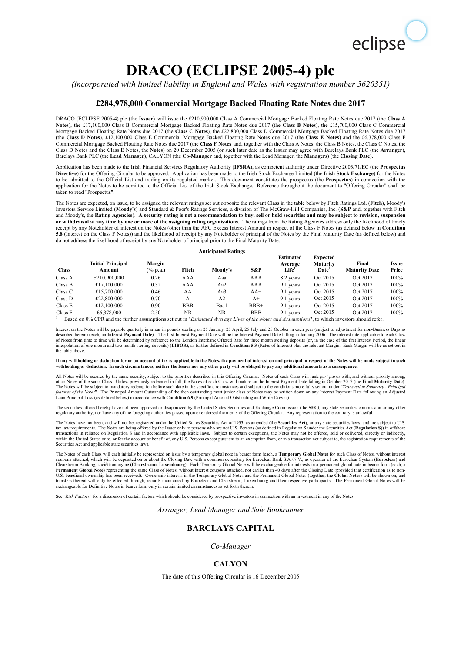# eclipse

## **DRACO (ECLIPSE 2005-4) plc**

*(incorporated with limited liability in England and Wales with registration number 5620351)* 

#### **£284,978,000 Commercial Mortgage Backed Floating Rate Notes due 2017**

DRACO (ECLIPSE 2005-4) plc (the **Issuer**) will issue the £210,900,000 Class A Commercial Mortgage Backed Floating Rate Notes due 2017 (the **Class A Notes**), the £17,100,000 Class B Commercial Mortgage Backed Floating Rate Notes due 2017 (the **Class B Notes**), the £15,700,000 Class C Commercial Mortgage Backed Floating Rate Notes due 2017 (the **Class C Notes**), the £22,800,000 Class D Commercial Mortgage Backed Floating Rate Notes due 2017 (the **Class D Notes**), £12,100,000 Class E Commercial Mortgage Backed Floating Rate Notes due 2017 (the **Class E Notes**) and the £6,378,000 Class F Commercial Mortgage Backed Floating Rate Notes due 2017 (the **Class F Notes** and, together with the Class A Notes, the Class B Notes, the Class C Notes, the Class D Notes and the Class E Notes, the **Notes**) on 20 December 2005 (or such later date as the Issuer may agree with Barclays Bank PLC (the **Arranger**), Barclays Bank PLC (the **Lead Manager**), CALYON (the **Co-Manager** and, together with the Lead Manager, the **Managers**) (the **Closing Date**).

Application has been made to the Irish Financial Services Regulatory Authority (**IFSRA**), as competent authority under Directive 2003/71/EC (the **Prospectus Directive**) for the Offering Circular to be approved. Application has been made to the Irish Stock Exchange Limited (the **Irish Stock Exchange**) for the Notes to be admitted to the Official List and trading on its regulated market. This document constitutes the prospectus (the **Prospectus**) in connection with the application for the Notes to be admitted to the Official List of the Irish Stock Exchange. Reference throughout the document to "Offering Circular" shall be taken to read "Prospectus".

The Notes are expected, on issue, to be assigned the relevant ratings set out opposite the relevant Class in the table below by Fitch Ratings Ltd. (**Fitch**), Moody's Investors Service Limited (**Moody's**) and Standard & Poor's Ratings Services, a division of The McGraw-Hill Companies, Inc. (**S&P** and, together with Fitch and Moody's, the **Rating Agencies**). **A security rating is not a recommendation to buy, sell or hold securities and may be subject to revision, suspension or withdrawal at any time by one or more of the assigning rating organisations**. The ratings from the Rating Agencies address only the likelihood of timely receipt by any Noteholder of interest on the Notes (other than the AFC Excess Interest Amount in respect of the Class F Notes (as defined below in **Condition 5.8** (Interest on the Class F Notes)) and the likelihood of receipt by any Noteholder of principal of the Notes by the Final Maturity Date (as defined below) and do not address the likelihood of receipt by any Noteholder of principal prior to the Final Maturity Date.

#### **Anticipated Ratings**

| <b>Class</b> | <b>Initial Principal</b><br>Amount                                                                                                                       | Margin<br>(% p.a.) | Fitch      | Moody's | S&P        | <b>Estimated</b><br>Average<br>Life <sup>1</sup> | <b>Expected</b><br><b>Maturity</b><br>Date | Final<br><b>Maturity Date</b> | Issue<br>Price |
|--------------|----------------------------------------------------------------------------------------------------------------------------------------------------------|--------------------|------------|---------|------------|--------------------------------------------------|--------------------------------------------|-------------------------------|----------------|
| Class A      | £210,900,000                                                                                                                                             | 0.26               | AAA        | Aaa     | AAA        | 8.2 years                                        | Oct 2015                                   | Oct 2017                      | 100%           |
| Class B      | £17,100,000                                                                                                                                              | 0.32               | AAA        | Aa2     | AAA        | 9.1 years                                        | Oct 2015                                   | Oct 2017                      | 100%           |
| Class C      | £15,700,000                                                                                                                                              | 0.46               | AA         | Aa3     | $AA+$      | 9.1 years                                        | Oct 2015                                   | Oct 2017                      | 100%           |
| Class D      | £22,800,000                                                                                                                                              | 0.70               | А          | A2      | $A+$       | 9.1 years                                        | Oct 2015                                   | Oct 2017                      | 100%           |
| Class E      | £12,100,000                                                                                                                                              | 0.90               | <b>BBB</b> | Baa1    | $BBB+$     | 9.1 years                                        | Oct 2015                                   | Oct 2017                      | 100%           |
| Class F      | £6,378,000                                                                                                                                               | 2.50               | <b>NR</b>  | NR      | <b>BBB</b> | 9.1 years                                        | Oct 2015                                   | Oct 2017                      | 100%           |
|              | Based on 0% CPR and the further assumptions set out in " <i>Estimated Average Lives of the Notes and Assumptions</i> ", to which investors should refer. |                    |            |         |            |                                                  |                                            |                               |                |

Interest on the Notes will be payable quarterly in arrear in pounds sterling on 25 January, 25 April, 25 July and 25 October in each year (subject to adjustment for non-Business Days as described herein) (each, an **Interest Payment Date**). The first Interest Payment Date will be the Interest Payment Date falling in January 2006. The interest rate applicable to each Class of Notes from time to time will be determined by reference to the London Interbank Offered Rate for three month sterling deposits (or, in the case of the first Interest Period, the linear<br>interpolation of one month and two the table above.

#### **If any withholding or deduction for or on account of tax is applicable to the Notes, the payment of interest on and principal in respect of the Notes will be made subject to such withholding or deduction. In such circumstances, neither the Issuer nor any other party will be obliged to pay any additional amounts as a consequence.**

All Notes will be secured by the same security, subject to the priorities described in this Offering Circular. Notes of each Class will rank *pari passu* with, and without priority among, other Notes of the same Class. Unless previously redeemed in full, the Notes of each Class will mature on the Interest Payment Date falling in October 2017 (the Final Maturity Date).<br>The Notes will be subject to mandatory features of the Notes". The Principal Amount Outstanding of the then outstanding most junior class of Notes may be written down on any Interest Payment Date following an Adjusted<br>Loan Principal Loss (as defined below) in a

The securities offered hereby have not been approved or disapproved by the United States Securities and Exchange Commission (the SEC), any state securities commission or any other<br>regulatory authority, nor have any of the

The Notes have not been, and will not be, registered under the United States Securities Act of 1933, as amended (the **Securities Act)**, or any state securities laws, and are subject to U.S.<br>tax law requirements. The Notes within the United States or to, or for the account or benefit of, any U.S. Persons except pursuant to an exemption from, or in a transaction not subject to, the registration requirements of the exemption  $\frac{1}{2}$ . Securities Act and applicable state securities laws.

The Notes of each Class will each initially be represented on issue by a temporary global note in bearer form (each, a Temporary Global Note) for such Class of Notes, without interest<br>Cloupons attached, which will be depos U.S. beneficial ownership has been received). Ownership interests in the Temporary Global Notes and the Permanent Global Notes (together, the **Global Notes)** will be shown on, and<br>transfers thereof will only be effected th

See "*Risk Factors*" for a discussion of certain factors which should be considered by prospective investors in connection with an investment in any of the Notes.

*Arranger, Lead Manager and Sole Bookrunner*

#### **BARCLAYS CAPITAL**

*Co-Manager*

#### **CALYON**

The date of this Offering Circular is 16 December 2005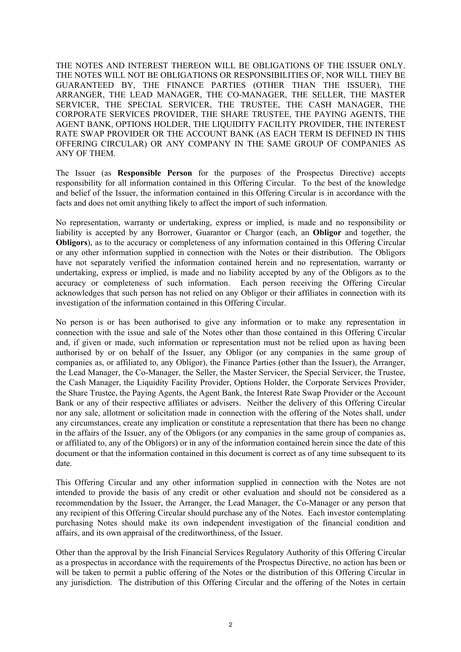THE NOTES AND INTEREST THEREON WILL BE OBLIGATIONS OF THE ISSUER ONLY. THE NOTES WILL NOT BE OBLIGATIONS OR RESPONSIBILITIES OF, NOR WILL THEY BE GUARANTEED BY, THE FINANCE PARTIES (OTHER THAN THE ISSUER), THE ARRANGER, THE LEAD MANAGER, THE CO-MANAGER, THE SELLER, THE MASTER SERVICER, THE SPECIAL SERVICER, THE TRUSTEE, THE CASH MANAGER, THE CORPORATE SERVICES PROVIDER, THE SHARE TRUSTEE, THE PAYING AGENTS, THE AGENT BANK, OPTIONS HOLDER, THE LIQUIDITY FACILITY PROVIDER, THE INTEREST RATE SWAP PROVIDER OR THE ACCOUNT BANK (AS EACH TERM IS DEFINED IN THIS OFFERING CIRCULAR) OR ANY COMPANY IN THE SAME GROUP OF COMPANIES AS ANY OF THEM.

The Issuer (as **Responsible Person** for the purposes of the Prospectus Directive) accepts responsibility for all information contained in this Offering Circular. To the best of the knowledge and belief of the Issuer, the information contained in this Offering Circular is in accordance with the facts and does not omit anything likely to affect the import of such information.

No representation, warranty or undertaking, express or implied, is made and no responsibility or liability is accepted by any Borrower, Guarantor or Chargor (each, an **Obligor** and together, the **Obligors**), as to the accuracy or completeness of any information contained in this Offering Circular or any other information supplied in connection with the Notes or their distribution. The Obligors have not separately verified the information contained herein and no representation, warranty or undertaking, express or implied, is made and no liability accepted by any of the Obligors as to the accuracy or completeness of such information. Each person receiving the Offering Circular acknowledges that such person has not relied on any Obligor or their affiliates in connection with its investigation of the information contained in this Offering Circular.

No person is or has been authorised to give any information or to make any representation in connection with the issue and sale of the Notes other than those contained in this Offering Circular and, if given or made, such information or representation must not be relied upon as having been authorised by or on behalf of the Issuer, any Obligor (or any companies in the same group of companies as, or affiliated to, any Obligor), the Finance Parties (other than the Issuer), the Arranger, the Lead Manager, the Co-Manager, the Seller, the Master Servicer, the Special Servicer, the Trustee, the Cash Manager, the Liquidity Facility Provider, Options Holder, the Corporate Services Provider, the Share Trustee, the Paying Agents, the Agent Bank, the Interest Rate Swap Provider or the Account Bank or any of their respective affiliates or advisers. Neither the delivery of this Offering Circular nor any sale, allotment or solicitation made in connection with the offering of the Notes shall, under any circumstances, create any implication or constitute a representation that there has been no change in the affairs of the Issuer, any of the Obligors (or any companies in the same group of companies as, or affiliated to, any of the Obligors) or in any of the information contained herein since the date of this document or that the information contained in this document is correct as of any time subsequent to its date.

This Offering Circular and any other information supplied in connection with the Notes are not intended to provide the basis of any credit or other evaluation and should not be considered as a recommendation by the Issuer, the Arranger, the Lead Manager, the Co-Manager or any person that any recipient of this Offering Circular should purchase any of the Notes. Each investor contemplating purchasing Notes should make its own independent investigation of the financial condition and affairs, and its own appraisal of the creditworthiness, of the Issuer.

Other than the approval by the Irish Financial Services Regulatory Authority of this Offering Circular as a prospectus in accordance with the requirements of the Prospectus Directive, no action has been or will be taken to permit a public offering of the Notes or the distribution of this Offering Circular in any jurisdiction. The distribution of this Offering Circular and the offering of the Notes in certain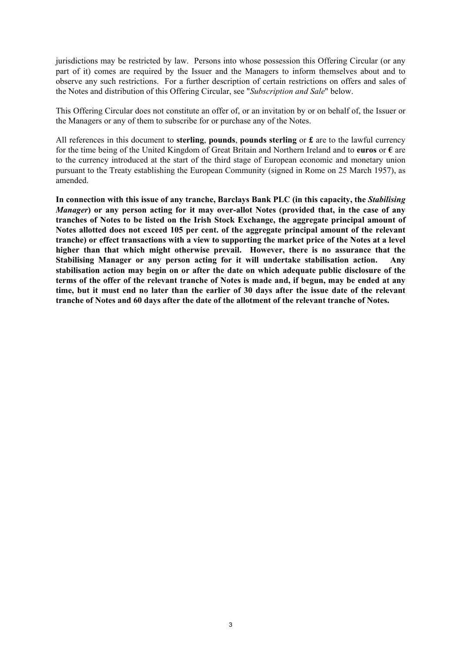jurisdictions may be restricted by law. Persons into whose possession this Offering Circular (or any part of it) comes are required by the Issuer and the Managers to inform themselves about and to observe any such restrictions. For a further description of certain restrictions on offers and sales of the Notes and distribution of this Offering Circular, see "*Subscription and Sale*" below.

This Offering Circular does not constitute an offer of, or an invitation by or on behalf of, the Issuer or the Managers or any of them to subscribe for or purchase any of the Notes.

All references in this document to **sterling**, **pounds**, **pounds sterling** or **£** are to the lawful currency for the time being of the United Kingdom of Great Britain and Northern Ireland and to **euros** or **€** are to the currency introduced at the start of the third stage of European economic and monetary union pursuant to the Treaty establishing the European Community (signed in Rome on 25 March 1957), as amended.

**In connection with this issue of any tranche, Barclays Bank PLC (in this capacity, the** *Stabilising Manager***) or any person acting for it may over-allot Notes (provided that, in the case of any tranches of Notes to be listed on the Irish Stock Exchange, the aggregate principal amount of Notes allotted does not exceed 105 per cent. of the aggregate principal amount of the relevant tranche) or effect transactions with a view to supporting the market price of the Notes at a level higher than that which might otherwise prevail. However, there is no assurance that the Stabilising Manager or any person acting for it will undertake stabilisation action. Any stabilisation action may begin on or after the date on which adequate public disclosure of the terms of the offer of the relevant tranche of Notes is made and, if begun, may be ended at any time, but it must end no later than the earlier of 30 days after the issue date of the relevant tranche of Notes and 60 days after the date of the allotment of the relevant tranche of Notes.**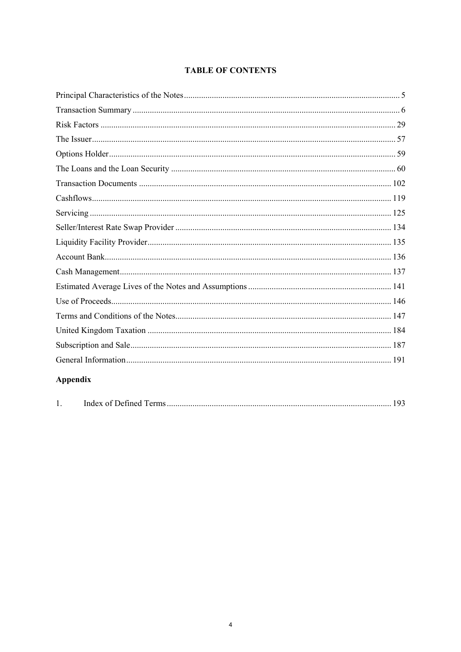### **TABLE OF CONTENTS**

| Appendix |  |
|----------|--|

| л. |  |
|----|--|
|----|--|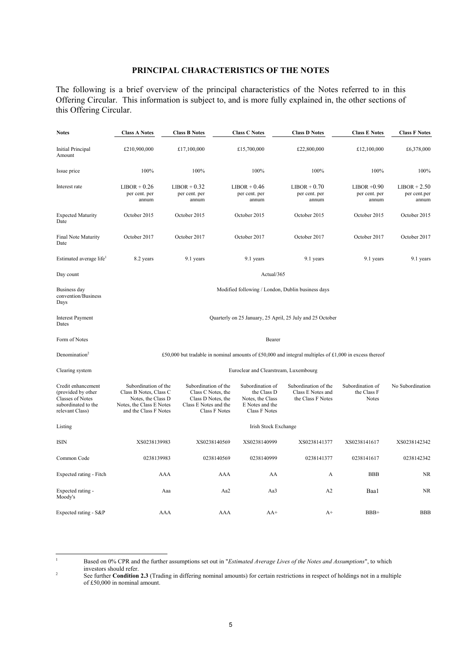#### **PRINCIPAL CHARACTERISTICS OF THE NOTES**

The following is a brief overview of the principal characteristics of the Notes referred to in this Offering Circular. This information is subject to, and is more fully explained in, the other sections of this Offering Circular.

| <b>Notes</b>                                                                                                  | <b>Class A Notes</b>                                                                                                      | <b>Class B Notes</b>                                                                                              | <b>Class C Notes</b>                                                                           | <b>Class D Notes</b>                                                                                  | <b>Class E Notes</b>                            | <b>Class F Notes</b>                    |  |  |
|---------------------------------------------------------------------------------------------------------------|---------------------------------------------------------------------------------------------------------------------------|-------------------------------------------------------------------------------------------------------------------|------------------------------------------------------------------------------------------------|-------------------------------------------------------------------------------------------------------|-------------------------------------------------|-----------------------------------------|--|--|
| Initial Principal<br>Amount                                                                                   | £210,900,000                                                                                                              | £17,100,000                                                                                                       | £15,700,000                                                                                    | £22,800,000                                                                                           | £12,100,000                                     | £6,378,000                              |  |  |
| Issue price                                                                                                   | 100%                                                                                                                      | 100%                                                                                                              | 100%                                                                                           | 100%                                                                                                  | 100%                                            | 100%                                    |  |  |
| Interest rate                                                                                                 | $LIBOR + 0.26$<br>per cent. per<br>annum                                                                                  | $LIBOR + 0.32$<br>per cent. per<br>annum                                                                          | $LIBOR + 0.46$<br>per cent. per<br>annum                                                       | $LIBOR + 0.70$<br>per cent. per<br>annum                                                              | $LIBOR +0.90$<br>per cent. per<br>annum         | $LIBOR + 2.50$<br>per cent.per<br>annum |  |  |
| <b>Expected Maturity</b><br>Date                                                                              | October 2015                                                                                                              | October 2015                                                                                                      | October 2015                                                                                   | October 2015                                                                                          | October 2015                                    | October 2015                            |  |  |
| Final Note Maturity<br>Date                                                                                   | October 2017                                                                                                              | October 2017                                                                                                      | October 2017                                                                                   | October 2017                                                                                          | October 2017                                    | October 2017                            |  |  |
| Estimated average life <sup>1</sup>                                                                           | 8.2 years                                                                                                                 | 9.1 years                                                                                                         | 9.1 years                                                                                      | 9.1 years                                                                                             | 9.1 years                                       | 9.1 years                               |  |  |
| Day count                                                                                                     |                                                                                                                           |                                                                                                                   | Actual/365                                                                                     |                                                                                                       |                                                 |                                         |  |  |
| Business day<br>convention/Business<br>Days                                                                   |                                                                                                                           |                                                                                                                   | Modified following / London, Dublin business days                                              |                                                                                                       |                                                 |                                         |  |  |
| <b>Interest Payment</b><br>Dates                                                                              | Quarterly on 25 January, 25 April, 25 July and 25 October                                                                 |                                                                                                                   |                                                                                                |                                                                                                       |                                                 |                                         |  |  |
| Form of Notes                                                                                                 | Bearer                                                                                                                    |                                                                                                                   |                                                                                                |                                                                                                       |                                                 |                                         |  |  |
| Denomination <sup>2</sup>                                                                                     |                                                                                                                           |                                                                                                                   |                                                                                                | £50,000 but tradable in nominal amounts of £50,000 and integral multiples of £1,000 in excess thereof |                                                 |                                         |  |  |
| Clearing system                                                                                               | Euroclear and Clearstream, Luxembourg                                                                                     |                                                                                                                   |                                                                                                |                                                                                                       |                                                 |                                         |  |  |
| Credit enhancement<br>(provided by other<br><b>Classes of Notes</b><br>subordinated to the<br>relevant Class) | Subordination of the<br>Class B Notes, Class C<br>Notes, the Class D<br>Notes, the Class E Notes<br>and the Class F Notes | Subordination of the<br>Class C Notes, the<br>Class D Notes, the<br>Class E Notes and the<br><b>Class F Notes</b> | Subordination of<br>the Class D<br>Notes, the Class<br>E Notes and the<br><b>Class F Notes</b> | Subordination of the<br>Class E Notes and<br>the Class F Notes                                        | Subordination of<br>the Class F<br><b>Notes</b> | No Subordination                        |  |  |
| Listing                                                                                                       |                                                                                                                           |                                                                                                                   | Irish Stock Exchange                                                                           |                                                                                                       |                                                 |                                         |  |  |
| <b>ISIN</b>                                                                                                   | XS0238139983                                                                                                              | XS0238140569                                                                                                      | XS0238140999                                                                                   | XS0238141377                                                                                          | XS0238141617                                    | XS0238142342                            |  |  |
| Common Code                                                                                                   | 0238139983                                                                                                                | 0238140569                                                                                                        | 0238140999                                                                                     | 0238141377                                                                                            | 0238141617                                      | 0238142342                              |  |  |
| Expected rating - Fitch                                                                                       | AAA                                                                                                                       |                                                                                                                   | AAA<br>AA                                                                                      | A                                                                                                     | <b>BBB</b>                                      | <b>NR</b>                               |  |  |
| Expected rating -<br>Moody's                                                                                  | Aaa                                                                                                                       |                                                                                                                   | Aa2<br>Aa3                                                                                     | A2                                                                                                    | Baa1                                            | <b>NR</b>                               |  |  |
| Expected rating - S&P                                                                                         | AAA                                                                                                                       |                                                                                                                   | AAA<br>$AA+$                                                                                   | $A+$                                                                                                  | $BBB+$                                          | <b>BBB</b>                              |  |  |

 $\frac{1}{1}$ 

Based on 0% CPR and the further assumptions set out in "*Estimated Average Lives of the Notes and Assumptions*", to which investors should refer.

See further **Condition 2.3** (Trading in differing nominal amounts) for certain restrictions in respect of holdings not in a multiple of £50,000 in nominal amount.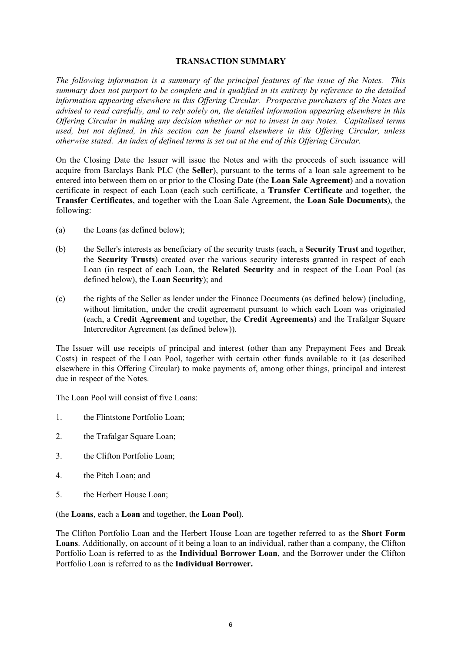#### **TRANSACTION SUMMARY**

*The following information is a summary of the principal features of the issue of the Notes. This summary does not purport to be complete and is qualified in its entirety by reference to the detailed information appearing elsewhere in this Offering Circular. Prospective purchasers of the Notes are advised to read carefully, and to rely solely on, the detailed information appearing elsewhere in this Offering Circular in making any decision whether or not to invest in any Notes. Capitalised terms used, but not defined, in this section can be found elsewhere in this Offering Circular, unless otherwise stated. An index of defined terms is set out at the end of this Offering Circular.* 

On the Closing Date the Issuer will issue the Notes and with the proceeds of such issuance will acquire from Barclays Bank PLC (the **Seller**), pursuant to the terms of a loan sale agreement to be entered into between them on or prior to the Closing Date (the **Loan Sale Agreement**) and a novation certificate in respect of each Loan (each such certificate, a **Transfer Certificate** and together, the **Transfer Certificates**, and together with the Loan Sale Agreement, the **Loan Sale Documents**), the following:

- (a) the Loans (as defined below);
- (b) the Seller's interests as beneficiary of the security trusts (each, a **Security Trust** and together, the **Security Trusts**) created over the various security interests granted in respect of each Loan (in respect of each Loan, the **Related Security** and in respect of the Loan Pool (as defined below), the **Loan Security**); and
- (c) the rights of the Seller as lender under the Finance Documents (as defined below) (including, without limitation, under the credit agreement pursuant to which each Loan was originated (each, a **Credit Agreement** and together, the **Credit Agreements**) and the Trafalgar Square Intercreditor Agreement (as defined below)).

The Issuer will use receipts of principal and interest (other than any Prepayment Fees and Break Costs) in respect of the Loan Pool, together with certain other funds available to it (as described elsewhere in this Offering Circular) to make payments of, among other things, principal and interest due in respect of the Notes.

The Loan Pool will consist of five Loans:

- 1. the Flintstone Portfolio Loan;
- 2. the Trafalgar Square Loan;
- 3. the Clifton Portfolio Loan;
- 4. the Pitch Loan; and
- 5. the Herbert House Loan;

(the **Loans**, each a **Loan** and together, the **Loan Pool**).

The Clifton Portfolio Loan and the Herbert House Loan are together referred to as the **Short Form Loans**. Additionally, on account of it being a loan to an individual, rather than a company, the Clifton Portfolio Loan is referred to as the **Individual Borrower Loan**, and the Borrower under the Clifton Portfolio Loan is referred to as the **Individual Borrower.**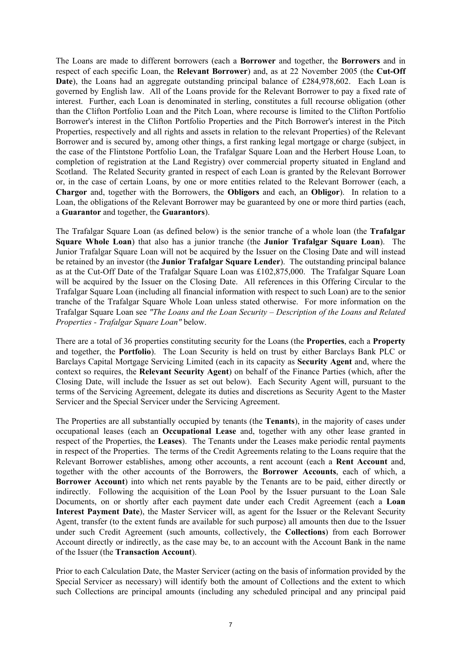The Loans are made to different borrowers (each a **Borrower** and together, the **Borrowers** and in respect of each specific Loan, the **Relevant Borrower**) and, as at 22 November 2005 (the **Cut-Off**  Date), the Loans had an aggregate outstanding principal balance of £284,978,602. Each Loan is governed by English law. All of the Loans provide for the Relevant Borrower to pay a fixed rate of interest. Further, each Loan is denominated in sterling, constitutes a full recourse obligation (other than the Clifton Portfolio Loan and the Pitch Loan, where recourse is limited to the Clifton Portfolio Borrower's interest in the Clifton Portfolio Properties and the Pitch Borrower's interest in the Pitch Properties, respectively and all rights and assets in relation to the relevant Properties) of the Relevant Borrower and is secured by, among other things, a first ranking legal mortgage or charge (subject, in the case of the Flintstone Portfolio Loan, the Trafalgar Square Loan and the Herbert House Loan, to completion of registration at the Land Registry) over commercial property situated in England and Scotland. The Related Security granted in respect of each Loan is granted by the Relevant Borrower or, in the case of certain Loans, by one or more entities related to the Relevant Borrower (each, a **Chargor** and, together with the Borrowers, the **Obligors** and each, an **Obligor**). In relation to a Loan, the obligations of the Relevant Borrower may be guaranteed by one or more third parties (each, a **Guarantor** and together, the **Guarantors**).

The Trafalgar Square Loan (as defined below) is the senior tranche of a whole loan (the **Trafalgar Square Whole Loan**) that also has a junior tranche (the **Junior Trafalgar Square Loan**). The Junior Trafalgar Square Loan will not be acquired by the Issuer on the Closing Date and will instead be retained by an investor (the **Junior Trafalgar Square Lender**). The outstanding principal balance as at the Cut-Off Date of the Trafalgar Square Loan was £102,875,000. The Trafalgar Square Loan will be acquired by the Issuer on the Closing Date. All references in this Offering Circular to the Trafalgar Square Loan (including all financial information with respect to such Loan) are to the senior tranche of the Trafalgar Square Whole Loan unless stated otherwise. For more information on the Trafalgar Square Loan see *"The Loans and the Loan Security – Description of the Loans and Related Properties - Trafalgar Square Loan"* below.

There are a total of 36 properties constituting security for the Loans (the **Properties**, each a **Property** and together, the **Portfolio**). The Loan Security is held on trust by either Barclays Bank PLC or Barclays Capital Mortgage Servicing Limited (each in its capacity as **Security Agent** and, where the context so requires, the **Relevant Security Agent**) on behalf of the Finance Parties (which, after the Closing Date, will include the Issuer as set out below). Each Security Agent will, pursuant to the terms of the Servicing Agreement, delegate its duties and discretions as Security Agent to the Master Servicer and the Special Servicer under the Servicing Agreement.

The Properties are all substantially occupied by tenants (the **Tenants**), in the majority of cases under occupational leases (each an **Occupational Lease** and, together with any other lease granted in respect of the Properties, the **Leases**). The Tenants under the Leases make periodic rental payments in respect of the Properties. The terms of the Credit Agreements relating to the Loans require that the Relevant Borrower establishes, among other accounts, a rent account (each a **Rent Account** and, together with the other accounts of the Borrowers, the **Borrower Accounts**, each of which, a **Borrower Account**) into which net rents payable by the Tenants are to be paid, either directly or indirectly. Following the acquisition of the Loan Pool by the Issuer pursuant to the Loan Sale Documents, on or shortly after each payment date under each Credit Agreement (each a **Loan Interest Payment Date**), the Master Servicer will, as agent for the Issuer or the Relevant Security Agent, transfer (to the extent funds are available for such purpose) all amounts then due to the Issuer under such Credit Agreement (such amounts, collectively, the **Collections**) from each Borrower Account directly or indirectly, as the case may be, to an account with the Account Bank in the name of the Issuer (the **Transaction Account**).

Prior to each Calculation Date, the Master Servicer (acting on the basis of information provided by the Special Servicer as necessary) will identify both the amount of Collections and the extent to which such Collections are principal amounts (including any scheduled principal and any principal paid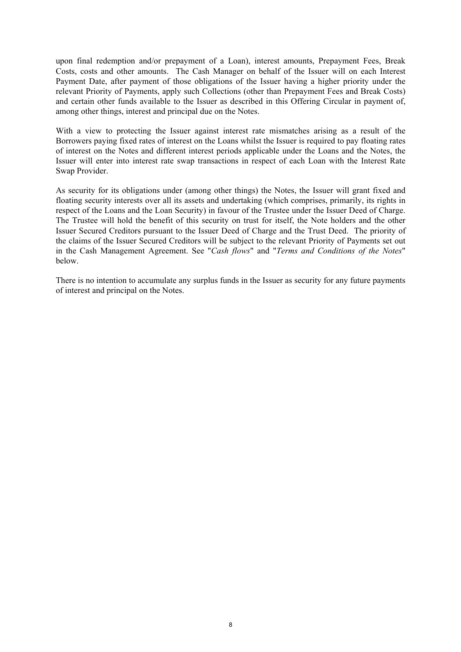upon final redemption and/or prepayment of a Loan), interest amounts, Prepayment Fees, Break Costs, costs and other amounts. The Cash Manager on behalf of the Issuer will on each Interest Payment Date, after payment of those obligations of the Issuer having a higher priority under the relevant Priority of Payments, apply such Collections (other than Prepayment Fees and Break Costs) and certain other funds available to the Issuer as described in this Offering Circular in payment of, among other things, interest and principal due on the Notes.

With a view to protecting the Issuer against interest rate mismatches arising as a result of the Borrowers paying fixed rates of interest on the Loans whilst the Issuer is required to pay floating rates of interest on the Notes and different interest periods applicable under the Loans and the Notes, the Issuer will enter into interest rate swap transactions in respect of each Loan with the Interest Rate Swap Provider.

As security for its obligations under (among other things) the Notes, the Issuer will grant fixed and floating security interests over all its assets and undertaking (which comprises, primarily, its rights in respect of the Loans and the Loan Security) in favour of the Trustee under the Issuer Deed of Charge. The Trustee will hold the benefit of this security on trust for itself, the Note holders and the other Issuer Secured Creditors pursuant to the Issuer Deed of Charge and the Trust Deed. The priority of the claims of the Issuer Secured Creditors will be subject to the relevant Priority of Payments set out in the Cash Management Agreement. See "*Cash flows*" and "*Terms and Conditions of the Notes*" below.

There is no intention to accumulate any surplus funds in the Issuer as security for any future payments of interest and principal on the Notes.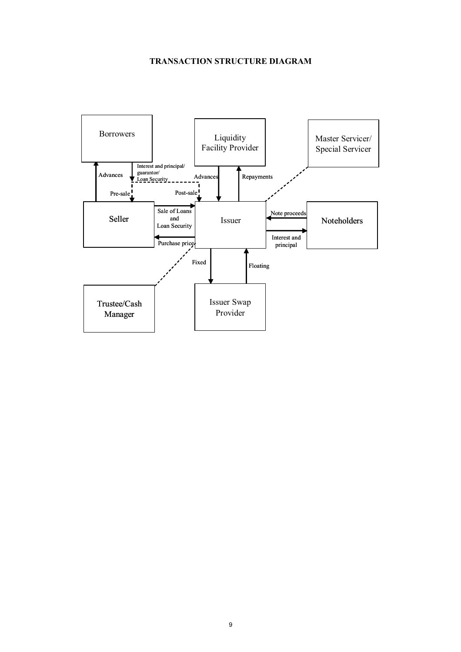#### **TRANSACTION STRUCTURE DIAGRAM**

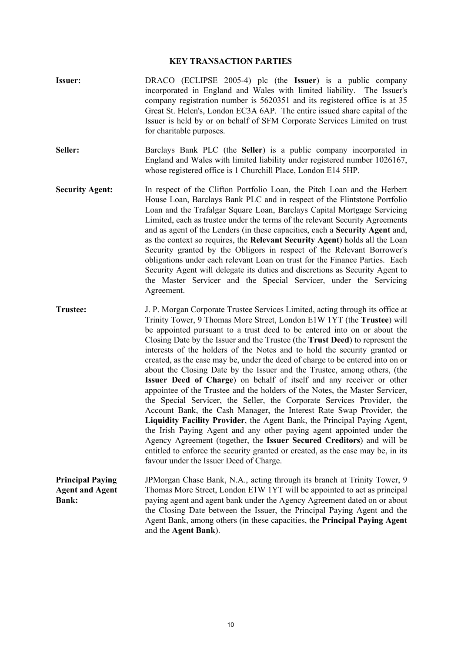#### **KEY TRANSACTION PARTIES**

- **Issuer:** DRACO (ECLIPSE 2005-4) plc (the **Issuer**) is a public company incorporated in England and Wales with limited liability. The Issuer's company registration number is 5620351 and its registered office is at 35 Great St. Helen's, London EC3A 6AP. The entire issued share capital of the Issuer is held by or on behalf of SFM Corporate Services Limited on trust for charitable purposes.
- **Seller:** Barclays Bank PLC (the **Seller**) is a public company incorporated in England and Wales with limited liability under registered number 1026167, whose registered office is 1 Churchill Place, London E14 5HP.
- **Security Agent:** In respect of the Clifton Portfolio Loan, the Pitch Loan and the Herbert House Loan, Barclays Bank PLC and in respect of the Flintstone Portfolio Loan and the Trafalgar Square Loan, Barclays Capital Mortgage Servicing Limited, each as trustee under the terms of the relevant Security Agreements and as agent of the Lenders (in these capacities, each a **Security Agent** and, as the context so requires, the **Relevant Security Agent**) holds all the Loan Security granted by the Obligors in respect of the Relevant Borrower's obligations under each relevant Loan on trust for the Finance Parties. Each Security Agent will delegate its duties and discretions as Security Agent to the Master Servicer and the Special Servicer, under the Servicing Agreement.
- **Trustee:** J. P. Morgan Corporate Trustee Services Limited, acting through its office at Trinity Tower, 9 Thomas More Street, London E1W 1YT (the **Trustee**) will be appointed pursuant to a trust deed to be entered into on or about the Closing Date by the Issuer and the Trustee (the **Trust Deed**) to represent the interests of the holders of the Notes and to hold the security granted or created, as the case may be, under the deed of charge to be entered into on or about the Closing Date by the Issuer and the Trustee, among others, (the **Issuer Deed of Charge**) on behalf of itself and any receiver or other appointee of the Trustee and the holders of the Notes, the Master Servicer, the Special Servicer, the Seller, the Corporate Services Provider, the Account Bank, the Cash Manager, the Interest Rate Swap Provider, the **Liquidity Facility Provider**, the Agent Bank, the Principal Paying Agent, the Irish Paying Agent and any other paying agent appointed under the Agency Agreement (together, the **Issuer Secured Creditors**) and will be entitled to enforce the security granted or created, as the case may be, in its favour under the Issuer Deed of Charge.
- **Principal Paying Agent and Agent Bank:**  JPMorgan Chase Bank, N.A., acting through its branch at Trinity Tower, 9 Thomas More Street, London E1W 1YT will be appointed to act as principal paying agent and agent bank under the Agency Agreement dated on or about the Closing Date between the Issuer, the Principal Paying Agent and the Agent Bank, among others (in these capacities, the **Principal Paying Agent** and the **Agent Bank**).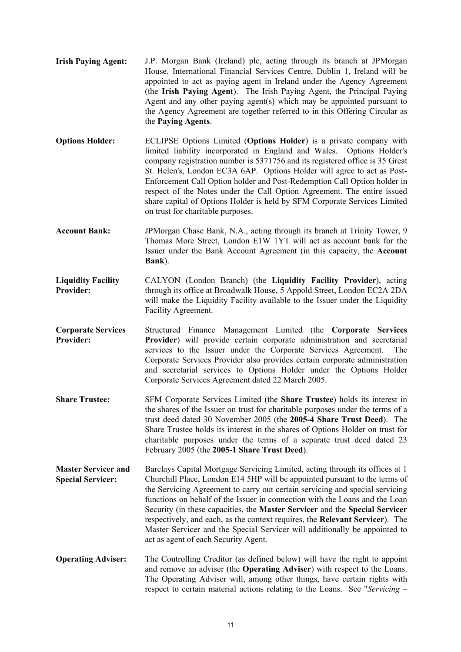- **Irish Paying Agent:** J.P. Morgan Bank (Ireland) plc, acting through its branch at JPMorgan House, International Financial Services Centre, Dublin 1, Ireland will be appointed to act as paying agent in Ireland under the Agency Agreement (the **Irish Paying Agent**). The Irish Paying Agent, the Principal Paying Agent and any other paying agent(s) which may be appointed pursuant to the Agency Agreement are together referred to in this Offering Circular as the **Paying Agents**.
- **Options Holder:** ECLIPSE Options Limited (**Options Holder**) is a private company with limited liability incorporated in England and Wales. Options Holder's company registration number is 5371756 and its registered office is 35 Great St. Helen's, London EC3A 6AP. Options Holder will agree to act as Post-Enforcement Call Option holder and Post-Redemption Call Option holder in respect of the Notes under the Call Option Agreement. The entire issued share capital of Options Holder is held by SFM Corporate Services Limited on trust for charitable purposes.
- **Account Bank:** JPMorgan Chase Bank, N.A., acting through its branch at Trinity Tower, 9 Thomas More Street, London E1W 1YT will act as account bank for the Issuer under the Bank Account Agreement (in this capacity, the **Account Bank**).
- **Liquidity Facility Provider:**  CALYON (London Branch) (the **Liquidity Facility Provider**), acting through its office at Broadwalk House, 5 Appold Street, London EC2A 2DA will make the Liquidity Facility available to the Issuer under the Liquidity Facility Agreement.
- **Corporate Services Provider:**  Structured Finance Management Limited (the **Corporate Services Provider**) will provide certain corporate administration and secretarial services to the Issuer under the Corporate Services Agreement. The Corporate Services Provider also provides certain corporate administration and secretarial services to Options Holder under the Options Holder Corporate Services Agreement dated 22 March 2005.
- **Share Trustee:** SFM Corporate Services Limited (the **Share Trustee**) holds its interest in the shares of the Issuer on trust for charitable purposes under the terms of a trust deed dated 30 November 2005 (the **2005-4 Share Trust Deed**). The Share Trustee holds its interest in the shares of Options Holder on trust for charitable purposes under the terms of a separate trust deed dated 23 February 2005 (the **2005-1 Share Trust Deed**).
- **Master Servicer and Special Servicer:**  Barclays Capital Mortgage Servicing Limited, acting through its offices at 1 Churchill Place, London E14 5HP will be appointed pursuant to the terms of the Servicing Agreement to carry out certain servicing and special servicing functions on behalf of the Issuer in connection with the Loans and the Loan Security (in these capacities, the **Master Servicer** and the **Special Servicer**  respectively, and each, as the context requires, the **Relevant Servicer**). The Master Servicer and the Special Servicer will additionally be appointed to act as agent of each Security Agent.
- **Operating Adviser:** The Controlling Creditor (as defined below) will have the right to appoint and remove an adviser (the **Operating Adviser**) with respect to the Loans. The Operating Adviser will, among other things, have certain rights with respect to certain material actions relating to the Loans. See "*Servicing –*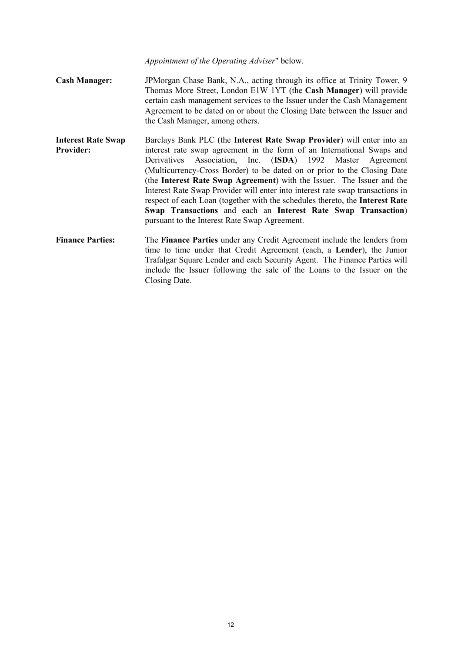*Appointment of the Operating Adviser*" below.

- **Cash Manager:** JPMorgan Chase Bank, N.A., acting through its office at Trinity Tower, 9 Thomas More Street, London E1W 1YT (the **Cash Manager**) will provide certain cash management services to the Issuer under the Cash Management Agreement to be dated on or about the Closing Date between the Issuer and the Cash Manager, among others.
- **Interest Rate Swap Provider:**  Barclays Bank PLC (the **Interest Rate Swap Provider**) will enter into an interest rate swap agreement in the form of an International Swaps and Derivatives Association, Inc. (**ISDA**) 1992 Master Agreement (Multicurrency-Cross Border) to be dated on or prior to the Closing Date (the **Interest Rate Swap Agreement**) with the Issuer. The Issuer and the Interest Rate Swap Provider will enter into interest rate swap transactions in respect of each Loan (together with the schedules thereto, the **Interest Rate Swap Transactions** and each an **Interest Rate Swap Transaction**) pursuant to the Interest Rate Swap Agreement.
- **Finance Parties:** The **Finance Parties** under any Credit Agreement include the lenders from time to time under that Credit Agreement (each, a **Lender**), the Junior Trafalgar Square Lender and each Security Agent. The Finance Parties will include the Issuer following the sale of the Loans to the Issuer on the Closing Date.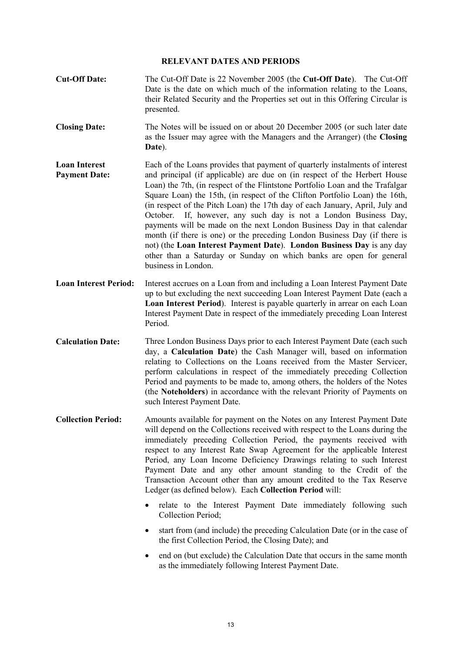#### **RELEVANT DATES AND PERIODS**

- **Cut-Off Date:** The Cut-Off Date is 22 November 2005 (the **Cut-Off Date**). The Cut-Off Date is the date on which much of the information relating to the Loans, their Related Security and the Properties set out in this Offering Circular is presented.
- **Closing Date:** The Notes will be issued on or about 20 December 2005 (or such later date as the Issuer may agree with the Managers and the Arranger) (the **Closing Date**).
- **Loan Interest Payment Date:**  Each of the Loans provides that payment of quarterly instalments of interest and principal (if applicable) are due on (in respect of the Herbert House Loan) the 7th, (in respect of the Flintstone Portfolio Loan and the Trafalgar Square Loan) the 15th, (in respect of the Clifton Portfolio Loan) the 16th, (in respect of the Pitch Loan) the 17th day of each January, April, July and October. If, however, any such day is not a London Business Day, payments will be made on the next London Business Day in that calendar month (if there is one) or the preceding London Business Day (if there is not) (the **Loan Interest Payment Date**). **London Business Day** is any day other than a Saturday or Sunday on which banks are open for general business in London.
- **Loan Interest Period:** Interest accrues on a Loan from and including a Loan Interest Payment Date up to but excluding the next succeeding Loan Interest Payment Date (each a **Loan Interest Period**). Interest is payable quarterly in arrear on each Loan Interest Payment Date in respect of the immediately preceding Loan Interest Period.
- **Calculation Date:** Three London Business Days prior to each Interest Payment Date (each such day, a **Calculation Date**) the Cash Manager will, based on information relating to Collections on the Loans received from the Master Servicer, perform calculations in respect of the immediately preceding Collection Period and payments to be made to, among others, the holders of the Notes (the **Noteholders**) in accordance with the relevant Priority of Payments on such Interest Payment Date.
- **Collection Period:** Amounts available for payment on the Notes on any Interest Payment Date will depend on the Collections received with respect to the Loans during the immediately preceding Collection Period, the payments received with respect to any Interest Rate Swap Agreement for the applicable Interest Period, any Loan Income Deficiency Drawings relating to such Interest Payment Date and any other amount standing to the Credit of the Transaction Account other than any amount credited to the Tax Reserve Ledger (as defined below). Each **Collection Period** will:
	- relate to the Interest Payment Date immediately following such Collection Period;
	- start from (and include) the preceding Calculation Date (or in the case of the first Collection Period, the Closing Date); and
	- end on (but exclude) the Calculation Date that occurs in the same month as the immediately following Interest Payment Date.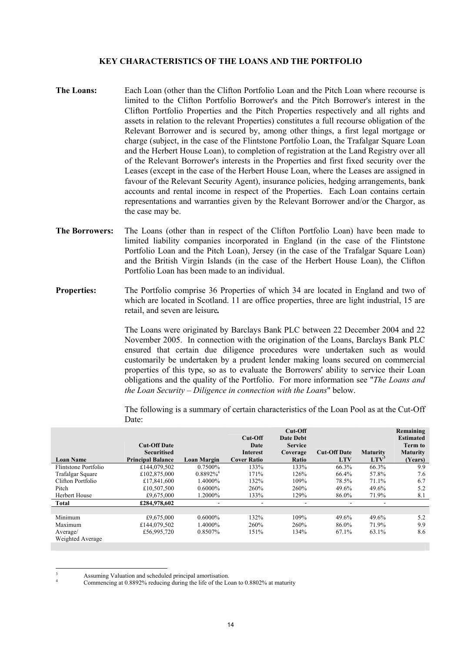#### **KEY CHARACTERISTICS OF THE LOANS AND THE PORTFOLIO**

- **The Loans:** Each Loan (other than the Clifton Portfolio Loan and the Pitch Loan where recourse is limited to the Clifton Portfolio Borrower's and the Pitch Borrower's interest in the Clifton Portfolio Properties and the Pitch Properties respectively and all rights and assets in relation to the relevant Properties) constitutes a full recourse obligation of the Relevant Borrower and is secured by, among other things, a first legal mortgage or charge (subject, in the case of the Flintstone Portfolio Loan, the Trafalgar Square Loan and the Herbert House Loan), to completion of registration at the Land Registry over all of the Relevant Borrower's interests in the Properties and first fixed security over the Leases (except in the case of the Herbert House Loan, where the Leases are assigned in favour of the Relevant Security Agent), insurance policies, hedging arrangements, bank accounts and rental income in respect of the Properties. Each Loan contains certain representations and warranties given by the Relevant Borrower and/or the Chargor, as the case may be.
- **The Borrowers:** The Loans (other than in respect of the Clifton Portfolio Loan) have been made to limited liability companies incorporated in England (in the case of the Flintstone Portfolio Loan and the Pitch Loan), Jersey (in the case of the Trafalgar Square Loan) and the British Virgin Islands (in the case of the Herbert House Loan), the Clifton Portfolio Loan has been made to an individual.
- **Properties:** The Portfolio comprise 36 Properties of which 34 are located in England and two of which are located in Scotland. 11 are office properties, three are light industrial, 15 are retail, and seven are leisure*.*

The Loans were originated by Barclays Bank PLC between 22 December 2004 and 22 November 2005. In connection with the origination of the Loans, Barclays Bank PLC ensured that certain due diligence procedures were undertaken such as would customarily be undertaken by a prudent lender making loans secured on commercial properties of this type, so as to evaluate the Borrowers' ability to service their Loan obligations and the quality of the Portfolio. For more information see "*The Loans and the Loan Security – Diligence in connection with the Loans*" below.

The following is a summary of certain characteristics of the Loan Pool as at the Cut-Off Date:

|                      |                          |                         | Cut-Off            | Cut-Off<br><b>Date Debt</b> |                     |                  | Remaining<br><b>Estimated</b> |
|----------------------|--------------------------|-------------------------|--------------------|-----------------------------|---------------------|------------------|-------------------------------|
|                      | <b>Cut-Off Date</b>      |                         | Date               | <b>Service</b>              |                     |                  | <b>Term to</b>                |
|                      | <b>Securitised</b>       |                         | Interest           | Coverage                    | <b>Cut-Off Date</b> | <b>Maturity</b>  | <b>Maturity</b>               |
| <b>Loan Name</b>     | <b>Principal Balance</b> | <b>Loan Margin</b>      | <b>Cover Ratio</b> | Ratio                       | <b>LTV</b>          | LTV <sup>3</sup> | (Years)                       |
| Flintstone Portfolio | £144,079.502             | 0.7500%                 | 133%               | 133%                        | 66.3%               | 66.3%            | 9.9                           |
| Trafalgar Square     | £102,875,000             | $0.8892\%$ <sup>4</sup> | 171%               | 126%                        | 66.4%               | 57.8%            | 7.6                           |
| Clifton Portfolio    | £17,841,600              | 1.4000%                 | 132%               | 109%                        | 78.5%               | 71.1%            | 6.7                           |
| Pitch                | £10,507,500              | $0.6000\%$              | 260%               | 260%                        | 49.6%               | 49.6%            | 5.2                           |
| Herbert House        | £9,675,000               | 1.2000%                 | 133%               | 129%                        | 86.0%               | 71.9%            | 8.1                           |
| Total                | £284,978,602             |                         |                    | $\overline{\phantom{0}}$    |                     | -                |                               |
|                      |                          |                         |                    |                             |                     |                  |                               |
| Minimum              | £9,675,000               | $0.6000\%$              | 132%               | 109%                        | 49.6%               | 49.6%            | 5.2                           |
| Maximum              | £144,079,502             | 1.4000%                 | 260%               | 260%                        | 86.0%               | 71.9%            | 9.9                           |
| Average/             | £56,995,720              | 0.8507%                 | 151%               | 134%                        | 67.1%               | 63.1%            | 8.6                           |
| Weighted Average     |                          |                         |                    |                             |                     |                  |                               |
|                      |                          |                         |                    |                             |                     |                  |                               |

Assuming Valuation and scheduled principal amortisation. 4

 $\overline{a}$ 3

Commencing at 0.8892% reducing during the life of the Loan to 0.8802% at maturity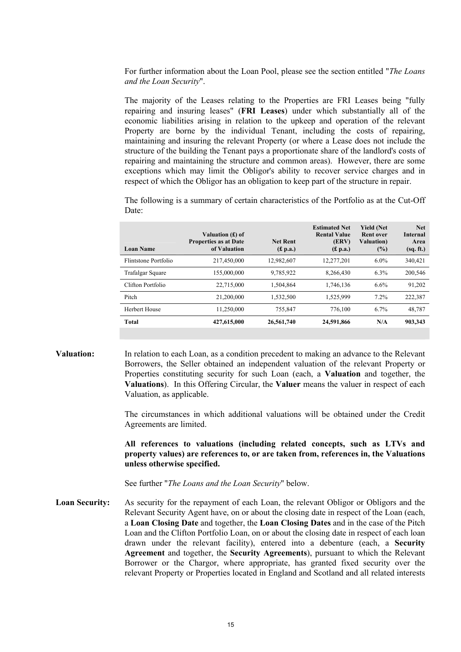For further information about the Loan Pool, please see the section entitled "*The Loans and the Loan Security*".

The majority of the Leases relating to the Properties are FRI Leases being "fully repairing and insuring leases" (**FRI Leases**) under which substantially all of the economic liabilities arising in relation to the upkeep and operation of the relevant Property are borne by the individual Tenant, including the costs of repairing, maintaining and insuring the relevant Property (or where a Lease does not include the structure of the building the Tenant pays a proportionate share of the landlord's costs of repairing and maintaining the structure and common areas). However, there are some exceptions which may limit the Obligor's ability to recover service charges and in respect of which the Obligor has an obligation to keep part of the structure in repair.

The following is a summary of certain characteristics of the Portfolio as at the Cut-Off Date:

| <b>Loan Name</b>     | Valuation (£) of<br><b>Properties as at Date</b><br>of Valuation | <b>Net Rent</b><br>(f. p.a.) | <b>Estimated Net</b><br><b>Rental Value</b><br><b>(ERV)</b><br>(f. p.a.) | <b>Yield (Net)</b><br><b>Rent over</b><br><b>Valuation</b> )<br>$(\%)$ | <b>Net</b><br>Internal<br>Area<br>(sq. ft.) |
|----------------------|------------------------------------------------------------------|------------------------------|--------------------------------------------------------------------------|------------------------------------------------------------------------|---------------------------------------------|
| Flintstone Portfolio | 217,450,000                                                      | 12,982,607                   | 12,277,201                                                               | $6.0\%$                                                                | 340.421                                     |
| Trafalgar Square     | 155,000,000                                                      | 9,785,922                    | 8,266,430                                                                | 6.3%                                                                   | 200,546                                     |
| Clifton Portfolio    | 22,715,000                                                       | 1,504,864                    | 1,746,136                                                                | 6.6%                                                                   | 91,202                                      |
| Pitch                | 21.200.000                                                       | 1.532.500                    | 1.525.999                                                                | 7.2%                                                                   | 222,387                                     |
| Herbert House        | 11.250.000                                                       | 755.847                      | 776.100                                                                  | 6.7%                                                                   | 48,787                                      |
| Total                | 427,615,000                                                      | 26,561,740                   | 24,591,866                                                               | N/A                                                                    | 903,343                                     |

**Valuation:** In relation to each Loan, as a condition precedent to making an advance to the Relevant Borrowers, the Seller obtained an independent valuation of the relevant Property or Properties constituting security for such Loan (each, a **Valuation** and together, the **Valuations**). In this Offering Circular, the **Valuer** means the valuer in respect of each Valuation, as applicable.

> The circumstances in which additional valuations will be obtained under the Credit Agreements are limited.

> **All references to valuations (including related concepts, such as LTVs and property values) are references to, or are taken from, references in, the Valuations unless otherwise specified.**

See further "*The Loans and the Loan Security*" below.

Loan Security: As security for the repayment of each Loan, the relevant Obligor or Obligors and the Relevant Security Agent have, on or about the closing date in respect of the Loan (each, a **Loan Closing Date** and together, the **Loan Closing Dates** and in the case of the Pitch Loan and the Clifton Portfolio Loan, on or about the closing date in respect of each loan drawn under the relevant facility), entered into a debenture (each, a **Security Agreement** and together, the **Security Agreements**), pursuant to which the Relevant Borrower or the Chargor, where appropriate, has granted fixed security over the relevant Property or Properties located in England and Scotland and all related interests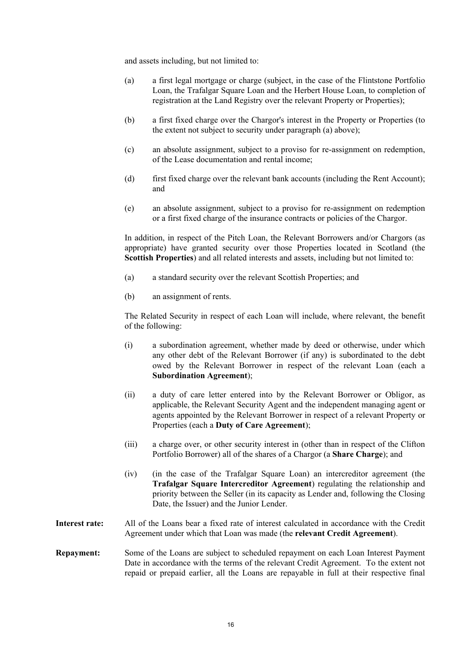and assets including, but not limited to:

- (a) a first legal mortgage or charge (subject, in the case of the Flintstone Portfolio Loan, the Trafalgar Square Loan and the Herbert House Loan, to completion of registration at the Land Registry over the relevant Property or Properties);
- (b) a first fixed charge over the Chargor's interest in the Property or Properties (to the extent not subject to security under paragraph (a) above);
- (c) an absolute assignment, subject to a proviso for re-assignment on redemption, of the Lease documentation and rental income;
- (d) first fixed charge over the relevant bank accounts (including the Rent Account); and
- (e) an absolute assignment, subject to a proviso for re-assignment on redemption or a first fixed charge of the insurance contracts or policies of the Chargor.

In addition, in respect of the Pitch Loan, the Relevant Borrowers and/or Chargors (as appropriate) have granted security over those Properties located in Scotland (the **Scottish Properties**) and all related interests and assets, including but not limited to:

- (a) a standard security over the relevant Scottish Properties; and
- (b) an assignment of rents.

The Related Security in respect of each Loan will include, where relevant, the benefit of the following:

- (i) a subordination agreement, whether made by deed or otherwise, under which any other debt of the Relevant Borrower (if any) is subordinated to the debt owed by the Relevant Borrower in respect of the relevant Loan (each a **Subordination Agreement**);
- (ii) a duty of care letter entered into by the Relevant Borrower or Obligor, as applicable, the Relevant Security Agent and the independent managing agent or agents appointed by the Relevant Borrower in respect of a relevant Property or Properties (each a **Duty of Care Agreement**);
- (iii) a charge over, or other security interest in (other than in respect of the Clifton Portfolio Borrower) all of the shares of a Chargor (a **Share Charge**); and
- (iv) (in the case of the Trafalgar Square Loan) an intercreditor agreement (the **Trafalgar Square Intercreditor Agreement**) regulating the relationship and priority between the Seller (in its capacity as Lender and, following the Closing Date, the Issuer) and the Junior Lender.
- **Interest rate:** All of the Loans bear a fixed rate of interest calculated in accordance with the Credit Agreement under which that Loan was made (the **relevant Credit Agreement**).

#### **Repayment:** Some of the Loans are subject to scheduled repayment on each Loan Interest Payment Date in accordance with the terms of the relevant Credit Agreement. To the extent not repaid or prepaid earlier, all the Loans are repayable in full at their respective final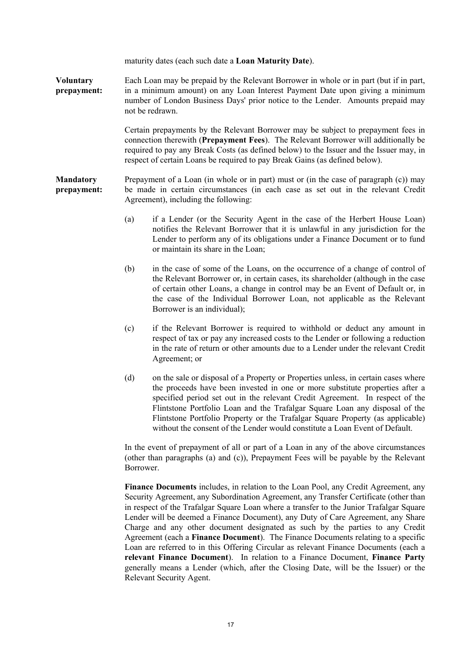maturity dates (each such date a **Loan Maturity Date**).

**Voluntary prepayment:**  Each Loan may be prepaid by the Relevant Borrower in whole or in part (but if in part, in a minimum amount) on any Loan Interest Payment Date upon giving a minimum number of London Business Days' prior notice to the Lender. Amounts prepaid may not be redrawn.

> Certain prepayments by the Relevant Borrower may be subject to prepayment fees in connection therewith (**Prepayment Fees**). The Relevant Borrower will additionally be required to pay any Break Costs (as defined below) to the Issuer and the Issuer may, in respect of certain Loans be required to pay Break Gains (as defined below).

**Mandatory prepayment:**  Prepayment of a Loan (in whole or in part) must or (in the case of paragraph (c)) may be made in certain circumstances (in each case as set out in the relevant Credit Agreement), including the following:

- (a) if a Lender (or the Security Agent in the case of the Herbert House Loan) notifies the Relevant Borrower that it is unlawful in any jurisdiction for the Lender to perform any of its obligations under a Finance Document or to fund or maintain its share in the Loan;
- (b) in the case of some of the Loans, on the occurrence of a change of control of the Relevant Borrower or, in certain cases, its shareholder (although in the case of certain other Loans, a change in control may be an Event of Default or, in the case of the Individual Borrower Loan, not applicable as the Relevant Borrower is an individual);
- (c) if the Relevant Borrower is required to withhold or deduct any amount in respect of tax or pay any increased costs to the Lender or following a reduction in the rate of return or other amounts due to a Lender under the relevant Credit Agreement; or
- (d) on the sale or disposal of a Property or Properties unless, in certain cases where the proceeds have been invested in one or more substitute properties after a specified period set out in the relevant Credit Agreement. In respect of the Flintstone Portfolio Loan and the Trafalgar Square Loan any disposal of the Flintstone Portfolio Property or the Trafalgar Square Property (as applicable) without the consent of the Lender would constitute a Loan Event of Default.

In the event of prepayment of all or part of a Loan in any of the above circumstances (other than paragraphs (a) and (c)), Prepayment Fees will be payable by the Relevant Borrower.

**Finance Documents** includes, in relation to the Loan Pool, any Credit Agreement, any Security Agreement, any Subordination Agreement, any Transfer Certificate (other than in respect of the Trafalgar Square Loan where a transfer to the Junior Trafalgar Square Lender will be deemed a Finance Document), any Duty of Care Agreement, any Share Charge and any other document designated as such by the parties to any Credit Agreement (each a **Finance Document**). The Finance Documents relating to a specific Loan are referred to in this Offering Circular as relevant Finance Documents (each a **relevant Finance Document**). In relation to a Finance Document, **Finance Party** generally means a Lender (which, after the Closing Date, will be the Issuer) or the Relevant Security Agent.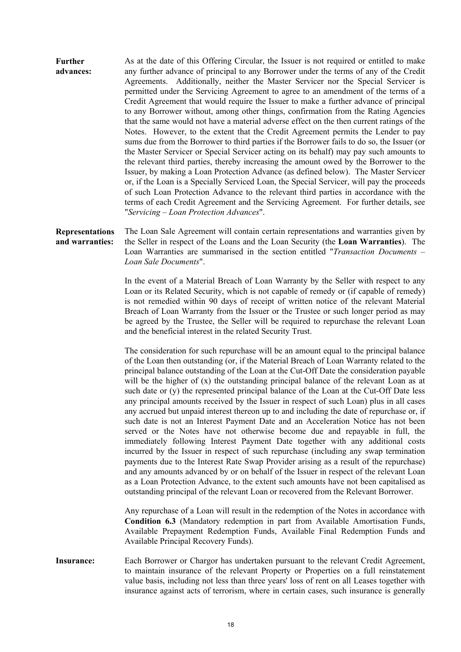**Further advances:**  As at the date of this Offering Circular, the Issuer is not required or entitled to make any further advance of principal to any Borrower under the terms of any of the Credit Agreements. Additionally, neither the Master Servicer nor the Special Servicer is permitted under the Servicing Agreement to agree to an amendment of the terms of a Credit Agreement that would require the Issuer to make a further advance of principal to any Borrower without, among other things, confirmation from the Rating Agencies that the same would not have a material adverse effect on the then current ratings of the Notes. However, to the extent that the Credit Agreement permits the Lender to pay sums due from the Borrower to third parties if the Borrower fails to do so, the Issuer (or the Master Servicer or Special Servicer acting on its behalf) may pay such amounts to the relevant third parties, thereby increasing the amount owed by the Borrower to the Issuer, by making a Loan Protection Advance (as defined below). The Master Servicer or, if the Loan is a Specially Serviced Loan, the Special Servicer, will pay the proceeds of such Loan Protection Advance to the relevant third parties in accordance with the terms of each Credit Agreement and the Servicing Agreement. For further details, see "*Servicing – Loan Protection Advances*".

**Representations and warranties:**  The Loan Sale Agreement will contain certain representations and warranties given by the Seller in respect of the Loans and the Loan Security (the **Loan Warranties**). The Loan Warranties are summarised in the section entitled "*Transaction Documents – Loan Sale Documents*".

> In the event of a Material Breach of Loan Warranty by the Seller with respect to any Loan or its Related Security, which is not capable of remedy or (if capable of remedy) is not remedied within 90 days of receipt of written notice of the relevant Material Breach of Loan Warranty from the Issuer or the Trustee or such longer period as may be agreed by the Trustee, the Seller will be required to repurchase the relevant Loan and the beneficial interest in the related Security Trust.

> The consideration for such repurchase will be an amount equal to the principal balance of the Loan then outstanding (or, if the Material Breach of Loan Warranty related to the principal balance outstanding of the Loan at the Cut-Off Date the consideration payable will be the higher of (x) the outstanding principal balance of the relevant Loan as at such date or (y) the represented principal balance of the Loan at the Cut-Off Date less any principal amounts received by the Issuer in respect of such Loan) plus in all cases any accrued but unpaid interest thereon up to and including the date of repurchase or, if such date is not an Interest Payment Date and an Acceleration Notice has not been served or the Notes have not otherwise become due and repayable in full, the immediately following Interest Payment Date together with any additional costs incurred by the Issuer in respect of such repurchase (including any swap termination payments due to the Interest Rate Swap Provider arising as a result of the repurchase) and any amounts advanced by or on behalf of the Issuer in respect of the relevant Loan as a Loan Protection Advance, to the extent such amounts have not been capitalised as outstanding principal of the relevant Loan or recovered from the Relevant Borrower.

> Any repurchase of a Loan will result in the redemption of the Notes in accordance with **Condition 6.3** (Mandatory redemption in part from Available Amortisation Funds, Available Prepayment Redemption Funds, Available Final Redemption Funds and Available Principal Recovery Funds).

**Insurance:** Each Borrower or Chargor has undertaken pursuant to the relevant Credit Agreement, to maintain insurance of the relevant Property or Properties on a full reinstatement value basis, including not less than three years' loss of rent on all Leases together with insurance against acts of terrorism, where in certain cases, such insurance is generally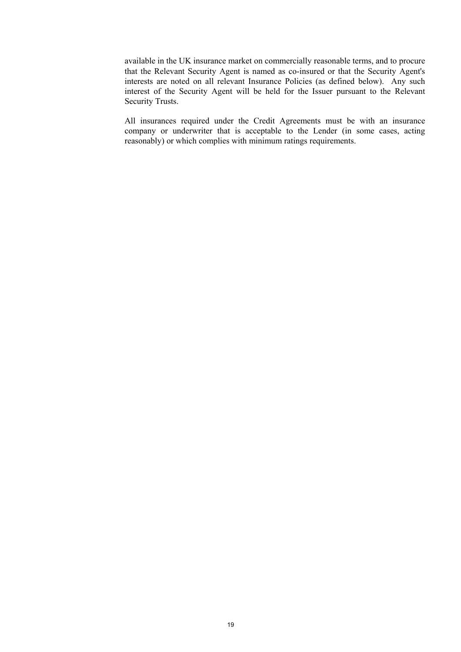available in the UK insurance market on commercially reasonable terms, and to procure that the Relevant Security Agent is named as co-insured or that the Security Agent's interests are noted on all relevant Insurance Policies (as defined below). Any such interest of the Security Agent will be held for the Issuer pursuant to the Relevant Security Trusts.

All insurances required under the Credit Agreements must be with an insurance company or underwriter that is acceptable to the Lender (in some cases, acting reasonably) or which complies with minimum ratings requirements.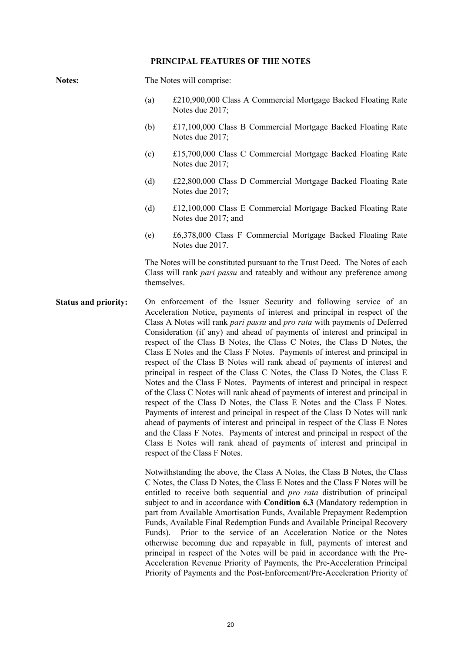#### **PRINCIPAL FEATURES OF THE NOTES**

| <b>Notes:</b>               |                                                                                                                                                                               | The Notes will comprise:                                                                                                                                                                                                                                                                                                                                                                                                                                                                                                                                                                                                                                                                                                                                                                                                                                                                                                                                                                                                                                                                                                                                                                                                                                                                                                                                                                                                                                                                                                                                   |  |  |  |  |
|-----------------------------|-------------------------------------------------------------------------------------------------------------------------------------------------------------------------------|------------------------------------------------------------------------------------------------------------------------------------------------------------------------------------------------------------------------------------------------------------------------------------------------------------------------------------------------------------------------------------------------------------------------------------------------------------------------------------------------------------------------------------------------------------------------------------------------------------------------------------------------------------------------------------------------------------------------------------------------------------------------------------------------------------------------------------------------------------------------------------------------------------------------------------------------------------------------------------------------------------------------------------------------------------------------------------------------------------------------------------------------------------------------------------------------------------------------------------------------------------------------------------------------------------------------------------------------------------------------------------------------------------------------------------------------------------------------------------------------------------------------------------------------------------|--|--|--|--|
|                             | (a)                                                                                                                                                                           | £210,900,000 Class A Commercial Mortgage Backed Floating Rate<br>Notes due 2017;                                                                                                                                                                                                                                                                                                                                                                                                                                                                                                                                                                                                                                                                                                                                                                                                                                                                                                                                                                                                                                                                                                                                                                                                                                                                                                                                                                                                                                                                           |  |  |  |  |
|                             | (b)                                                                                                                                                                           | £17,100,000 Class B Commercial Mortgage Backed Floating Rate<br>Notes due 2017;                                                                                                                                                                                                                                                                                                                                                                                                                                                                                                                                                                                                                                                                                                                                                                                                                                                                                                                                                                                                                                                                                                                                                                                                                                                                                                                                                                                                                                                                            |  |  |  |  |
|                             | (c)                                                                                                                                                                           | £15,700,000 Class C Commercial Mortgage Backed Floating Rate<br>Notes due 2017;                                                                                                                                                                                                                                                                                                                                                                                                                                                                                                                                                                                                                                                                                                                                                                                                                                                                                                                                                                                                                                                                                                                                                                                                                                                                                                                                                                                                                                                                            |  |  |  |  |
|                             | (d)                                                                                                                                                                           | £22,800,000 Class D Commercial Mortgage Backed Floating Rate<br>Notes due 2017;                                                                                                                                                                                                                                                                                                                                                                                                                                                                                                                                                                                                                                                                                                                                                                                                                                                                                                                                                                                                                                                                                                                                                                                                                                                                                                                                                                                                                                                                            |  |  |  |  |
|                             | (d)                                                                                                                                                                           | £12,100,000 Class E Commercial Mortgage Backed Floating Rate<br>Notes due 2017; and                                                                                                                                                                                                                                                                                                                                                                                                                                                                                                                                                                                                                                                                                                                                                                                                                                                                                                                                                                                                                                                                                                                                                                                                                                                                                                                                                                                                                                                                        |  |  |  |  |
|                             | (e)                                                                                                                                                                           | £6,378,000 Class F Commercial Mortgage Backed Floating Rate<br>Notes due 2017.                                                                                                                                                                                                                                                                                                                                                                                                                                                                                                                                                                                                                                                                                                                                                                                                                                                                                                                                                                                                                                                                                                                                                                                                                                                                                                                                                                                                                                                                             |  |  |  |  |
|                             | The Notes will be constituted pursuant to the Trust Deed. The Notes of each<br>Class will rank <i>pari passu</i> and rateably and without any preference among<br>themselves. |                                                                                                                                                                                                                                                                                                                                                                                                                                                                                                                                                                                                                                                                                                                                                                                                                                                                                                                                                                                                                                                                                                                                                                                                                                                                                                                                                                                                                                                                                                                                                            |  |  |  |  |
| <b>Status and priority:</b> |                                                                                                                                                                               | On enforcement of the Issuer Security and following service of an<br>Acceleration Notice, payments of interest and principal in respect of the<br>Class A Notes will rank pari passu and pro rata with payments of Deferred<br>Consideration (if any) and ahead of payments of interest and principal in<br>respect of the Class B Notes, the Class C Notes, the Class D Notes, the<br>Class E Notes and the Class F Notes. Payments of interest and principal in<br>respect of the Class B Notes will rank ahead of payments of interest and<br>principal in respect of the Class C Notes, the Class D Notes, the Class E<br>Notes and the Class F Notes. Payments of interest and principal in respect<br>of the Class C Notes will rank ahead of payments of interest and principal in<br>respect of the Class D Notes, the Class E Notes and the Class F Notes.<br>Payments of interest and principal in respect of the Class D Notes will rank<br>ahead of payments of interest and principal in respect of the Class E Notes<br>and the Class F Notes. Payments of interest and principal in respect of the<br>Class E Notes will rank ahead of payments of interest and principal in<br>respect of the Class F Notes.<br>Notwithstanding the above, the Class A Notes, the Class B Notes, the Class<br>C Notes, the Class D Notes, the Class E Notes and the Class F Notes will be<br>entitled to receive both sequential and <i>pro rata</i> distribution of principal<br>subject to and in accordance with Condition 6.3 (Mandatory redemption in |  |  |  |  |

subject to and in accordance with **Condition 6.3** (Mandatory redemption in part from Available Amortisation Funds, Available Prepayment Redemption Funds, Available Final Redemption Funds and Available Principal Recovery Funds). Prior to the service of an Acceleration Notice or the Notes otherwise becoming due and repayable in full, payments of interest and principal in respect of the Notes will be paid in accordance with the Pre-Acceleration Revenue Priority of Payments, the Pre-Acceleration Principal Priority of Payments and the Post-Enforcement/Pre-Acceleration Priority of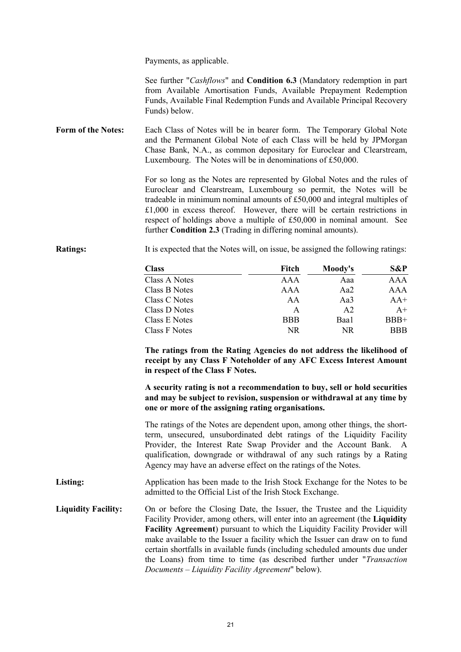Payments, as applicable.

See further "*Cashflows*" and **Condition 6.3** (Mandatory redemption in part from Available Amortisation Funds, Available Prepayment Redemption Funds, Available Final Redemption Funds and Available Principal Recovery Funds) below.

**Form of the Notes:** Each Class of Notes will be in bearer form. The Temporary Global Note and the Permanent Global Note of each Class will be held by JPMorgan Chase Bank, N.A., as common depositary for Euroclear and Clearstream, Luxembourg. The Notes will be in denominations of £50,000.

> For so long as the Notes are represented by Global Notes and the rules of Euroclear and Clearstream, Luxembourg so permit, the Notes will be tradeable in minimum nominal amounts of £50,000 and integral multiples of £1,000 in excess thereof. However, there will be certain restrictions in respect of holdings above a multiple of £50,000 in nominal amount. See further **Condition 2.3** (Trading in differing nominal amounts).

**Ratings:** It is expected that the Notes will, on issue, be assigned the following ratings:

| Class         | Fitch      | Moody's | <b>S&amp;P</b> |
|---------------|------------|---------|----------------|
| Class A Notes | AAA        | Aaa     | AAA            |
| Class B Notes | AAA        | Aa2     | AAA            |
| Class C Notes | AA         | Aa3     | $AA+$          |
| Class D Notes | A          | A2      | $A+$           |
| Class E Notes | <b>BBB</b> | Baa1    | $BBB+$         |
| Class F Notes | NR         | NR      | <b>BBB</b>     |

**The ratings from the Rating Agencies do not address the likelihood of receipt by any Class F Noteholder of any AFC Excess Interest Amount in respect of the Class F Notes.** 

**A security rating is not a recommendation to buy, sell or hold securities and may be subject to revision, suspension or withdrawal at any time by one or more of the assigning rating organisations.** 

The ratings of the Notes are dependent upon, among other things, the shortterm, unsecured, unsubordinated debt ratings of the Liquidity Facility Provider, the Interest Rate Swap Provider and the Account Bank. A qualification, downgrade or withdrawal of any such ratings by a Rating Agency may have an adverse effect on the ratings of the Notes.

**Listing:** Application has been made to the Irish Stock Exchange for the Notes to be admitted to the Official List of the Irish Stock Exchange.

Liquidity Facility: On or before the Closing Date, the Issuer, the Trustee and the Liquidity Facility Provider, among others, will enter into an agreement (the **Liquidity Facility Agreement**) pursuant to which the Liquidity Facility Provider will make available to the Issuer a facility which the Issuer can draw on to fund certain shortfalls in available funds (including scheduled amounts due under the Loans) from time to time (as described further under "*Transaction Documents – Liquidity Facility Agreement*" below).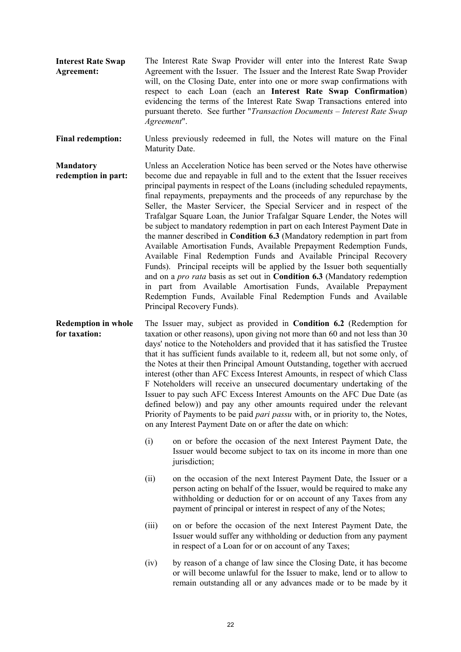**Interest Rate Swap Agreement:**  The Interest Rate Swap Provider will enter into the Interest Rate Swap Agreement with the Issuer. The Issuer and the Interest Rate Swap Provider will, on the Closing Date, enter into one or more swap confirmations with respect to each Loan (each an **Interest Rate Swap Confirmation**) evidencing the terms of the Interest Rate Swap Transactions entered into pursuant thereto. See further "*Transaction Documents – Interest Rate Swap Agreement*".

**Final redemption:** Unless previously redeemed in full, the Notes will mature on the Final Maturity Date.

**Mandatory redemption in part:**  Unless an Acceleration Notice has been served or the Notes have otherwise become due and repayable in full and to the extent that the Issuer receives principal payments in respect of the Loans (including scheduled repayments, final repayments, prepayments and the proceeds of any repurchase by the Seller, the Master Servicer, the Special Servicer and in respect of the Trafalgar Square Loan, the Junior Trafalgar Square Lender, the Notes will be subject to mandatory redemption in part on each Interest Payment Date in the manner described in **Condition 6.3** (Mandatory redemption in part from Available Amortisation Funds, Available Prepayment Redemption Funds, Available Final Redemption Funds and Available Principal Recovery Funds). Principal receipts will be applied by the Issuer both sequentially and on a *pro rata* basis as set out in **Condition 6.3** (Mandatory redemption in part from Available Amortisation Funds, Available Prepayment Redemption Funds, Available Final Redemption Funds and Available Principal Recovery Funds).

**Redemption in whole for taxation:**  The Issuer may, subject as provided in **Condition 6.2** (Redemption for taxation or other reasons), upon giving not more than 60 and not less than 30 days' notice to the Noteholders and provided that it has satisfied the Trustee that it has sufficient funds available to it, redeem all, but not some only, of the Notes at their then Principal Amount Outstanding, together with accrued interest (other than AFC Excess Interest Amounts, in respect of which Class F Noteholders will receive an unsecured documentary undertaking of the Issuer to pay such AFC Excess Interest Amounts on the AFC Due Date (as defined below)) and pay any other amounts required under the relevant Priority of Payments to be paid *pari passu* with, or in priority to, the Notes, on any Interest Payment Date on or after the date on which:

- (i) on or before the occasion of the next Interest Payment Date, the Issuer would become subject to tax on its income in more than one jurisdiction;
- (ii) on the occasion of the next Interest Payment Date, the Issuer or a person acting on behalf of the Issuer, would be required to make any withholding or deduction for or on account of any Taxes from any payment of principal or interest in respect of any of the Notes;
- (iii) on or before the occasion of the next Interest Payment Date, the Issuer would suffer any withholding or deduction from any payment in respect of a Loan for or on account of any Taxes;
- (iv) by reason of a change of law since the Closing Date, it has become or will become unlawful for the Issuer to make, lend or to allow to remain outstanding all or any advances made or to be made by it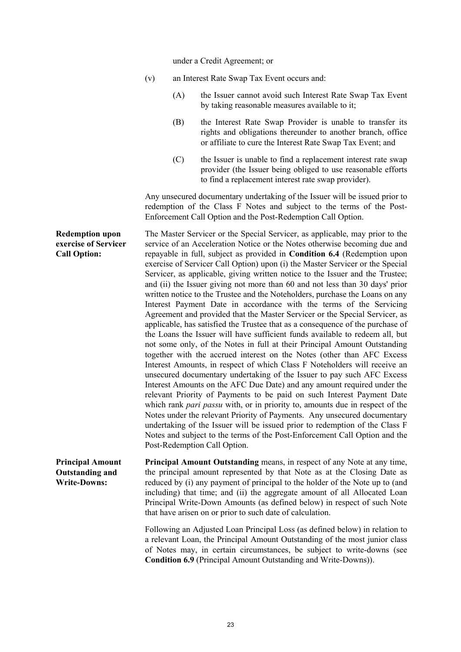under a Credit Agreement; or

|                                                                          | (v) |     | an Interest Rate Swap Tax Event occurs and:                                                                                                                                                                                                                                                                                                                                                                                                                                                                                                                                                                                                                                                                                                                                                                                                                                                                                                                                                                                                                                                                                                                                                                                                                                                                                                                                                                                                                                                                                                                                                                                                                                                                                        |
|--------------------------------------------------------------------------|-----|-----|------------------------------------------------------------------------------------------------------------------------------------------------------------------------------------------------------------------------------------------------------------------------------------------------------------------------------------------------------------------------------------------------------------------------------------------------------------------------------------------------------------------------------------------------------------------------------------------------------------------------------------------------------------------------------------------------------------------------------------------------------------------------------------------------------------------------------------------------------------------------------------------------------------------------------------------------------------------------------------------------------------------------------------------------------------------------------------------------------------------------------------------------------------------------------------------------------------------------------------------------------------------------------------------------------------------------------------------------------------------------------------------------------------------------------------------------------------------------------------------------------------------------------------------------------------------------------------------------------------------------------------------------------------------------------------------------------------------------------------|
|                                                                          |     | (A) | the Issuer cannot avoid such Interest Rate Swap Tax Event<br>by taking reasonable measures available to it;                                                                                                                                                                                                                                                                                                                                                                                                                                                                                                                                                                                                                                                                                                                                                                                                                                                                                                                                                                                                                                                                                                                                                                                                                                                                                                                                                                                                                                                                                                                                                                                                                        |
|                                                                          |     | (B) | the Interest Rate Swap Provider is unable to transfer its<br>rights and obligations thereunder to another branch, office<br>or affiliate to cure the Interest Rate Swap Tax Event; and                                                                                                                                                                                                                                                                                                                                                                                                                                                                                                                                                                                                                                                                                                                                                                                                                                                                                                                                                                                                                                                                                                                                                                                                                                                                                                                                                                                                                                                                                                                                             |
|                                                                          |     | (C) | the Issuer is unable to find a replacement interest rate swap<br>provider (the Issuer being obliged to use reasonable efforts<br>to find a replacement interest rate swap provider).                                                                                                                                                                                                                                                                                                                                                                                                                                                                                                                                                                                                                                                                                                                                                                                                                                                                                                                                                                                                                                                                                                                                                                                                                                                                                                                                                                                                                                                                                                                                               |
|                                                                          |     |     | Any unsecured documentary undertaking of the Issuer will be issued prior to<br>redemption of the Class F Notes and subject to the terms of the Post-<br>Enforcement Call Option and the Post-Redemption Call Option.                                                                                                                                                                                                                                                                                                                                                                                                                                                                                                                                                                                                                                                                                                                                                                                                                                                                                                                                                                                                                                                                                                                                                                                                                                                                                                                                                                                                                                                                                                               |
| <b>Redemption upon</b><br>exercise of Servicer<br><b>Call Option:</b>    |     |     | The Master Servicer or the Special Servicer, as applicable, may prior to the<br>service of an Acceleration Notice or the Notes otherwise becoming due and<br>repayable in full, subject as provided in Condition 6.4 (Redemption upon<br>exercise of Servicer Call Option) upon (i) the Master Servicer or the Special<br>Servicer, as applicable, giving written notice to the Issuer and the Trustee;<br>and (ii) the Issuer giving not more than 60 and not less than 30 days' prior<br>written notice to the Trustee and the Noteholders, purchase the Loans on any<br>Interest Payment Date in accordance with the terms of the Servicing<br>Agreement and provided that the Master Servicer or the Special Servicer, as<br>applicable, has satisfied the Trustee that as a consequence of the purchase of<br>the Loans the Issuer will have sufficient funds available to redeem all, but<br>not some only, of the Notes in full at their Principal Amount Outstanding<br>together with the accrued interest on the Notes (other than AFC Excess<br>Interest Amounts, in respect of which Class F Noteholders will receive an<br>unsecured documentary undertaking of the Issuer to pay such AFC Excess<br>Interest Amounts on the AFC Due Date) and any amount required under the<br>relevant Priority of Payments to be paid on such Interest Payment Date<br>which rank <i>pari passu</i> with, or in priority to, amounts due in respect of the<br>Notes under the relevant Priority of Payments. Any unsecured documentary<br>undertaking of the Issuer will be issued prior to redemption of the Class F<br>Notes and subject to the terms of the Post-Enforcement Call Option and the<br>Post-Redemption Call Option. |
| <b>Principal Amount</b><br><b>Outstanding and</b><br><b>Write-Downs:</b> |     |     | Principal Amount Outstanding means, in respect of any Note at any time,<br>the principal amount represented by that Note as at the Closing Date as<br>reduced by (i) any payment of principal to the holder of the Note up to (and<br>including) that time; and (ii) the aggregate amount of all Allocated Loan<br>Principal Write-Down Amounts (as defined below) in respect of such Note<br>that have arisen on or prior to such date of calculation.                                                                                                                                                                                                                                                                                                                                                                                                                                                                                                                                                                                                                                                                                                                                                                                                                                                                                                                                                                                                                                                                                                                                                                                                                                                                            |
|                                                                          |     |     | Following an Adjusted Loan Principal Loss (as defined below) in relation to<br>a relevant Loan, the Principal Amount Outstanding of the most junior class<br>of Notes may, in certain circumstances, be subject to write-downs (see<br><b>Condition 6.9</b> (Principal Amount Outstanding and Write-Downs)).                                                                                                                                                                                                                                                                                                                                                                                                                                                                                                                                                                                                                                                                                                                                                                                                                                                                                                                                                                                                                                                                                                                                                                                                                                                                                                                                                                                                                       |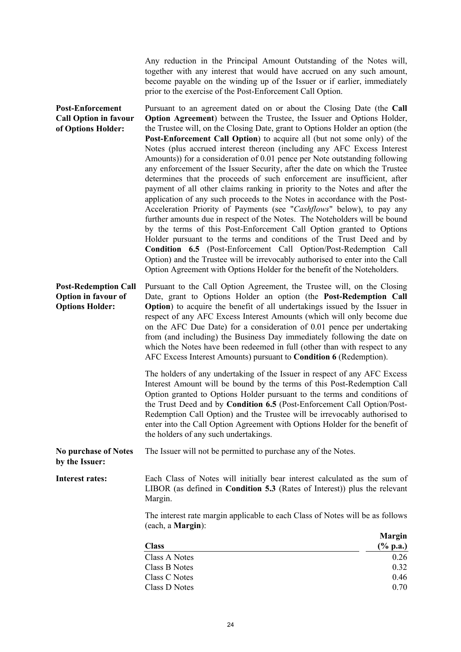Any reduction in the Principal Amount Outstanding of the Notes will, together with any interest that would have accrued on any such amount, become payable on the winding up of the Issuer or if earlier, immediately prior to the exercise of the Post-Enforcement Call Option.

**Post-Enforcement Call Option in favour of Options Holder:**  Pursuant to an agreement dated on or about the Closing Date (the **Call Option Agreement**) between the Trustee, the Issuer and Options Holder, the Trustee will, on the Closing Date, grant to Options Holder an option (the **Post-Enforcement Call Option**) to acquire all (but not some only) of the Notes (plus accrued interest thereon (including any AFC Excess Interest Amounts)) for a consideration of 0.01 pence per Note outstanding following any enforcement of the Issuer Security, after the date on which the Trustee determines that the proceeds of such enforcement are insufficient, after payment of all other claims ranking in priority to the Notes and after the application of any such proceeds to the Notes in accordance with the Post-Acceleration Priority of Payments (see "*Cashflows*" below), to pay any further amounts due in respect of the Notes. The Noteholders will be bound by the terms of this Post-Enforcement Call Option granted to Options Holder pursuant to the terms and conditions of the Trust Deed and by **Condition 6.5** (Post-Enforcement Call Option/Post-Redemption Call Option) and the Trustee will be irrevocably authorised to enter into the Call Option Agreement with Options Holder for the benefit of the Noteholders. **Post-Redemption Call Option in favour of Options Holder:**  Pursuant to the Call Option Agreement, the Trustee will, on the Closing Date, grant to Options Holder an option (the **Post-Redemption Call Option**) to acquire the benefit of all undertakings issued by the Issuer in respect of any AFC Excess Interest Amounts (which will only become due on the AFC Due Date) for a consideration of 0.01 pence per undertaking from (and including) the Business Day immediately following the date on which the Notes have been redeemed in full (other than with respect to any AFC Excess Interest Amounts) pursuant to **Condition 6** (Redemption). The holders of any undertaking of the Issuer in respect of any AFC Excess Interest Amount will be bound by the terms of this Post-Redemption Call Option granted to Options Holder pursuant to the terms and conditions of the Trust Deed and by **Condition 6.5** (Post-Enforcement Call Option/Post-Redemption Call Option) and the Trustee will be irrevocably authorised to enter into the Call Option Agreement with Options Holder for the benefit of the holders of any such undertakings. **No purchase of Notes by the Issuer:**  The Issuer will not be permitted to purchase any of the Notes. Interest rates: Each Class of Notes will initially bear interest calculated as the sum of LIBOR (as defined in **Condition 5.3** (Rates of Interest)) plus the relevant Margin. The interest rate margin applicable to each Class of Notes will be as follows (each, a **Margin**): **Class Margin (% p.a.)**  Class A Notes 0.26 Class B Notes 0.32

Class C Notes 0.46  $\frac{\text{Class D Notes}}{0.70}$ 

24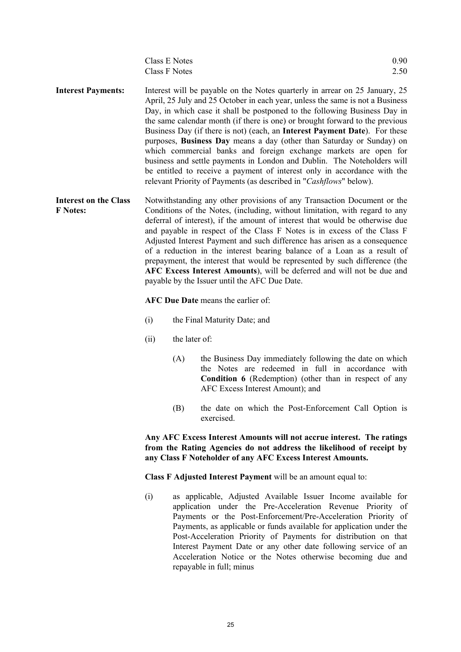| Class E Notes | 0.90 |
|---------------|------|
| Class F Notes | 2.50 |

- **Interest Payments:** Interest will be payable on the Notes quarterly in arrear on 25 January, 25 April, 25 July and 25 October in each year, unless the same is not a Business Day, in which case it shall be postponed to the following Business Day in the same calendar month (if there is one) or brought forward to the previous Business Day (if there is not) (each, an **Interest Payment Date**). For these purposes, **Business Day** means a day (other than Saturday or Sunday) on which commercial banks and foreign exchange markets are open for business and settle payments in London and Dublin. The Noteholders will be entitled to receive a payment of interest only in accordance with the relevant Priority of Payments (as described in "*Cashflows*" below).
- **Interest on the Class F Notes:**  Notwithstanding any other provisions of any Transaction Document or the Conditions of the Notes, (including, without limitation, with regard to any deferral of interest), if the amount of interest that would be otherwise due and payable in respect of the Class F Notes is in excess of the Class F Adjusted Interest Payment and such difference has arisen as a consequence of a reduction in the interest bearing balance of a Loan as a result of prepayment, the interest that would be represented by such difference (the **AFC Excess Interest Amounts**), will be deferred and will not be due and payable by the Issuer until the AFC Due Date.

#### **AFC Due Date** means the earlier of:

- (i) the Final Maturity Date; and
- (ii) the later of:
	- (A) the Business Day immediately following the date on which the Notes are redeemed in full in accordance with **Condition 6** (Redemption) (other than in respect of any AFC Excess Interest Amount); and
	- (B) the date on which the Post-Enforcement Call Option is exercised.

 **Any AFC Excess Interest Amounts will not accrue interest. The ratings from the Rating Agencies do not address the likelihood of receipt by any Class F Noteholder of any AFC Excess Interest Amounts.** 

**Class F Adjusted Interest Payment** will be an amount equal to:

(i) as applicable, Adjusted Available Issuer Income available for application under the Pre-Acceleration Revenue Priority of Payments or the Post-Enforcement/Pre-Acceleration Priority of Payments, as applicable or funds available for application under the Post-Acceleration Priority of Payments for distribution on that Interest Payment Date or any other date following service of an Acceleration Notice or the Notes otherwise becoming due and repayable in full; minus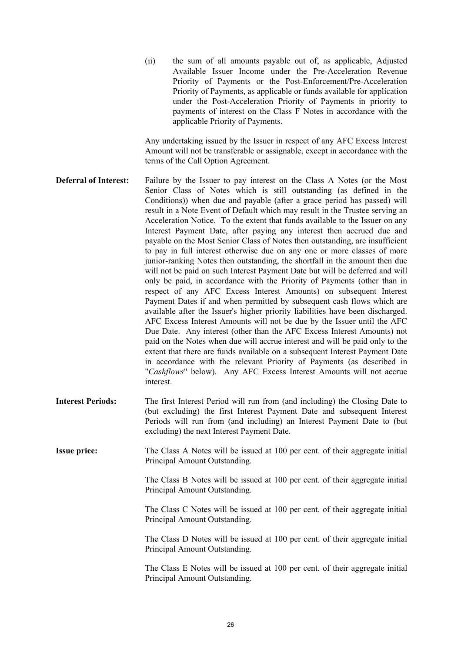(ii) the sum of all amounts payable out of, as applicable, Adjusted Available Issuer Income under the Pre-Acceleration Revenue Priority of Payments or the Post-Enforcement/Pre-Acceleration Priority of Payments, as applicable or funds available for application under the Post-Acceleration Priority of Payments in priority to payments of interest on the Class F Notes in accordance with the applicable Priority of Payments.

Any undertaking issued by the Issuer in respect of any AFC Excess Interest Amount will not be transferable or assignable, except in accordance with the terms of the Call Option Agreement.

- **Deferral of Interest:** Failure by the Issuer to pay interest on the Class A Notes (or the Most Senior Class of Notes which is still outstanding (as defined in the Conditions)) when due and payable (after a grace period has passed) will result in a Note Event of Default which may result in the Trustee serving an Acceleration Notice. To the extent that funds available to the Issuer on any Interest Payment Date, after paying any interest then accrued due and payable on the Most Senior Class of Notes then outstanding, are insufficient to pay in full interest otherwise due on any one or more classes of more junior-ranking Notes then outstanding, the shortfall in the amount then due will not be paid on such Interest Payment Date but will be deferred and will only be paid, in accordance with the Priority of Payments (other than in respect of any AFC Excess Interest Amounts) on subsequent Interest Payment Dates if and when permitted by subsequent cash flows which are available after the Issuer's higher priority liabilities have been discharged. AFC Excess Interest Amounts will not be due by the Issuer until the AFC Due Date. Any interest (other than the AFC Excess Interest Amounts) not paid on the Notes when due will accrue interest and will be paid only to the extent that there are funds available on a subsequent Interest Payment Date in accordance with the relevant Priority of Payments (as described in "*Cashflows*" below). Any AFC Excess Interest Amounts will not accrue interest.
- **Interest Periods:** The first Interest Period will run from (and including) the Closing Date to (but excluding) the first Interest Payment Date and subsequent Interest Periods will run from (and including) an Interest Payment Date to (but excluding) the next Interest Payment Date.

**Issue price:** The Class A Notes will be issued at 100 per cent. of their aggregate initial Principal Amount Outstanding.

> The Class B Notes will be issued at 100 per cent. of their aggregate initial Principal Amount Outstanding.

> The Class C Notes will be issued at 100 per cent. of their aggregate initial Principal Amount Outstanding.

> The Class D Notes will be issued at 100 per cent. of their aggregate initial Principal Amount Outstanding.

> The Class E Notes will be issued at 100 per cent. of their aggregate initial Principal Amount Outstanding.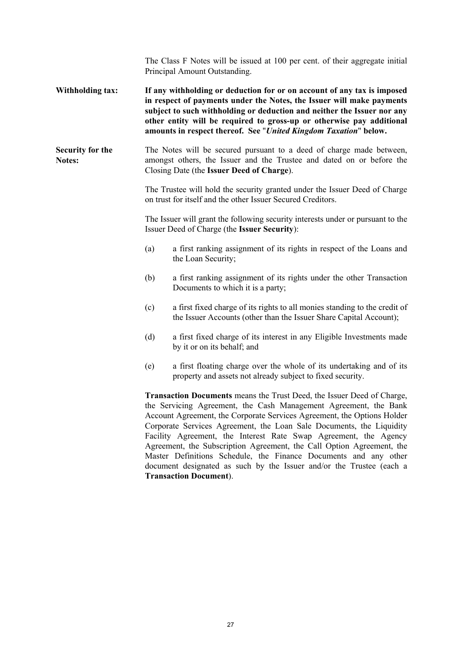|                                   |                                                                                                                                                                                                                                                                                                                                                                          | The Class F Notes will be issued at 100 per cent. of their aggregate initial<br>Principal Amount Outstanding.                                                                                                                                                                                                                                                                                                                                                                                                                                                                                                                   |  |  |  |
|-----------------------------------|--------------------------------------------------------------------------------------------------------------------------------------------------------------------------------------------------------------------------------------------------------------------------------------------------------------------------------------------------------------------------|---------------------------------------------------------------------------------------------------------------------------------------------------------------------------------------------------------------------------------------------------------------------------------------------------------------------------------------------------------------------------------------------------------------------------------------------------------------------------------------------------------------------------------------------------------------------------------------------------------------------------------|--|--|--|
| <b>Withholding tax:</b>           | If any withholding or deduction for or on account of any tax is imposed<br>in respect of payments under the Notes, the Issuer will make payments<br>subject to such withholding or deduction and neither the Issuer nor any<br>other entity will be required to gross-up or otherwise pay additional<br>amounts in respect thereof. See "United Kingdom Taxation" below. |                                                                                                                                                                                                                                                                                                                                                                                                                                                                                                                                                                                                                                 |  |  |  |
| Security for the<br><b>Notes:</b> |                                                                                                                                                                                                                                                                                                                                                                          | The Notes will be secured pursuant to a deed of charge made between,<br>amongst others, the Issuer and the Trustee and dated on or before the<br>Closing Date (the Issuer Deed of Charge).                                                                                                                                                                                                                                                                                                                                                                                                                                      |  |  |  |
|                                   | The Trustee will hold the security granted under the Issuer Deed of Charge<br>on trust for itself and the other Issuer Secured Creditors.                                                                                                                                                                                                                                |                                                                                                                                                                                                                                                                                                                                                                                                                                                                                                                                                                                                                                 |  |  |  |
|                                   |                                                                                                                                                                                                                                                                                                                                                                          | The Issuer will grant the following security interests under or pursuant to the<br>Issuer Deed of Charge (the Issuer Security):                                                                                                                                                                                                                                                                                                                                                                                                                                                                                                 |  |  |  |
|                                   | (a)                                                                                                                                                                                                                                                                                                                                                                      | a first ranking assignment of its rights in respect of the Loans and<br>the Loan Security;                                                                                                                                                                                                                                                                                                                                                                                                                                                                                                                                      |  |  |  |
|                                   | (b)                                                                                                                                                                                                                                                                                                                                                                      | a first ranking assignment of its rights under the other Transaction<br>Documents to which it is a party;                                                                                                                                                                                                                                                                                                                                                                                                                                                                                                                       |  |  |  |
|                                   | (c)                                                                                                                                                                                                                                                                                                                                                                      | a first fixed charge of its rights to all monies standing to the credit of<br>the Issuer Accounts (other than the Issuer Share Capital Account);                                                                                                                                                                                                                                                                                                                                                                                                                                                                                |  |  |  |
|                                   | (d)                                                                                                                                                                                                                                                                                                                                                                      | a first fixed charge of its interest in any Eligible Investments made<br>by it or on its behalf; and                                                                                                                                                                                                                                                                                                                                                                                                                                                                                                                            |  |  |  |
|                                   | (e)                                                                                                                                                                                                                                                                                                                                                                      | a first floating charge over the whole of its undertaking and of its<br>property and assets not already subject to fixed security.                                                                                                                                                                                                                                                                                                                                                                                                                                                                                              |  |  |  |
|                                   |                                                                                                                                                                                                                                                                                                                                                                          | <b>Transaction Documents</b> means the Trust Deed, the Issuer Deed of Charge,<br>the Servicing Agreement, the Cash Management Agreement, the Bank<br>Account Agreement, the Corporate Services Agreement, the Options Holder<br>Corporate Services Agreement, the Loan Sale Documents, the Liquidity<br>Facility Agreement, the Interest Rate Swap Agreement, the Agency<br>Agreement, the Subscription Agreement, the Call Option Agreement, the<br>Master Definitions Schedule, the Finance Documents and any other<br>document designated as such by the Issuer and/or the Trustee (each a<br><b>Transaction Document</b> ). |  |  |  |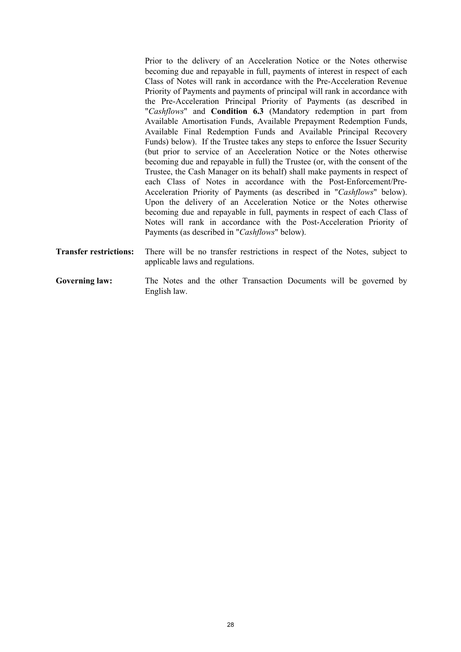Prior to the delivery of an Acceleration Notice or the Notes otherwise becoming due and repayable in full, payments of interest in respect of each Class of Notes will rank in accordance with the Pre-Acceleration Revenue Priority of Payments and payments of principal will rank in accordance with the Pre-Acceleration Principal Priority of Payments (as described in "*Cashflows*" and **Condition 6.3** (Mandatory redemption in part from Available Amortisation Funds, Available Prepayment Redemption Funds, Available Final Redemption Funds and Available Principal Recovery Funds) below). If the Trustee takes any steps to enforce the Issuer Security (but prior to service of an Acceleration Notice or the Notes otherwise becoming due and repayable in full) the Trustee (or, with the consent of the Trustee, the Cash Manager on its behalf) shall make payments in respect of each Class of Notes in accordance with the Post-Enforcement/Pre-Acceleration Priority of Payments (as described in "*Cashflows*" below). Upon the delivery of an Acceleration Notice or the Notes otherwise becoming due and repayable in full, payments in respect of each Class of Notes will rank in accordance with the Post-Acceleration Priority of Payments (as described in "*Cashflows*" below).

- **Transfer restrictions:** There will be no transfer restrictions in respect of the Notes, subject to applicable laws and regulations.
- Governing law: The Notes and the other Transaction Documents will be governed by English law.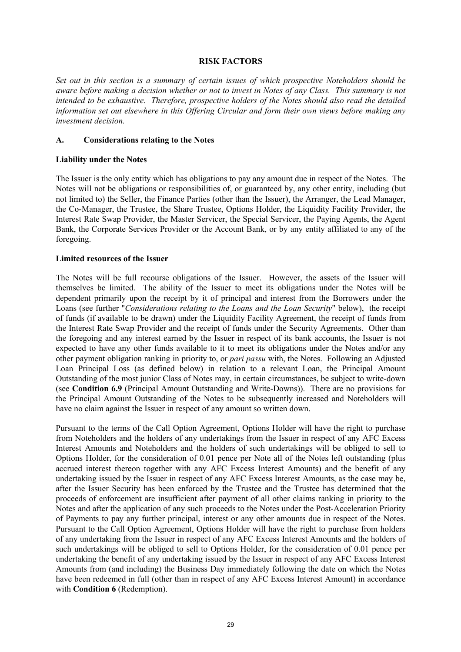#### **RISK FACTORS**

*Set out in this section is a summary of certain issues of which prospective Noteholders should be aware before making a decision whether or not to invest in Notes of any Class. This summary is not intended to be exhaustive. Therefore, prospective holders of the Notes should also read the detailed information set out elsewhere in this Offering Circular and form their own views before making any investment decision.* 

#### **A. Considerations relating to the Notes**

#### **Liability under the Notes**

The Issuer is the only entity which has obligations to pay any amount due in respect of the Notes. The Notes will not be obligations or responsibilities of, or guaranteed by, any other entity, including (but not limited to) the Seller, the Finance Parties (other than the Issuer), the Arranger, the Lead Manager, the Co-Manager, the Trustee, the Share Trustee, Options Holder, the Liquidity Facility Provider, the Interest Rate Swap Provider, the Master Servicer, the Special Servicer, the Paying Agents, the Agent Bank, the Corporate Services Provider or the Account Bank, or by any entity affiliated to any of the foregoing.

#### **Limited resources of the Issuer**

The Notes will be full recourse obligations of the Issuer. However, the assets of the Issuer will themselves be limited. The ability of the Issuer to meet its obligations under the Notes will be dependent primarily upon the receipt by it of principal and interest from the Borrowers under the Loans (see further "*Considerations relating to the Loans and the Loan Security*" below), the receipt of funds (if available to be drawn) under the Liquidity Facility Agreement, the receipt of funds from the Interest Rate Swap Provider and the receipt of funds under the Security Agreements. Other than the foregoing and any interest earned by the Issuer in respect of its bank accounts, the Issuer is not expected to have any other funds available to it to meet its obligations under the Notes and/or any other payment obligation ranking in priority to, or *pari passu* with, the Notes. Following an Adjusted Loan Principal Loss (as defined below) in relation to a relevant Loan, the Principal Amount Outstanding of the most junior Class of Notes may, in certain circumstances, be subject to write-down (see **Condition 6.9** (Principal Amount Outstanding and Write-Downs)). There are no provisions for the Principal Amount Outstanding of the Notes to be subsequently increased and Noteholders will have no claim against the Issuer in respect of any amount so written down.

Pursuant to the terms of the Call Option Agreement, Options Holder will have the right to purchase from Noteholders and the holders of any undertakings from the Issuer in respect of any AFC Excess Interest Amounts and Noteholders and the holders of such undertakings will be obliged to sell to Options Holder, for the consideration of 0.01 pence per Note all of the Notes left outstanding (plus accrued interest thereon together with any AFC Excess Interest Amounts) and the benefit of any undertaking issued by the Issuer in respect of any AFC Excess Interest Amounts, as the case may be, after the Issuer Security has been enforced by the Trustee and the Trustee has determined that the proceeds of enforcement are insufficient after payment of all other claims ranking in priority to the Notes and after the application of any such proceeds to the Notes under the Post-Acceleration Priority of Payments to pay any further principal, interest or any other amounts due in respect of the Notes. Pursuant to the Call Option Agreement, Options Holder will have the right to purchase from holders of any undertaking from the Issuer in respect of any AFC Excess Interest Amounts and the holders of such undertakings will be obliged to sell to Options Holder, for the consideration of 0.01 pence per undertaking the benefit of any undertaking issued by the Issuer in respect of any AFC Excess Interest Amounts from (and including) the Business Day immediately following the date on which the Notes have been redeemed in full (other than in respect of any AFC Excess Interest Amount) in accordance with **Condition 6** (Redemption).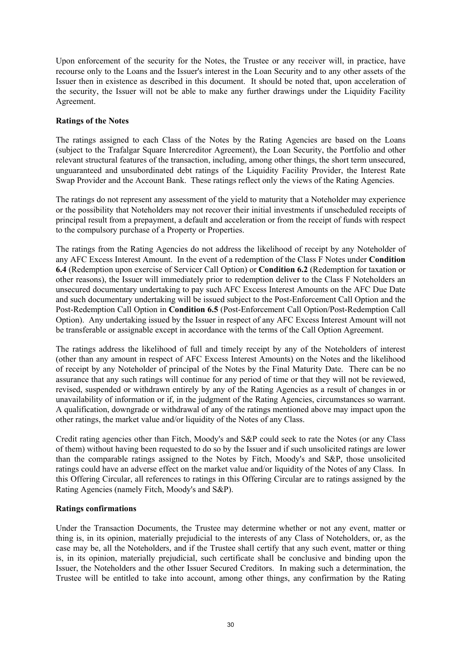Upon enforcement of the security for the Notes, the Trustee or any receiver will, in practice, have recourse only to the Loans and the Issuer's interest in the Loan Security and to any other assets of the Issuer then in existence as described in this document. It should be noted that, upon acceleration of the security, the Issuer will not be able to make any further drawings under the Liquidity Facility Agreement.

#### **Ratings of the Notes**

The ratings assigned to each Class of the Notes by the Rating Agencies are based on the Loans (subject to the Trafalgar Square Intercreditor Agreement), the Loan Security, the Portfolio and other relevant structural features of the transaction, including, among other things, the short term unsecured, unguaranteed and unsubordinated debt ratings of the Liquidity Facility Provider, the Interest Rate Swap Provider and the Account Bank. These ratings reflect only the views of the Rating Agencies.

The ratings do not represent any assessment of the yield to maturity that a Noteholder may experience or the possibility that Noteholders may not recover their initial investments if unscheduled receipts of principal result from a prepayment, a default and acceleration or from the receipt of funds with respect to the compulsory purchase of a Property or Properties.

The ratings from the Rating Agencies do not address the likelihood of receipt by any Noteholder of any AFC Excess Interest Amount. In the event of a redemption of the Class F Notes under **Condition 6.4** (Redemption upon exercise of Servicer Call Option) or **Condition 6.2** (Redemption for taxation or other reasons), the Issuer will immediately prior to redemption deliver to the Class F Noteholders an unsecured documentary undertaking to pay such AFC Excess Interest Amounts on the AFC Due Date and such documentary undertaking will be issued subject to the Post-Enforcement Call Option and the Post-Redemption Call Option in **Condition 6.5** (Post-Enforcement Call Option/Post-Redemption Call Option). Any undertaking issued by the Issuer in respect of any AFC Excess Interest Amount will not be transferable or assignable except in accordance with the terms of the Call Option Agreement.

The ratings address the likelihood of full and timely receipt by any of the Noteholders of interest (other than any amount in respect of AFC Excess Interest Amounts) on the Notes and the likelihood of receipt by any Noteholder of principal of the Notes by the Final Maturity Date. There can be no assurance that any such ratings will continue for any period of time or that they will not be reviewed, revised, suspended or withdrawn entirely by any of the Rating Agencies as a result of changes in or unavailability of information or if, in the judgment of the Rating Agencies, circumstances so warrant. A qualification, downgrade or withdrawal of any of the ratings mentioned above may impact upon the other ratings, the market value and/or liquidity of the Notes of any Class.

Credit rating agencies other than Fitch, Moody's and S&P could seek to rate the Notes (or any Class of them) without having been requested to do so by the Issuer and if such unsolicited ratings are lower than the comparable ratings assigned to the Notes by Fitch, Moody's and S&P, those unsolicited ratings could have an adverse effect on the market value and/or liquidity of the Notes of any Class. In this Offering Circular, all references to ratings in this Offering Circular are to ratings assigned by the Rating Agencies (namely Fitch, Moody's and S&P).

#### **Ratings confirmations**

Under the Transaction Documents, the Trustee may determine whether or not any event, matter or thing is, in its opinion, materially prejudicial to the interests of any Class of Noteholders, or, as the case may be, all the Noteholders, and if the Trustee shall certify that any such event, matter or thing is, in its opinion, materially prejudicial, such certificate shall be conclusive and binding upon the Issuer, the Noteholders and the other Issuer Secured Creditors. In making such a determination, the Trustee will be entitled to take into account, among other things, any confirmation by the Rating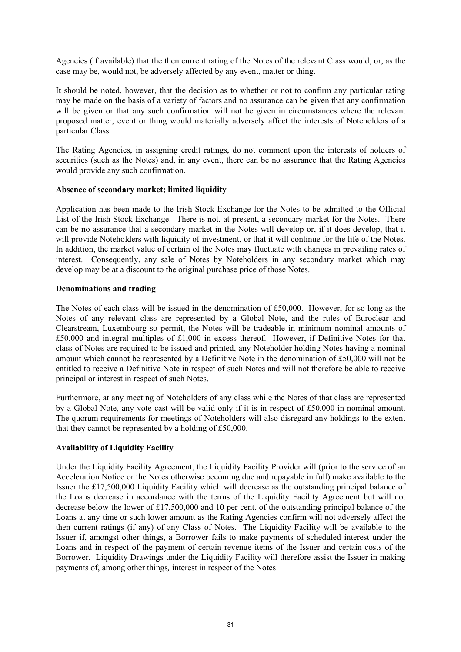Agencies (if available) that the then current rating of the Notes of the relevant Class would, or, as the case may be, would not, be adversely affected by any event, matter or thing.

It should be noted, however, that the decision as to whether or not to confirm any particular rating may be made on the basis of a variety of factors and no assurance can be given that any confirmation will be given or that any such confirmation will not be given in circumstances where the relevant proposed matter, event or thing would materially adversely affect the interests of Noteholders of a particular Class.

The Rating Agencies, in assigning credit ratings, do not comment upon the interests of holders of securities (such as the Notes) and, in any event, there can be no assurance that the Rating Agencies would provide any such confirmation.

#### **Absence of secondary market; limited liquidity**

Application has been made to the Irish Stock Exchange for the Notes to be admitted to the Official List of the Irish Stock Exchange. There is not, at present, a secondary market for the Notes. There can be no assurance that a secondary market in the Notes will develop or, if it does develop, that it will provide Noteholders with liquidity of investment, or that it will continue for the life of the Notes. In addition, the market value of certain of the Notes may fluctuate with changes in prevailing rates of interest. Consequently, any sale of Notes by Noteholders in any secondary market which may develop may be at a discount to the original purchase price of those Notes.

#### **Denominations and trading**

The Notes of each class will be issued in the denomination of £50,000. However, for so long as the Notes of any relevant class are represented by a Global Note, and the rules of Euroclear and Clearstream, Luxembourg so permit, the Notes will be tradeable in minimum nominal amounts of £50,000 and integral multiples of £1,000 in excess thereof. However, if Definitive Notes for that class of Notes are required to be issued and printed, any Noteholder holding Notes having a nominal amount which cannot be represented by a Definitive Note in the denomination of £50,000 will not be entitled to receive a Definitive Note in respect of such Notes and will not therefore be able to receive principal or interest in respect of such Notes.

Furthermore, at any meeting of Noteholders of any class while the Notes of that class are represented by a Global Note, any vote cast will be valid only if it is in respect of £50,000 in nominal amount. The quorum requirements for meetings of Noteholders will also disregard any holdings to the extent that they cannot be represented by a holding of £50,000.

#### **Availability of Liquidity Facility**

Under the Liquidity Facility Agreement, the Liquidity Facility Provider will (prior to the service of an Acceleration Notice or the Notes otherwise becoming due and repayable in full) make available to the Issuer the £17,500,000 Liquidity Facility which will decrease as the outstanding principal balance of the Loans decrease in accordance with the terms of the Liquidity Facility Agreement but will not decrease below the lower of £17,500,000 and 10 per cent. of the outstanding principal balance of the Loans at any time or such lower amount as the Rating Agencies confirm will not adversely affect the then current ratings (if any) of any Class of Notes. The Liquidity Facility will be available to the Issuer if, amongst other things, a Borrower fails to make payments of scheduled interest under the Loans and in respect of the payment of certain revenue items of the Issuer and certain costs of the Borrower. Liquidity Drawings under the Liquidity Facility will therefore assist the Issuer in making payments of, among other things*,* interest in respect of the Notes.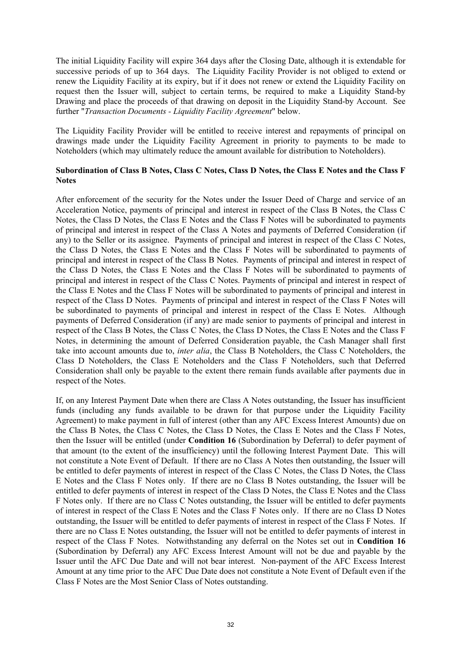The initial Liquidity Facility will expire 364 days after the Closing Date, although it is extendable for successive periods of up to 364 days. The Liquidity Facility Provider is not obliged to extend or renew the Liquidity Facility at its expiry, but if it does not renew or extend the Liquidity Facility on request then the Issuer will, subject to certain terms, be required to make a Liquidity Stand-by Drawing and place the proceeds of that drawing on deposit in the Liquidity Stand-by Account. See further "*Transaction Documents - Liquidity Facility Agreement*" below.

The Liquidity Facility Provider will be entitled to receive interest and repayments of principal on drawings made under the Liquidity Facility Agreement in priority to payments to be made to Noteholders (which may ultimately reduce the amount available for distribution to Noteholders).

#### **Subordination of Class B Notes, Class C Notes, Class D Notes, the Class E Notes and the Class F Notes**

After enforcement of the security for the Notes under the Issuer Deed of Charge and service of an Acceleration Notice, payments of principal and interest in respect of the Class B Notes, the Class C Notes, the Class D Notes, the Class E Notes and the Class F Notes will be subordinated to payments of principal and interest in respect of the Class A Notes and payments of Deferred Consideration (if any) to the Seller or its assignee. Payments of principal and interest in respect of the Class C Notes, the Class D Notes, the Class E Notes and the Class F Notes will be subordinated to payments of principal and interest in respect of the Class B Notes. Payments of principal and interest in respect of the Class D Notes, the Class E Notes and the Class F Notes will be subordinated to payments of principal and interest in respect of the Class C Notes. Payments of principal and interest in respect of the Class E Notes and the Class F Notes will be subordinated to payments of principal and interest in respect of the Class D Notes. Payments of principal and interest in respect of the Class F Notes will be subordinated to payments of principal and interest in respect of the Class E Notes. Although payments of Deferred Consideration (if any) are made senior to payments of principal and interest in respect of the Class B Notes, the Class C Notes, the Class D Notes, the Class E Notes and the Class F Notes, in determining the amount of Deferred Consideration payable, the Cash Manager shall first take into account amounts due to, *inter alia*, the Class B Noteholders, the Class C Noteholders, the Class D Noteholders, the Class E Noteholders and the Class F Noteholders, such that Deferred Consideration shall only be payable to the extent there remain funds available after payments due in respect of the Notes.

If, on any Interest Payment Date when there are Class A Notes outstanding, the Issuer has insufficient funds (including any funds available to be drawn for that purpose under the Liquidity Facility Agreement) to make payment in full of interest (other than any AFC Excess Interest Amounts) due on the Class B Notes, the Class C Notes, the Class D Notes, the Class E Notes and the Class F Notes, then the Issuer will be entitled (under **Condition 16** (Subordination by Deferral) to defer payment of that amount (to the extent of the insufficiency) until the following Interest Payment Date. This will not constitute a Note Event of Default. If there are no Class A Notes then outstanding, the Issuer will be entitled to defer payments of interest in respect of the Class C Notes, the Class D Notes, the Class E Notes and the Class F Notes only. If there are no Class B Notes outstanding, the Issuer will be entitled to defer payments of interest in respect of the Class D Notes, the Class E Notes and the Class F Notes only. If there are no Class C Notes outstanding, the Issuer will be entitled to defer payments of interest in respect of the Class E Notes and the Class F Notes only. If there are no Class D Notes outstanding, the Issuer will be entitled to defer payments of interest in respect of the Class F Notes. If there are no Class E Notes outstanding, the Issuer will not be entitled to defer payments of interest in respect of the Class F Notes. Notwithstanding any deferral on the Notes set out in **Condition 16** (Subordination by Deferral) any AFC Excess Interest Amount will not be due and payable by the Issuer until the AFC Due Date and will not bear interest. Non-payment of the AFC Excess Interest Amount at any time prior to the AFC Due Date does not constitute a Note Event of Default even if the Class F Notes are the Most Senior Class of Notes outstanding.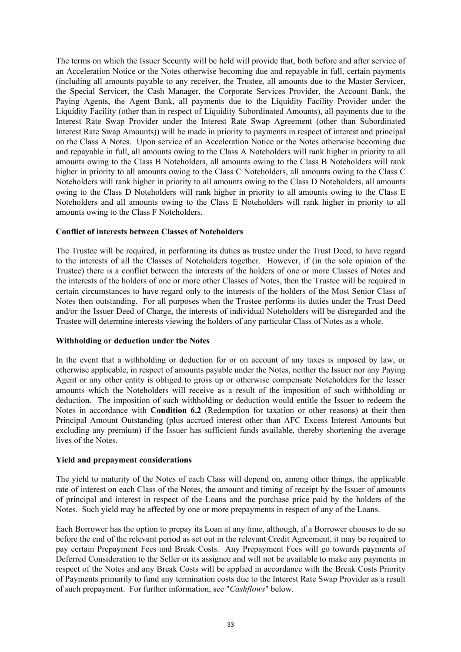The terms on which the Issuer Security will be held will provide that, both before and after service of an Acceleration Notice or the Notes otherwise becoming due and repayable in full, certain payments (including all amounts payable to any receiver, the Trustee, all amounts due to the Master Servicer, the Special Servicer, the Cash Manager, the Corporate Services Provider, the Account Bank, the Paying Agents, the Agent Bank, all payments due to the Liquidity Facility Provider under the Liquidity Facility (other than in respect of Liquidity Subordinated Amounts), all payments due to the Interest Rate Swap Provider under the Interest Rate Swap Agreement (other than Subordinated Interest Rate Swap Amounts)) will be made in priority to payments in respect of interest and principal on the Class A Notes. Upon service of an Acceleration Notice or the Notes otherwise becoming due and repayable in full, all amounts owing to the Class A Noteholders will rank higher in priority to all amounts owing to the Class B Noteholders, all amounts owing to the Class B Noteholders will rank higher in priority to all amounts owing to the Class C Noteholders, all amounts owing to the Class C Noteholders will rank higher in priority to all amounts owing to the Class D Noteholders, all amounts owing to the Class D Noteholders will rank higher in priority to all amounts owing to the Class E Noteholders and all amounts owing to the Class E Noteholders will rank higher in priority to all amounts owing to the Class F Noteholders.

#### **Conflict of interests between Classes of Noteholders**

The Trustee will be required, in performing its duties as trustee under the Trust Deed, to have regard to the interests of all the Classes of Noteholders together. However, if (in the sole opinion of the Trustee) there is a conflict between the interests of the holders of one or more Classes of Notes and the interests of the holders of one or more other Classes of Notes, then the Trustee will be required in certain circumstances to have regard only to the interests of the holders of the Most Senior Class of Notes then outstanding. For all purposes when the Trustee performs its duties under the Trust Deed and/or the Issuer Deed of Charge, the interests of individual Noteholders will be disregarded and the Trustee will determine interests viewing the holders of any particular Class of Notes as a whole.

#### **Withholding or deduction under the Notes**

In the event that a withholding or deduction for or on account of any taxes is imposed by law, or otherwise applicable, in respect of amounts payable under the Notes, neither the Issuer nor any Paying Agent or any other entity is obliged to gross up or otherwise compensate Noteholders for the lesser amounts which the Noteholders will receive as a result of the imposition of such withholding or deduction. The imposition of such withholding or deduction would entitle the Issuer to redeem the Notes in accordance with **Condition 6.2** (Redemption for taxation or other reasons) at their then Principal Amount Outstanding (plus accrued interest other than AFC Excess Interest Amounts but excluding any premium) if the Issuer has sufficient funds available, thereby shortening the average lives of the Notes.

#### **Yield and prepayment considerations**

The yield to maturity of the Notes of each Class will depend on, among other things, the applicable rate of interest on each Class of the Notes, the amount and timing of receipt by the Issuer of amounts of principal and interest in respect of the Loans and the purchase price paid by the holders of the Notes. Such yield may be affected by one or more prepayments in respect of any of the Loans.

Each Borrower has the option to prepay its Loan at any time, although, if a Borrower chooses to do so before the end of the relevant period as set out in the relevant Credit Agreement, it may be required to pay certain Prepayment Fees and Break Costs. Any Prepayment Fees will go towards payments of Deferred Consideration to the Seller or its assignee and will not be available to make any payments in respect of the Notes and any Break Costs will be applied in accordance with the Break Costs Priority of Payments primarily to fund any termination costs due to the Interest Rate Swap Provider as a result of such prepayment. For further information, see "*Cashflows*" below.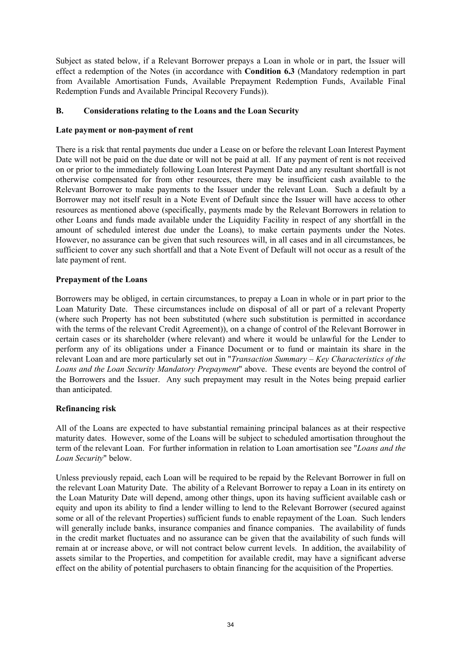Subject as stated below, if a Relevant Borrower prepays a Loan in whole or in part, the Issuer will effect a redemption of the Notes (in accordance with **Condition 6.3** (Mandatory redemption in part from Available Amortisation Funds, Available Prepayment Redemption Funds, Available Final Redemption Funds and Available Principal Recovery Funds)).

#### **B. Considerations relating to the Loans and the Loan Security**

#### **Late payment or non-payment of rent**

There is a risk that rental payments due under a Lease on or before the relevant Loan Interest Payment Date will not be paid on the due date or will not be paid at all. If any payment of rent is not received on or prior to the immediately following Loan Interest Payment Date and any resultant shortfall is not otherwise compensated for from other resources, there may be insufficient cash available to the Relevant Borrower to make payments to the Issuer under the relevant Loan. Such a default by a Borrower may not itself result in a Note Event of Default since the Issuer will have access to other resources as mentioned above (specifically, payments made by the Relevant Borrowers in relation to other Loans and funds made available under the Liquidity Facility in respect of any shortfall in the amount of scheduled interest due under the Loans), to make certain payments under the Notes. However, no assurance can be given that such resources will, in all cases and in all circumstances, be sufficient to cover any such shortfall and that a Note Event of Default will not occur as a result of the late payment of rent.

#### **Prepayment of the Loans**

Borrowers may be obliged, in certain circumstances, to prepay a Loan in whole or in part prior to the Loan Maturity Date. These circumstances include on disposal of all or part of a relevant Property (where such Property has not been substituted (where such substitution is permitted in accordance with the terms of the relevant Credit Agreement)), on a change of control of the Relevant Borrower in certain cases or its shareholder (where relevant) and where it would be unlawful for the Lender to perform any of its obligations under a Finance Document or to fund or maintain its share in the relevant Loan and are more particularly set out in "*Transaction Summary – Key Characteristics of the Loans and the Loan Security Mandatory Prepayment*" above. These events are beyond the control of the Borrowers and the Issuer. Any such prepayment may result in the Notes being prepaid earlier than anticipated.

#### **Refinancing risk**

All of the Loans are expected to have substantial remaining principal balances as at their respective maturity dates. However, some of the Loans will be subject to scheduled amortisation throughout the term of the relevant Loan. For further information in relation to Loan amortisation see "*Loans and the Loan Security*" below.

Unless previously repaid, each Loan will be required to be repaid by the Relevant Borrower in full on the relevant Loan Maturity Date. The ability of a Relevant Borrower to repay a Loan in its entirety on the Loan Maturity Date will depend, among other things, upon its having sufficient available cash or equity and upon its ability to find a lender willing to lend to the Relevant Borrower (secured against some or all of the relevant Properties) sufficient funds to enable repayment of the Loan. Such lenders will generally include banks, insurance companies and finance companies. The availability of funds in the credit market fluctuates and no assurance can be given that the availability of such funds will remain at or increase above, or will not contract below current levels. In addition, the availability of assets similar to the Properties, and competition for available credit, may have a significant adverse effect on the ability of potential purchasers to obtain financing for the acquisition of the Properties.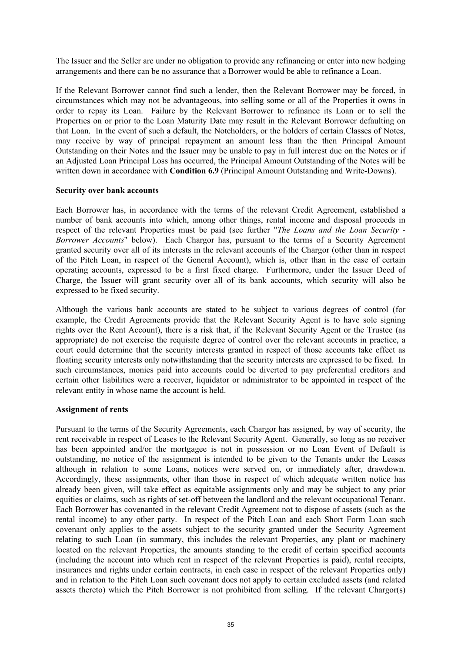The Issuer and the Seller are under no obligation to provide any refinancing or enter into new hedging arrangements and there can be no assurance that a Borrower would be able to refinance a Loan.

If the Relevant Borrower cannot find such a lender, then the Relevant Borrower may be forced, in circumstances which may not be advantageous, into selling some or all of the Properties it owns in order to repay its Loan. Failure by the Relevant Borrower to refinance its Loan or to sell the Properties on or prior to the Loan Maturity Date may result in the Relevant Borrower defaulting on that Loan. In the event of such a default, the Noteholders, or the holders of certain Classes of Notes, may receive by way of principal repayment an amount less than the then Principal Amount Outstanding on their Notes and the Issuer may be unable to pay in full interest due on the Notes or if an Adjusted Loan Principal Loss has occurred, the Principal Amount Outstanding of the Notes will be written down in accordance with **Condition 6.9** (Principal Amount Outstanding and Write-Downs).

#### **Security over bank accounts**

Each Borrower has, in accordance with the terms of the relevant Credit Agreement, established a number of bank accounts into which, among other things, rental income and disposal proceeds in respect of the relevant Properties must be paid (see further "*The Loans and the Loan Security - Borrower Accounts*" below). Each Chargor has, pursuant to the terms of a Security Agreement granted security over all of its interests in the relevant accounts of the Chargor (other than in respect of the Pitch Loan, in respect of the General Account), which is, other than in the case of certain operating accounts, expressed to be a first fixed charge. Furthermore, under the Issuer Deed of Charge, the Issuer will grant security over all of its bank accounts, which security will also be expressed to be fixed security.

Although the various bank accounts are stated to be subject to various degrees of control (for example, the Credit Agreements provide that the Relevant Security Agent is to have sole signing rights over the Rent Account), there is a risk that, if the Relevant Security Agent or the Trustee (as appropriate) do not exercise the requisite degree of control over the relevant accounts in practice, a court could determine that the security interests granted in respect of those accounts take effect as floating security interests only notwithstanding that the security interests are expressed to be fixed. In such circumstances, monies paid into accounts could be diverted to pay preferential creditors and certain other liabilities were a receiver, liquidator or administrator to be appointed in respect of the relevant entity in whose name the account is held.

#### **Assignment of rents**

Pursuant to the terms of the Security Agreements, each Chargor has assigned, by way of security, the rent receivable in respect of Leases to the Relevant Security Agent. Generally, so long as no receiver has been appointed and/or the mortgagee is not in possession or no Loan Event of Default is outstanding, no notice of the assignment is intended to be given to the Tenants under the Leases although in relation to some Loans, notices were served on, or immediately after, drawdown. Accordingly, these assignments, other than those in respect of which adequate written notice has already been given, will take effect as equitable assignments only and may be subject to any prior equities or claims, such as rights of set-off between the landlord and the relevant occupational Tenant. Each Borrower has covenanted in the relevant Credit Agreement not to dispose of assets (such as the rental income) to any other party. In respect of the Pitch Loan and each Short Form Loan such covenant only applies to the assets subject to the security granted under the Security Agreement relating to such Loan (in summary, this includes the relevant Properties, any plant or machinery located on the relevant Properties, the amounts standing to the credit of certain specified accounts (including the account into which rent in respect of the relevant Properties is paid), rental receipts, insurances and rights under certain contracts, in each case in respect of the relevant Properties only) and in relation to the Pitch Loan such covenant does not apply to certain excluded assets (and related assets thereto) which the Pitch Borrower is not prohibited from selling. If the relevant Chargor(s)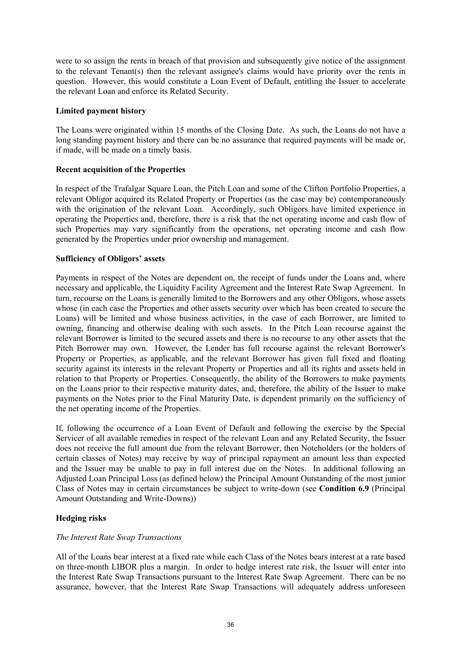were to so assign the rents in breach of that provision and subsequently give notice of the assignment to the relevant Tenant(s) then the relevant assignee's claims would have priority over the rents in question. However, this would constitute a Loan Event of Default, entitling the Issuer to accelerate the relevant Loan and enforce its Related Security.

## **Limited payment history**

The Loans were originated within 15 months of the Closing Date. As such, the Loans do not have a long standing payment history and there can be no assurance that required payments will be made or, if made, will be made on a timely basis.

# **Recent acquisition of the Properties**

In respect of the Trafalgar Square Loan, the Pitch Loan and some of the Clifton Portfolio Properties, a relevant Obligor acquired its Related Property or Properties (as the case may be) contemporaneously with the origination of the relevant Loan. Accordingly, such Obligors have limited experience in operating the Properties and, therefore, there is a risk that the net operating income and cash flow of such Properties may vary significantly from the operations, net operating income and cash flow generated by the Properties under prior ownership and management.

# **Sufficiency of Obligors' assets**

Payments in respect of the Notes are dependent on, the receipt of funds under the Loans and, where necessary and applicable, the Liquidity Facility Agreement and the Interest Rate Swap Agreement. In turn, recourse on the Loans is generally limited to the Borrowers and any other Obligors, whose assets whose (in each case the Properties and other assets security over which has been created to secure the Loans) will be limited and whose business activities, in the case of each Borrower, are limited to owning, financing and otherwise dealing with such assets. In the Pitch Loan recourse against the relevant Borrower is limited to the secured assets and there is no recourse to any other assets that the Pitch Borrower may own. However, the Lender has full recourse against the relevant Borrower's Property or Properties, as applicable, and the relevant Borrower has given full fixed and floating security against its interests in the relevant Property or Properties and all its rights and assets held in relation to that Property or Properties. Consequently, the ability of the Borrowers to make payments on the Loans prior to their respective maturity dates, and, therefore, the ability of the Issuer to make payments on the Notes prior to the Final Maturity Date, is dependent primarily on the sufficiency of the net operating income of the Properties.

If, following the occurrence of a Loan Event of Default and following the exercise by the Special Servicer of all available remedies in respect of the relevant Loan and any Related Security, the Issuer does not receive the full amount due from the relevant Borrower, then Noteholders (or the holders of certain classes of Notes) may receive by way of principal repayment an amount less than expected and the Issuer may be unable to pay in full interest due on the Notes. In additional following an Adjusted Loan Principal Loss (as defined below) the Principal Amount Outstanding of the most junior Class of Notes may in certain circumstances be subject to write-down (see **Condition 6.9** (Principal Amount Outstanding and Write-Downs))

# **Hedging risks**

#### *The Interest Rate Swap Transactions*

All of the Loans bear interest at a fixed rate while each Class of the Notes bears interest at a rate based on three-month LIBOR plus a margin. In order to hedge interest rate risk, the Issuer will enter into the Interest Rate Swap Transactions pursuant to the Interest Rate Swap Agreement. There can be no assurance, however, that the Interest Rate Swap Transactions will adequately address unforeseen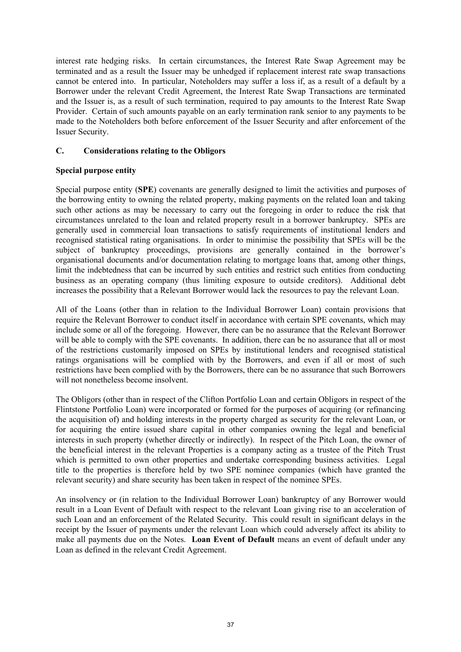interest rate hedging risks. In certain circumstances, the Interest Rate Swap Agreement may be terminated and as a result the Issuer may be unhedged if replacement interest rate swap transactions cannot be entered into. In particular, Noteholders may suffer a loss if, as a result of a default by a Borrower under the relevant Credit Agreement, the Interest Rate Swap Transactions are terminated and the Issuer is, as a result of such termination, required to pay amounts to the Interest Rate Swap Provider. Certain of such amounts payable on an early termination rank senior to any payments to be made to the Noteholders both before enforcement of the Issuer Security and after enforcement of the Issuer Security.

# **C. Considerations relating to the Obligors**

# **Special purpose entity**

Special purpose entity (**SPE**) covenants are generally designed to limit the activities and purposes of the borrowing entity to owning the related property, making payments on the related loan and taking such other actions as may be necessary to carry out the foregoing in order to reduce the risk that circumstances unrelated to the loan and related property result in a borrower bankruptcy. SPEs are generally used in commercial loan transactions to satisfy requirements of institutional lenders and recognised statistical rating organisations. In order to minimise the possibility that SPEs will be the subject of bankruptcy proceedings, provisions are generally contained in the borrower's organisational documents and/or documentation relating to mortgage loans that, among other things, limit the indebtedness that can be incurred by such entities and restrict such entities from conducting business as an operating company (thus limiting exposure to outside creditors). Additional debt increases the possibility that a Relevant Borrower would lack the resources to pay the relevant Loan.

All of the Loans (other than in relation to the Individual Borrower Loan) contain provisions that require the Relevant Borrower to conduct itself in accordance with certain SPE covenants, which may include some or all of the foregoing. However, there can be no assurance that the Relevant Borrower will be able to comply with the SPE covenants. In addition, there can be no assurance that all or most of the restrictions customarily imposed on SPEs by institutional lenders and recognised statistical ratings organisations will be complied with by the Borrowers, and even if all or most of such restrictions have been complied with by the Borrowers, there can be no assurance that such Borrowers will not nonetheless become insolvent.

The Obligors (other than in respect of the Clifton Portfolio Loan and certain Obligors in respect of the Flintstone Portfolio Loan) were incorporated or formed for the purposes of acquiring (or refinancing the acquisition of) and holding interests in the property charged as security for the relevant Loan, or for acquiring the entire issued share capital in other companies owning the legal and beneficial interests in such property (whether directly or indirectly). In respect of the Pitch Loan, the owner of the beneficial interest in the relevant Properties is a company acting as a trustee of the Pitch Trust which is permitted to own other properties and undertake corresponding business activities. Legal title to the properties is therefore held by two SPE nominee companies (which have granted the relevant security) and share security has been taken in respect of the nominee SPEs.

An insolvency or (in relation to the Individual Borrower Loan) bankruptcy of any Borrower would result in a Loan Event of Default with respect to the relevant Loan giving rise to an acceleration of such Loan and an enforcement of the Related Security. This could result in significant delays in the receipt by the Issuer of payments under the relevant Loan which could adversely affect its ability to make all payments due on the Notes. **Loan Event of Default** means an event of default under any Loan as defined in the relevant Credit Agreement.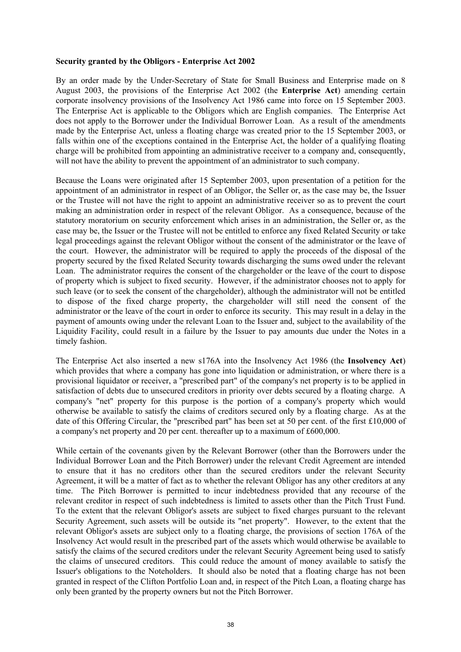#### **Security granted by the Obligors - Enterprise Act 2002**

By an order made by the Under-Secretary of State for Small Business and Enterprise made on 8 August 2003, the provisions of the Enterprise Act 2002 (the **Enterprise Act**) amending certain corporate insolvency provisions of the Insolvency Act 1986 came into force on 15 September 2003. The Enterprise Act is applicable to the Obligors which are English companies. The Enterprise Act does not apply to the Borrower under the Individual Borrower Loan. As a result of the amendments made by the Enterprise Act, unless a floating charge was created prior to the 15 September 2003, or falls within one of the exceptions contained in the Enterprise Act, the holder of a qualifying floating charge will be prohibited from appointing an administrative receiver to a company and, consequently, will not have the ability to prevent the appointment of an administrator to such company.

Because the Loans were originated after 15 September 2003, upon presentation of a petition for the appointment of an administrator in respect of an Obligor, the Seller or, as the case may be, the Issuer or the Trustee will not have the right to appoint an administrative receiver so as to prevent the court making an administration order in respect of the relevant Obligor. As a consequence, because of the statutory moratorium on security enforcement which arises in an administration, the Seller or, as the case may be, the Issuer or the Trustee will not be entitled to enforce any fixed Related Security or take legal proceedings against the relevant Obligor without the consent of the administrator or the leave of the court. However, the administrator will be required to apply the proceeds of the disposal of the property secured by the fixed Related Security towards discharging the sums owed under the relevant Loan. The administrator requires the consent of the chargeholder or the leave of the court to dispose of property which is subject to fixed security. However, if the administrator chooses not to apply for such leave (or to seek the consent of the chargeholder), although the administrator will not be entitled to dispose of the fixed charge property, the chargeholder will still need the consent of the administrator or the leave of the court in order to enforce its security. This may result in a delay in the payment of amounts owing under the relevant Loan to the Issuer and, subject to the availability of the Liquidity Facility, could result in a failure by the Issuer to pay amounts due under the Notes in a timely fashion.

The Enterprise Act also inserted a new s176A into the Insolvency Act 1986 (the **Insolvency Act**) which provides that where a company has gone into liquidation or administration, or where there is a provisional liquidator or receiver, a "prescribed part" of the company's net property is to be applied in satisfaction of debts due to unsecured creditors in priority over debts secured by a floating charge. A company's "net" property for this purpose is the portion of a company's property which would otherwise be available to satisfy the claims of creditors secured only by a floating charge. As at the date of this Offering Circular, the "prescribed part" has been set at 50 per cent. of the first £10,000 of a company's net property and 20 per cent. thereafter up to a maximum of £600,000.

While certain of the covenants given by the Relevant Borrower (other than the Borrowers under the Individual Borrower Loan and the Pitch Borrower) under the relevant Credit Agreement are intended to ensure that it has no creditors other than the secured creditors under the relevant Security Agreement, it will be a matter of fact as to whether the relevant Obligor has any other creditors at any time. The Pitch Borrower is permitted to incur indebtedness provided that any recourse of the relevant creditor in respect of such indebtedness is limited to assets other than the Pitch Trust Fund. To the extent that the relevant Obligor's assets are subject to fixed charges pursuant to the relevant Security Agreement, such assets will be outside its "net property". However, to the extent that the relevant Obligor's assets are subject only to a floating charge, the provisions of section 176A of the Insolvency Act would result in the prescribed part of the assets which would otherwise be available to satisfy the claims of the secured creditors under the relevant Security Agreement being used to satisfy the claims of unsecured creditors. This could reduce the amount of money available to satisfy the Issuer's obligations to the Noteholders. It should also be noted that a floating charge has not been granted in respect of the Clifton Portfolio Loan and, in respect of the Pitch Loan, a floating charge has only been granted by the property owners but not the Pitch Borrower.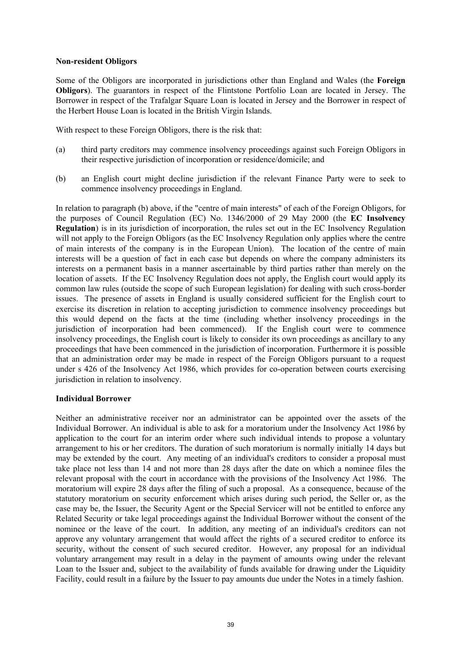#### **Non-resident Obligors**

Some of the Obligors are incorporated in jurisdictions other than England and Wales (the **Foreign Obligors**). The guarantors in respect of the Flintstone Portfolio Loan are located in Jersey. The Borrower in respect of the Trafalgar Square Loan is located in Jersey and the Borrower in respect of the Herbert House Loan is located in the British Virgin Islands.

With respect to these Foreign Obligors, there is the risk that:

- (a) third party creditors may commence insolvency proceedings against such Foreign Obligors in their respective jurisdiction of incorporation or residence/domicile; and
- (b) an English court might decline jurisdiction if the relevant Finance Party were to seek to commence insolvency proceedings in England.

In relation to paragraph (b) above, if the "centre of main interests" of each of the Foreign Obligors, for the purposes of Council Regulation (EC) No. 1346/2000 of 29 May 2000 (the **EC Insolvency Regulation**) is in its jurisdiction of incorporation, the rules set out in the EC Insolvency Regulation will not apply to the Foreign Obligors (as the EC Insolvency Regulation only applies where the centre of main interests of the company is in the European Union). The location of the centre of main interests will be a question of fact in each case but depends on where the company administers its interests on a permanent basis in a manner ascertainable by third parties rather than merely on the location of assets. If the EC Insolvency Regulation does not apply, the English court would apply its common law rules (outside the scope of such European legislation) for dealing with such cross-border issues. The presence of assets in England is usually considered sufficient for the English court to exercise its discretion in relation to accepting jurisdiction to commence insolvency proceedings but this would depend on the facts at the time (including whether insolvency proceedings in the jurisdiction of incorporation had been commenced). If the English court were to commence insolvency proceedings, the English court is likely to consider its own proceedings as ancillary to any proceedings that have been commenced in the jurisdiction of incorporation. Furthermore it is possible that an administration order may be made in respect of the Foreign Obligors pursuant to a request under s 426 of the Insolvency Act 1986, which provides for co-operation between courts exercising jurisdiction in relation to insolvency.

#### **Individual Borrower**

Neither an administrative receiver nor an administrator can be appointed over the assets of the Individual Borrower. An individual is able to ask for a moratorium under the Insolvency Act 1986 by application to the court for an interim order where such individual intends to propose a voluntary arrangement to his or her creditors. The duration of such moratorium is normally initially 14 days but may be extended by the court. Any meeting of an individual's creditors to consider a proposal must take place not less than 14 and not more than 28 days after the date on which a nominee files the relevant proposal with the court in accordance with the provisions of the Insolvency Act 1986. The moratorium will expire 28 days after the filing of such a proposal. As a consequence, because of the statutory moratorium on security enforcement which arises during such period, the Seller or, as the case may be, the Issuer, the Security Agent or the Special Servicer will not be entitled to enforce any Related Security or take legal proceedings against the Individual Borrower without the consent of the nominee or the leave of the court. In addition, any meeting of an individual's creditors can not approve any voluntary arrangement that would affect the rights of a secured creditor to enforce its security, without the consent of such secured creditor. However, any proposal for an individual voluntary arrangement may result in a delay in the payment of amounts owing under the relevant Loan to the Issuer and, subject to the availability of funds available for drawing under the Liquidity Facility, could result in a failure by the Issuer to pay amounts due under the Notes in a timely fashion.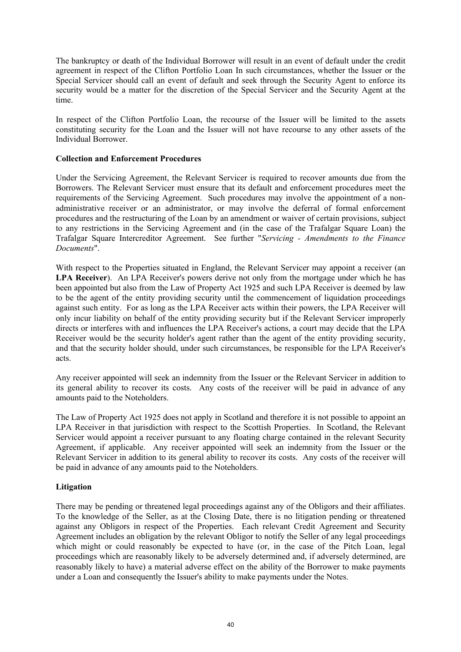The bankruptcy or death of the Individual Borrower will result in an event of default under the credit agreement in respect of the Clifton Portfolio Loan In such circumstances, whether the Issuer or the Special Servicer should call an event of default and seek through the Security Agent to enforce its security would be a matter for the discretion of the Special Servicer and the Security Agent at the time.

In respect of the Clifton Portfolio Loan, the recourse of the Issuer will be limited to the assets constituting security for the Loan and the Issuer will not have recourse to any other assets of the Individual Borrower.

## **Collection and Enforcement Procedures**

Under the Servicing Agreement, the Relevant Servicer is required to recover amounts due from the Borrowers. The Relevant Servicer must ensure that its default and enforcement procedures meet the requirements of the Servicing Agreement. Such procedures may involve the appointment of a nonadministrative receiver or an administrator, or may involve the deferral of formal enforcement procedures and the restructuring of the Loan by an amendment or waiver of certain provisions, subject to any restrictions in the Servicing Agreement and (in the case of the Trafalgar Square Loan) the Trafalgar Square Intercreditor Agreement. See further "*Servicing - Amendments to the Finance Documents*".

With respect to the Properties situated in England, the Relevant Servicer may appoint a receiver (an **LPA Receiver**).An LPA Receiver's powers derive not only from the mortgage under which he has been appointed but also from the Law of Property Act 1925 and such LPA Receiver is deemed by law to be the agent of the entity providing security until the commencement of liquidation proceedings against such entity. For as long as the LPA Receiver acts within their powers, the LPA Receiver will only incur liability on behalf of the entity providing security but if the Relevant Servicer improperly directs or interferes with and influences the LPA Receiver's actions, a court may decide that the LPA Receiver would be the security holder's agent rather than the agent of the entity providing security, and that the security holder should, under such circumstances, be responsible for the LPA Receiver's acts.

Any receiver appointed will seek an indemnity from the Issuer or the Relevant Servicer in addition to its general ability to recover its costs. Any costs of the receiver will be paid in advance of any amounts paid to the Noteholders.

The Law of Property Act 1925 does not apply in Scotland and therefore it is not possible to appoint an LPA Receiver in that jurisdiction with respect to the Scottish Properties. In Scotland, the Relevant Servicer would appoint a receiver pursuant to any floating charge contained in the relevant Security Agreement, if applicable. Any receiver appointed will seek an indemnity from the Issuer or the Relevant Servicer in addition to its general ability to recover its costs. Any costs of the receiver will be paid in advance of any amounts paid to the Noteholders.

# **Litigation**

There may be pending or threatened legal proceedings against any of the Obligors and their affiliates. To the knowledge of the Seller, as at the Closing Date, there is no litigation pending or threatened against any Obligors in respect of the Properties. Each relevant Credit Agreement and Security Agreement includes an obligation by the relevant Obligor to notify the Seller of any legal proceedings which might or could reasonably be expected to have (or, in the case of the Pitch Loan, legal proceedings which are reasonably likely to be adversely determined and, if adversely determined, are reasonably likely to have) a material adverse effect on the ability of the Borrower to make payments under a Loan and consequently the Issuer's ability to make payments under the Notes.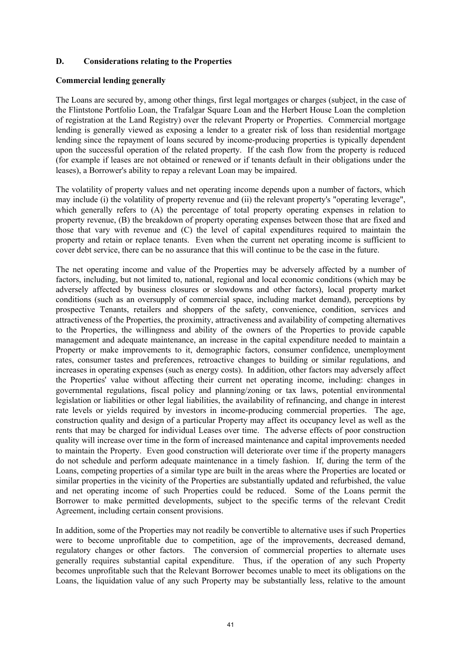# **D. Considerations relating to the Properties**

## **Commercial lending generally**

The Loans are secured by, among other things, first legal mortgages or charges (subject, in the case of the Flintstone Portfolio Loan, the Trafalgar Square Loan and the Herbert House Loan the completion of registration at the Land Registry) over the relevant Property or Properties. Commercial mortgage lending is generally viewed as exposing a lender to a greater risk of loss than residential mortgage lending since the repayment of loans secured by income-producing properties is typically dependent upon the successful operation of the related property. If the cash flow from the property is reduced (for example if leases are not obtained or renewed or if tenants default in their obligations under the leases), a Borrower's ability to repay a relevant Loan may be impaired.

The volatility of property values and net operating income depends upon a number of factors, which may include (i) the volatility of property revenue and (ii) the relevant property's "operating leverage", which generally refers to (A) the percentage of total property operating expenses in relation to property revenue, (B) the breakdown of property operating expenses between those that are fixed and those that vary with revenue and (C) the level of capital expenditures required to maintain the property and retain or replace tenants. Even when the current net operating income is sufficient to cover debt service, there can be no assurance that this will continue to be the case in the future.

The net operating income and value of the Properties may be adversely affected by a number of factors, including, but not limited to, national, regional and local economic conditions (which may be adversely affected by business closures or slowdowns and other factors), local property market conditions (such as an oversupply of commercial space, including market demand), perceptions by prospective Tenants, retailers and shoppers of the safety, convenience, condition, services and attractiveness of the Properties, the proximity, attractiveness and availability of competing alternatives to the Properties, the willingness and ability of the owners of the Properties to provide capable management and adequate maintenance, an increase in the capital expenditure needed to maintain a Property or make improvements to it, demographic factors, consumer confidence, unemployment rates, consumer tastes and preferences, retroactive changes to building or similar regulations, and increases in operating expenses (such as energy costs). In addition, other factors may adversely affect the Properties' value without affecting their current net operating income, including: changes in governmental regulations, fiscal policy and planning/zoning or tax laws, potential environmental legislation or liabilities or other legal liabilities, the availability of refinancing, and change in interest rate levels or yields required by investors in income-producing commercial properties. The age, construction quality and design of a particular Property may affect its occupancy level as well as the rents that may be charged for individual Leases over time. The adverse effects of poor construction quality will increase over time in the form of increased maintenance and capital improvements needed to maintain the Property. Even good construction will deteriorate over time if the property managers do not schedule and perform adequate maintenance in a timely fashion. If, during the term of the Loans, competing properties of a similar type are built in the areas where the Properties are located or similar properties in the vicinity of the Properties are substantially updated and refurbished, the value and net operating income of such Properties could be reduced. Some of the Loans permit the Borrower to make permitted developments, subject to the specific terms of the relevant Credit Agreement, including certain consent provisions.

In addition, some of the Properties may not readily be convertible to alternative uses if such Properties were to become unprofitable due to competition, age of the improvements, decreased demand, regulatory changes or other factors. The conversion of commercial properties to alternate uses generally requires substantial capital expenditure. Thus, if the operation of any such Property becomes unprofitable such that the Relevant Borrower becomes unable to meet its obligations on the Loans, the liquidation value of any such Property may be substantially less, relative to the amount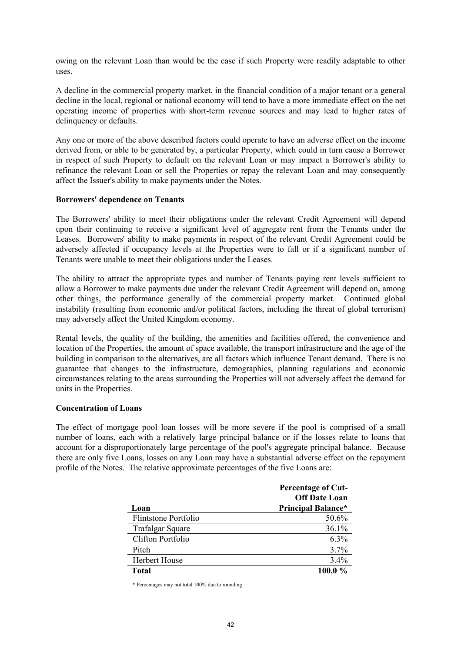owing on the relevant Loan than would be the case if such Property were readily adaptable to other uses.

A decline in the commercial property market, in the financial condition of a major tenant or a general decline in the local, regional or national economy will tend to have a more immediate effect on the net operating income of properties with short-term revenue sources and may lead to higher rates of delinquency or defaults.

Any one or more of the above described factors could operate to have an adverse effect on the income derived from, or able to be generated by, a particular Property, which could in turn cause a Borrower in respect of such Property to default on the relevant Loan or may impact a Borrower's ability to refinance the relevant Loan or sell the Properties or repay the relevant Loan and may consequently affect the Issuer's ability to make payments under the Notes.

#### **Borrowers' dependence on Tenants**

The Borrowers' ability to meet their obligations under the relevant Credit Agreement will depend upon their continuing to receive a significant level of aggregate rent from the Tenants under the Leases. Borrowers' ability to make payments in respect of the relevant Credit Agreement could be adversely affected if occupancy levels at the Properties were to fall or if a significant number of Tenants were unable to meet their obligations under the Leases.

The ability to attract the appropriate types and number of Tenants paying rent levels sufficient to allow a Borrower to make payments due under the relevant Credit Agreement will depend on, among other things, the performance generally of the commercial property market. Continued global instability (resulting from economic and/or political factors, including the threat of global terrorism) may adversely affect the United Kingdom economy.

Rental levels, the quality of the building, the amenities and facilities offered, the convenience and location of the Properties, the amount of space available, the transport infrastructure and the age of the building in comparison to the alternatives, are all factors which influence Tenant demand. There is no guarantee that changes to the infrastructure, demographics, planning regulations and economic circumstances relating to the areas surrounding the Properties will not adversely affect the demand for units in the Properties.

#### **Concentration of Loans**

The effect of mortgage pool loan losses will be more severe if the pool is comprised of a small number of loans, each with a relatively large principal balance or if the losses relate to loans that account for a disproportionately large percentage of the pool's aggregate principal balance. Because there are only five Loans, losses on any Loan may have a substantial adverse effect on the repayment profile of the Notes. The relative approximate percentages of the five Loans are:

|                         | <b>Percentage of Cut-</b> |
|-------------------------|---------------------------|
|                         | <b>Off Date Loan</b>      |
| Loan                    | <b>Principal Balance*</b> |
| Flintstone Portfolio    | 50.6%                     |
| <b>Trafalgar Square</b> | 36.1%                     |
| Clifton Portfolio       | 6.3%                      |
| Pitch                   | 3.7%                      |
| <b>Herbert House</b>    | 3.4%                      |
| <b>Total</b>            | 100.0%                    |

\* Percentages may not total 100% due to rounding.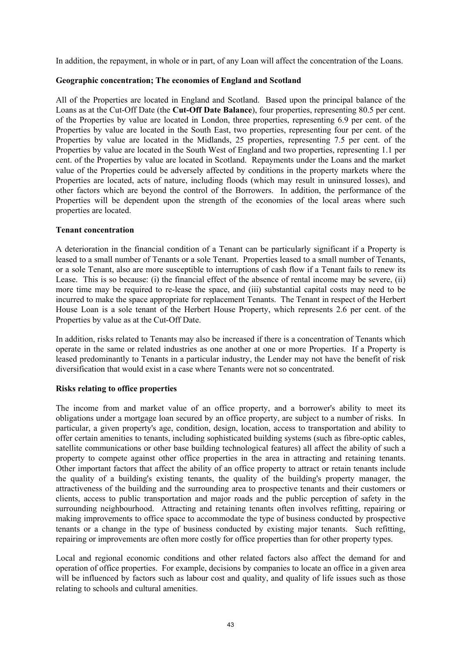In addition, the repayment, in whole or in part, of any Loan will affect the concentration of the Loans.

# **Geographic concentration; The economies of England and Scotland**

All of the Properties are located in England and Scotland. Based upon the principal balance of the Loans as at the Cut-Off Date (the **Cut-Off Date Balance**), four properties, representing 80.5 per cent. of the Properties by value are located in London, three properties, representing 6.9 per cent. of the Properties by value are located in the South East, two properties, representing four per cent. of the Properties by value are located in the Midlands, 25 properties, representing 7.5 per cent. of the Properties by value are located in the South West of England and two properties, representing 1.1 per cent. of the Properties by value are located in Scotland. Repayments under the Loans and the market value of the Properties could be adversely affected by conditions in the property markets where the Properties are located, acts of nature, including floods (which may result in uninsured losses), and other factors which are beyond the control of the Borrowers. In addition, the performance of the Properties will be dependent upon the strength of the economies of the local areas where such properties are located.

# **Tenant concentration**

A deterioration in the financial condition of a Tenant can be particularly significant if a Property is leased to a small number of Tenants or a sole Tenant. Properties leased to a small number of Tenants, or a sole Tenant, also are more susceptible to interruptions of cash flow if a Tenant fails to renew its Lease. This is so because: (i) the financial effect of the absence of rental income may be severe, (ii) more time may be required to re-lease the space, and (iii) substantial capital costs may need to be incurred to make the space appropriate for replacement Tenants. The Tenant in respect of the Herbert House Loan is a sole tenant of the Herbert House Property, which represents 2.6 per cent. of the Properties by value as at the Cut-Off Date.

In addition, risks related to Tenants may also be increased if there is a concentration of Tenants which operate in the same or related industries as one another at one or more Properties. If a Property is leased predominantly to Tenants in a particular industry, the Lender may not have the benefit of risk diversification that would exist in a case where Tenants were not so concentrated.

# **Risks relating to office properties**

The income from and market value of an office property, and a borrower's ability to meet its obligations under a mortgage loan secured by an office property, are subject to a number of risks. In particular, a given property's age, condition, design, location, access to transportation and ability to offer certain amenities to tenants, including sophisticated building systems (such as fibre-optic cables, satellite communications or other base building technological features) all affect the ability of such a property to compete against other office properties in the area in attracting and retaining tenants. Other important factors that affect the ability of an office property to attract or retain tenants include the quality of a building's existing tenants, the quality of the building's property manager, the attractiveness of the building and the surrounding area to prospective tenants and their customers or clients, access to public transportation and major roads and the public perception of safety in the surrounding neighbourhood. Attracting and retaining tenants often involves refitting, repairing or making improvements to office space to accommodate the type of business conducted by prospective tenants or a change in the type of business conducted by existing major tenants. Such refitting, repairing or improvements are often more costly for office properties than for other property types.

Local and regional economic conditions and other related factors also affect the demand for and operation of office properties. For example, decisions by companies to locate an office in a given area will be influenced by factors such as labour cost and quality, and quality of life issues such as those relating to schools and cultural amenities.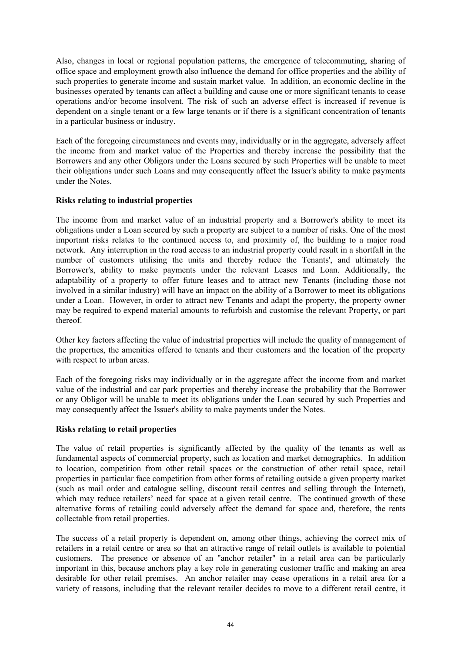Also, changes in local or regional population patterns, the emergence of telecommuting, sharing of office space and employment growth also influence the demand for office properties and the ability of such properties to generate income and sustain market value. In addition, an economic decline in the businesses operated by tenants can affect a building and cause one or more significant tenants to cease operations and/or become insolvent. The risk of such an adverse effect is increased if revenue is dependent on a single tenant or a few large tenants or if there is a significant concentration of tenants in a particular business or industry.

Each of the foregoing circumstances and events may, individually or in the aggregate, adversely affect the income from and market value of the Properties and thereby increase the possibility that the Borrowers and any other Obligors under the Loans secured by such Properties will be unable to meet their obligations under such Loans and may consequently affect the Issuer's ability to make payments under the Notes.

# **Risks relating to industrial properties**

The income from and market value of an industrial property and a Borrower's ability to meet its obligations under a Loan secured by such a property are subject to a number of risks. One of the most important risks relates to the continued access to, and proximity of, the building to a major road network. Any interruption in the road access to an industrial property could result in a shortfall in the number of customers utilising the units and thereby reduce the Tenants', and ultimately the Borrower's, ability to make payments under the relevant Leases and Loan. Additionally, the adaptability of a property to offer future leases and to attract new Tenants (including those not involved in a similar industry) will have an impact on the ability of a Borrower to meet its obligations under a Loan. However, in order to attract new Tenants and adapt the property, the property owner may be required to expend material amounts to refurbish and customise the relevant Property, or part thereof.

Other key factors affecting the value of industrial properties will include the quality of management of the properties, the amenities offered to tenants and their customers and the location of the property with respect to urban areas.

Each of the foregoing risks may individually or in the aggregate affect the income from and market value of the industrial and car park properties and thereby increase the probability that the Borrower or any Obligor will be unable to meet its obligations under the Loan secured by such Properties and may consequently affect the Issuer's ability to make payments under the Notes.

# **Risks relating to retail properties**

The value of retail properties is significantly affected by the quality of the tenants as well as fundamental aspects of commercial property, such as location and market demographics. In addition to location, competition from other retail spaces or the construction of other retail space, retail properties in particular face competition from other forms of retailing outside a given property market (such as mail order and catalogue selling, discount retail centres and selling through the Internet), which may reduce retailers' need for space at a given retail centre. The continued growth of these alternative forms of retailing could adversely affect the demand for space and, therefore, the rents collectable from retail properties.

The success of a retail property is dependent on, among other things, achieving the correct mix of retailers in a retail centre or area so that an attractive range of retail outlets is available to potential customers. The presence or absence of an "anchor retailer" in a retail area can be particularly important in this, because anchors play a key role in generating customer traffic and making an area desirable for other retail premises. An anchor retailer may cease operations in a retail area for a variety of reasons, including that the relevant retailer decides to move to a different retail centre, it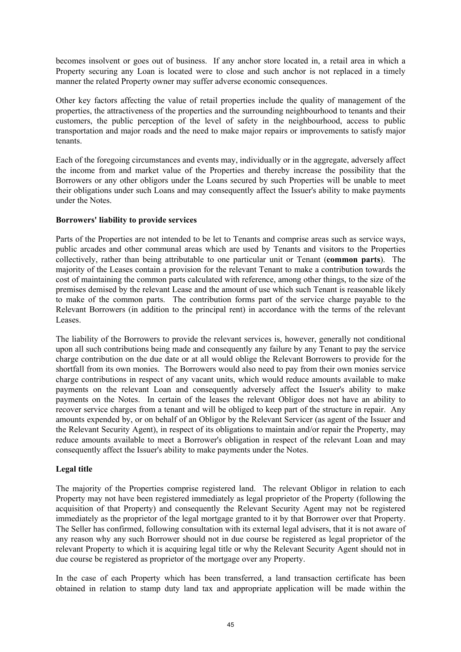becomes insolvent or goes out of business. If any anchor store located in, a retail area in which a Property securing any Loan is located were to close and such anchor is not replaced in a timely manner the related Property owner may suffer adverse economic consequences.

Other key factors affecting the value of retail properties include the quality of management of the properties, the attractiveness of the properties and the surrounding neighbourhood to tenants and their customers, the public perception of the level of safety in the neighbourhood, access to public transportation and major roads and the need to make major repairs or improvements to satisfy major tenants.

Each of the foregoing circumstances and events may, individually or in the aggregate, adversely affect the income from and market value of the Properties and thereby increase the possibility that the Borrowers or any other obligors under the Loans secured by such Properties will be unable to meet their obligations under such Loans and may consequently affect the Issuer's ability to make payments under the Notes.

# **Borrowers' liability to provide services**

Parts of the Properties are not intended to be let to Tenants and comprise areas such as service ways, public arcades and other communal areas which are used by Tenants and visitors to the Properties collectively, rather than being attributable to one particular unit or Tenant (**common parts**). The majority of the Leases contain a provision for the relevant Tenant to make a contribution towards the cost of maintaining the common parts calculated with reference, among other things, to the size of the premises demised by the relevant Lease and the amount of use which such Tenant is reasonable likely to make of the common parts. The contribution forms part of the service charge payable to the Relevant Borrowers (in addition to the principal rent) in accordance with the terms of the relevant Leases.

The liability of the Borrowers to provide the relevant services is, however, generally not conditional upon all such contributions being made and consequently any failure by any Tenant to pay the service charge contribution on the due date or at all would oblige the Relevant Borrowers to provide for the shortfall from its own monies. The Borrowers would also need to pay from their own monies service charge contributions in respect of any vacant units, which would reduce amounts available to make payments on the relevant Loan and consequently adversely affect the Issuer's ability to make payments on the Notes. In certain of the leases the relevant Obligor does not have an ability to recover service charges from a tenant and will be obliged to keep part of the structure in repair. Any amounts expended by, or on behalf of an Obligor by the Relevant Servicer (as agent of the Issuer and the Relevant Security Agent), in respect of its obligations to maintain and/or repair the Property, may reduce amounts available to meet a Borrower's obligation in respect of the relevant Loan and may consequently affect the Issuer's ability to make payments under the Notes.

# **Legal title**

The majority of the Properties comprise registered land. The relevant Obligor in relation to each Property may not have been registered immediately as legal proprietor of the Property (following the acquisition of that Property) and consequently the Relevant Security Agent may not be registered immediately as the proprietor of the legal mortgage granted to it by that Borrower over that Property. The Seller has confirmed, following consultation with its external legal advisers, that it is not aware of any reason why any such Borrower should not in due course be registered as legal proprietor of the relevant Property to which it is acquiring legal title or why the Relevant Security Agent should not in due course be registered as proprietor of the mortgage over any Property.

In the case of each Property which has been transferred, a land transaction certificate has been obtained in relation to stamp duty land tax and appropriate application will be made within the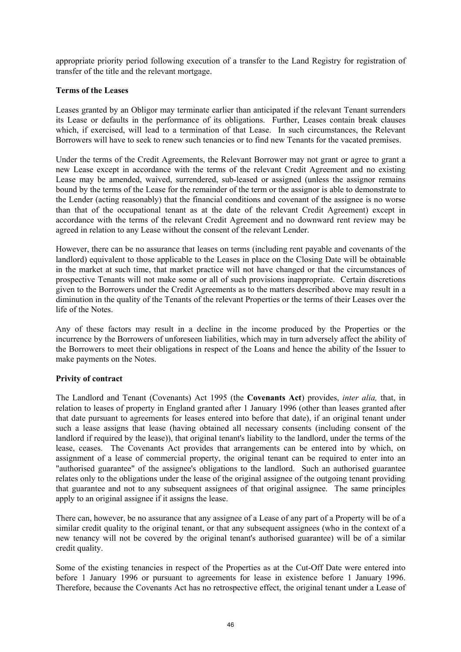appropriate priority period following execution of a transfer to the Land Registry for registration of transfer of the title and the relevant mortgage.

# **Terms of the Leases**

Leases granted by an Obligor may terminate earlier than anticipated if the relevant Tenant surrenders its Lease or defaults in the performance of its obligations. Further, Leases contain break clauses which, if exercised, will lead to a termination of that Lease. In such circumstances, the Relevant Borrowers will have to seek to renew such tenancies or to find new Tenants for the vacated premises.

Under the terms of the Credit Agreements, the Relevant Borrower may not grant or agree to grant a new Lease except in accordance with the terms of the relevant Credit Agreement and no existing Lease may be amended, waived, surrendered, sub-leased or assigned (unless the assignor remains bound by the terms of the Lease for the remainder of the term or the assignor is able to demonstrate to the Lender (acting reasonably) that the financial conditions and covenant of the assignee is no worse than that of the occupational tenant as at the date of the relevant Credit Agreement) except in accordance with the terms of the relevant Credit Agreement and no downward rent review may be agreed in relation to any Lease without the consent of the relevant Lender.

However, there can be no assurance that leases on terms (including rent payable and covenants of the landlord) equivalent to those applicable to the Leases in place on the Closing Date will be obtainable in the market at such time, that market practice will not have changed or that the circumstances of prospective Tenants will not make some or all of such provisions inappropriate. Certain discretions given to the Borrowers under the Credit Agreements as to the matters described above may result in a diminution in the quality of the Tenants of the relevant Properties or the terms of their Leases over the life of the Notes.

Any of these factors may result in a decline in the income produced by the Properties or the incurrence by the Borrowers of unforeseen liabilities, which may in turn adversely affect the ability of the Borrowers to meet their obligations in respect of the Loans and hence the ability of the Issuer to make payments on the Notes.

# **Privity of contract**

The Landlord and Tenant (Covenants) Act 1995 (the **Covenants Act**) provides, *inter alia,* that, in relation to leases of property in England granted after 1 January 1996 (other than leases granted after that date pursuant to agreements for leases entered into before that date), if an original tenant under such a lease assigns that lease (having obtained all necessary consents (including consent of the landlord if required by the lease)), that original tenant's liability to the landlord, under the terms of the lease, ceases. The Covenants Act provides that arrangements can be entered into by which, on assignment of a lease of commercial property, the original tenant can be required to enter into an "authorised guarantee" of the assignee's obligations to the landlord. Such an authorised guarantee relates only to the obligations under the lease of the original assignee of the outgoing tenant providing that guarantee and not to any subsequent assignees of that original assignee. The same principles apply to an original assignee if it assigns the lease.

There can, however, be no assurance that any assignee of a Lease of any part of a Property will be of a similar credit quality to the original tenant, or that any subsequent assignees (who in the context of a new tenancy will not be covered by the original tenant's authorised guarantee) will be of a similar credit quality.

Some of the existing tenancies in respect of the Properties as at the Cut-Off Date were entered into before 1 January 1996 or pursuant to agreements for lease in existence before 1 January 1996. Therefore, because the Covenants Act has no retrospective effect, the original tenant under a Lease of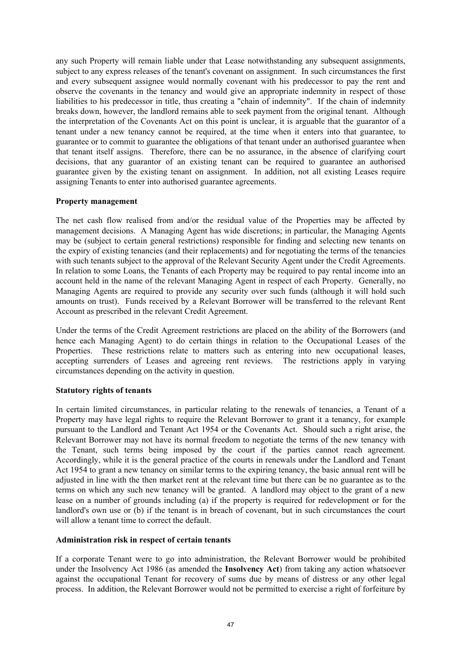any such Property will remain liable under that Lease notwithstanding any subsequent assignments, subject to any express releases of the tenant's covenant on assignment. In such circumstances the first and every subsequent assignee would normally covenant with his predecessor to pay the rent and observe the covenants in the tenancy and would give an appropriate indemnity in respect of those liabilities to his predecessor in title, thus creating a "chain of indemnity". If the chain of indemnity breaks down, however, the landlord remains able to seek payment from the original tenant. Although the interpretation of the Covenants Act on this point is unclear, it is arguable that the guarantor of a tenant under a new tenancy cannot be required, at the time when it enters into that guarantee, to guarantee or to commit to guarantee the obligations of that tenant under an authorised guarantee when that tenant itself assigns. Therefore, there can be no assurance, in the absence of clarifying court decisions, that any guarantor of an existing tenant can be required to guarantee an authorised guarantee given by the existing tenant on assignment. In addition, not all existing Leases require assigning Tenants to enter into authorised guarantee agreements.

# **Property management**

The net cash flow realised from and/or the residual value of the Properties may be affected by management decisions. A Managing Agent has wide discretions; in particular, the Managing Agents may be (subject to certain general restrictions) responsible for finding and selecting new tenants on the expiry of existing tenancies (and their replacements) and for negotiating the terms of the tenancies with such tenants subject to the approval of the Relevant Security Agent under the Credit Agreements. In relation to some Loans, the Tenants of each Property may be required to pay rental income into an account held in the name of the relevant Managing Agent in respect of each Property. Generally, no Managing Agents are required to provide any security over such funds (although it will hold such amounts on trust). Funds received by a Relevant Borrower will be transferred to the relevant Rent Account as prescribed in the relevant Credit Agreement.

Under the terms of the Credit Agreement restrictions are placed on the ability of the Borrowers (and hence each Managing Agent) to do certain things in relation to the Occupational Leases of the Properties. These restrictions relate to matters such as entering into new occupational leases, accepting surrenders of Leases and agreeing rent reviews. The restrictions apply in varying circumstances depending on the activity in question.

#### **Statutory rights of tenants**

In certain limited circumstances, in particular relating to the renewals of tenancies, a Tenant of a Property may have legal rights to require the Relevant Borrower to grant it a tenancy, for example pursuant to the Landlord and Tenant Act 1954 or the Covenants Act. Should such a right arise, the Relevant Borrower may not have its normal freedom to negotiate the terms of the new tenancy with the Tenant, such terms being imposed by the court if the parties cannot reach agreement. Accordingly, while it is the general practice of the courts in renewals under the Landlord and Tenant Act 1954 to grant a new tenancy on similar terms to the expiring tenancy, the basic annual rent will be adjusted in line with the then market rent at the relevant time but there can be no guarantee as to the terms on which any such new tenancy will be granted. A landlord may object to the grant of a new lease on a number of grounds including (a) if the property is required for redevelopment or for the landlord's own use or (b) if the tenant is in breach of covenant, but in such circumstances the court will allow a tenant time to correct the default.

## **Administration risk in respect of certain tenants**

If a corporate Tenant were to go into administration, the Relevant Borrower would be prohibited under the Insolvency Act 1986 (as amended the **Insolvency Act**) from taking any action whatsoever against the occupational Tenant for recovery of sums due by means of distress or any other legal process. In addition, the Relevant Borrower would not be permitted to exercise a right of forfeiture by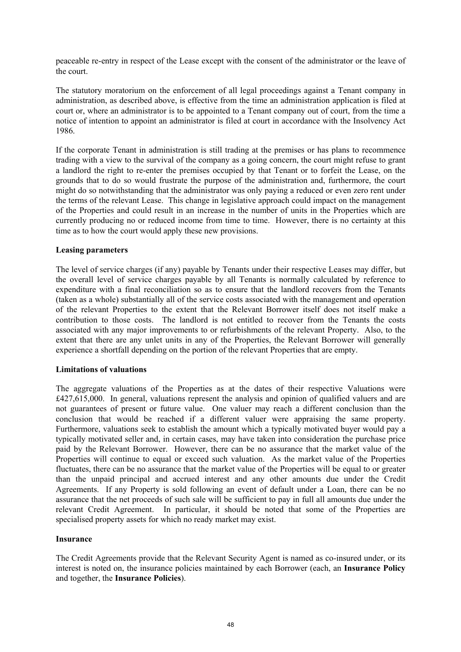peaceable re-entry in respect of the Lease except with the consent of the administrator or the leave of the court.

The statutory moratorium on the enforcement of all legal proceedings against a Tenant company in administration, as described above, is effective from the time an administration application is filed at court or, where an administrator is to be appointed to a Tenant company out of court, from the time a notice of intention to appoint an administrator is filed at court in accordance with the Insolvency Act 1986.

If the corporate Tenant in administration is still trading at the premises or has plans to recommence trading with a view to the survival of the company as a going concern, the court might refuse to grant a landlord the right to re-enter the premises occupied by that Tenant or to forfeit the Lease, on the grounds that to do so would frustrate the purpose of the administration and, furthermore, the court might do so notwithstanding that the administrator was only paying a reduced or even zero rent under the terms of the relevant Lease. This change in legislative approach could impact on the management of the Properties and could result in an increase in the number of units in the Properties which are currently producing no or reduced income from time to time. However, there is no certainty at this time as to how the court would apply these new provisions.

#### **Leasing parameters**

The level of service charges (if any) payable by Tenants under their respective Leases may differ, but the overall level of service charges payable by all Tenants is normally calculated by reference to expenditure with a final reconciliation so as to ensure that the landlord recovers from the Tenants (taken as a whole) substantially all of the service costs associated with the management and operation of the relevant Properties to the extent that the Relevant Borrower itself does not itself make a contribution to those costs. The landlord is not entitled to recover from the Tenants the costs associated with any major improvements to or refurbishments of the relevant Property. Also, to the extent that there are any unlet units in any of the Properties, the Relevant Borrower will generally experience a shortfall depending on the portion of the relevant Properties that are empty.

#### **Limitations of valuations**

The aggregate valuations of the Properties as at the dates of their respective Valuations were £427,615,000. In general, valuations represent the analysis and opinion of qualified valuers and are not guarantees of present or future value. One valuer may reach a different conclusion than the conclusion that would be reached if a different valuer were appraising the same property. Furthermore, valuations seek to establish the amount which a typically motivated buyer would pay a typically motivated seller and, in certain cases, may have taken into consideration the purchase price paid by the Relevant Borrower. However, there can be no assurance that the market value of the Properties will continue to equal or exceed such valuation. As the market value of the Properties fluctuates, there can be no assurance that the market value of the Properties will be equal to or greater than the unpaid principal and accrued interest and any other amounts due under the Credit Agreements. If any Property is sold following an event of default under a Loan, there can be no assurance that the net proceeds of such sale will be sufficient to pay in full all amounts due under the relevant Credit Agreement. In particular, it should be noted that some of the Properties are specialised property assets for which no ready market may exist.

#### **Insurance**

The Credit Agreements provide that the Relevant Security Agent is named as co-insured under, or its interest is noted on, the insurance policies maintained by each Borrower (each, an **Insurance Policy** and together, the **Insurance Policies**).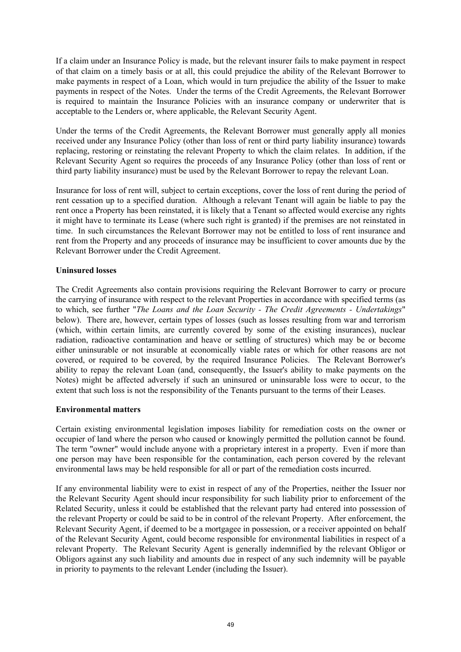If a claim under an Insurance Policy is made, but the relevant insurer fails to make payment in respect of that claim on a timely basis or at all, this could prejudice the ability of the Relevant Borrower to make payments in respect of a Loan, which would in turn prejudice the ability of the Issuer to make payments in respect of the Notes. Under the terms of the Credit Agreements, the Relevant Borrower is required to maintain the Insurance Policies with an insurance company or underwriter that is acceptable to the Lenders or, where applicable, the Relevant Security Agent.

Under the terms of the Credit Agreements, the Relevant Borrower must generally apply all monies received under any Insurance Policy (other than loss of rent or third party liability insurance) towards replacing, restoring or reinstating the relevant Property to which the claim relates. In addition, if the Relevant Security Agent so requires the proceeds of any Insurance Policy (other than loss of rent or third party liability insurance) must be used by the Relevant Borrower to repay the relevant Loan.

Insurance for loss of rent will, subject to certain exceptions, cover the loss of rent during the period of rent cessation up to a specified duration. Although a relevant Tenant will again be liable to pay the rent once a Property has been reinstated, it is likely that a Tenant so affected would exercise any rights it might have to terminate its Lease (where such right is granted) if the premises are not reinstated in time. In such circumstances the Relevant Borrower may not be entitled to loss of rent insurance and rent from the Property and any proceeds of insurance may be insufficient to cover amounts due by the Relevant Borrower under the Credit Agreement.

# **Uninsured losses**

The Credit Agreements also contain provisions requiring the Relevant Borrower to carry or procure the carrying of insurance with respect to the relevant Properties in accordance with specified terms (as to which, see further "*The Loans and the Loan Security - The Credit Agreements - Undertakings*" below). There are, however, certain types of losses (such as losses resulting from war and terrorism (which, within certain limits, are currently covered by some of the existing insurances), nuclear radiation, radioactive contamination and heave or settling of structures) which may be or become either uninsurable or not insurable at economically viable rates or which for other reasons are not covered, or required to be covered, by the required Insurance Policies. The Relevant Borrower's ability to repay the relevant Loan (and, consequently, the Issuer's ability to make payments on the Notes) might be affected adversely if such an uninsured or uninsurable loss were to occur, to the extent that such loss is not the responsibility of the Tenants pursuant to the terms of their Leases.

#### **Environmental matters**

Certain existing environmental legislation imposes liability for remediation costs on the owner or occupier of land where the person who caused or knowingly permitted the pollution cannot be found. The term "owner" would include anyone with a proprietary interest in a property. Even if more than one person may have been responsible for the contamination, each person covered by the relevant environmental laws may be held responsible for all or part of the remediation costs incurred.

If any environmental liability were to exist in respect of any of the Properties, neither the Issuer nor the Relevant Security Agent should incur responsibility for such liability prior to enforcement of the Related Security, unless it could be established that the relevant party had entered into possession of the relevant Property or could be said to be in control of the relevant Property. After enforcement, the Relevant Security Agent, if deemed to be a mortgagee in possession, or a receiver appointed on behalf of the Relevant Security Agent, could become responsible for environmental liabilities in respect of a relevant Property. The Relevant Security Agent is generally indemnified by the relevant Obligor or Obligors against any such liability and amounts due in respect of any such indemnity will be payable in priority to payments to the relevant Lender (including the Issuer).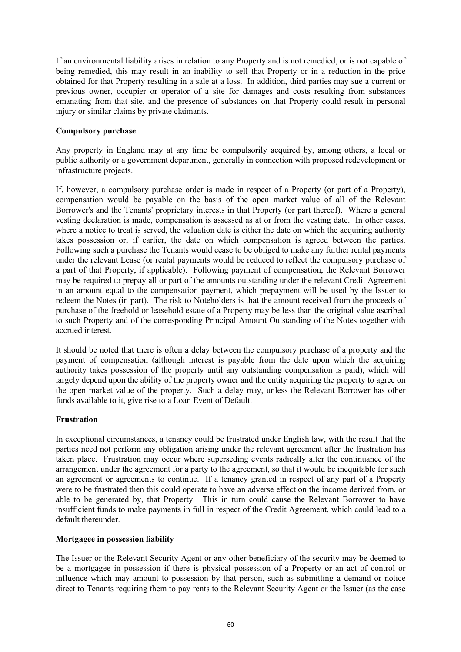If an environmental liability arises in relation to any Property and is not remedied, or is not capable of being remedied, this may result in an inability to sell that Property or in a reduction in the price obtained for that Property resulting in a sale at a loss. In addition, third parties may sue a current or previous owner, occupier or operator of a site for damages and costs resulting from substances emanating from that site, and the presence of substances on that Property could result in personal injury or similar claims by private claimants.

# **Compulsory purchase**

Any property in England may at any time be compulsorily acquired by, among others, a local or public authority or a government department, generally in connection with proposed redevelopment or infrastructure projects.

If, however, a compulsory purchase order is made in respect of a Property (or part of a Property), compensation would be payable on the basis of the open market value of all of the Relevant Borrower's and the Tenants' proprietary interests in that Property (or part thereof). Where a general vesting declaration is made, compensation is assessed as at or from the vesting date. In other cases, where a notice to treat is served, the valuation date is either the date on which the acquiring authority takes possession or, if earlier, the date on which compensation is agreed between the parties. Following such a purchase the Tenants would cease to be obliged to make any further rental payments under the relevant Lease (or rental payments would be reduced to reflect the compulsory purchase of a part of that Property, if applicable). Following payment of compensation, the Relevant Borrower may be required to prepay all or part of the amounts outstanding under the relevant Credit Agreement in an amount equal to the compensation payment, which prepayment will be used by the Issuer to redeem the Notes (in part). The risk to Noteholders is that the amount received from the proceeds of purchase of the freehold or leasehold estate of a Property may be less than the original value ascribed to such Property and of the corresponding Principal Amount Outstanding of the Notes together with accrued interest.

It should be noted that there is often a delay between the compulsory purchase of a property and the payment of compensation (although interest is payable from the date upon which the acquiring authority takes possession of the property until any outstanding compensation is paid), which will largely depend upon the ability of the property owner and the entity acquiring the property to agree on the open market value of the property. Such a delay may, unless the Relevant Borrower has other funds available to it, give rise to a Loan Event of Default.

# **Frustration**

In exceptional circumstances, a tenancy could be frustrated under English law, with the result that the parties need not perform any obligation arising under the relevant agreement after the frustration has taken place. Frustration may occur where superseding events radically alter the continuance of the arrangement under the agreement for a party to the agreement, so that it would be inequitable for such an agreement or agreements to continue. If a tenancy granted in respect of any part of a Property were to be frustrated then this could operate to have an adverse effect on the income derived from, or able to be generated by, that Property. This in turn could cause the Relevant Borrower to have insufficient funds to make payments in full in respect of the Credit Agreement, which could lead to a default thereunder.

#### **Mortgagee in possession liability**

The Issuer or the Relevant Security Agent or any other beneficiary of the security may be deemed to be a mortgagee in possession if there is physical possession of a Property or an act of control or influence which may amount to possession by that person, such as submitting a demand or notice direct to Tenants requiring them to pay rents to the Relevant Security Agent or the Issuer (as the case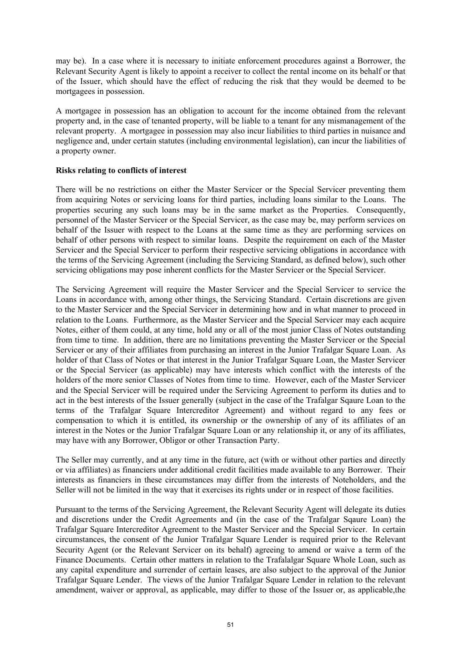may be). In a case where it is necessary to initiate enforcement procedures against a Borrower, the Relevant Security Agent is likely to appoint a receiver to collect the rental income on its behalf or that of the Issuer, which should have the effect of reducing the risk that they would be deemed to be mortgagees in possession.

A mortgagee in possession has an obligation to account for the income obtained from the relevant property and, in the case of tenanted property, will be liable to a tenant for any mismanagement of the relevant property. A mortgagee in possession may also incur liabilities to third parties in nuisance and negligence and, under certain statutes (including environmental legislation), can incur the liabilities of a property owner.

# **Risks relating to conflicts of interest**

There will be no restrictions on either the Master Servicer or the Special Servicer preventing them from acquiring Notes or servicing loans for third parties, including loans similar to the Loans. The properties securing any such loans may be in the same market as the Properties. Consequently, personnel of the Master Servicer or the Special Servicer, as the case may be, may perform services on behalf of the Issuer with respect to the Loans at the same time as they are performing services on behalf of other persons with respect to similar loans. Despite the requirement on each of the Master Servicer and the Special Servicer to perform their respective servicing obligations in accordance with the terms of the Servicing Agreement (including the Servicing Standard, as defined below), such other servicing obligations may pose inherent conflicts for the Master Servicer or the Special Servicer.

The Servicing Agreement will require the Master Servicer and the Special Servicer to service the Loans in accordance with, among other things, the Servicing Standard. Certain discretions are given to the Master Servicer and the Special Servicer in determining how and in what manner to proceed in relation to the Loans. Furthermore, as the Master Servicer and the Special Servicer may each acquire Notes, either of them could, at any time, hold any or all of the most junior Class of Notes outstanding from time to time. In addition, there are no limitations preventing the Master Servicer or the Special Servicer or any of their affiliates from purchasing an interest in the Junior Trafalgar Square Loan. As holder of that Class of Notes or that interest in the Junior Trafalgar Square Loan, the Master Servicer or the Special Servicer (as applicable) may have interests which conflict with the interests of the holders of the more senior Classes of Notes from time to time. However, each of the Master Servicer and the Special Servicer will be required under the Servicing Agreement to perform its duties and to act in the best interests of the Issuer generally (subject in the case of the Trafalgar Sqaure Loan to the terms of the Trafalgar Square Intercreditor Agreement) and without regard to any fees or compensation to which it is entitled, its ownership or the ownership of any of its affiliates of an interest in the Notes or the Junior Trafalgar Square Loan or any relationship it, or any of its affiliates, may have with any Borrower, Obligor or other Transaction Party.

The Seller may currently, and at any time in the future, act (with or without other parties and directly or via affiliates) as financiers under additional credit facilities made available to any Borrower. Their interests as financiers in these circumstances may differ from the interests of Noteholders, and the Seller will not be limited in the way that it exercises its rights under or in respect of those facilities.

Pursuant to the terms of the Servicing Agreement, the Relevant Security Agent will delegate its duties and discretions under the Credit Agreements and (in the case of the Trafalgar Sqaure Loan) the Trafalgar Square Intercreditor Agreement to the Master Servicer and the Special Servicer. In certain circumstances, the consent of the Junior Trafalgar Square Lender is required prior to the Relevant Security Agent (or the Relevant Servicer on its behalf) agreeing to amend or waive a term of the Finance Documents. Certain other matters in relation to the Trafalalgar Square Whole Loan, such as any capital expenditure and surrender of certain leases, are also subject to the approval of the Junior Trafalgar Square Lender. The views of the Junior Trafalgar Square Lender in relation to the relevant amendment, waiver or approval, as applicable, may differ to those of the Issuer or, as applicable,the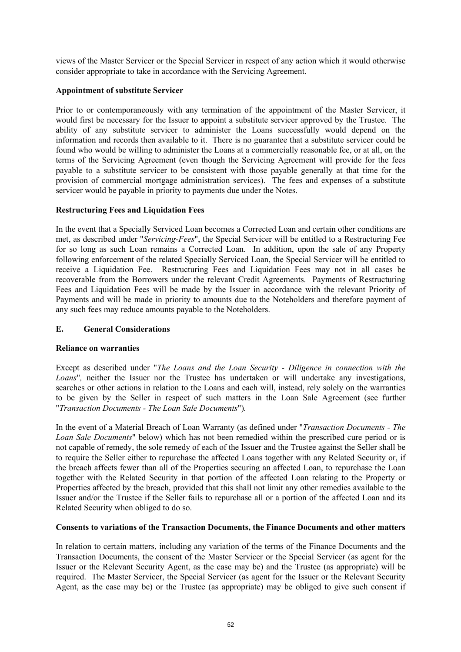views of the Master Servicer or the Special Servicer in respect of any action which it would otherwise consider appropriate to take in accordance with the Servicing Agreement.

# **Appointment of substitute Servicer**

Prior to or contemporaneously with any termination of the appointment of the Master Servicer, it would first be necessary for the Issuer to appoint a substitute servicer approved by the Trustee. The ability of any substitute servicer to administer the Loans successfully would depend on the information and records then available to it. There is no guarantee that a substitute servicer could be found who would be willing to administer the Loans at a commercially reasonable fee, or at all, on the terms of the Servicing Agreement (even though the Servicing Agreement will provide for the fees payable to a substitute servicer to be consistent with those payable generally at that time for the provision of commercial mortgage administration services). The fees and expenses of a substitute servicer would be payable in priority to payments due under the Notes.

# **Restructuring Fees and Liquidation Fees**

In the event that a Specially Serviced Loan becomes a Corrected Loan and certain other conditions are met, as described under "*Servicing-Fees*", the Special Servicer will be entitled to a Restructuring Fee for so long as such Loan remains a Corrected Loan. In addition, upon the sale of any Property following enforcement of the related Specially Serviced Loan, the Special Servicer will be entitled to receive a Liquidation Fee. Restructuring Fees and Liquidation Fees may not in all cases be recoverable from the Borrowers under the relevant Credit Agreements. Payments of Restructuring Fees and Liquidation Fees will be made by the Issuer in accordance with the relevant Priority of Payments and will be made in priority to amounts due to the Noteholders and therefore payment of any such fees may reduce amounts payable to the Noteholders.

# **E. General Considerations**

#### **Reliance on warranties**

Except as described under "*The Loans and the Loan Security - Diligence in connection with the*  Loans<sup>"</sup>, neither the Issuer nor the Trustee has undertaken or will undertake any investigations, searches or other actions in relation to the Loans and each will, instead, rely solely on the warranties to be given by the Seller in respect of such matters in the Loan Sale Agreement (see further "*Transaction Documents - The Loan Sale Documents*")*.*

In the event of a Material Breach of Loan Warranty (as defined under "*Transaction Documents - The Loan Sale Documents*" below) which has not been remedied within the prescribed cure period or is not capable of remedy, the sole remedy of each of the Issuer and the Trustee against the Seller shall be to require the Seller either to repurchase the affected Loans together with any Related Security or, if the breach affects fewer than all of the Properties securing an affected Loan, to repurchase the Loan together with the Related Security in that portion of the affected Loan relating to the Property or Properties affected by the breach, provided that this shall not limit any other remedies available to the Issuer and/or the Trustee if the Seller fails to repurchase all or a portion of the affected Loan and its Related Security when obliged to do so.

#### **Consents to variations of the Transaction Documents, the Finance Documents and other matters**

In relation to certain matters, including any variation of the terms of the Finance Documents and the Transaction Documents, the consent of the Master Servicer or the Special Servicer (as agent for the Issuer or the Relevant Security Agent, as the case may be) and the Trustee (as appropriate) will be required. The Master Servicer, the Special Servicer (as agent for the Issuer or the Relevant Security Agent, as the case may be) or the Trustee (as appropriate) may be obliged to give such consent if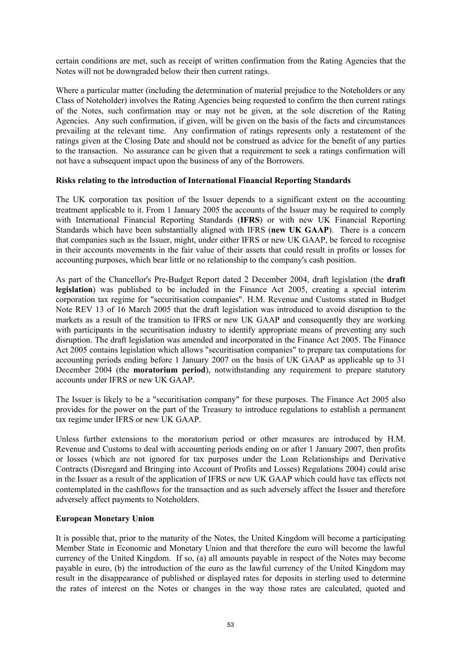certain conditions are met, such as receipt of written confirmation from the Rating Agencies that the Notes will not be downgraded below their then current ratings.

Where a particular matter (including the determination of material prejudice to the Noteholders or any Class of Noteholder) involves the Rating Agencies being requested to confirm the then current ratings of the Notes, such confirmation may or may not be given, at the sole discretion of the Rating Agencies. Any such confirmation, if given, will be given on the basis of the facts and circumstances prevailing at the relevant time. Any confirmation of ratings represents only a restatement of the ratings given at the Closing Date and should not be construed as advice for the benefit of any parties to the transaction. No assurance can be given that a requirement to seek a ratings confirmation will not have a subsequent impact upon the business of any of the Borrowers.

#### **Risks relating to the introduction of International Financial Reporting Standards**

The UK corporation tax position of the Issuer depends to a significant extent on the accounting treatment applicable to it. From 1 January 2005 the accounts of the Issuer may be required to comply with International Financial Reporting Standards (**IFRS**) or with new UK Financial Reporting Standards which have been substantially aligned with IFRS (**new UK GAAP**). There is a concern that companies such as the Issuer, might, under either IFRS or new UK GAAP, be forced to recognise in their accounts movements in the fair value of their assets that could result in profits or losses for accounting purposes, which bear little or no relationship to the company's cash position.

As part of the Chancellor's Pre-Budget Report dated 2 December 2004, draft legislation (the **draft legislation**) was published to be included in the Finance Act 2005, creating a special interim corporation tax regime for "securitisation companies". H.M. Revenue and Customs stated in Budget Note REV 13 of 16 March 2005 that the draft legislation was introduced to avoid disruption to the markets as a result of the transition to IFRS or new UK GAAP and consequently they are working with participants in the securitisation industry to identify appropriate means of preventing any such disruption. The draft legislation was amended and incorporated in the Finance Act 2005. The Finance Act 2005 contains legislation which allows "securitisation companies" to prepare tax computations for accounting periods ending before 1 January 2007 on the basis of UK GAAP as applicable up to 31 December 2004 (the **moratorium period**), notwithstanding any requirement to prepare statutory accounts under IFRS or new UK GAAP.

The Issuer is likely to be a "securitisation company" for these purposes. The Finance Act 2005 also provides for the power on the part of the Treasury to introduce regulations to establish a permanent tax regime under IFRS or new UK GAAP.

Unless further extensions to the moratorium period or other measures are introduced by H.M. Revenue and Customs to deal with accounting periods ending on or after 1 January 2007, then profits or losses (which are not ignored for tax purposes under the Loan Relationships and Derivative Contracts (Disregard and Bringing into Account of Profits and Losses) Regulations 2004) could arise in the Issuer as a result of the application of IFRS or new UK GAAP which could have tax effects not contemplated in the cashflows for the transaction and as such adversely affect the Issuer and therefore adversely affect payments to Noteholders.

#### **European Monetary Union**

It is possible that, prior to the maturity of the Notes, the United Kingdom will become a participating Member State in Economic and Monetary Union and that therefore the euro will become the lawful currency of the United Kingdom. If so, (a) all amounts payable in respect of the Notes may become payable in euro, (b) the introduction of the euro as the lawful currency of the United Kingdom may result in the disappearance of published or displayed rates for deposits in sterling used to determine the rates of interest on the Notes or changes in the way those rates are calculated, quoted and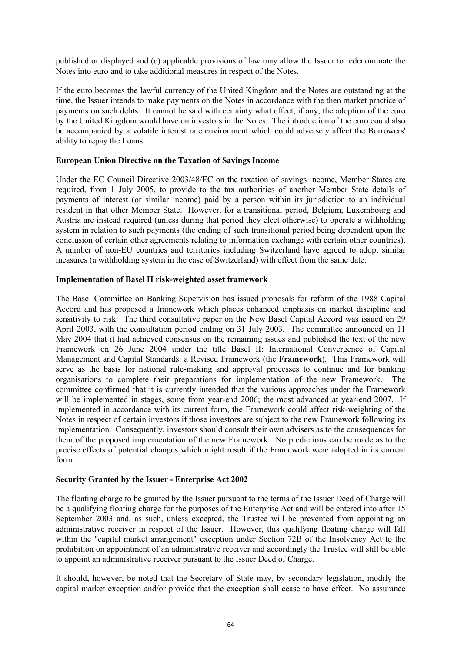published or displayed and (c) applicable provisions of law may allow the Issuer to redenominate the Notes into euro and to take additional measures in respect of the Notes.

If the euro becomes the lawful currency of the United Kingdom and the Notes are outstanding at the time, the Issuer intends to make payments on the Notes in accordance with the then market practice of payments on such debts. It cannot be said with certainty what effect, if any, the adoption of the euro by the United Kingdom would have on investors in the Notes. The introduction of the euro could also be accompanied by a volatile interest rate environment which could adversely affect the Borrowers' ability to repay the Loans.

#### **European Union Directive on the Taxation of Savings Income**

Under the EC Council Directive 2003/48/EC on the taxation of savings income, Member States are required, from 1 July 2005, to provide to the tax authorities of another Member State details of payments of interest (or similar income) paid by a person within its jurisdiction to an individual resident in that other Member State. However, for a transitional period, Belgium, Luxembourg and Austria are instead required (unless during that period they elect otherwise) to operate a withholding system in relation to such payments (the ending of such transitional period being dependent upon the conclusion of certain other agreements relating to information exchange with certain other countries). A number of non-EU countries and territories including Switzerland have agreed to adopt similar measures (a withholding system in the case of Switzerland) with effect from the same date.

#### **Implementation of Basel II risk-weighted asset framework**

The Basel Committee on Banking Supervision has issued proposals for reform of the 1988 Capital Accord and has proposed a framework which places enhanced emphasis on market discipline and sensitivity to risk. The third consultative paper on the New Basel Capital Accord was issued on 29 April 2003, with the consultation period ending on 31 July 2003. The committee announced on 11 May 2004 that it had achieved consensus on the remaining issues and published the text of the new Framework on 26 June 2004 under the title Basel II: International Convergence of Capital Management and Capital Standards: a Revised Framework (the **Framework**). This Framework will serve as the basis for national rule-making and approval processes to continue and for banking organisations to complete their preparations for implementation of the new Framework. The committee confirmed that it is currently intended that the various approaches under the Framework will be implemented in stages, some from year-end 2006; the most advanced at year-end 2007. If implemented in accordance with its current form, the Framework could affect risk-weighting of the Notes in respect of certain investors if those investors are subject to the new Framework following its implementation. Consequently, investors should consult their own advisers as to the consequences for them of the proposed implementation of the new Framework. No predictions can be made as to the precise effects of potential changes which might result if the Framework were adopted in its current form.

#### **Security Granted by the Issuer - Enterprise Act 2002**

The floating charge to be granted by the Issuer pursuant to the terms of the Issuer Deed of Charge will be a qualifying floating charge for the purposes of the Enterprise Act and will be entered into after 15 September 2003 and, as such, unless excepted, the Trustee will be prevented from appointing an administrative receiver in respect of the Issuer. However, this qualifying floating charge will fall within the "capital market arrangement" exception under Section 72B of the Insolvency Act to the prohibition on appointment of an administrative receiver and accordingly the Trustee will still be able to appoint an administrative receiver pursuant to the Issuer Deed of Charge.

It should, however, be noted that the Secretary of State may, by secondary legislation, modify the capital market exception and/or provide that the exception shall cease to have effect. No assurance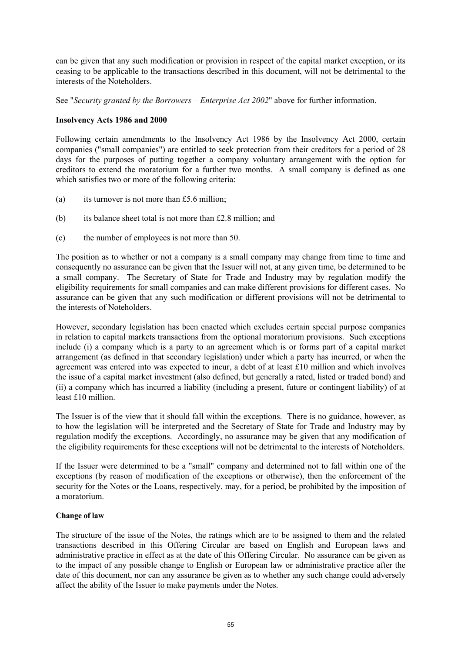can be given that any such modification or provision in respect of the capital market exception, or its ceasing to be applicable to the transactions described in this document, will not be detrimental to the interests of the Noteholders.

See "*Security granted by the Borrowers – Enterprise Act 2002*" above for further information.

# **Insolvency Acts 1986 and 2000**

Following certain amendments to the Insolvency Act 1986 by the Insolvency Act 2000, certain companies ("small companies") are entitled to seek protection from their creditors for a period of 28 days for the purposes of putting together a company voluntary arrangement with the option for creditors to extend the moratorium for a further two months. A small company is defined as one which satisfies two or more of the following criteria:

- (a) its turnover is not more than £5.6 million;
- (b) its balance sheet total is not more than £2.8 million; and
- (c) the number of employees is not more than 50.

The position as to whether or not a company is a small company may change from time to time and consequently no assurance can be given that the Issuer will not, at any given time, be determined to be a small company. The Secretary of State for Trade and Industry may by regulation modify the eligibility requirements for small companies and can make different provisions for different cases. No assurance can be given that any such modification or different provisions will not be detrimental to the interests of Noteholders.

However, secondary legislation has been enacted which excludes certain special purpose companies in relation to capital markets transactions from the optional moratorium provisions. Such exceptions include (i) a company which is a party to an agreement which is or forms part of a capital market arrangement (as defined in that secondary legislation) under which a party has incurred, or when the agreement was entered into was expected to incur, a debt of at least £10 million and which involves the issue of a capital market investment (also defined, but generally a rated, listed or traded bond) and (ii) a company which has incurred a liability (including a present, future or contingent liability) of at least £10 million.

The Issuer is of the view that it should fall within the exceptions. There is no guidance, however, as to how the legislation will be interpreted and the Secretary of State for Trade and Industry may by regulation modify the exceptions. Accordingly, no assurance may be given that any modification of the eligibility requirements for these exceptions will not be detrimental to the interests of Noteholders.

If the Issuer were determined to be a "small" company and determined not to fall within one of the exceptions (by reason of modification of the exceptions or otherwise), then the enforcement of the security for the Notes or the Loans, respectively, may, for a period, be prohibited by the imposition of a moratorium.

#### **Change of law**

The structure of the issue of the Notes, the ratings which are to be assigned to them and the related transactions described in this Offering Circular are based on English and European laws and administrative practice in effect as at the date of this Offering Circular. No assurance can be given as to the impact of any possible change to English or European law or administrative practice after the date of this document, nor can any assurance be given as to whether any such change could adversely affect the ability of the Issuer to make payments under the Notes.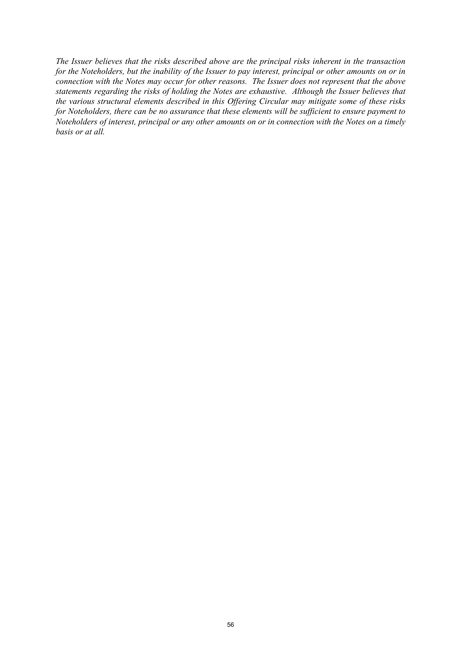*The Issuer believes that the risks described above are the principal risks inherent in the transaction for the Noteholders, but the inability of the Issuer to pay interest, principal or other amounts on or in connection with the Notes may occur for other reasons. The Issuer does not represent that the above statements regarding the risks of holding the Notes are exhaustive. Although the Issuer believes that the various structural elements described in this Offering Circular may mitigate some of these risks for Noteholders, there can be no assurance that these elements will be sufficient to ensure payment to Noteholders of interest, principal or any other amounts on or in connection with the Notes on a timely basis or at all.*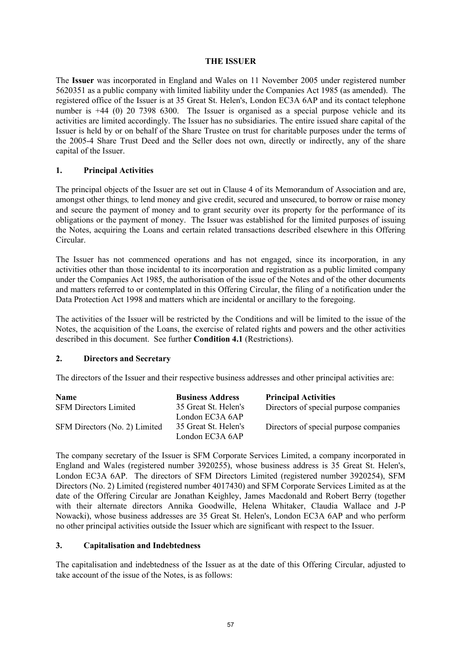#### **THE ISSUER**

The **Issuer** was incorporated in England and Wales on 11 November 2005 under registered number 5620351 as a public company with limited liability under the Companies Act 1985 (as amended). The registered office of the Issuer is at 35 Great St. Helen's, London EC3A 6AP and its contact telephone number is +44 (0) 20 7398 6300. The Issuer is organised as a special purpose vehicle and its activities are limited accordingly. The Issuer has no subsidiaries. The entire issued share capital of the Issuer is held by or on behalf of the Share Trustee on trust for charitable purposes under the terms of the 2005-4 Share Trust Deed and the Seller does not own, directly or indirectly, any of the share capital of the Issuer.

# **1. Principal Activities**

The principal objects of the Issuer are set out in Clause 4 of its Memorandum of Association and are, amongst other things*,* to lend money and give credit, secured and unsecured, to borrow or raise money and secure the payment of money and to grant security over its property for the performance of its obligations or the payment of money. The Issuer was established for the limited purposes of issuing the Notes, acquiring the Loans and certain related transactions described elsewhere in this Offering Circular.

The Issuer has not commenced operations and has not engaged, since its incorporation, in any activities other than those incidental to its incorporation and registration as a public limited company under the Companies Act 1985, the authorisation of the issue of the Notes and of the other documents and matters referred to or contemplated in this Offering Circular, the filing of a notification under the Data Protection Act 1998 and matters which are incidental or ancillary to the foregoing.

The activities of the Issuer will be restricted by the Conditions and will be limited to the issue of the Notes, the acquisition of the Loans, the exercise of related rights and powers and the other activities described in this document. See further **Condition 4.1** (Restrictions).

#### **2. Directors and Secretary**

The directors of the Issuer and their respective business addresses and other principal activities are:

| <b>Name</b>                   | <b>Business Address</b> | <b>Principal Activities</b>            |
|-------------------------------|-------------------------|----------------------------------------|
| <b>SFM Directors Limited</b>  | 35 Great St. Helen's    | Directors of special purpose companies |
|                               | London EC3A 6AP         |                                        |
| SFM Directors (No. 2) Limited | 35 Great St. Helen's    | Directors of special purpose companies |
|                               | London EC3A 6AP         |                                        |

The company secretary of the Issuer is SFM Corporate Services Limited, a company incorporated in England and Wales (registered number 3920255), whose business address is 35 Great St. Helen's, London EC3A 6AP. The directors of SFM Directors Limited (registered number 3920254), SFM Directors (No. 2) Limited (registered number 4017430) and SFM Corporate Services Limited as at the date of the Offering Circular are Jonathan Keighley, James Macdonald and Robert Berry (together with their alternate directors Annika Goodwille, Helena Whitaker, Claudia Wallace and J-P Nowacki), whose business addresses are 35 Great St. Helen's, London EC3A 6AP and who perform no other principal activities outside the Issuer which are significant with respect to the Issuer.

#### **3. Capitalisation and Indebtedness**

The capitalisation and indebtedness of the Issuer as at the date of this Offering Circular, adjusted to take account of the issue of the Notes, is as follows: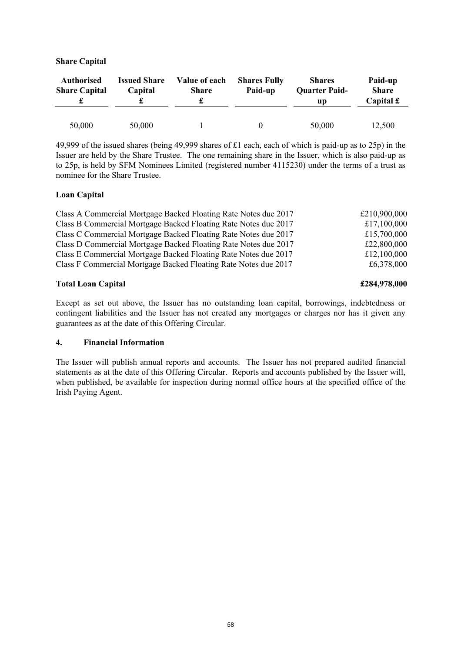| <b>Authorised</b><br><b>Share Capital</b> | <b>Issued Share</b><br>Capital | Value of each<br><b>Share</b> | <b>Shares Fully</b><br>Paid-up | <b>Shares</b><br><b>Quarter Paid-</b><br>up | Paid-up<br><b>Share</b><br>Capital $\mathbf f$ |
|-------------------------------------------|--------------------------------|-------------------------------|--------------------------------|---------------------------------------------|------------------------------------------------|
| 50,000                                    | 50,000                         |                               |                                | 50,000                                      | 12,500                                         |

49,999 of the issued shares (being 49,999 shares of £1 each, each of which is paid-up as to 25p) in the Issuer are held by the Share Trustee. The one remaining share in the Issuer, which is also paid-up as to 25p, is held by SFM Nominees Limited (registered number 4115230) under the terms of a trust as nominee for the Share Trustee.

#### **Loan Capital**

| Class A Commercial Mortgage Backed Floating Rate Notes due 2017 | £210,900,000 |
|-----------------------------------------------------------------|--------------|
| Class B Commercial Mortgage Backed Floating Rate Notes due 2017 | £17,100,000  |
| Class C Commercial Mortgage Backed Floating Rate Notes due 2017 | £15,700,000  |
| Class D Commercial Mortgage Backed Floating Rate Notes due 2017 | £22,800,000  |
| Class E Commercial Mortgage Backed Floating Rate Notes due 2017 | £12,100,000  |
| Class F Commercial Mortgage Backed Floating Rate Notes due 2017 | £6,378,000   |

# **Total Loan Capital £284,978,000**

## Except as set out above, the Issuer has no outstanding loan capital, borrowings, indebtedness or contingent liabilities and the Issuer has not created any mortgages or charges nor has it given any guarantees as at the date of this Offering Circular.

#### **4. Financial Information**

The Issuer will publish annual reports and accounts. The Issuer has not prepared audited financial statements as at the date of this Offering Circular. Reports and accounts published by the Issuer will, when published, be available for inspection during normal office hours at the specified office of the Irish Paying Agent.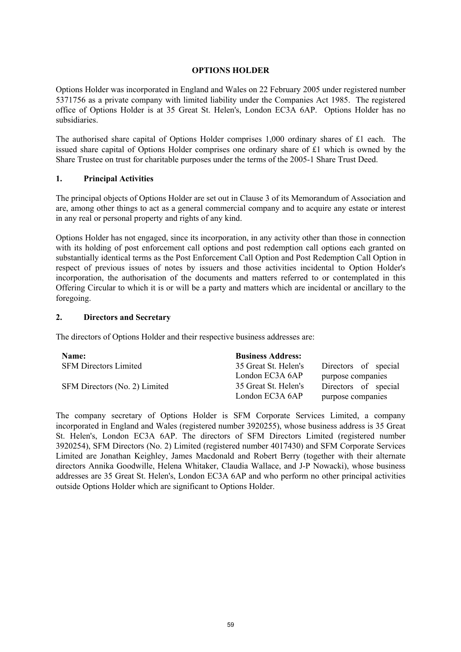## **OPTIONS HOLDER**

Options Holder was incorporated in England and Wales on 22 February 2005 under registered number 5371756 as a private company with limited liability under the Companies Act 1985. The registered office of Options Holder is at 35 Great St. Helen's, London EC3A 6AP. Options Holder has no subsidiaries.

The authorised share capital of Options Holder comprises 1,000 ordinary shares of £1 each. The issued share capital of Options Holder comprises one ordinary share of £1 which is owned by the Share Trustee on trust for charitable purposes under the terms of the 2005-1 Share Trust Deed.

# **1. Principal Activities**

The principal objects of Options Holder are set out in Clause 3 of its Memorandum of Association and are, among other things to act as a general commercial company and to acquire any estate or interest in any real or personal property and rights of any kind.

Options Holder has not engaged, since its incorporation, in any activity other than those in connection with its holding of post enforcement call options and post redemption call options each granted on substantially identical terms as the Post Enforcement Call Option and Post Redemption Call Option in respect of previous issues of notes by issuers and those activities incidental to Option Holder's incorporation, the authorisation of the documents and matters referred to or contemplated in this Offering Circular to which it is or will be a party and matters which are incidental or ancillary to the foregoing.

# **2. Directors and Secretary**

The directors of Options Holder and their respective business addresses are:

| <b>Name:</b>                  | <b>Business Address:</b> |                      |
|-------------------------------|--------------------------|----------------------|
| <b>SFM Directors Limited</b>  | 35 Great St. Helen's     | Directors of special |
|                               | London EC3A 6AP          | purpose companies    |
| SFM Directors (No. 2) Limited | 35 Great St. Helen's     | Directors of special |
|                               | London EC3A 6AP          | purpose companies    |

The company secretary of Options Holder is SFM Corporate Services Limited, a company incorporated in England and Wales (registered number 3920255), whose business address is 35 Great St. Helen's, London EC3A 6AP. The directors of SFM Directors Limited (registered number 3920254), SFM Directors (No. 2) Limited (registered number 4017430) and SFM Corporate Services Limited are Jonathan Keighley, James Macdonald and Robert Berry (together with their alternate directors Annika Goodwille, Helena Whitaker, Claudia Wallace, and J-P Nowacki), whose business addresses are 35 Great St. Helen's, London EC3A 6AP and who perform no other principal activities outside Options Holder which are significant to Options Holder.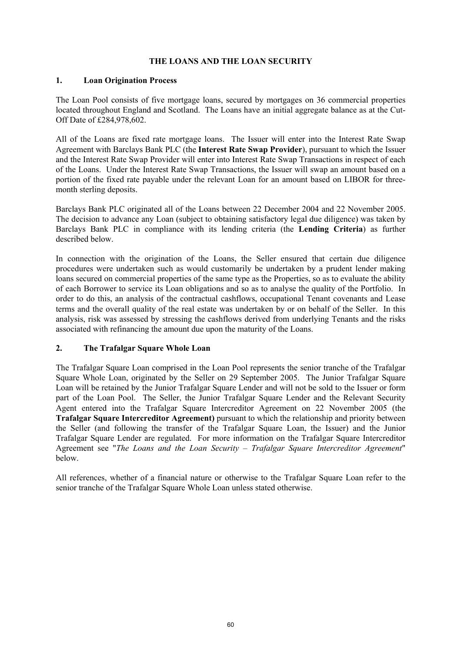# **THE LOANS AND THE LOAN SECURITY**

#### **1. Loan Origination Process**

The Loan Pool consists of five mortgage loans, secured by mortgages on 36 commercial properties located throughout England and Scotland. The Loans have an initial aggregate balance as at the Cut-Off Date of £284,978,602.

All of the Loans are fixed rate mortgage loans. The Issuer will enter into the Interest Rate Swap Agreement with Barclays Bank PLC (the **Interest Rate Swap Provider**), pursuant to which the Issuer and the Interest Rate Swap Provider will enter into Interest Rate Swap Transactions in respect of each of the Loans. Under the Interest Rate Swap Transactions, the Issuer will swap an amount based on a portion of the fixed rate payable under the relevant Loan for an amount based on LIBOR for threemonth sterling deposits.

Barclays Bank PLC originated all of the Loans between 22 December 2004 and 22 November 2005. The decision to advance any Loan (subject to obtaining satisfactory legal due diligence) was taken by Barclays Bank PLC in compliance with its lending criteria (the **Lending Criteria**) as further described below.

In connection with the origination of the Loans, the Seller ensured that certain due diligence procedures were undertaken such as would customarily be undertaken by a prudent lender making loans secured on commercial properties of the same type as the Properties, so as to evaluate the ability of each Borrower to service its Loan obligations and so as to analyse the quality of the Portfolio. In order to do this, an analysis of the contractual cashflows, occupational Tenant covenants and Lease terms and the overall quality of the real estate was undertaken by or on behalf of the Seller. In this analysis, risk was assessed by stressing the cashflows derived from underlying Tenants and the risks associated with refinancing the amount due upon the maturity of the Loans.

#### **2. The Trafalgar Square Whole Loan**

The Trafalgar Square Loan comprised in the Loan Pool represents the senior tranche of the Trafalgar Square Whole Loan, originated by the Seller on 29 September 2005. The Junior Trafalgar Square Loan will be retained by the Junior Trafalgar Square Lender and will not be sold to the Issuer or form part of the Loan Pool. The Seller, the Junior Trafalgar Square Lender and the Relevant Security Agent entered into the Trafalgar Square Intercreditor Agreement on 22 November 2005 (the **Trafalgar Square Intercreditor Agreement)** pursuant to which the relationship and priority between the Seller (and following the transfer of the Trafalgar Square Loan, the Issuer) and the Junior Trafalgar Square Lender are regulated. For more information on the Trafalgar Square Intercreditor Agreement see "*The Loans and the Loan Security – Trafalgar Square Intercreditor Agreement*" below.

All references, whether of a financial nature or otherwise to the Trafalgar Square Loan refer to the senior tranche of the Trafalgar Square Whole Loan unless stated otherwise.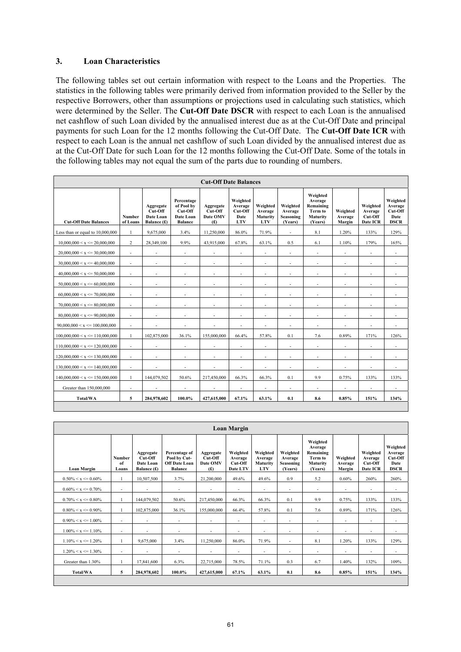# **3. Loan Characteristics**

The following tables set out certain information with respect to the Loans and the Properties. The statistics in the following tables were primarily derived from information provided to the Seller by the respective Borrowers, other than assumptions or projections used in calculating such statistics, which were determined by the Seller. The **Cut-Off Date DSCR** with respect to each Loan is the annualised net cashflow of such Loan divided by the annualised interest due as at the Cut-Off Date and principal payments for such Loan for the 12 months following the Cut-Off Date. The **Cut-Off Date ICR** with respect to each Loan is the annual net cashflow of such Loan divided by the annualised interest due as at the Cut-Off Date for such Loan for the 12 months following the Cut-Off Date. Some of the totals in the following tables may not equal the sum of the parts due to rounding of numbers.

| <b>Cut-Off Date Balances</b>        |                          |                                                  |                                                                    |                                         |                                                      |                                               |                                             |                                                                    |                               |                                            |                                                       |  |
|-------------------------------------|--------------------------|--------------------------------------------------|--------------------------------------------------------------------|-----------------------------------------|------------------------------------------------------|-----------------------------------------------|---------------------------------------------|--------------------------------------------------------------------|-------------------------------|--------------------------------------------|-------------------------------------------------------|--|
| <b>Cut-Off Date Balances</b>        | Number<br>of Loans       | Aggregate<br>Cut-Off<br>Date Loan<br>Balance (£) | Percentage<br>of Pool by<br>Cut-Off<br>Date Loan<br><b>Balance</b> | Aggregate<br>Cut-Off<br>Date OMV<br>(f) | Weighted<br>Average<br>Cut-Off<br>Date<br><b>LTV</b> | Weighted<br>Average<br>Maturity<br><b>LTV</b> | Weighted<br>Average<br>Seasoning<br>(Years) | Weighted<br>Average<br>Remaining<br>Term to<br>Maturity<br>(Years) | Weighted<br>Average<br>Margin | Weighted<br>Average<br>Cut-Off<br>Date ICR | Weighted<br>Average<br>Cut-Off<br>Date<br><b>DSCR</b> |  |
| Less than or equal to 10,000,000    | $\mathbf{1}$             | 9,675,000                                        | 3.4%                                                               | 11,250,000                              | 86.0%                                                | 71.9%                                         | $\blacksquare$                              | 8.1                                                                | 1.20%                         | 133%                                       | 129%                                                  |  |
| $10,000,000 \le x \le 20,000,000$   | 2                        | 28,349,100                                       | 9.9%                                                               | 43,915,000                              | 67.8%                                                | 63.1%                                         | 0.5                                         | 6.1                                                                | 1.10%                         | 179%                                       | 165%                                                  |  |
| $20,000,000 \le x \le 30,000,000$   | $\overline{\phantom{a}}$ | $\overline{\phantom{a}}$                         | $\overline{\phantom{a}}$                                           | $\overline{\phantom{a}}$                | $\overline{a}$                                       | $\overline{\phantom{a}}$                      | $\overline{\phantom{a}}$                    | $\overline{\phantom{a}}$                                           | $\overline{a}$                | $\overline{a}$                             | $\overline{a}$                                        |  |
| 30,000,000 < x < 40,000,000         | $\overline{\phantom{a}}$ | $\overline{\phantom{a}}$                         | $\overline{\phantom{a}}$                                           | $\overline{\phantom{0}}$                | $\overline{a}$                                       | $\overline{\phantom{a}}$                      | $\overline{\phantom{a}}$                    | $\overline{\phantom{a}}$                                           | $\overline{a}$                | $\overline{\phantom{a}}$                   | $\overline{\phantom{a}}$                              |  |
| $40,000,000 \le x \le 50,000,000$   | $\overline{\phantom{a}}$ | $\overline{\phantom{a}}$                         | $\overline{\phantom{a}}$                                           | $\overline{\phantom{a}}$                | $\overline{\phantom{a}}$                             | $\overline{\phantom{a}}$                      | $\overline{\phantom{a}}$                    | $\overline{\phantom{a}}$                                           | $\overline{\phantom{a}}$      | $\overline{\phantom{a}}$                   |                                                       |  |
| $50,000,000 < x \le 60,000,000$     | $\overline{\phantom{a}}$ | $\overline{\phantom{a}}$                         | $\overline{\phantom{a}}$                                           | $\overline{\phantom{a}}$                | $\overline{a}$                                       | $\overline{\phantom{a}}$                      | $\overline{\phantom{a}}$                    | $\overline{\phantom{a}}$                                           | $\overline{a}$                | $\overline{\phantom{a}}$                   | $\overline{\phantom{a}}$                              |  |
| $60,000,000 \le x \le 70,000,000$   | $\overline{\phantom{a}}$ | $\overline{\phantom{a}}$                         | $\sim$                                                             | $\overline{\phantom{a}}$                | $\overline{\phantom{a}}$                             | $\overline{\phantom{a}}$                      | $\overline{\phantom{a}}$                    | $\overline{\phantom{a}}$                                           | $\overline{\phantom{a}}$      | $\overline{a}$                             | $\overline{\phantom{a}}$                              |  |
| 70,000,000 < x < 80,000,000         | $\overline{a}$           | $\overline{\phantom{a}}$                         | $\overline{\phantom{a}}$                                           | $\overline{\phantom{a}}$                | $\overline{\phantom{a}}$                             | $\overline{\phantom{a}}$                      | $\overline{\phantom{a}}$                    | $\overline{\phantom{a}}$                                           | $\overline{\phantom{a}}$      | $\overline{\phantom{a}}$                   | $\overline{a}$                                        |  |
| 80,000,000 < x < 90,000,000         | $\overline{\phantom{a}}$ | $\overline{\phantom{a}}$                         | $\overline{\phantom{a}}$                                           | $\overline{\phantom{a}}$                | $\overline{\phantom{a}}$                             | $\overline{\phantom{a}}$                      | $\blacksquare$                              | $\overline{\phantom{a}}$                                           | $\overline{\phantom{a}}$      | $\overline{\phantom{a}}$                   | $\overline{\phantom{a}}$                              |  |
| $90,000,000 < x \le 100,000,000$    | $\overline{\phantom{a}}$ |                                                  | $\overline{\phantom{a}}$                                           | $\overline{\phantom{a}}$                | ÷                                                    | $\overline{\phantom{a}}$                      | $\overline{\phantom{a}}$                    | $\overline{\phantom{a}}$                                           | ÷,                            | $\overline{\phantom{a}}$                   | $\overline{\phantom{a}}$                              |  |
| $100,000,000 < x \le 110,000,000$   | $\mathbf{1}$             | 102,875,000                                      | 36.1%                                                              | 155,000,000                             | 66.4%                                                | 57.8%                                         | 0.1                                         | 7.6                                                                | 0.89%                         | 171%                                       | 126%                                                  |  |
| $110,000,000 \le x \le 120,000,000$ | $\overline{\phantom{a}}$ | $\overline{\phantom{a}}$                         | $\overline{\phantom{a}}$                                           | $\sim$                                  | $\overline{\phantom{a}}$                             | $\overline{\phantom{a}}$                      | $\overline{\phantom{a}}$                    | $\overline{\phantom{a}}$                                           | $\overline{\phantom{a}}$      | $\overline{\phantom{a}}$                   | $\overline{a}$                                        |  |
| $120,000,000 \le x \le 130,000,000$ | $\overline{\phantom{a}}$ | $\sim$                                           | $\sim$                                                             | $\overline{\phantom{a}}$                | $\overline{\phantom{a}}$                             | $\sim$                                        | $\overline{a}$                              | $\sim$                                                             | $\overline{\phantom{a}}$      | $\overline{a}$                             | $\overline{a}$                                        |  |
| $130,000,000 < x \le 140,000,000$   | $\overline{\phantom{a}}$ | ٠                                                | $\overline{\phantom{a}}$                                           | $\overline{\phantom{a}}$                | $\overline{\phantom{a}}$                             | $\overline{\phantom{a}}$                      | $\overline{\phantom{a}}$                    | $\overline{\phantom{a}}$                                           | $\overline{\phantom{a}}$      | $\overline{\phantom{a}}$                   | $\overline{\phantom{a}}$                              |  |
| $140,000,000 \le x \le 150,000,000$ | $\mathbf{1}$             | 144,079,502                                      | 50.6%                                                              | 217,450,000                             | 66.3%                                                | 66.3%                                         | 0.1                                         | 9.9                                                                | 0.75%                         | 133%                                       | 133%                                                  |  |
| Greater than 150,000,000            | $\overline{\phantom{a}}$ |                                                  | ٠                                                                  |                                         | $\overline{\phantom{a}}$                             | $\overline{\phantom{a}}$                      | $\overline{\phantom{a}}$                    | $\overline{\phantom{a}}$                                           | ÷                             | $\overline{\phantom{a}}$                   |                                                       |  |
| <b>Total/WA</b>                     | 5                        | 284,978,602                                      | 100.0%                                                             | 427,615,000                             | 67.1%                                                | 63.1%                                         | 0.1                                         | 8.6                                                                | 0.85%                         | 151%                                       | 134%                                                  |  |

| <b>Loan Margin</b>       |                              |                                                  |                                                                         |                                         |                                            |                                               |                                             |                                                                    |                               |                                            |                                                       |  |  |
|--------------------------|------------------------------|--------------------------------------------------|-------------------------------------------------------------------------|-----------------------------------------|--------------------------------------------|-----------------------------------------------|---------------------------------------------|--------------------------------------------------------------------|-------------------------------|--------------------------------------------|-------------------------------------------------------|--|--|
| <b>Loan Margin</b>       | <b>Number</b><br>of<br>Loans | Aggregate<br>Cut-Off<br>Date Loan<br>Balance (£) | Percentage of<br>Pool by Cut-<br><b>Off Date Loan</b><br><b>Balance</b> | Aggregate<br>Cut-Off<br>Date OMV<br>(f) | Weighted<br>Average<br>Cut-Off<br>Date LTV | Weighted<br>Average<br>Maturity<br><b>LTV</b> | Weighted<br>Average<br>Seasoning<br>(Years) | Weighted<br>Average<br>Remaining<br>Term to<br>Maturity<br>(Years) | Weighted<br>Average<br>Margin | Weighted<br>Average<br>Cut-Off<br>Date ICR | Weighted<br>Average<br>Cut-Off<br>Date<br><b>DSCR</b> |  |  |
| $0.50\% < x \le 0.60\%$  |                              | 10,507,500                                       | 3.7%                                                                    | 21,200,000                              | 49.6%                                      | 49.6%                                         | 0.9                                         | 5.2                                                                | 0.60%                         | 260%                                       | 260%                                                  |  |  |
| $0.60\% < x \le 0.70\%$  | $\overline{\phantom{a}}$     |                                                  | $\overline{\phantom{a}}$                                                | $\overline{\phantom{a}}$                | $\overline{\phantom{a}}$                   | $\overline{\phantom{a}}$                      | $\overline{\phantom{a}}$                    | $\overline{\phantom{a}}$                                           | $\overline{\phantom{a}}$      | $\overline{\phantom{a}}$                   | $\sim$                                                |  |  |
| $0.70\% < x \le 0.80\%$  |                              | 144,079,502                                      | 50.6%                                                                   | 217,450,000                             | 66.3%                                      | 66.3%                                         | 0.1                                         | 9.9                                                                | 0.75%                         | 133%                                       | 133%                                                  |  |  |
| $0.80\% < x \le 0.90\%$  |                              | 102,875,000                                      | 36.1%                                                                   | 155,000,000                             | 66.4%                                      | 57.8%                                         | 0.1                                         | 7.6                                                                | 0.89%                         | 171%                                       | 126%                                                  |  |  |
| $0.90\% < x \le 1.00\%$  | $\overline{\phantom{a}}$     | $\overline{\phantom{a}}$                         | ٠                                                                       | $\overline{\phantom{a}}$                | $\overline{\phantom{a}}$                   | $\overline{\phantom{a}}$                      | $\overline{\phantom{a}}$                    | $\blacksquare$                                                     | $\overline{\phantom{a}}$      | ٠                                          | $\blacksquare$                                        |  |  |
| $1.00\% < x \le 1.10\%$  | $\overline{\phantom{a}}$     |                                                  | ٠                                                                       | ٠                                       | $\overline{\phantom{a}}$                   | $\overline{\phantom{a}}$                      | $\sim$                                      | $\overline{\phantom{a}}$                                           | $\overline{\phantom{a}}$      | ٠                                          | $\sim$                                                |  |  |
| $1.10\% < x \leq 1.20\%$ | 1                            | 9,675,000                                        | 3.4%                                                                    | 11,250,000                              | 86.0%                                      | 71.9%                                         | $\sim$                                      | 8.1                                                                | 1.20%                         | 133%                                       | 129%                                                  |  |  |
| $1.20\% < x \le 1.30\%$  | $\overline{a}$               |                                                  |                                                                         | $\overline{\phantom{a}}$                |                                            | $\overline{\phantom{a}}$                      |                                             |                                                                    |                               | $\overline{\phantom{a}}$                   |                                                       |  |  |
| Greater than 1.30%       |                              | 17,841,600                                       | 6.3%                                                                    | 22,715,000                              | 78.5%                                      | 71.1%                                         | 0.3                                         | 6.7                                                                | 1.40%                         | 132%                                       | 109%                                                  |  |  |
| Total/WA                 | 5                            | 284,978,602                                      | 100.0%                                                                  | 427,615,000                             | 67.1%                                      | 63.1%                                         | 0.1                                         | 8.6                                                                | 0.85%                         | 151%                                       | 134%                                                  |  |  |
|                          |                              |                                                  |                                                                         |                                         |                                            |                                               |                                             |                                                                    |                               |                                            |                                                       |  |  |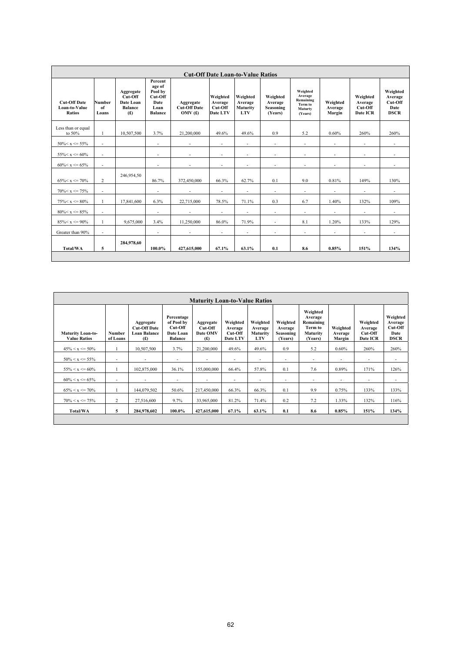|                                                       | <b>Cut-Off Date Loan-to-Value Ratios</b> |                                                            |                                                                           |                                            |                                            |                                               |                                             |                                                                   |                               |                                            |                                                       |  |  |  |
|-------------------------------------------------------|------------------------------------------|------------------------------------------------------------|---------------------------------------------------------------------------|--------------------------------------------|--------------------------------------------|-----------------------------------------------|---------------------------------------------|-------------------------------------------------------------------|-------------------------------|--------------------------------------------|-------------------------------------------------------|--|--|--|
| <b>Cut-Off Date</b><br>Loan-to-Value<br><b>Ratios</b> | <b>Number</b><br>of<br>Loans             | Aggregate<br>Cut-Off<br>Date Loan<br><b>Balance</b><br>(f) | Percent<br>age of<br>Pool by<br>Cut-Off<br>Date<br>Loan<br><b>Balance</b> | Aggregate<br><b>Cut-Off Date</b><br>OMV(f) | Weighted<br>Average<br>Cut-Off<br>Date LTV | Weighted<br>Average<br>Maturity<br><b>LTV</b> | Weighted<br>Average<br>Seasoning<br>(Years) | Weighted<br>Average<br>Remaining<br>Term to<br>Maturty<br>(Years) | Weighted<br>Average<br>Margin | Weighted<br>Average<br>Cut-Off<br>Date ICR | Weighted<br>Average<br>Cut-Off<br>Date<br><b>DSCR</b> |  |  |  |
| Less than or equal<br>to $50\%$                       | $\overline{1}$                           | 10,507,500                                                 | 3.7%                                                                      | 21,200,000                                 | 49.6%                                      | 49.6%                                         | 0.9                                         | 5.2                                                               | 0.60%                         | 260%                                       | 260%                                                  |  |  |  |
| $50\% < x \le 55\%$                                   | $\sim$                                   |                                                            | $\overline{\phantom{a}}$                                                  | $\sim$                                     | $\overline{\phantom{a}}$                   | $\overline{\phantom{a}}$                      | $\overline{\phantom{a}}$                    | $\overline{\phantom{a}}$                                          | $\overline{\phantom{a}}$      | $\overline{\phantom{a}}$                   | $\overline{\phantom{0}}$                              |  |  |  |
| $55\% < x \le 60\%$                                   | $\sim$                                   |                                                            | $\overline{\phantom{a}}$                                                  | $\sim$                                     | $\overline{\phantom{a}}$                   | $\overline{a}$                                | $\qquad \qquad \blacksquare$                | $\overline{\phantom{a}}$                                          | $\overline{\phantom{a}}$      | $\overline{\phantom{a}}$                   | $\overline{\phantom{a}}$                              |  |  |  |
| $60\% < x \le 65\%$                                   | $\sim$                                   |                                                            | $\overline{\phantom{a}}$                                                  | $\sim$                                     | $\overline{\phantom{a}}$                   | $\overline{a}$                                | $\overline{\phantom{a}}$                    | $\overline{\phantom{a}}$                                          | $\overline{\phantom{a}}$      | $\overline{\phantom{a}}$                   | $\overline{\phantom{a}}$                              |  |  |  |
| $65\% < x \le 70\%$                                   | 2                                        | 246,954,50                                                 | 86.7%                                                                     | 372,450,000                                | 66.3%                                      | 62.7%                                         | 0.1                                         | 9.0                                                               | 0.81%                         | 149%                                       | 130%                                                  |  |  |  |
| $70\% < x \le 75\%$                                   | $\sim$                                   |                                                            |                                                                           | $\overline{\phantom{a}}$                   | $\sim$                                     | $\overline{\phantom{a}}$                      | $\overline{\phantom{a}}$                    | $\overline{\phantom{a}}$                                          | $\sim$                        |                                            | $\overline{a}$                                        |  |  |  |
| $75\% < x \leq 80\%$                                  | $\overline{1}$                           | 17,841,600                                                 | 6.3%                                                                      | 22,715,000                                 | 78.5%                                      | 71.1%                                         | 0.3                                         | 6.7                                                               | 1.40%                         | 132%                                       | 109%                                                  |  |  |  |
| $80\% < x \leq 85\%$                                  | $\sim$                                   |                                                            | $\overline{\phantom{a}}$                                                  |                                            | $\sim$                                     | $\sim$                                        | $\sim$                                      | $\overline{a}$                                                    | $\sim$                        | $\overline{\phantom{a}}$                   | $\overline{a}$                                        |  |  |  |
| $85\% < x \le 90\%$                                   | $\overline{1}$                           | 9,675,000                                                  | 3.4%                                                                      | 11,250,000                                 | 86.0%                                      | 71.9%                                         | $\overline{\phantom{a}}$                    | 8.1                                                               | 1.20%                         | 133%                                       | 129%                                                  |  |  |  |
| Greater than 90%                                      | $\sim$                                   |                                                            | $\overline{\phantom{a}}$                                                  |                                            | $\sim$                                     | $\overline{\phantom{a}}$                      | $\overline{\phantom{a}}$                    | $\sim$                                                            | $\overline{\phantom{a}}$      | $\overline{\phantom{a}}$                   | ٠                                                     |  |  |  |
| Total/WA                                              | 5                                        | 284,978,60                                                 | 100.0%                                                                    | 427,615,000                                | 67.1%                                      | 63.1%                                         | 0.1                                         | 8.6                                                               | 0.85%                         | 151%                                       | 134%                                                  |  |  |  |

|                                                 | <b>Maturity Loan-to-Value Ratios</b> |                                                                |                                                                    |                                         |                                            |                                               |                                                    |                                                                    |                               |                                               |                                                       |  |  |  |
|-------------------------------------------------|--------------------------------------|----------------------------------------------------------------|--------------------------------------------------------------------|-----------------------------------------|--------------------------------------------|-----------------------------------------------|----------------------------------------------------|--------------------------------------------------------------------|-------------------------------|-----------------------------------------------|-------------------------------------------------------|--|--|--|
| <b>Maturity Loan-to-</b><br><b>Value Ratios</b> | <b>Number</b><br>of Loans            | Aggregate<br><b>Cut-Off Date</b><br><b>Loan Balance</b><br>(f) | Percentage<br>of Pool by<br>Cut-Off<br>Date Loan<br><b>Balance</b> | Aggregate<br>Cut-Off<br>Date OMV<br>(f) | Weighted<br>Average<br>Cut-Off<br>Date LTV | Weighted<br>Average<br>Maturity<br><b>LTV</b> | Weighted<br>Average<br><b>Seasoning</b><br>(Years) | Weighted<br>Average<br>Remaining<br>Term to<br>Maturity<br>(Years) | Weighted<br>Average<br>Margin | Weighted<br>Average<br>$Cut$ -Off<br>Date ICR | Weighted<br>Average<br>Cut-Off<br>Date<br><b>DSCR</b> |  |  |  |
| $45\% < x \le 50\%$                             |                                      | 10,507,500                                                     | 3.7%                                                               | 21.200.000                              | 49.6%                                      | 49.6%                                         | 0.9                                                | 5.2                                                                | 0.60%                         | 260%                                          | 260%                                                  |  |  |  |
| $50\% < x \le 55\%$                             | $\overline{\phantom{a}}$             | $\overline{\phantom{a}}$                                       | $\overline{\phantom{a}}$                                           | $\overline{\phantom{a}}$                | $\blacksquare$                             | $\overline{\phantom{a}}$                      | $\overline{\phantom{a}}$                           | $\sim$                                                             | $\blacksquare$                | $\overline{\phantom{a}}$                      | $\sim$                                                |  |  |  |
| $55\% < x \le 60\%$                             |                                      | 102,875,000                                                    | 36.1%                                                              | 155,000,000                             | 66.4%                                      | 57.8%                                         | 0.1                                                | 7.6                                                                | 0.89%                         | 171%                                          | 126%                                                  |  |  |  |
| $60\% < x \le 65\%$                             | ٠                                    | $\overline{\phantom{a}}$                                       | $\overline{\phantom{a}}$                                           | $\overline{\phantom{a}}$                | $\overline{\phantom{a}}$                   | $\overline{\phantom{a}}$                      | $\overline{\phantom{a}}$                           | $\overline{\phantom{a}}$                                           | $\overline{\phantom{a}}$      | $\overline{\phantom{a}}$                      | $\overline{\phantom{a}}$                              |  |  |  |
| $65\% < x \le 70\%$                             |                                      | 144,079,502                                                    | 50.6%                                                              | 217,450,000                             | 66.3%                                      | 66.3%                                         | 0.1                                                | 9.9                                                                | 0.75%                         | 133%                                          | 133%                                                  |  |  |  |
| $70\% < x \le 75\%$                             | 2                                    | 27,516,600                                                     | 9.7%                                                               | 33,965,000                              | 81.2%                                      | 71.4%                                         | 0.2                                                | 7.2                                                                | 1.33%                         | 132%                                          | 116%                                                  |  |  |  |
| Total/WA                                        | 5                                    | 284,978,602                                                    | 100.0%                                                             | 427,615,000                             | 67.1%                                      | 63.1%                                         | 0.1                                                | 8.6                                                                | 0.85%                         | 151%                                          | 134%                                                  |  |  |  |
|                                                 |                                      |                                                                |                                                                    |                                         |                                            |                                               |                                                    |                                                                    |                               |                                               |                                                       |  |  |  |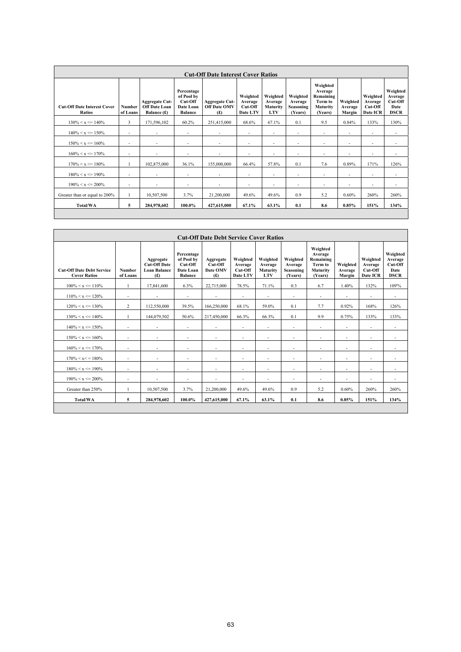| <b>Cut-Off Date Interest Cover Ratios</b>           |                           |                                                              |                                                                    |                                                     |                                            |                                                      |                                                    |                                                                    |                               |                                            |                                                       |  |
|-----------------------------------------------------|---------------------------|--------------------------------------------------------------|--------------------------------------------------------------------|-----------------------------------------------------|--------------------------------------------|------------------------------------------------------|----------------------------------------------------|--------------------------------------------------------------------|-------------------------------|--------------------------------------------|-------------------------------------------------------|--|
| <b>Cut-Off Date Interest Cover</b><br><b>Ratios</b> | <b>Number</b><br>of Loans | <b>Aggregate Cut-</b><br><b>Off Date Loan</b><br>Balance (£) | Percentage<br>of Pool by<br>Cut-Off<br>Date Loan<br><b>Balance</b> | <b>Aggregate Cut-</b><br><b>Off Date OMV</b><br>(f) | Weighted<br>Average<br>Cut-Off<br>Date LTV | Weighted<br>Average<br><b>Maturity</b><br><b>LTV</b> | Weighted<br>Average<br><b>Seasoning</b><br>(Years) | Weighted<br>Average<br>Remaining<br>Term to<br>Maturity<br>(Years) | Weighted<br>Average<br>Margin | Weighted<br>Average<br>Cut-Off<br>Date ICR | Weighted<br>Average<br>Cut-Off<br>Date<br><b>DSCR</b> |  |
| $130\% < x \leq 140\%$                              | $\overline{3}$            | 171,596,102                                                  | 60.2%                                                              | 251,415,000                                         | 68.6%                                      | 67.1%                                                | 0.1                                                | 9.5                                                                | 0.84%                         | 133%                                       | 130%                                                  |  |
| $140\% < x \leq 150\%$                              | ٠                         |                                                              | $\overline{\phantom{a}}$                                           |                                                     | ٠                                          | $\overline{\phantom{a}}$                             | $\overline{\phantom{a}}$                           | $\overline{\phantom{a}}$                                           | $\overline{\phantom{a}}$      | ٠                                          | $\overline{\phantom{a}}$                              |  |
| $150\% < x \le 160\%$                               | $\overline{\phantom{a}}$  |                                                              | $\overline{\phantom{a}}$                                           | ۰                                                   | $\overline{\phantom{a}}$                   | ٠                                                    | $\overline{\phantom{a}}$                           | $\overline{\phantom{a}}$                                           | $\overline{\phantom{a}}$      | ٠                                          | $\overline{\phantom{a}}$                              |  |
| $160\% < x \leq 170\%$                              | $\overline{\phantom{a}}$  | $\overline{\phantom{a}}$                                     | $\overline{\phantom{a}}$                                           | $\overline{\phantom{a}}$                            | $\overline{\phantom{a}}$                   | $\overline{\phantom{a}}$                             | $\blacksquare$                                     | $\overline{\phantom{a}}$                                           | $\blacksquare$                | $\overline{\phantom{a}}$                   | $\blacksquare$                                        |  |
| $170\% < x \leq 180\%$                              |                           | 102,875,000                                                  | 36.1%                                                              | 155,000,000                                         | 66.4%                                      | 57.8%                                                | 0.1                                                | 7.6                                                                | 0.89%                         | 171%                                       | 126%                                                  |  |
| $180\% < x \leq 190\%$                              | $\overline{\phantom{a}}$  | ٠                                                            | $\overline{\phantom{a}}$                                           | $\overline{\phantom{a}}$                            | ٠                                          | $\overline{\phantom{a}}$                             | $\overline{\phantom{a}}$                           | $\overline{\phantom{a}}$                                           | $\overline{\phantom{a}}$      | ٠                                          | $\overline{\phantom{a}}$                              |  |
| $190\% < x \le 200\%$                               | ٠                         | $\overline{\phantom{a}}$                                     | $\overline{\phantom{a}}$                                           | $\overline{\phantom{a}}$                            | ٠                                          | $\overline{\phantom{a}}$                             | $\overline{\phantom{a}}$                           | $\overline{\phantom{a}}$                                           | $\overline{\phantom{a}}$      | ٠                                          | $\sim$                                                |  |
| Greater than or equal to 200%                       |                           | 10,507,500                                                   | 3.7%                                                               | 21,200,000                                          | 49.6%                                      | 49.6%                                                | 0.9                                                | 5.2                                                                | 0.60%                         | 260%                                       | 260%                                                  |  |
| <b>Total/WA</b>                                     | 5                         | 284,978,602                                                  | 100.0%                                                             | 427,615,000                                         | 67.1%                                      | 63.1%                                                | 0.1                                                | 8.6                                                                | 0.85%                         | 151%                                       | 134%                                                  |  |
|                                                     |                           |                                                              |                                                                    |                                                     |                                            |                                                      |                                                    |                                                                    |                               |                                            |                                                       |  |

| <b>Cut-Off Date Debt Service Cover Ratios</b>           |                          |                                                                |                                                                    |                                         |                                            |                                               |                                                    |                                                                    |                               |                                            |                                                       |  |  |
|---------------------------------------------------------|--------------------------|----------------------------------------------------------------|--------------------------------------------------------------------|-----------------------------------------|--------------------------------------------|-----------------------------------------------|----------------------------------------------------|--------------------------------------------------------------------|-------------------------------|--------------------------------------------|-------------------------------------------------------|--|--|
| <b>Cut-Off Date Debt Service</b><br><b>Cover Ratios</b> | Number<br>of Loans       | Aggregate<br><b>Cut-Off Date</b><br><b>Loan Balance</b><br>(f) | Percentage<br>of Pool by<br>Cut-Off<br>Date Loan<br><b>Balance</b> | Aggregate<br>Cut-Off<br>Date OMV<br>(f) | Weighted<br>Average<br>Cut-Off<br>Date LTV | Weighted<br>Average<br>Maturity<br><b>LTV</b> | Weighted<br>Average<br><b>Seasoning</b><br>(Years) | Weighted<br>Average<br>Remaining<br>Term to<br>Maturity<br>(Years) | Weighted<br>Average<br>Margin | Weighted<br>Average<br>Cut-Off<br>Date ICR | Weighted<br>Average<br>Cut-Off<br>Date<br><b>DSCR</b> |  |  |
| $100\% < x \leq 110\%$                                  | $\overline{1}$           | 17.841.600                                                     | 6.3%                                                               | 22,715,000                              | 78.5%                                      | 71.1%                                         | 0.3                                                | 6.7                                                                | 1.40%                         | 132%                                       | 109%                                                  |  |  |
| $110\% < x \leq 120\%$                                  | ٠                        | $\overline{\phantom{a}}$                                       | $\blacksquare$                                                     | $\overline{\phantom{a}}$                | $\overline{\phantom{a}}$                   | ٠                                             | $\overline{\phantom{a}}$                           | $\overline{\phantom{a}}$                                           | $\overline{\phantom{a}}$      | $\overline{\phantom{a}}$                   | $\sim$                                                |  |  |
| $120\% < x \leq 130\%$                                  | 2                        | 112,550,000                                                    | 39.5%                                                              | 166,250,000                             | 68.1%                                      | 59.0%                                         | 0.1                                                | 7.7                                                                | 0.92%                         | 168%                                       | 126%                                                  |  |  |
| $130\% < x \leq 140\%$                                  |                          | 144,079,502                                                    | 50.6%                                                              | 217,450,000                             | 66.3%                                      | 66.3%                                         | 0.1                                                | 9.9                                                                | 0.75%                         | 133%                                       | 133%                                                  |  |  |
| $140\% < x \leq 150\%$                                  | $\overline{\phantom{a}}$ | ٠                                                              | ٠                                                                  | $\overline{\phantom{a}}$                | ٠                                          | ٠                                             | $\overline{\phantom{a}}$                           | $\overline{\phantom{a}}$                                           | $\overline{\phantom{a}}$      | $\overline{a}$                             | ۰.                                                    |  |  |
| $150\% < x \leq 160\%$                                  | ٠                        | $\overline{\phantom{a}}$                                       | $\overline{\phantom{a}}$                                           | $\blacksquare$                          | $\overline{\phantom{a}}$                   | -                                             | ٠                                                  | $\overline{\phantom{a}}$                                           | $\overline{\phantom{a}}$      | ٠                                          | $\overline{\phantom{a}}$                              |  |  |
| $160\% < x \leq 170\%$                                  | $\overline{\phantom{a}}$ | $\overline{\phantom{a}}$                                       | $\overline{\phantom{a}}$                                           | $\overline{\phantom{a}}$                | ٠                                          | ٠                                             | $\overline{\phantom{a}}$                           | $\overline{\phantom{a}}$                                           | ٠                             | $\overline{a}$                             | $\overline{\phantom{a}}$                              |  |  |
| $170\% < x < 180\%$                                     | $\overline{\phantom{a}}$ |                                                                | $\overline{\phantom{a}}$                                           | $\overline{\phantom{a}}$                | ٠                                          | ٠                                             | $\overline{\phantom{a}}$                           | $\overline{\phantom{a}}$                                           |                               | ٠                                          |                                                       |  |  |
| $180\% < x \leq 190\%$                                  | $\overline{a}$           | $\overline{\phantom{a}}$                                       | $\overline{\phantom{a}}$                                           | $\overline{\phantom{a}}$                | ٠                                          | ٠                                             | $\overline{\phantom{a}}$                           |                                                                    | $\overline{\phantom{a}}$      | $\overline{a}$                             | ٠                                                     |  |  |
| $190\% < x \le 200\%$                                   | $\overline{\phantom{a}}$ | $\overline{\phantom{0}}$                                       | $\overline{\phantom{a}}$                                           | $\overline{\phantom{a}}$                | $\overline{\phantom{a}}$                   | -                                             | $\overline{\phantom{a}}$                           | $\blacksquare$                                                     | $\overline{\phantom{a}}$      | $\qquad \qquad \blacksquare$               | $\sim$                                                |  |  |
| Greater than 250%                                       |                          | 10,507,500                                                     | 3.7%                                                               | 21,200,000                              | 49.6%                                      | 49.6%                                         | 0.9                                                | 5.2                                                                | 0.60%                         | 260%                                       | 260%                                                  |  |  |
| <b>Total/WA</b>                                         | 5                        | 284,978,602                                                    | 100.0%                                                             | 427,615,000                             | 67.1%                                      | 63.1%                                         | 0.1                                                | 8.6                                                                | 0.85%                         | 151%                                       | 134%                                                  |  |  |
|                                                         |                          |                                                                |                                                                    |                                         |                                            |                                               |                                                    |                                                                    |                               |                                            |                                                       |  |  |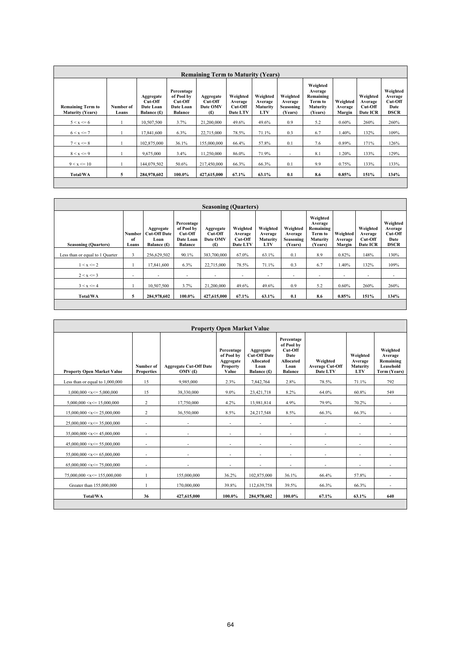| <b>Remaining Term to Maturity (Years)</b>           |                    |                                                     |                                                                    |                                         |                                               |                                               |                                             |                                                                    |                               |                                            |                                                       |
|-----------------------------------------------------|--------------------|-----------------------------------------------------|--------------------------------------------------------------------|-----------------------------------------|-----------------------------------------------|-----------------------------------------------|---------------------------------------------|--------------------------------------------------------------------|-------------------------------|--------------------------------------------|-------------------------------------------------------|
| <b>Remaining Term to</b><br><b>Maturity (Years)</b> | Number of<br>Loans | Aggregate<br>$Cut$ -Off<br>Date Loan<br>Balance (£) | Percentage<br>of Pool by<br>Cut-Off<br>Date Loan<br><b>Balance</b> | Aggregate<br>Cut-Off<br>Date OMV<br>(f) | Weighted<br>Average<br>$Cut$ -Off<br>Date LTV | Weighted<br>Average<br>Maturity<br><b>LTV</b> | Weighted<br>Average<br>Seasoning<br>(Years) | Weighted<br>Average<br>Remaining<br>Term to<br>Maturity<br>(Years) | Weighted<br>Average<br>Margin | Weighted<br>Average<br>Cut-Off<br>Date ICR | Weighted<br>Average<br>Cut-Off<br>Date<br><b>DSCR</b> |
| $5 < x \le 6$                                       |                    | 10,507,500                                          | 3.7%                                                               | 21,200,000                              | 49.6%                                         | 49.6%                                         | 0.9                                         | 5.2                                                                | 0.60%                         | 260%                                       | 260%                                                  |
| $6 < x \le 7$                                       |                    | 17,841,600                                          | 6.3%                                                               | 22,715,000                              | 78.5%                                         | 71.1%                                         | 0.3                                         | 6.7                                                                | 1.40%                         | 132%                                       | 109%                                                  |
| $7 < x \le 8$                                       |                    | 102,875,000                                         | 36.1%                                                              | 155,000,000                             | 66.4%                                         | 57.8%                                         | 0.1                                         | 7.6                                                                | 0.89%                         | 171%                                       | 126%                                                  |
| $8 < x \leq 9$                                      |                    | 9,675,000                                           | 3.4%                                                               | 11,250,000                              | 86.0%                                         | 71.9%                                         | $\blacksquare$                              | 8.1                                                                | .20%                          | 133%                                       | 129%                                                  |
| $9 < x \le 10$                                      |                    | 144,079,502                                         | 50.6%                                                              | 217,450,000                             | 66.3%                                         | 66.3%                                         | 0.1                                         | 9.9                                                                | 0.75%                         | 133%                                       | 133%                                                  |
| Total/WA                                            | 5                  | 284,978,602                                         | 100.0%                                                             | 427,615,000                             | 67.1%                                         | 63.1%                                         | 0.1                                         | 8.6                                                                | 0.85%                         | 151%                                       | 134%                                                  |
|                                                     |                    |                                                     |                                                                    |                                         |                                               |                                               |                                             |                                                                    |                               |                                            |                                                       |

| <b>Seasoning (Quarters)</b>     |                          |                                                         |                                                                    |                                         |                                            |                                               |                                             |                                                                           |                               |                                            |                                                       |
|---------------------------------|--------------------------|---------------------------------------------------------|--------------------------------------------------------------------|-----------------------------------------|--------------------------------------------|-----------------------------------------------|---------------------------------------------|---------------------------------------------------------------------------|-------------------------------|--------------------------------------------|-------------------------------------------------------|
| <b>Seasoning (Quarters)</b>     | Number<br>of<br>Loans    | Aggregate<br><b>Cut-Off Date</b><br>Loan<br>Balance (£) | Percentage<br>of Pool by<br>Cut-Off<br>Date Loan<br><b>Balance</b> | Aggregate<br>Cut-Off<br>Date OMV<br>(f) | Weighted<br>Average<br>Cut-Off<br>Date LTV | Weighted<br>Average<br>Maturity<br><b>LTV</b> | Weighted<br>Average<br>Seasoning<br>(Years) | Weighted<br>Average<br>Remaining<br>Term to<br><b>Maturity</b><br>(Years) | Weighted<br>Average<br>Margin | Weighted<br>Average<br>Cut-Off<br>Date ICR | Weighted<br>Average<br>Cut-Off<br>Date<br><b>DSCR</b> |
| Less than or equal to 1 Quarter | 3                        | 256,629,502                                             | 90.1%                                                              | 383,700,000                             | 67.0%                                      | 63.1%                                         | 0.1                                         | 8.9                                                                       | 0.82%                         | 148%                                       | 130%                                                  |
| $1 < x \leq 2$                  |                          | 17,841,600                                              | 6.3%                                                               | 22,715,000                              | 78.5%                                      | 71.1%                                         | 0.3                                         | 6.7                                                                       | 1.40%                         | 132%                                       | 109%                                                  |
| $2 < x \le 3$                   | $\overline{\phantom{a}}$ | $\overline{\phantom{a}}$                                | $\sim$                                                             | $\blacksquare$                          | $\blacksquare$                             | $\sim$                                        | $\overline{\phantom{a}}$                    | $\sim$                                                                    | $\overline{\phantom{a}}$      | $\blacksquare$                             | $\sim$                                                |
| $3 < x \leq 4$                  |                          | 10.507.500                                              | 3.7%                                                               | 21,200,000                              | 49.6%                                      | 49.6%                                         | 0.9                                         | 5.2                                                                       | 0.60%                         | 260%                                       | 260%                                                  |
| Total/WA                        | 5                        | 284,978,602                                             | 100.0%                                                             | 427,615,000                             | 67.1%                                      | 63.1%                                         | 0.1                                         | 8.6                                                                       | $0.85\%$                      | 151%                                       | 134%                                                  |

| <b>Property Open Market Value</b>  |                                |                                         |                                                                   |                                                                      |                                                                                           |                                                |                                               |                                                               |  |
|------------------------------------|--------------------------------|-----------------------------------------|-------------------------------------------------------------------|----------------------------------------------------------------------|-------------------------------------------------------------------------------------------|------------------------------------------------|-----------------------------------------------|---------------------------------------------------------------|--|
| <b>Property Open Market Value</b>  | Number of<br><b>Properties</b> | <b>Aggregate Cut-Off Date</b><br>OMV(f) | Percentage<br>of Pool by<br>Aggregate<br><b>Property</b><br>Value | Aggregate<br><b>Cut-Off Date</b><br>Allocated<br>Loan<br>Balance (£) | Percentage<br>of Pool by<br>Cut-Off<br>Date<br><b>Allocated</b><br>Loan<br><b>Balance</b> | Weighted<br><b>Average Cut-Off</b><br>Date LTV | Weighted<br>Average<br>Maturity<br><b>LTV</b> | Weighted<br>Average<br>Remaining<br>Leasehold<br>Term (Years) |  |
| Less than or equal to 1,000,000    | 15                             | 9,985,000                               | 2.3%                                                              | 7,842,764                                                            | 2.8%                                                                                      | 78.5%                                          | 71.1%                                         | 792                                                           |  |
| $1,000,000 \le x \le 5,000,000$    | 15                             | 38,330,000                              | 9.0%                                                              | 23,421,718                                                           | 8.2%                                                                                      | 64.0%                                          | 60.8%                                         | 549                                                           |  |
| $5,000,000 \le x \le 15,000,000$   | $\overline{c}$                 | 17,750,000                              | 4.2%                                                              | 13,981,814                                                           | 4.9%                                                                                      | 79.9%                                          | 70.2%                                         |                                                               |  |
| $15,000,000 \le x \le 25,000,000$  | 2                              | 36,550,000                              | 8.5%                                                              | 24,217,548                                                           | 8.5%                                                                                      | 66.3%                                          | 66.3%                                         |                                                               |  |
| $25,000,000 \le x \le 35,000,000$  | ۰                              | $\overline{a}$                          | $\overline{\phantom{a}}$                                          |                                                                      | $\overline{\phantom{a}}$                                                                  |                                                | $\qquad \qquad \blacksquare$                  |                                                               |  |
| $35,000,000 \le x \le 45,000,000$  | $\overline{a}$                 |                                         | ٠                                                                 | $\overline{\phantom{a}}$                                             | $\overline{\phantom{a}}$                                                                  | ٠                                              | $\overline{\phantom{a}}$                      |                                                               |  |
| $45,000,000 \le x \le 55,000,000$  | $\overline{\phantom{a}}$       |                                         | ٠                                                                 | $\overline{\phantom{a}}$                                             | ٠                                                                                         | ٠                                              | $\overline{\phantom{a}}$                      | $\overline{\phantom{a}}$                                      |  |
| $55.000.000 \le x \le 65.000.000$  | $\overline{\phantom{a}}$       |                                         | ٠                                                                 | $\overline{\phantom{a}}$                                             | $\overline{\phantom{a}}$                                                                  | ٠                                              | $\overline{\phantom{a}}$                      | $\overline{\phantom{a}}$                                      |  |
| $65.000.000 \le x \le 75.000.000$  | $\overline{\phantom{a}}$       | $\overline{\phantom{0}}$                | ٠                                                                 | $\overline{\phantom{a}}$                                             | $\overline{\phantom{a}}$                                                                  | $\overline{\phantom{a}}$                       | $\overline{\phantom{a}}$                      | $\sim$                                                        |  |
| $75.000.000 \le x \le 155.000.000$ |                                | 155,000,000                             | 36.2%                                                             | 102,875,000                                                          | 36.1%                                                                                     | 66.4%                                          | 57.8%                                         | $\overline{\phantom{a}}$                                      |  |
| Greater than 155,000,000           | $\mathbf{1}$                   | 170,000,000                             | 39.8%                                                             | 112,639,758                                                          | 39.5%                                                                                     | 66.3%                                          | 66.3%                                         | $\overline{\phantom{a}}$                                      |  |
| <b>Total/WA</b>                    | 36                             | 427.615.000                             | 100.0%                                                            | 284,978,602                                                          | 100.0%                                                                                    | 67.1%                                          | 63.1%                                         | 640                                                           |  |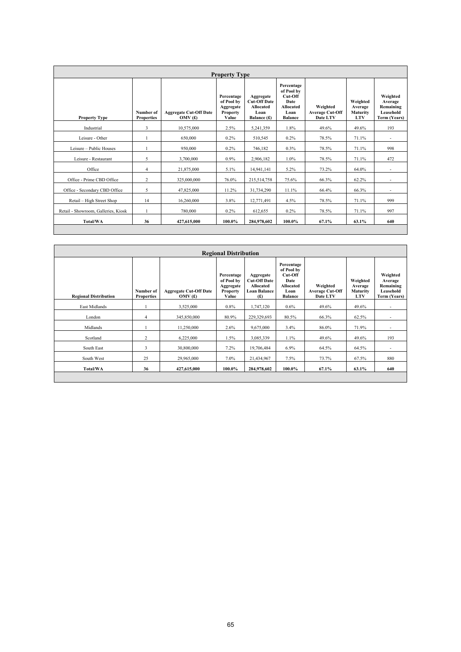| <b>Property Type</b>                |                                |                                         |                                                            |                                                                             |                                                                                           |                                                |                                               |                                                               |  |  |
|-------------------------------------|--------------------------------|-----------------------------------------|------------------------------------------------------------|-----------------------------------------------------------------------------|-------------------------------------------------------------------------------------------|------------------------------------------------|-----------------------------------------------|---------------------------------------------------------------|--|--|
| <b>Property Type</b>                | Number of<br><b>Properties</b> | <b>Aggregate Cut-Off Date</b><br>OMV(f) | Percentage<br>of Pool by<br>Aggregate<br>Property<br>Value | Aggregate<br><b>Cut-Off Date</b><br><b>Allocated</b><br>Loan<br>Balance (£) | Percentage<br>of Pool by<br>Cut-Off<br>Date<br><b>Allocated</b><br>Loan<br><b>Balance</b> | Weighted<br><b>Average Cut-Off</b><br>Date LTV | Weighted<br>Average<br>Maturity<br><b>LTV</b> | Weighted<br>Average<br>Remaining<br>Leasehold<br>Term (Years) |  |  |
| Industrial                          | 3                              | 10,575,000                              | 2.5%                                                       | 5,241,359                                                                   | 1.8%                                                                                      | 49.6%                                          | 49.6%                                         | 193                                                           |  |  |
| Leisure - Other                     |                                | 650,000                                 | 0.2%                                                       | 510,545                                                                     | 0.2%                                                                                      | 78.5%                                          | 71.1%                                         | $\overline{\phantom{a}}$                                      |  |  |
| Leisure - Public Houses             |                                | 950.000                                 | 0.2%                                                       | 746,182                                                                     | $0.3\%$                                                                                   | 78.5%                                          | 71.1%                                         | 998                                                           |  |  |
| Leisure - Restaurant                | 5                              | 3,700,000                               | 0.9%                                                       | 2,906,182                                                                   | $1.0\%$                                                                                   | 78.5%                                          | 71.1%                                         | 472                                                           |  |  |
| Office                              | 4                              | 21,875,000                              | 5.1%                                                       | 14,941,141                                                                  | 5.2%                                                                                      | 73.2%                                          | 64.0%                                         | $\overline{\phantom{a}}$                                      |  |  |
| Office - Prime CBD Office           | 2                              | 325,000,000                             | 76.0%                                                      | 215,514,758                                                                 | 75.6%                                                                                     | 66.3%                                          | 62.2%                                         |                                                               |  |  |
| Office - Secondary CBD Office       | 5                              | 47,825,000                              | 11.2%                                                      | 31,734,290                                                                  | 11.1%                                                                                     | 66.4%                                          | 66.3%                                         | $\overline{\phantom{a}}$                                      |  |  |
| Retail - High Street Shop           | 14                             | 16,260,000                              | 3.8%                                                       | 12,771,491                                                                  | 4.5%                                                                                      | 78.5%                                          | 71.1%                                         | 999                                                           |  |  |
| Retail - Showroom, Galleries, Kiosk | 1                              | 780,000                                 | 0.2%                                                       | 612,655                                                                     | $0.2\%$                                                                                   | 78.5%                                          | 71.1%                                         | 997                                                           |  |  |
| <b>Total/WA</b>                     | 36                             | 427,615,000                             | 100.0%                                                     | 284,978,602                                                                 | 100.0%                                                                                    | 67.1%                                          | 63.1%                                         | 640                                                           |  |  |
|                                     |                                |                                         |                                                            |                                                                             |                                                                                           |                                                |                                               |                                                               |  |  |

| <b>Regional Distribution</b> |                                |                                            |                                                                   |                                                                             |                                                                                           |                                                |                                               |                                                               |  |  |
|------------------------------|--------------------------------|--------------------------------------------|-------------------------------------------------------------------|-----------------------------------------------------------------------------|-------------------------------------------------------------------------------------------|------------------------------------------------|-----------------------------------------------|---------------------------------------------------------------|--|--|
| <b>Regional Distribution</b> | Number of<br><b>Properties</b> | <b>Aggregate Cut-Off Date</b><br>OMV $(f)$ | Percentage<br>of Pool by<br>Aggregate<br><b>Property</b><br>Value | Aggregate<br><b>Cut-Off Date</b><br>Allocated<br><b>Loan Balance</b><br>(f) | Percentage<br>of Pool by<br>Cut-Off<br>Date<br><b>Allocated</b><br>Loan<br><b>Balance</b> | Weighted<br><b>Average Cut-Off</b><br>Date LTV | Weighted<br>Average<br>Maturity<br><b>LTV</b> | Weighted<br>Average<br>Remaining<br>Leasehold<br>Term (Years) |  |  |
| East Midlands                |                                | 3,525,000                                  | 0.8%                                                              | 1,747,120                                                                   | $0.6\%$                                                                                   | 49.6%                                          | 49.6%                                         | $\overline{\phantom{a}}$                                      |  |  |
| London                       | 4                              | 345,850,000                                | 80.9%                                                             | 229,329,693                                                                 | 80.5%                                                                                     | 66.3%                                          | 62.5%                                         |                                                               |  |  |
| Midlands                     |                                | 11,250,000                                 | 2.6%                                                              | 9,675,000                                                                   | 3.4%                                                                                      | 86.0%                                          | 71.9%                                         | $\overline{\phantom{a}}$                                      |  |  |
| Scotland                     | $\overline{2}$                 | 6,225,000                                  | 1.5%                                                              | 3,085,339                                                                   | 1.1%                                                                                      | 49.6%                                          | 49.6%                                         | 193                                                           |  |  |
| South East                   | 3                              | 30,800,000                                 | 7.2%                                                              | 19,706,484                                                                  | 6.9%                                                                                      | 64.5%                                          | 64.5%                                         | $\overline{\phantom{a}}$                                      |  |  |
| South West                   | 25                             | 29,965,000                                 | $7.0\%$                                                           | 21,434,967                                                                  | 7.5%                                                                                      | 73.7%                                          | 67.5%                                         | 880                                                           |  |  |
| Total/WA                     | 36                             | 427,615,000                                | 100.0%                                                            | 284,978,602                                                                 | 100.0%                                                                                    | 67.1%                                          | 63.1%                                         | 640                                                           |  |  |
|                              |                                |                                            |                                                                   |                                                                             |                                                                                           |                                                |                                               |                                                               |  |  |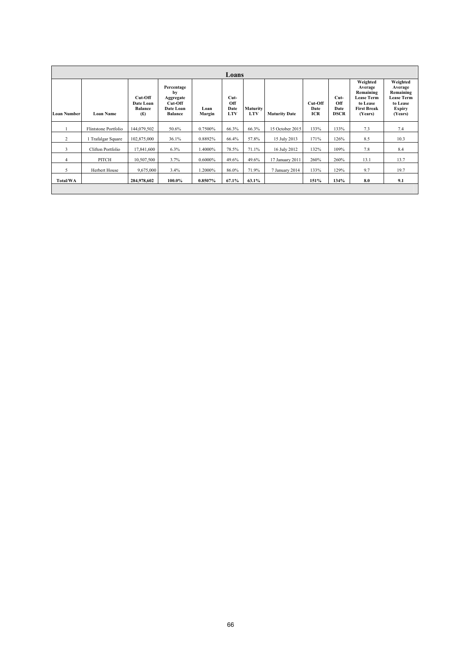|                    | Loans                |                                               |                                                                         |                |                                     |                               |                      |                        |                             |                                                                                                    |                                                                                               |
|--------------------|----------------------|-----------------------------------------------|-------------------------------------------------------------------------|----------------|-------------------------------------|-------------------------------|----------------------|------------------------|-----------------------------|----------------------------------------------------------------------------------------------------|-----------------------------------------------------------------------------------------------|
| <b>Loan Number</b> | <b>Loan Name</b>     | Cut-Off<br>Date Loan<br><b>Balance</b><br>(f) | Percentage<br>by<br>Aggregate<br>Cut-Off<br>Date Loan<br><b>Balance</b> | Loan<br>Margin | $Cut-$<br>Off<br>Date<br><b>LTV</b> | <b>Maturity</b><br><b>LTV</b> | <b>Maturity Date</b> | Cut-Off<br>Date<br>ICR | Cut-<br>Off<br>Date<br>DSCR | Weighted<br>Average<br>Remaining<br><b>Lease Term</b><br>to Lease<br><b>First Break</b><br>(Years) | Weighted<br>Average<br>Remaining<br><b>Lease Term</b><br>to Lease<br><b>Expiry</b><br>(Years) |
|                    | Flintstone Portfolio | 144,079,502                                   | 50.6%                                                                   | 0.7500%        | 66.3%                               | 66.3%                         | 15 October 2015      | 133%                   | 133%                        | 7.3                                                                                                | 7.4                                                                                           |
| 2                  | Trafalgar Square     | 102,875,000                                   | 36.1%                                                                   | 0.8892%        | 66.4%                               | 57.8%                         | 15 July 2013         | 171%                   | 126%                        | 8.5                                                                                                | 10.3                                                                                          |
| 3                  | Clifton Portfolio    | 17,841,600                                    | 6.3%                                                                    | 1.4000%        | 78.5%                               | 71.1%                         | 16 July 2012         | 132%                   | 109%                        | 7.8                                                                                                | 8.4                                                                                           |
| $\overline{4}$     | PITCH                | 10,507,500                                    | 3.7%                                                                    | 0.6000%        | 49.6%                               | 49.6%                         | 17 January 2011      | 260%                   | 260%                        | 13.1                                                                                               | 13.7                                                                                          |
| 5                  | Herbert House        | 9,675,000                                     | 3.4%                                                                    | 1.2000%        | 86.0%                               | 71.9%                         | 7 January 2014       | 133%                   | 129%                        | 9.7                                                                                                | 19.7                                                                                          |
| Total/WA           |                      | 284,978,602                                   | 100.0%                                                                  | 0.8507%        | 67.1%                               | 63.1%                         |                      | 151%                   | 134%                        | 8.0                                                                                                | 9.1                                                                                           |
|                    |                      |                                               |                                                                         |                |                                     |                               |                      |                        |                             |                                                                                                    |                                                                                               |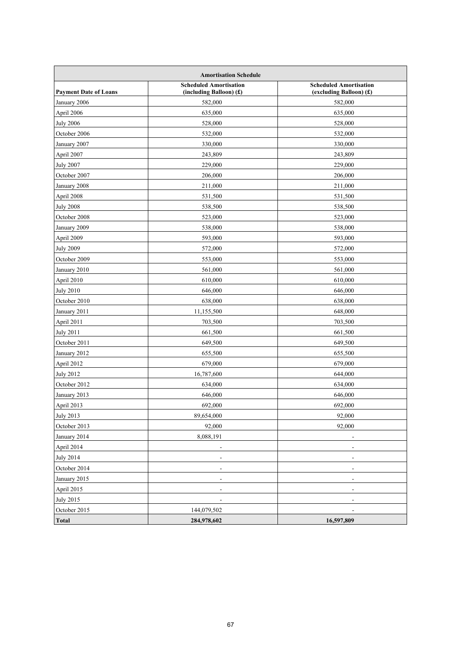| <b>Amortisation Schedule</b> |                                                            |                                                          |  |  |  |  |  |  |
|------------------------------|------------------------------------------------------------|----------------------------------------------------------|--|--|--|--|--|--|
| <b>Payment Date of Loans</b> | <b>Scheduled Amortisation</b><br>(including Balloon) $(f)$ | <b>Scheduled Amortisation</b><br>(excluding Balloon) (£) |  |  |  |  |  |  |
| January 2006                 | 582,000                                                    | 582,000                                                  |  |  |  |  |  |  |
| April 2006                   | 635,000                                                    | 635,000                                                  |  |  |  |  |  |  |
| <b>July 2006</b>             | 528,000                                                    | 528,000                                                  |  |  |  |  |  |  |
| October 2006                 | 532,000                                                    | 532,000                                                  |  |  |  |  |  |  |
| January 2007                 | 330,000                                                    | 330,000                                                  |  |  |  |  |  |  |
| April 2007                   | 243,809                                                    | 243,809                                                  |  |  |  |  |  |  |
| <b>July 2007</b>             | 229,000                                                    | 229,000                                                  |  |  |  |  |  |  |
| October 2007                 | 206,000                                                    | 206,000                                                  |  |  |  |  |  |  |
| January 2008                 | 211,000                                                    | 211,000                                                  |  |  |  |  |  |  |
| April 2008                   | 531,500                                                    | 531,500                                                  |  |  |  |  |  |  |
| <b>July 2008</b>             | 538,500                                                    | 538,500                                                  |  |  |  |  |  |  |
| October 2008                 | 523,000                                                    | 523,000                                                  |  |  |  |  |  |  |
| January 2009                 | 538,000                                                    | 538,000                                                  |  |  |  |  |  |  |
| April 2009                   | 593,000                                                    | 593,000                                                  |  |  |  |  |  |  |
| <b>July 2009</b>             | 572,000                                                    | 572,000                                                  |  |  |  |  |  |  |
| October 2009                 | 553,000                                                    | 553,000                                                  |  |  |  |  |  |  |
| January 2010                 | 561,000                                                    | 561,000                                                  |  |  |  |  |  |  |
| April 2010                   | 610,000                                                    | 610,000                                                  |  |  |  |  |  |  |
| <b>July 2010</b>             | 646,000                                                    | 646,000                                                  |  |  |  |  |  |  |
| October 2010                 | 638,000                                                    | 638,000                                                  |  |  |  |  |  |  |
| January 2011                 | 11,155,500                                                 | 648,000                                                  |  |  |  |  |  |  |
| April 2011                   | 703,500                                                    | 703,500                                                  |  |  |  |  |  |  |
| <b>July 2011</b>             | 661,500                                                    | 661,500                                                  |  |  |  |  |  |  |
| October 2011                 | 649,500                                                    | 649,500                                                  |  |  |  |  |  |  |
| January 2012                 | 655,500                                                    | 655,500                                                  |  |  |  |  |  |  |
| April 2012                   | 679,000                                                    | 679,000                                                  |  |  |  |  |  |  |
| <b>July 2012</b>             | 16,787,600                                                 | 644,000                                                  |  |  |  |  |  |  |
| October 2012                 | 634,000                                                    | 634,000                                                  |  |  |  |  |  |  |
| January 2013                 | 646,000                                                    | 646,000                                                  |  |  |  |  |  |  |
| April 2013                   | 692,000                                                    | 692,000                                                  |  |  |  |  |  |  |
| <b>July 2013</b>             | 89,654,000                                                 | 92,000                                                   |  |  |  |  |  |  |
| October 2013                 | 92,000                                                     | 92,000                                                   |  |  |  |  |  |  |
| January 2014                 | 8,088,191                                                  |                                                          |  |  |  |  |  |  |
| April 2014                   | $\overline{\phantom{a}}$                                   | $\overline{a}$                                           |  |  |  |  |  |  |
| <b>July 2014</b>             |                                                            |                                                          |  |  |  |  |  |  |
| October 2014                 |                                                            |                                                          |  |  |  |  |  |  |
| January 2015                 |                                                            |                                                          |  |  |  |  |  |  |
| April 2015                   | $\overline{\phantom{a}}$                                   |                                                          |  |  |  |  |  |  |
| <b>July 2015</b>             |                                                            |                                                          |  |  |  |  |  |  |
| October 2015                 | 144,079,502                                                |                                                          |  |  |  |  |  |  |
| <b>Total</b>                 | 284,978,602                                                | 16,597,809                                               |  |  |  |  |  |  |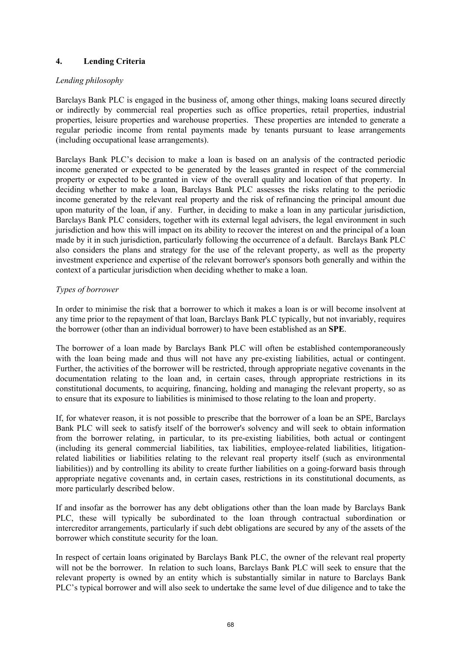# **4. Lending Criteria**

# *Lending philosophy*

Barclays Bank PLC is engaged in the business of, among other things, making loans secured directly or indirectly by commercial real properties such as office properties, retail properties, industrial properties, leisure properties and warehouse properties. These properties are intended to generate a regular periodic income from rental payments made by tenants pursuant to lease arrangements (including occupational lease arrangements).

Barclays Bank PLC's decision to make a loan is based on an analysis of the contracted periodic income generated or expected to be generated by the leases granted in respect of the commercial property or expected to be granted in view of the overall quality and location of that property. In deciding whether to make a loan, Barclays Bank PLC assesses the risks relating to the periodic income generated by the relevant real property and the risk of refinancing the principal amount due upon maturity of the loan, if any. Further, in deciding to make a loan in any particular jurisdiction, Barclays Bank PLC considers, together with its external legal advisers, the legal environment in such jurisdiction and how this will impact on its ability to recover the interest on and the principal of a loan made by it in such jurisdiction, particularly following the occurrence of a default. Barclays Bank PLC also considers the plans and strategy for the use of the relevant property, as well as the property investment experience and expertise of the relevant borrower's sponsors both generally and within the context of a particular jurisdiction when deciding whether to make a loan.

# *Types of borrower*

In order to minimise the risk that a borrower to which it makes a loan is or will become insolvent at any time prior to the repayment of that loan, Barclays Bank PLC typically, but not invariably, requires the borrower (other than an individual borrower) to have been established as an **SPE**.

The borrower of a loan made by Barclays Bank PLC will often be established contemporaneously with the loan being made and thus will not have any pre-existing liabilities, actual or contingent. Further, the activities of the borrower will be restricted, through appropriate negative covenants in the documentation relating to the loan and, in certain cases, through appropriate restrictions in its constitutional documents, to acquiring, financing, holding and managing the relevant property, so as to ensure that its exposure to liabilities is minimised to those relating to the loan and property.

If, for whatever reason, it is not possible to prescribe that the borrower of a loan be an SPE, Barclays Bank PLC will seek to satisfy itself of the borrower's solvency and will seek to obtain information from the borrower relating, in particular, to its pre-existing liabilities, both actual or contingent (including its general commercial liabilities, tax liabilities, employee-related liabilities, litigationrelated liabilities or liabilities relating to the relevant real property itself (such as environmental liabilities)) and by controlling its ability to create further liabilities on a going-forward basis through appropriate negative covenants and, in certain cases, restrictions in its constitutional documents, as more particularly described below.

If and insofar as the borrower has any debt obligations other than the loan made by Barclays Bank PLC, these will typically be subordinated to the loan through contractual subordination or intercreditor arrangements, particularly if such debt obligations are secured by any of the assets of the borrower which constitute security for the loan.

In respect of certain loans originated by Barclays Bank PLC, the owner of the relevant real property will not be the borrower. In relation to such loans, Barclays Bank PLC will seek to ensure that the relevant property is owned by an entity which is substantially similar in nature to Barclays Bank PLC's typical borrower and will also seek to undertake the same level of due diligence and to take the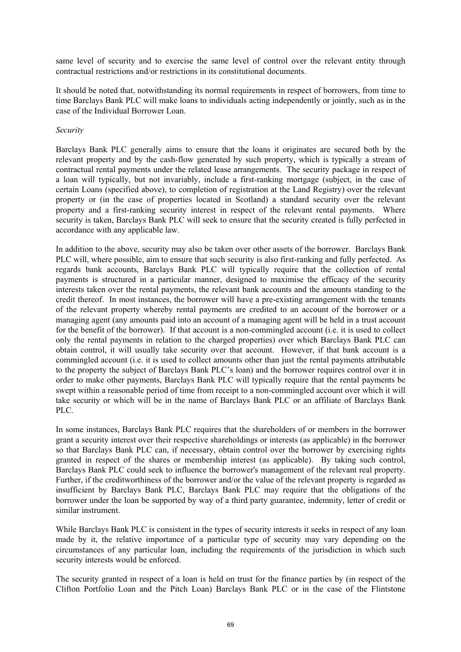same level of security and to exercise the same level of control over the relevant entity through contractual restrictions and/or restrictions in its constitutional documents.

It should be noted that, notwithstanding its normal requirements in respect of borrowers, from time to time Barclays Bank PLC will make loans to individuals acting independently or jointly, such as in the case of the Individual Borrower Loan.

#### *Security*

Barclays Bank PLC generally aims to ensure that the loans it originates are secured both by the relevant property and by the cash-flow generated by such property, which is typically a stream of contractual rental payments under the related lease arrangements. The security package in respect of a loan will typically, but not invariably, include a first-ranking mortgage (subject, in the case of certain Loans (specified above), to completion of registration at the Land Registry) over the relevant property or (in the case of properties located in Scotland) a standard security over the relevant property and a first-ranking security interest in respect of the relevant rental payments. Where security is taken, Barclays Bank PLC will seek to ensure that the security created is fully perfected in accordance with any applicable law.

In addition to the above, security may also be taken over other assets of the borrower. Barclays Bank PLC will, where possible, aim to ensure that such security is also first-ranking and fully perfected. As regards bank accounts, Barclays Bank PLC will typically require that the collection of rental payments is structured in a particular manner, designed to maximise the efficacy of the security interests taken over the rental payments, the relevant bank accounts and the amounts standing to the credit thereof. In most instances, the borrower will have a pre-existing arrangement with the tenants of the relevant property whereby rental payments are credited to an account of the borrower or a managing agent (any amounts paid into an account of a managing agent will be held in a trust account for the benefit of the borrower). If that account is a non-commingled account (i.e. it is used to collect only the rental payments in relation to the charged properties) over which Barclays Bank PLC can obtain control, it will usually take security over that account. However, if that bank account is a commingled account (i.e. it is used to collect amounts other than just the rental payments attributable to the property the subject of Barclays Bank PLC's loan) and the borrower requires control over it in order to make other payments, Barclays Bank PLC will typically require that the rental payments be swept within a reasonable period of time from receipt to a non-commingled account over which it will take security or which will be in the name of Barclays Bank PLC or an affiliate of Barclays Bank PLC.

In some instances, Barclays Bank PLC requires that the shareholders of or members in the borrower grant a security interest over their respective shareholdings or interests (as applicable) in the borrower so that Barclays Bank PLC can, if necessary, obtain control over the borrower by exercising rights granted in respect of the shares or membership interest (as applicable). By taking such control, Barclays Bank PLC could seek to influence the borrower's management of the relevant real property. Further, if the creditworthiness of the borrower and/or the value of the relevant property is regarded as insufficient by Barclays Bank PLC, Barclays Bank PLC may require that the obligations of the borrower under the loan be supported by way of a third party guarantee, indemnity, letter of credit or similar instrument.

While Barclays Bank PLC is consistent in the types of security interests it seeks in respect of any loan made by it, the relative importance of a particular type of security may vary depending on the circumstances of any particular loan, including the requirements of the jurisdiction in which such security interests would be enforced.

The security granted in respect of a loan is held on trust for the finance parties by (in respect of the Clifton Portfolio Loan and the Pitch Loan) Barclays Bank PLC or in the case of the Flintstone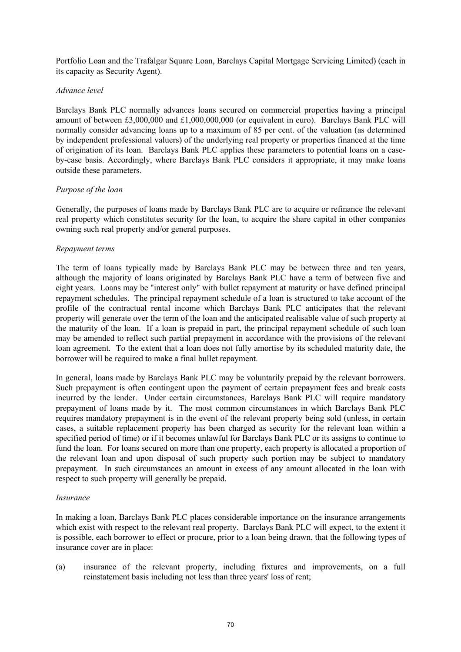Portfolio Loan and the Trafalgar Square Loan, Barclays Capital Mortgage Servicing Limited) (each in its capacity as Security Agent).

#### *Advance level*

Barclays Bank PLC normally advances loans secured on commercial properties having a principal amount of between £3,000,000 and £1,000,000,000 (or equivalent in euro). Barclays Bank PLC will normally consider advancing loans up to a maximum of 85 per cent. of the valuation (as determined by independent professional valuers) of the underlying real property or properties financed at the time of origination of its loan. Barclays Bank PLC applies these parameters to potential loans on a caseby-case basis. Accordingly, where Barclays Bank PLC considers it appropriate, it may make loans outside these parameters.

# *Purpose of the loan*

Generally, the purposes of loans made by Barclays Bank PLC are to acquire or refinance the relevant real property which constitutes security for the loan, to acquire the share capital in other companies owning such real property and/or general purposes.

# *Repayment terms*

The term of loans typically made by Barclays Bank PLC may be between three and ten years, although the majority of loans originated by Barclays Bank PLC have a term of between five and eight years. Loans may be "interest only" with bullet repayment at maturity or have defined principal repayment schedules. The principal repayment schedule of a loan is structured to take account of the profile of the contractual rental income which Barclays Bank PLC anticipates that the relevant property will generate over the term of the loan and the anticipated realisable value of such property at the maturity of the loan. If a loan is prepaid in part, the principal repayment schedule of such loan may be amended to reflect such partial prepayment in accordance with the provisions of the relevant loan agreement. To the extent that a loan does not fully amortise by its scheduled maturity date, the borrower will be required to make a final bullet repayment.

In general, loans made by Barclays Bank PLC may be voluntarily prepaid by the relevant borrowers. Such prepayment is often contingent upon the payment of certain prepayment fees and break costs incurred by the lender. Under certain circumstances, Barclays Bank PLC will require mandatory prepayment of loans made by it. The most common circumstances in which Barclays Bank PLC requires mandatory prepayment is in the event of the relevant property being sold (unless, in certain cases, a suitable replacement property has been charged as security for the relevant loan within a specified period of time) or if it becomes unlawful for Barclays Bank PLC or its assigns to continue to fund the loan. For loans secured on more than one property, each property is allocated a proportion of the relevant loan and upon disposal of such property such portion may be subject to mandatory prepayment. In such circumstances an amount in excess of any amount allocated in the loan with respect to such property will generally be prepaid.

#### *Insurance*

In making a loan, Barclays Bank PLC places considerable importance on the insurance arrangements which exist with respect to the relevant real property. Barclays Bank PLC will expect, to the extent it is possible, each borrower to effect or procure, prior to a loan being drawn, that the following types of insurance cover are in place:

(a) insurance of the relevant property, including fixtures and improvements, on a full reinstatement basis including not less than three years' loss of rent;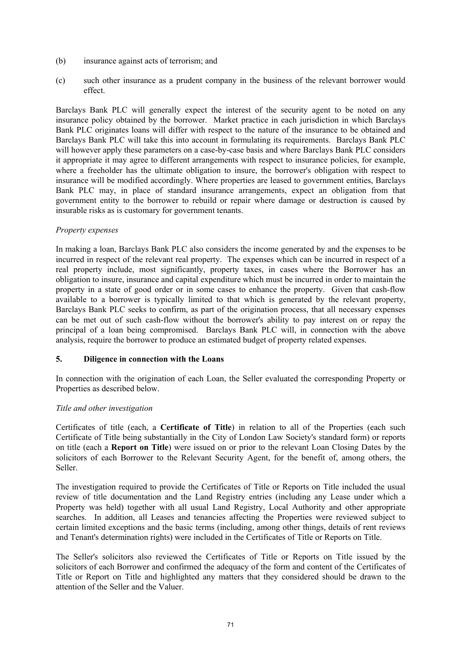- (b) insurance against acts of terrorism; and
- (c) such other insurance as a prudent company in the business of the relevant borrower would effect.

Barclays Bank PLC will generally expect the interest of the security agent to be noted on any insurance policy obtained by the borrower. Market practice in each jurisdiction in which Barclays Bank PLC originates loans will differ with respect to the nature of the insurance to be obtained and Barclays Bank PLC will take this into account in formulating its requirements. Barclays Bank PLC will however apply these parameters on a case-by-case basis and where Barclays Bank PLC considers it appropriate it may agree to different arrangements with respect to insurance policies, for example, where a freeholder has the ultimate obligation to insure, the borrower's obligation with respect to insurance will be modified accordingly. Where properties are leased to government entities, Barclays Bank PLC may, in place of standard insurance arrangements, expect an obligation from that government entity to the borrower to rebuild or repair where damage or destruction is caused by insurable risks as is customary for government tenants.

# *Property expenses*

In making a loan, Barclays Bank PLC also considers the income generated by and the expenses to be incurred in respect of the relevant real property. The expenses which can be incurred in respect of a real property include, most significantly, property taxes, in cases where the Borrower has an obligation to insure, insurance and capital expenditure which must be incurred in order to maintain the property in a state of good order or in some cases to enhance the property. Given that cash-flow available to a borrower is typically limited to that which is generated by the relevant property, Barclays Bank PLC seeks to confirm, as part of the origination process, that all necessary expenses can be met out of such cash-flow without the borrower's ability to pay interest on or repay the principal of a loan being compromised. Barclays Bank PLC will, in connection with the above analysis, require the borrower to produce an estimated budget of property related expenses.

#### **5. Diligence in connection with the Loans**

In connection with the origination of each Loan, the Seller evaluated the corresponding Property or Properties as described below.

# *Title and other investigation*

Certificates of title (each, a **Certificate of Title**) in relation to all of the Properties (each such Certificate of Title being substantially in the City of London Law Society's standard form) or reports on title (each a **Report on Title**) were issued on or prior to the relevant Loan Closing Dates by the solicitors of each Borrower to the Relevant Security Agent, for the benefit of, among others, the Seller.

The investigation required to provide the Certificates of Title or Reports on Title included the usual review of title documentation and the Land Registry entries (including any Lease under which a Property was held) together with all usual Land Registry, Local Authority and other appropriate searches. In addition, all Leases and tenancies affecting the Properties were reviewed subject to certain limited exceptions and the basic terms (including, among other things, details of rent reviews and Tenant's determination rights) were included in the Certificates of Title or Reports on Title.

The Seller's solicitors also reviewed the Certificates of Title or Reports on Title issued by the solicitors of each Borrower and confirmed the adequacy of the form and content of the Certificates of Title or Report on Title and highlighted any matters that they considered should be drawn to the attention of the Seller and the Valuer.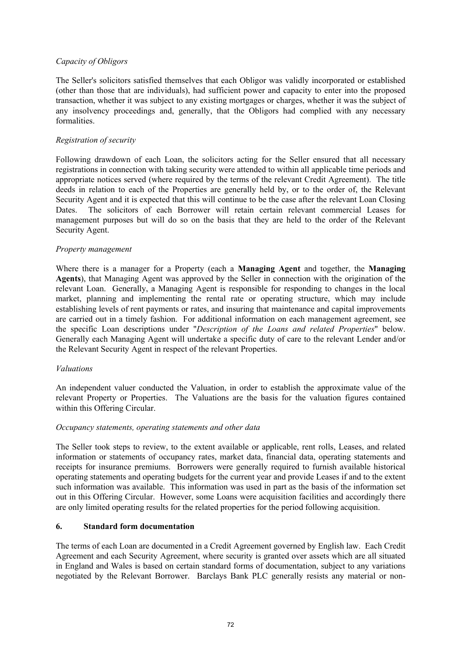## *Capacity of Obligors*

The Seller's solicitors satisfied themselves that each Obligor was validly incorporated or established (other than those that are individuals), had sufficient power and capacity to enter into the proposed transaction, whether it was subject to any existing mortgages or charges, whether it was the subject of any insolvency proceedings and, generally, that the Obligors had complied with any necessary formalities.

## *Registration of security*

Following drawdown of each Loan, the solicitors acting for the Seller ensured that all necessary registrations in connection with taking security were attended to within all applicable time periods and appropriate notices served (where required by the terms of the relevant Credit Agreement). The title deeds in relation to each of the Properties are generally held by, or to the order of, the Relevant Security Agent and it is expected that this will continue to be the case after the relevant Loan Closing Dates. The solicitors of each Borrower will retain certain relevant commercial Leases for management purposes but will do so on the basis that they are held to the order of the Relevant Security Agent.

## *Property management*

Where there is a manager for a Property (each a **Managing Agent** and together, the **Managing Agents**), that Managing Agent was approved by the Seller in connection with the origination of the relevant Loan. Generally, a Managing Agent is responsible for responding to changes in the local market, planning and implementing the rental rate or operating structure, which may include establishing levels of rent payments or rates, and insuring that maintenance and capital improvements are carried out in a timely fashion. For additional information on each management agreement, see the specific Loan descriptions under "*Description of the Loans and related Properties*" below. Generally each Managing Agent will undertake a specific duty of care to the relevant Lender and/or the Relevant Security Agent in respect of the relevant Properties.

## *Valuations*

An independent valuer conducted the Valuation, in order to establish the approximate value of the relevant Property or Properties. The Valuations are the basis for the valuation figures contained within this Offering Circular.

## *Occupancy statements, operating statements and other data*

The Seller took steps to review, to the extent available or applicable, rent rolls, Leases, and related information or statements of occupancy rates, market data, financial data, operating statements and receipts for insurance premiums. Borrowers were generally required to furnish available historical operating statements and operating budgets for the current year and provide Leases if and to the extent such information was available. This information was used in part as the basis of the information set out in this Offering Circular. However, some Loans were acquisition facilities and accordingly there are only limited operating results for the related properties for the period following acquisition.

## **6. Standard form documentation**

The terms of each Loan are documented in a Credit Agreement governed by English law. Each Credit Agreement and each Security Agreement, where security is granted over assets which are all situated in England and Wales is based on certain standard forms of documentation, subject to any variations negotiated by the Relevant Borrower. Barclays Bank PLC generally resists any material or non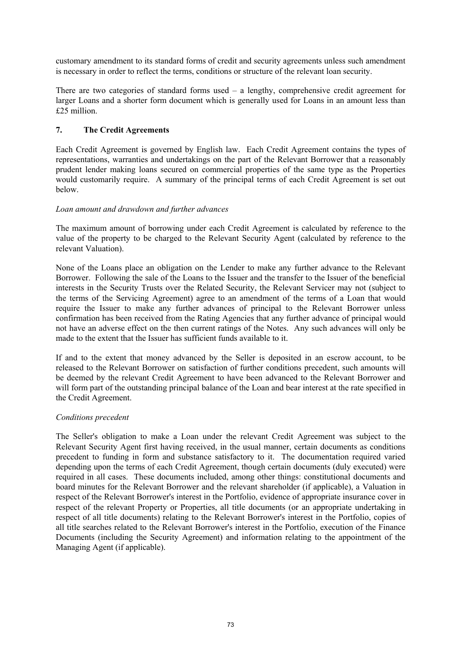customary amendment to its standard forms of credit and security agreements unless such amendment is necessary in order to reflect the terms, conditions or structure of the relevant loan security.

There are two categories of standard forms used – a lengthy, comprehensive credit agreement for larger Loans and a shorter form document which is generally used for Loans in an amount less than £25 million.

# **7. The Credit Agreements**

Each Credit Agreement is governed by English law. Each Credit Agreement contains the types of representations, warranties and undertakings on the part of the Relevant Borrower that a reasonably prudent lender making loans secured on commercial properties of the same type as the Properties would customarily require. A summary of the principal terms of each Credit Agreement is set out below.

## *Loan amount and drawdown and further advances*

The maximum amount of borrowing under each Credit Agreement is calculated by reference to the value of the property to be charged to the Relevant Security Agent (calculated by reference to the relevant Valuation).

None of the Loans place an obligation on the Lender to make any further advance to the Relevant Borrower. Following the sale of the Loans to the Issuer and the transfer to the Issuer of the beneficial interests in the Security Trusts over the Related Security, the Relevant Servicer may not (subject to the terms of the Servicing Agreement) agree to an amendment of the terms of a Loan that would require the Issuer to make any further advances of principal to the Relevant Borrower unless confirmation has been received from the Rating Agencies that any further advance of principal would not have an adverse effect on the then current ratings of the Notes. Any such advances will only be made to the extent that the Issuer has sufficient funds available to it.

If and to the extent that money advanced by the Seller is deposited in an escrow account, to be released to the Relevant Borrower on satisfaction of further conditions precedent, such amounts will be deemed by the relevant Credit Agreement to have been advanced to the Relevant Borrower and will form part of the outstanding principal balance of the Loan and bear interest at the rate specified in the Credit Agreement.

## *Conditions precedent*

The Seller's obligation to make a Loan under the relevant Credit Agreement was subject to the Relevant Security Agent first having received, in the usual manner, certain documents as conditions precedent to funding in form and substance satisfactory to it. The documentation required varied depending upon the terms of each Credit Agreement, though certain documents (duly executed) were required in all cases. These documents included, among other things: constitutional documents and board minutes for the Relevant Borrower and the relevant shareholder (if applicable), a Valuation in respect of the Relevant Borrower's interest in the Portfolio, evidence of appropriate insurance cover in respect of the relevant Property or Properties, all title documents (or an appropriate undertaking in respect of all title documents) relating to the Relevant Borrower's interest in the Portfolio, copies of all title searches related to the Relevant Borrower's interest in the Portfolio, execution of the Finance Documents (including the Security Agreement) and information relating to the appointment of the Managing Agent (if applicable).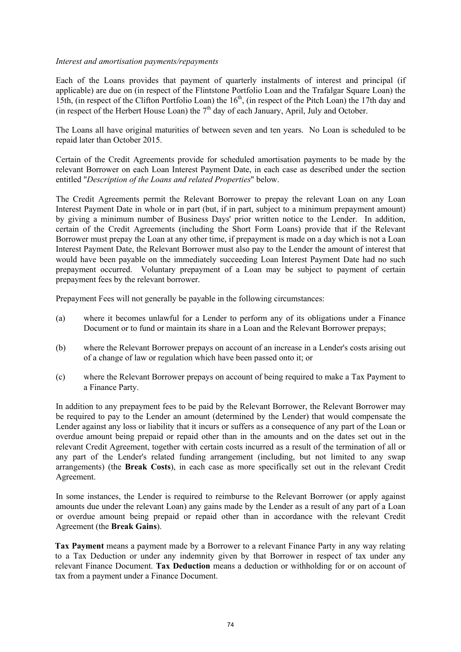#### *Interest and amortisation payments/repayments*

Each of the Loans provides that payment of quarterly instalments of interest and principal (if applicable) are due on (in respect of the Flintstone Portfolio Loan and the Trafalgar Square Loan) the 15th, (in respect of the Clifton Portfolio Loan) the  $16<sup>th</sup>$ , (in respect of the Pitch Loan) the 17th day and (in respect of the Herbert House Loan) the  $7<sup>th</sup>$  day of each January, April, July and October.

The Loans all have original maturities of between seven and ten years. No Loan is scheduled to be repaid later than October 2015.

Certain of the Credit Agreements provide for scheduled amortisation payments to be made by the relevant Borrower on each Loan Interest Payment Date, in each case as described under the section entitled "*Description of the Loans and related Properties*" below.

The Credit Agreements permit the Relevant Borrower to prepay the relevant Loan on any Loan Interest Payment Date in whole or in part (but, if in part, subject to a minimum prepayment amount) by giving a minimum number of Business Days' prior written notice to the Lender. In addition, certain of the Credit Agreements (including the Short Form Loans) provide that if the Relevant Borrower must prepay the Loan at any other time, if prepayment is made on a day which is not a Loan Interest Payment Date, the Relevant Borrower must also pay to the Lender the amount of interest that would have been payable on the immediately succeeding Loan Interest Payment Date had no such prepayment occurred. Voluntary prepayment of a Loan may be subject to payment of certain prepayment fees by the relevant borrower.

Prepayment Fees will not generally be payable in the following circumstances:

- (a) where it becomes unlawful for a Lender to perform any of its obligations under a Finance Document or to fund or maintain its share in a Loan and the Relevant Borrower prepays;
- (b) where the Relevant Borrower prepays on account of an increase in a Lender's costs arising out of a change of law or regulation which have been passed onto it; or
- (c) where the Relevant Borrower prepays on account of being required to make a Tax Payment to a Finance Party.

In addition to any prepayment fees to be paid by the Relevant Borrower, the Relevant Borrower may be required to pay to the Lender an amount (determined by the Lender) that would compensate the Lender against any loss or liability that it incurs or suffers as a consequence of any part of the Loan or overdue amount being prepaid or repaid other than in the amounts and on the dates set out in the relevant Credit Agreement, together with certain costs incurred as a result of the termination of all or any part of the Lender's related funding arrangement (including, but not limited to any swap arrangements) (the **Break Costs**), in each case as more specifically set out in the relevant Credit Agreement.

In some instances, the Lender is required to reimburse to the Relevant Borrower (or apply against amounts due under the relevant Loan) any gains made by the Lender as a result of any part of a Loan or overdue amount being prepaid or repaid other than in accordance with the relevant Credit Agreement (the **Break Gains**).

**Tax Payment** means a payment made by a Borrower to a relevant Finance Party in any way relating to a Tax Deduction or under any indemnity given by that Borrower in respect of tax under any relevant Finance Document. **Tax Deduction** means a deduction or withholding for or on account of tax from a payment under a Finance Document.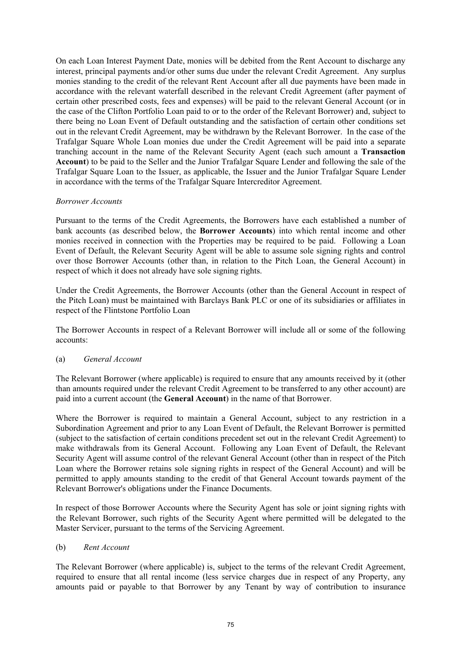On each Loan Interest Payment Date, monies will be debited from the Rent Account to discharge any interest, principal payments and/or other sums due under the relevant Credit Agreement. Any surplus monies standing to the credit of the relevant Rent Account after all due payments have been made in accordance with the relevant waterfall described in the relevant Credit Agreement (after payment of certain other prescribed costs, fees and expenses) will be paid to the relevant General Account (or in the case of the Clifton Portfolio Loan paid to or to the order of the Relevant Borrower) and, subject to there being no Loan Event of Default outstanding and the satisfaction of certain other conditions set out in the relevant Credit Agreement, may be withdrawn by the Relevant Borrower. In the case of the Trafalgar Square Whole Loan monies due under the Credit Agreement will be paid into a separate tranching account in the name of the Relevant Security Agent (each such amount a **Transaction Account**) to be paid to the Seller and the Junior Trafalgar Square Lender and following the sale of the Trafalgar Square Loan to the Issuer, as applicable, the Issuer and the Junior Trafalgar Square Lender in accordance with the terms of the Trafalgar Square Intercreditor Agreement.

## *Borrower Accounts*

Pursuant to the terms of the Credit Agreements, the Borrowers have each established a number of bank accounts (as described below, the **Borrower Accounts**) into which rental income and other monies received in connection with the Properties may be required to be paid. Following a Loan Event of Default, the Relevant Security Agent will be able to assume sole signing rights and control over those Borrower Accounts (other than, in relation to the Pitch Loan, the General Account) in respect of which it does not already have sole signing rights.

Under the Credit Agreements, the Borrower Accounts (other than the General Account in respect of the Pitch Loan) must be maintained with Barclays Bank PLC or one of its subsidiaries or affiliates in respect of the Flintstone Portfolio Loan

The Borrower Accounts in respect of a Relevant Borrower will include all or some of the following accounts:

## (a) *General Account*

The Relevant Borrower (where applicable) is required to ensure that any amounts received by it (other than amounts required under the relevant Credit Agreement to be transferred to any other account) are paid into a current account (the **General Account**) in the name of that Borrower.

Where the Borrower is required to maintain a General Account, subject to any restriction in a Subordination Agreement and prior to any Loan Event of Default, the Relevant Borrower is permitted (subject to the satisfaction of certain conditions precedent set out in the relevant Credit Agreement) to make withdrawals from its General Account. Following any Loan Event of Default, the Relevant Security Agent will assume control of the relevant General Account (other than in respect of the Pitch Loan where the Borrower retains sole signing rights in respect of the General Account) and will be permitted to apply amounts standing to the credit of that General Account towards payment of the Relevant Borrower's obligations under the Finance Documents.

In respect of those Borrower Accounts where the Security Agent has sole or joint signing rights with the Relevant Borrower, such rights of the Security Agent where permitted will be delegated to the Master Servicer, pursuant to the terms of the Servicing Agreement.

## (b) *Rent Account*

The Relevant Borrower (where applicable) is, subject to the terms of the relevant Credit Agreement, required to ensure that all rental income (less service charges due in respect of any Property, any amounts paid or payable to that Borrower by any Tenant by way of contribution to insurance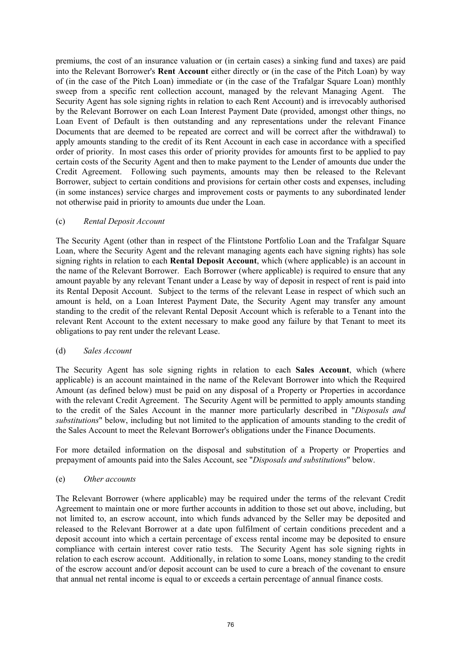premiums, the cost of an insurance valuation or (in certain cases) a sinking fund and taxes) are paid into the Relevant Borrower's **Rent Account** either directly or (in the case of the Pitch Loan) by way of (in the case of the Pitch Loan) immediate or (in the case of the Trafalgar Square Loan) monthly sweep from a specific rent collection account, managed by the relevant Managing Agent. The Security Agent has sole signing rights in relation to each Rent Account) and is irrevocably authorised by the Relevant Borrower on each Loan Interest Payment Date (provided, amongst other things, no Loan Event of Default is then outstanding and any representations under the relevant Finance Documents that are deemed to be repeated are correct and will be correct after the withdrawal) to apply amounts standing to the credit of its Rent Account in each case in accordance with a specified order of priority. In most cases this order of priority provides for amounts first to be applied to pay certain costs of the Security Agent and then to make payment to the Lender of amounts due under the Credit Agreement. Following such payments, amounts may then be released to the Relevant Borrower, subject to certain conditions and provisions for certain other costs and expenses, including (in some instances) service charges and improvement costs or payments to any subordinated lender not otherwise paid in priority to amounts due under the Loan.

## (c) *Rental Deposit Account*

The Security Agent (other than in respect of the Flintstone Portfolio Loan and the Trafalgar Square Loan, where the Security Agent and the relevant managing agents each have signing rights) has sole signing rights in relation to each **Rental Deposit Account**, which (where applicable) is an account in the name of the Relevant Borrower. Each Borrower (where applicable) is required to ensure that any amount payable by any relevant Tenant under a Lease by way of deposit in respect of rent is paid into its Rental Deposit Account. Subject to the terms of the relevant Lease in respect of which such an amount is held, on a Loan Interest Payment Date, the Security Agent may transfer any amount standing to the credit of the relevant Rental Deposit Account which is referable to a Tenant into the relevant Rent Account to the extent necessary to make good any failure by that Tenant to meet its obligations to pay rent under the relevant Lease.

## (d) *Sales Account*

The Security Agent has sole signing rights in relation to each **Sales Account**, which (where applicable) is an account maintained in the name of the Relevant Borrower into which the Required Amount (as defined below) must be paid on any disposal of a Property or Properties in accordance with the relevant Credit Agreement. The Security Agent will be permitted to apply amounts standing to the credit of the Sales Account in the manner more particularly described in "*Disposals and substitutions*" below, including but not limited to the application of amounts standing to the credit of the Sales Account to meet the Relevant Borrower's obligations under the Finance Documents.

For more detailed information on the disposal and substitution of a Property or Properties and prepayment of amounts paid into the Sales Account, see "*Disposals and substitutions*" below.

## (e) *Other accounts*

The Relevant Borrower (where applicable) may be required under the terms of the relevant Credit Agreement to maintain one or more further accounts in addition to those set out above, including, but not limited to, an escrow account, into which funds advanced by the Seller may be deposited and released to the Relevant Borrower at a date upon fulfilment of certain conditions precedent and a deposit account into which a certain percentage of excess rental income may be deposited to ensure compliance with certain interest cover ratio tests. The Security Agent has sole signing rights in relation to each escrow account. Additionally, in relation to some Loans, money standing to the credit of the escrow account and/or deposit account can be used to cure a breach of the covenant to ensure that annual net rental income is equal to or exceeds a certain percentage of annual finance costs.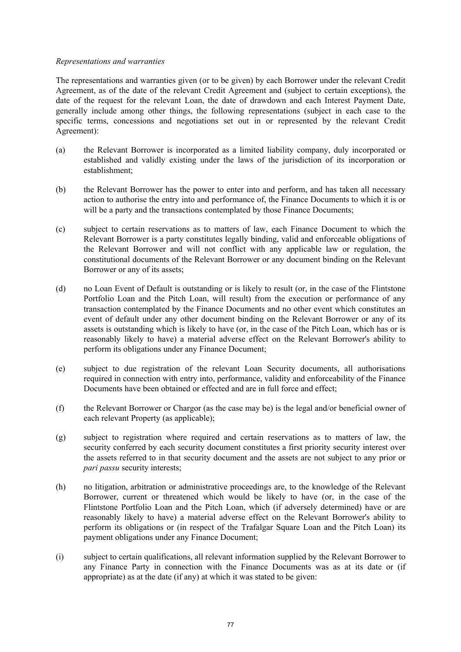#### *Representations and warranties*

The representations and warranties given (or to be given) by each Borrower under the relevant Credit Agreement, as of the date of the relevant Credit Agreement and (subject to certain exceptions), the date of the request for the relevant Loan, the date of drawdown and each Interest Payment Date, generally include among other things, the following representations (subject in each case to the specific terms, concessions and negotiations set out in or represented by the relevant Credit Agreement):

- (a) the Relevant Borrower is incorporated as a limited liability company, duly incorporated or established and validly existing under the laws of the jurisdiction of its incorporation or establishment;
- (b) the Relevant Borrower has the power to enter into and perform, and has taken all necessary action to authorise the entry into and performance of, the Finance Documents to which it is or will be a party and the transactions contemplated by those Finance Documents;
- (c) subject to certain reservations as to matters of law, each Finance Document to which the Relevant Borrower is a party constitutes legally binding, valid and enforceable obligations of the Relevant Borrower and will not conflict with any applicable law or regulation, the constitutional documents of the Relevant Borrower or any document binding on the Relevant Borrower or any of its assets;
- (d) no Loan Event of Default is outstanding or is likely to result (or, in the case of the Flintstone Portfolio Loan and the Pitch Loan, will result) from the execution or performance of any transaction contemplated by the Finance Documents and no other event which constitutes an event of default under any other document binding on the Relevant Borrower or any of its assets is outstanding which is likely to have (or, in the case of the Pitch Loan, which has or is reasonably likely to have) a material adverse effect on the Relevant Borrower's ability to perform its obligations under any Finance Document;
- (e) subject to due registration of the relevant Loan Security documents, all authorisations required in connection with entry into, performance, validity and enforceability of the Finance Documents have been obtained or effected and are in full force and effect;
- (f) the Relevant Borrower or Chargor (as the case may be) is the legal and/or beneficial owner of each relevant Property (as applicable);
- (g) subject to registration where required and certain reservations as to matters of law, the security conferred by each security document constitutes a first priority security interest over the assets referred to in that security document and the assets are not subject to any prior or *pari passu* security interests;
- (h) no litigation, arbitration or administrative proceedings are, to the knowledge of the Relevant Borrower, current or threatened which would be likely to have (or, in the case of the Flintstone Portfolio Loan and the Pitch Loan, which (if adversely determined) have or are reasonably likely to have) a material adverse effect on the Relevant Borrower's ability to perform its obligations or (in respect of the Trafalgar Square Loan and the Pitch Loan) its payment obligations under any Finance Document;
- (i) subject to certain qualifications, all relevant information supplied by the Relevant Borrower to any Finance Party in connection with the Finance Documents was as at its date or (if appropriate) as at the date (if any) at which it was stated to be given: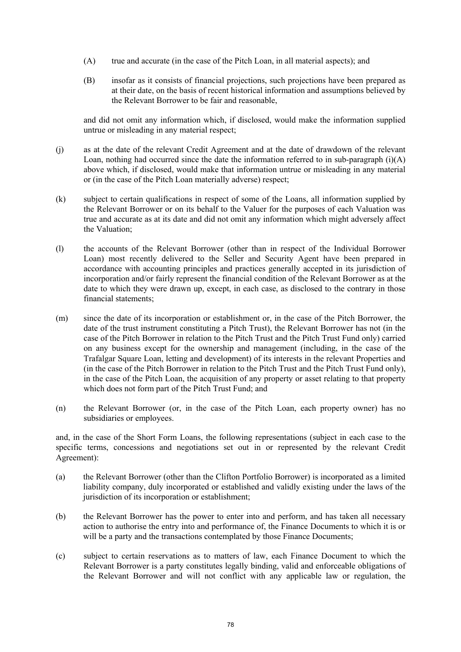- (A) true and accurate (in the case of the Pitch Loan, in all material aspects); and
- (B) insofar as it consists of financial projections, such projections have been prepared as at their date, on the basis of recent historical information and assumptions believed by the Relevant Borrower to be fair and reasonable,

and did not omit any information which, if disclosed, would make the information supplied untrue or misleading in any material respect;

- (j) as at the date of the relevant Credit Agreement and at the date of drawdown of the relevant Loan, nothing had occurred since the date the information referred to in sub-paragraph  $(i)(A)$ above which, if disclosed, would make that information untrue or misleading in any material or (in the case of the Pitch Loan materially adverse) respect;
- (k) subject to certain qualifications in respect of some of the Loans, all information supplied by the Relevant Borrower or on its behalf to the Valuer for the purposes of each Valuation was true and accurate as at its date and did not omit any information which might adversely affect the Valuation;
- (l) the accounts of the Relevant Borrower (other than in respect of the Individual Borrower Loan) most recently delivered to the Seller and Security Agent have been prepared in accordance with accounting principles and practices generally accepted in its jurisdiction of incorporation and/or fairly represent the financial condition of the Relevant Borrower as at the date to which they were drawn up, except, in each case, as disclosed to the contrary in those financial statements;
- (m) since the date of its incorporation or establishment or, in the case of the Pitch Borrower, the date of the trust instrument constituting a Pitch Trust), the Relevant Borrower has not (in the case of the Pitch Borrower in relation to the Pitch Trust and the Pitch Trust Fund only) carried on any business except for the ownership and management (including, in the case of the Trafalgar Square Loan, letting and development) of its interests in the relevant Properties and (in the case of the Pitch Borrower in relation to the Pitch Trust and the Pitch Trust Fund only), in the case of the Pitch Loan, the acquisition of any property or asset relating to that property which does not form part of the Pitch Trust Fund; and
- (n) the Relevant Borrower (or, in the case of the Pitch Loan, each property owner) has no subsidiaries or employees.

and, in the case of the Short Form Loans, the following representations (subject in each case to the specific terms, concessions and negotiations set out in or represented by the relevant Credit Agreement):

- (a) the Relevant Borrower (other than the Clifton Portfolio Borrower) is incorporated as a limited liability company, duly incorporated or established and validly existing under the laws of the jurisdiction of its incorporation or establishment;
- (b) the Relevant Borrower has the power to enter into and perform, and has taken all necessary action to authorise the entry into and performance of, the Finance Documents to which it is or will be a party and the transactions contemplated by those Finance Documents;
- (c) subject to certain reservations as to matters of law, each Finance Document to which the Relevant Borrower is a party constitutes legally binding, valid and enforceable obligations of the Relevant Borrower and will not conflict with any applicable law or regulation, the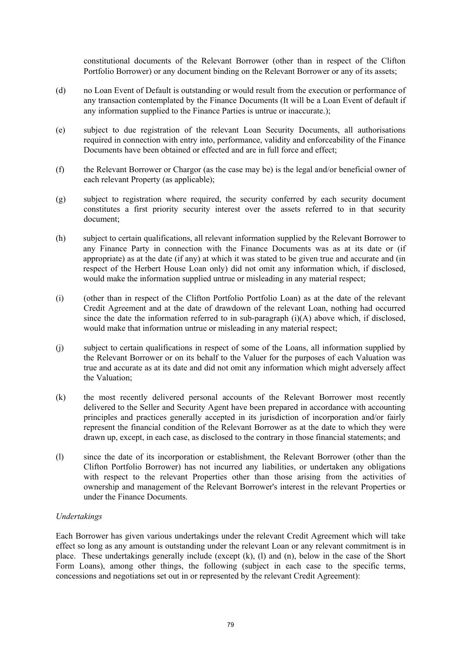constitutional documents of the Relevant Borrower (other than in respect of the Clifton Portfolio Borrower) or any document binding on the Relevant Borrower or any of its assets;

- (d) no Loan Event of Default is outstanding or would result from the execution or performance of any transaction contemplated by the Finance Documents (It will be a Loan Event of default if any information supplied to the Finance Parties is untrue or inaccurate.);
- (e) subject to due registration of the relevant Loan Security Documents, all authorisations required in connection with entry into, performance, validity and enforceability of the Finance Documents have been obtained or effected and are in full force and effect:
- (f) the Relevant Borrower or Chargor (as the case may be) is the legal and/or beneficial owner of each relevant Property (as applicable);
- (g) subject to registration where required, the security conferred by each security document constitutes a first priority security interest over the assets referred to in that security document;
- (h) subject to certain qualifications, all relevant information supplied by the Relevant Borrower to any Finance Party in connection with the Finance Documents was as at its date or (if appropriate) as at the date (if any) at which it was stated to be given true and accurate and (in respect of the Herbert House Loan only) did not omit any information which, if disclosed, would make the information supplied untrue or misleading in any material respect;
- (i) (other than in respect of the Clifton Portfolio Portfolio Loan) as at the date of the relevant Credit Agreement and at the date of drawdown of the relevant Loan, nothing had occurred since the date the information referred to in sub-paragraph (i)(A) above which, if disclosed, would make that information untrue or misleading in any material respect;
- (j) subject to certain qualifications in respect of some of the Loans, all information supplied by the Relevant Borrower or on its behalf to the Valuer for the purposes of each Valuation was true and accurate as at its date and did not omit any information which might adversely affect the Valuation;
- (k) the most recently delivered personal accounts of the Relevant Borrower most recently delivered to the Seller and Security Agent have been prepared in accordance with accounting principles and practices generally accepted in its jurisdiction of incorporation and/or fairly represent the financial condition of the Relevant Borrower as at the date to which they were drawn up, except, in each case, as disclosed to the contrary in those financial statements; and
- (l) since the date of its incorporation or establishment, the Relevant Borrower (other than the Clifton Portfolio Borrower) has not incurred any liabilities, or undertaken any obligations with respect to the relevant Properties other than those arising from the activities of ownership and management of the Relevant Borrower's interest in the relevant Properties or under the Finance Documents.

## *Undertakings*

Each Borrower has given various undertakings under the relevant Credit Agreement which will take effect so long as any amount is outstanding under the relevant Loan or any relevant commitment is in place. These undertakings generally include (except (k), (l) and (n), below in the case of the Short Form Loans), among other things, the following (subject in each case to the specific terms, concessions and negotiations set out in or represented by the relevant Credit Agreement):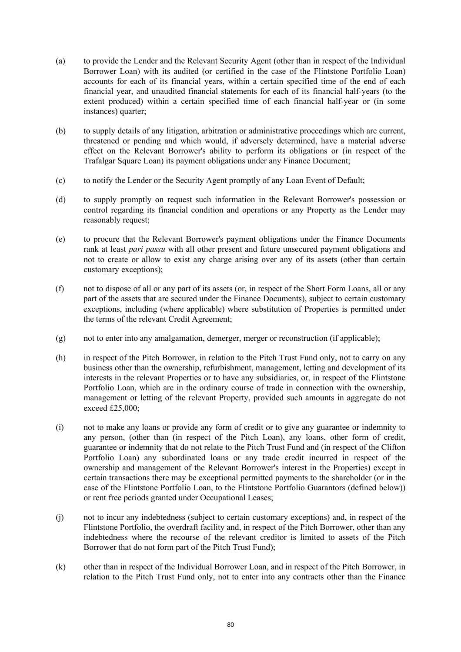- (a) to provide the Lender and the Relevant Security Agent (other than in respect of the Individual Borrower Loan) with its audited (or certified in the case of the Flintstone Portfolio Loan) accounts for each of its financial years, within a certain specified time of the end of each financial year, and unaudited financial statements for each of its financial half-years (to the extent produced) within a certain specified time of each financial half-year or (in some instances) quarter;
- (b) to supply details of any litigation, arbitration or administrative proceedings which are current, threatened or pending and which would, if adversely determined, have a material adverse effect on the Relevant Borrower's ability to perform its obligations or (in respect of the Trafalgar Square Loan) its payment obligations under any Finance Document;
- (c) to notify the Lender or the Security Agent promptly of any Loan Event of Default;
- (d) to supply promptly on request such information in the Relevant Borrower's possession or control regarding its financial condition and operations or any Property as the Lender may reasonably request;
- (e) to procure that the Relevant Borrower's payment obligations under the Finance Documents rank at least *pari passu* with all other present and future unsecured payment obligations and not to create or allow to exist any charge arising over any of its assets (other than certain customary exceptions);
- (f) not to dispose of all or any part of its assets (or, in respect of the Short Form Loans, all or any part of the assets that are secured under the Finance Documents), subject to certain customary exceptions, including (where applicable) where substitution of Properties is permitted under the terms of the relevant Credit Agreement;
- (g) not to enter into any amalgamation, demerger, merger or reconstruction (if applicable);
- (h) in respect of the Pitch Borrower, in relation to the Pitch Trust Fund only, not to carry on any business other than the ownership, refurbishment, management, letting and development of its interests in the relevant Properties or to have any subsidiaries, or, in respect of the Flintstone Portfolio Loan, which are in the ordinary course of trade in connection with the ownership, management or letting of the relevant Property, provided such amounts in aggregate do not exceed £25,000;
- (i) not to make any loans or provide any form of credit or to give any guarantee or indemnity to any person, (other than (in respect of the Pitch Loan), any loans, other form of credit, guarantee or indemnity that do not relate to the Pitch Trust Fund and (in respect of the Clifton Portfolio Loan) any subordinated loans or any trade credit incurred in respect of the ownership and management of the Relevant Borrower's interest in the Properties) except in certain transactions there may be exceptional permitted payments to the shareholder (or in the case of the Flintstone Portfolio Loan, to the Flintstone Portfolio Guarantors (defined below)) or rent free periods granted under Occupational Leases;
- (j) not to incur any indebtedness (subject to certain customary exceptions) and, in respect of the Flintstone Portfolio, the overdraft facility and, in respect of the Pitch Borrower, other than any indebtedness where the recourse of the relevant creditor is limited to assets of the Pitch Borrower that do not form part of the Pitch Trust Fund);
- (k) other than in respect of the Individual Borrower Loan, and in respect of the Pitch Borrower, in relation to the Pitch Trust Fund only, not to enter into any contracts other than the Finance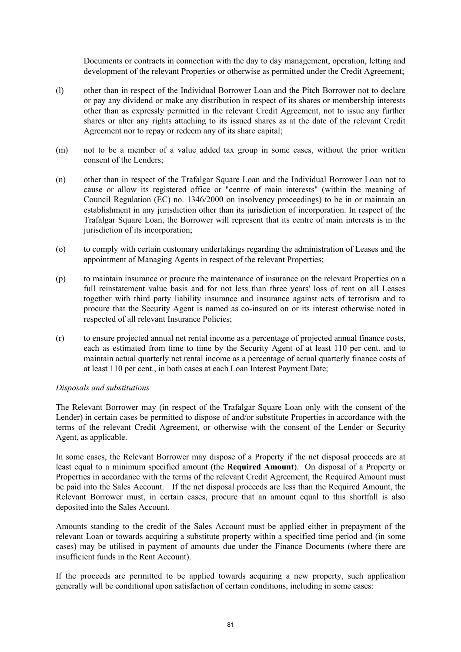Documents or contracts in connection with the day to day management, operation, letting and development of the relevant Properties or otherwise as permitted under the Credit Agreement;

- (l) other than in respect of the Individual Borrower Loan and the Pitch Borrower not to declare or pay any dividend or make any distribution in respect of its shares or membership interests other than as expressly permitted in the relevant Credit Agreement, not to issue any further shares or alter any rights attaching to its issued shares as at the date of the relevant Credit Agreement nor to repay or redeem any of its share capital;
- (m) not to be a member of a value added tax group in some cases, without the prior written consent of the Lenders;
- (n) other than in respect of the Trafalgar Square Loan and the Individual Borrower Loan not to cause or allow its registered office or "centre of main interests" (within the meaning of Council Regulation (EC) no. 1346/2000 on insolvency proceedings) to be in or maintain an establishment in any jurisdiction other than its jurisdiction of incorporation. In respect of the Trafalgar Square Loan, the Borrower will represent that its centre of main interests is in the jurisdiction of its incorporation;
- (o) to comply with certain customary undertakings regarding the administration of Leases and the appointment of Managing Agents in respect of the relevant Properties;
- (p) to maintain insurance or procure the maintenance of insurance on the relevant Properties on a full reinstatement value basis and for not less than three years' loss of rent on all Leases together with third party liability insurance and insurance against acts of terrorism and to procure that the Security Agent is named as co-insured on or its interest otherwise noted in respected of all relevant Insurance Policies;
- (r) to ensure projected annual net rental income as a percentage of projected annual finance costs, each as estimated from time to time by the Security Agent of at least 110 per cent. and to maintain actual quarterly net rental income as a percentage of actual quarterly finance costs of at least 110 per cent., in both cases at each Loan Interest Payment Date;

## *Disposals and substitutions*

The Relevant Borrower may (in respect of the Trafalgar Square Loan only with the consent of the Lender) in certain cases be permitted to dispose of and/or substitute Properties in accordance with the terms of the relevant Credit Agreement, or otherwise with the consent of the Lender or Security Agent, as applicable.

In some cases, the Relevant Borrower may dispose of a Property if the net disposal proceeds are at least equal to a minimum specified amount (the **Required Amount**). On disposal of a Property or Properties in accordance with the terms of the relevant Credit Agreement, the Required Amount must be paid into the Sales Account. If the net disposal proceeds are less than the Required Amount, the Relevant Borrower must, in certain cases, procure that an amount equal to this shortfall is also deposited into the Sales Account.

Amounts standing to the credit of the Sales Account must be applied either in prepayment of the relevant Loan or towards acquiring a substitute property within a specified time period and (in some cases) may be utilised in payment of amounts due under the Finance Documents (where there are insufficient funds in the Rent Account).

If the proceeds are permitted to be applied towards acquiring a new property, such application generally will be conditional upon satisfaction of certain conditions, including in some cases: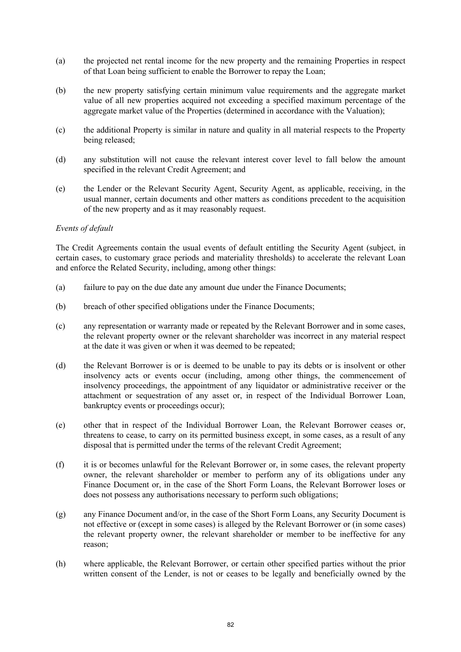- (a) the projected net rental income for the new property and the remaining Properties in respect of that Loan being sufficient to enable the Borrower to repay the Loan;
- (b) the new property satisfying certain minimum value requirements and the aggregate market value of all new properties acquired not exceeding a specified maximum percentage of the aggregate market value of the Properties (determined in accordance with the Valuation);
- (c) the additional Property is similar in nature and quality in all material respects to the Property being released;
- (d) any substitution will not cause the relevant interest cover level to fall below the amount specified in the relevant Credit Agreement; and
- (e) the Lender or the Relevant Security Agent, Security Agent, as applicable, receiving, in the usual manner, certain documents and other matters as conditions precedent to the acquisition of the new property and as it may reasonably request.

## *Events of default*

The Credit Agreements contain the usual events of default entitling the Security Agent (subject, in certain cases, to customary grace periods and materiality thresholds) to accelerate the relevant Loan and enforce the Related Security, including, among other things:

- (a) failure to pay on the due date any amount due under the Finance Documents;
- (b) breach of other specified obligations under the Finance Documents;
- (c) any representation or warranty made or repeated by the Relevant Borrower and in some cases, the relevant property owner or the relevant shareholder was incorrect in any material respect at the date it was given or when it was deemed to be repeated;
- (d) the Relevant Borrower is or is deemed to be unable to pay its debts or is insolvent or other insolvency acts or events occur (including, among other things, the commencement of insolvency proceedings, the appointment of any liquidator or administrative receiver or the attachment or sequestration of any asset or, in respect of the Individual Borrower Loan, bankruptcy events or proceedings occur);
- (e) other that in respect of the Individual Borrower Loan, the Relevant Borrower ceases or, threatens to cease, to carry on its permitted business except, in some cases, as a result of any disposal that is permitted under the terms of the relevant Credit Agreement;
- (f) it is or becomes unlawful for the Relevant Borrower or, in some cases, the relevant property owner, the relevant shareholder or member to perform any of its obligations under any Finance Document or, in the case of the Short Form Loans, the Relevant Borrower loses or does not possess any authorisations necessary to perform such obligations;
- (g) any Finance Document and/or, in the case of the Short Form Loans, any Security Document is not effective or (except in some cases) is alleged by the Relevant Borrower or (in some cases) the relevant property owner, the relevant shareholder or member to be ineffective for any reason;
- (h) where applicable, the Relevant Borrower, or certain other specified parties without the prior written consent of the Lender, is not or ceases to be legally and beneficially owned by the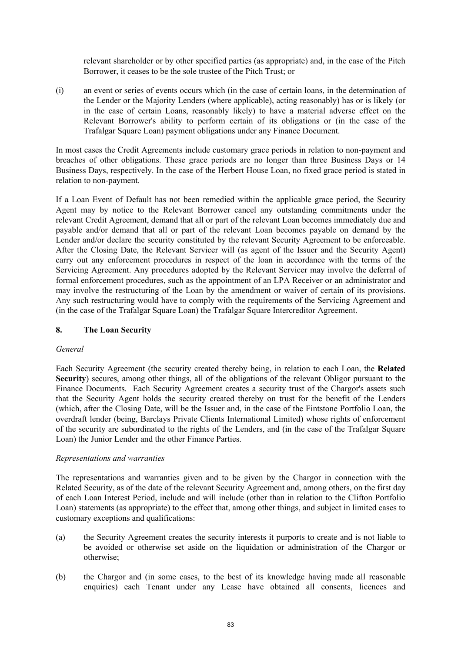relevant shareholder or by other specified parties (as appropriate) and, in the case of the Pitch Borrower, it ceases to be the sole trustee of the Pitch Trust; or

(i) an event or series of events occurs which (in the case of certain loans, in the determination of the Lender or the Majority Lenders (where applicable), acting reasonably) has or is likely (or in the case of certain Loans, reasonably likely) to have a material adverse effect on the Relevant Borrower's ability to perform certain of its obligations or (in the case of the Trafalgar Square Loan) payment obligations under any Finance Document.

In most cases the Credit Agreements include customary grace periods in relation to non-payment and breaches of other obligations. These grace periods are no longer than three Business Days or 14 Business Days, respectively. In the case of the Herbert House Loan, no fixed grace period is stated in relation to non-payment.

If a Loan Event of Default has not been remedied within the applicable grace period, the Security Agent may by notice to the Relevant Borrower cancel any outstanding commitments under the relevant Credit Agreement, demand that all or part of the relevant Loan becomes immediately due and payable and/or demand that all or part of the relevant Loan becomes payable on demand by the Lender and/or declare the security constituted by the relevant Security Agreement to be enforceable. After the Closing Date, the Relevant Servicer will (as agent of the Issuer and the Security Agent) carry out any enforcement procedures in respect of the loan in accordance with the terms of the Servicing Agreement. Any procedures adopted by the Relevant Servicer may involve the deferral of formal enforcement procedures, such as the appointment of an LPA Receiver or an administrator and may involve the restructuring of the Loan by the amendment or waiver of certain of its provisions. Any such restructuring would have to comply with the requirements of the Servicing Agreement and (in the case of the Trafalgar Square Loan) the Trafalgar Square Intercreditor Agreement.

# **8. The Loan Security**

# *General*

Each Security Agreement (the security created thereby being, in relation to each Loan, the **Related Security**) secures, among other things, all of the obligations of the relevant Obligor pursuant to the Finance Documents. Each Security Agreement creates a security trust of the Chargor's assets such that the Security Agent holds the security created thereby on trust for the benefit of the Lenders (which, after the Closing Date, will be the Issuer and, in the case of the Fintstone Portfolio Loan, the overdraft lender (being, Barclays Private Clients International Limited) whose rights of enforcement of the security are subordinated to the rights of the Lenders, and (in the case of the Trafalgar Square Loan) the Junior Lender and the other Finance Parties.

## *Representations and warranties*

The representations and warranties given and to be given by the Chargor in connection with the Related Security, as of the date of the relevant Security Agreement and, among others, on the first day of each Loan Interest Period, include and will include (other than in relation to the Clifton Portfolio Loan) statements (as appropriate) to the effect that, among other things, and subject in limited cases to customary exceptions and qualifications:

- (a) the Security Agreement creates the security interests it purports to create and is not liable to be avoided or otherwise set aside on the liquidation or administration of the Chargor or otherwise;
- (b) the Chargor and (in some cases, to the best of its knowledge having made all reasonable enquiries) each Tenant under any Lease have obtained all consents, licences and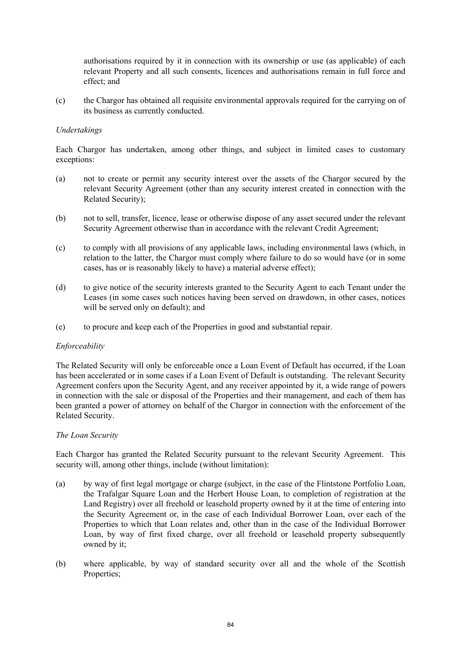authorisations required by it in connection with its ownership or use (as applicable) of each relevant Property and all such consents, licences and authorisations remain in full force and effect; and

(c) the Chargor has obtained all requisite environmental approvals required for the carrying on of its business as currently conducted.

## *Undertakings*

Each Chargor has undertaken, among other things, and subject in limited cases to customary exceptions:

- (a) not to create or permit any security interest over the assets of the Chargor secured by the relevant Security Agreement (other than any security interest created in connection with the Related Security);
- (b) not to sell, transfer, licence, lease or otherwise dispose of any asset secured under the relevant Security Agreement otherwise than in accordance with the relevant Credit Agreement;
- (c) to comply with all provisions of any applicable laws, including environmental laws (which, in relation to the latter, the Chargor must comply where failure to do so would have (or in some cases, has or is reasonably likely to have) a material adverse effect);
- (d) to give notice of the security interests granted to the Security Agent to each Tenant under the Leases (in some cases such notices having been served on drawdown, in other cases, notices will be served only on default); and
- (e) to procure and keep each of the Properties in good and substantial repair.

## *Enforceability*

The Related Security will only be enforceable once a Loan Event of Default has occurred, if the Loan has been accelerated or in some cases if a Loan Event of Default is outstanding. The relevant Security Agreement confers upon the Security Agent, and any receiver appointed by it, a wide range of powers in connection with the sale or disposal of the Properties and their management, and each of them has been granted a power of attorney on behalf of the Chargor in connection with the enforcement of the Related Security.

## *The Loan Security*

Each Chargor has granted the Related Security pursuant to the relevant Security Agreement. This security will, among other things, include (without limitation):

- (a) by way of first legal mortgage or charge (subject, in the case of the Flintstone Portfolio Loan, the Trafalgar Square Loan and the Herbert House Loan, to completion of registration at the Land Registry) over all freehold or leasehold property owned by it at the time of entering into the Security Agreement or, in the case of each Individual Borrower Loan, over each of the Properties to which that Loan relates and, other than in the case of the Individual Borrower Loan, by way of first fixed charge, over all freehold or leasehold property subsequently owned by it;
- (b) where applicable, by way of standard security over all and the whole of the Scottish Properties;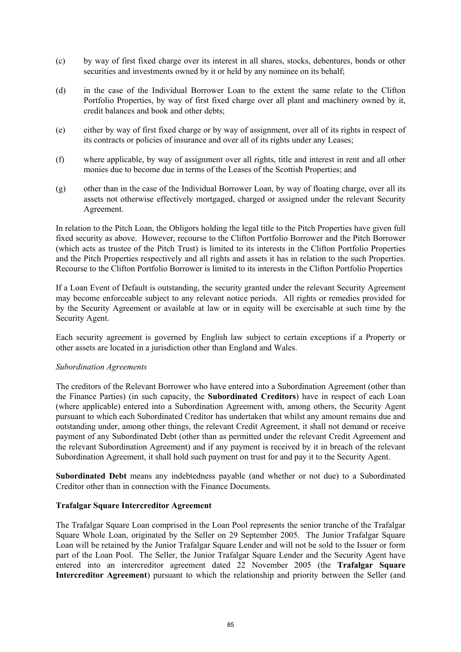- (c) by way of first fixed charge over its interest in all shares, stocks, debentures, bonds or other securities and investments owned by it or held by any nominee on its behalf;
- (d) in the case of the Individual Borrower Loan to the extent the same relate to the Clifton Portfolio Properties, by way of first fixed charge over all plant and machinery owned by it, credit balances and book and other debts;
- (e) either by way of first fixed charge or by way of assignment, over all of its rights in respect of its contracts or policies of insurance and over all of its rights under any Leases;
- (f) where applicable, by way of assignment over all rights, title and interest in rent and all other monies due to become due in terms of the Leases of the Scottish Properties; and
- (g) other than in the case of the Individual Borrower Loan, by way of floating charge, over all its assets not otherwise effectively mortgaged, charged or assigned under the relevant Security Agreement.

In relation to the Pitch Loan, the Obligors holding the legal title to the Pitch Properties have given full fixed security as above. However, recourse to the Clifton Portfolio Borrower and the Pitch Borrower (which acts as trustee of the Pitch Trust) is limited to its interests in the Clifton Portfolio Properties and the Pitch Properties respectively and all rights and assets it has in relation to the such Properties. Recourse to the Clifton Portfolio Borrower is limited to its interests in the Clifton Portfolio Properties

If a Loan Event of Default is outstanding, the security granted under the relevant Security Agreement may become enforceable subject to any relevant notice periods. All rights or remedies provided for by the Security Agreement or available at law or in equity will be exercisable at such time by the Security Agent.

Each security agreement is governed by English law subject to certain exceptions if a Property or other assets are located in a jurisdiction other than England and Wales.

## *Subordination Agreements*

The creditors of the Relevant Borrower who have entered into a Subordination Agreement (other than the Finance Parties) (in such capacity, the **Subordinated Creditors**) have in respect of each Loan (where applicable) entered into a Subordination Agreement with, among others, the Security Agent pursuant to which each Subordinated Creditor has undertaken that whilst any amount remains due and outstanding under, among other things, the relevant Credit Agreement, it shall not demand or receive payment of any Subordinated Debt (other than as permitted under the relevant Credit Agreement and the relevant Subordination Agreement) and if any payment is received by it in breach of the relevant Subordination Agreement, it shall hold such payment on trust for and pay it to the Security Agent.

**Subordinated Debt** means any indebtedness payable (and whether or not due) to a Subordinated Creditor other than in connection with the Finance Documents.

## **Trafalgar Square Intercreditor Agreement**

The Trafalgar Square Loan comprised in the Loan Pool represents the senior tranche of the Trafalgar Square Whole Loan, originated by the Seller on 29 September 2005. The Junior Trafalgar Square Loan will be retained by the Junior Trafalgar Square Lender and will not be sold to the Issuer or form part of the Loan Pool. The Seller, the Junior Trafalgar Square Lender and the Security Agent have entered into an intercreditor agreement dated 22 November 2005 (the **Trafalgar Square Intercreditor Agreement**) pursuant to which the relationship and priority between the Seller (and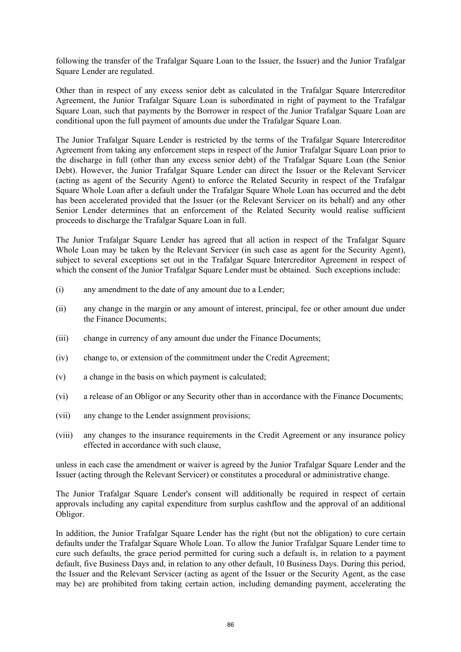following the transfer of the Trafalgar Square Loan to the Issuer, the Issuer) and the Junior Trafalgar Square Lender are regulated.

Other than in respect of any excess senior debt as calculated in the Trafalgar Square Intercreditor Agreement, the Junior Trafalgar Square Loan is subordinated in right of payment to the Trafalgar Square Loan, such that payments by the Borrower in respect of the Junior Trafalgar Square Loan are conditional upon the full payment of amounts due under the Trafalgar Square Loan.

The Junior Trafalgar Square Lender is restricted by the terms of the Trafalgar Square Intercreditor Agreement from taking any enforcement steps in respect of the Junior Trafalgar Square Loan prior to the discharge in full (other than any excess senior debt) of the Trafalgar Square Loan (the Senior Debt). However, the Junior Trafalgar Square Lender can direct the Issuer or the Relevant Servicer (acting as agent of the Security Agent) to enforce the Related Security in respect of the Trafalgar Square Whole Loan after a default under the Trafalgar Square Whole Loan has occurred and the debt has been accelerated provided that the Issuer (or the Relevant Servicer on its behalf) and any other Senior Lender determines that an enforcement of the Related Security would realise sufficient proceeds to discharge the Trafalgar Square Loan in full.

The Junior Trafalgar Square Lender has agreed that all action in respect of the Trafalgar Square Whole Loan may be taken by the Relevant Servicer (in such case as agent for the Security Agent), subject to several exceptions set out in the Trafalgar Square Intercreditor Agreement in respect of which the consent of the Junior Trafalgar Square Lender must be obtained. Such exceptions include:

- (i) any amendment to the date of any amount due to a Lender;
- (ii) any change in the margin or any amount of interest, principal, fee or other amount due under the Finance Documents;
- (iii) change in currency of any amount due under the Finance Documents;
- (iv) change to, or extension of the commitment under the Credit Agreement;
- (v) a change in the basis on which payment is calculated;
- (vi) a release of an Obligor or any Security other than in accordance with the Finance Documents;
- (vii) any change to the Lender assignment provisions;
- (viii) any changes to the insurance requirements in the Credit Agreement or any insurance policy effected in accordance with such clause,

unless in each case the amendment or waiver is agreed by the Junior Trafalgar Square Lender and the Issuer (acting through the Relevant Servicer) or constitutes a procedural or administrative change.

The Junior Trafalgar Square Lender's consent will additionally be required in respect of certain approvals including any capital expenditure from surplus cashflow and the approval of an additional Obligor.

In addition, the Junior Trafalgar Square Lender has the right (but not the obligation) to cure certain defaults under the Trafalgar Square Whole Loan. To allow the Junior Trafalgar Square Lender time to cure such defaults, the grace period permitted for curing such a default is, in relation to a payment default, five Business Days and, in relation to any other default, 10 Business Days. During this period, the Issuer and the Relevant Servicer (acting as agent of the Issuer or the Security Agent, as the case may be) are prohibited from taking certain action, including demanding payment, accelerating the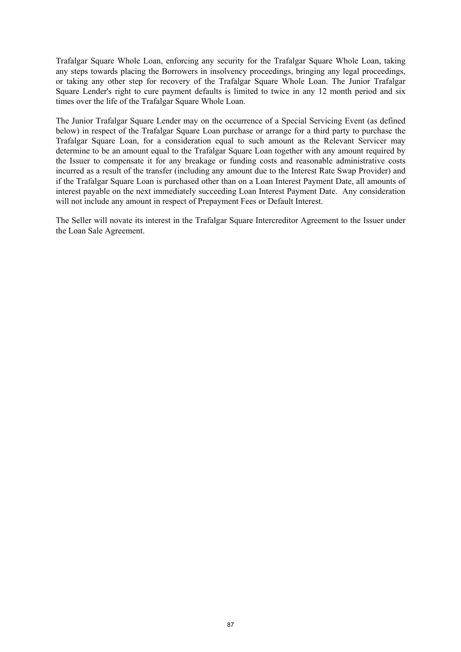Trafalgar Square Whole Loan, enforcing any security for the Trafalgar Square Whole Loan, taking any steps towards placing the Borrowers in insolvency proceedings, bringing any legal proceedings, or taking any other step for recovery of the Trafalgar Square Whole Loan. The Junior Trafalgar Square Lender's right to cure payment defaults is limited to twice in any 12 month period and six times over the life of the Trafalgar Square Whole Loan.

The Junior Trafalgar Square Lender may on the occurrence of a Special Servicing Event (as defined below) in respect of the Trafalgar Square Loan purchase or arrange for a third party to purchase the Trafalgar Square Loan, for a consideration equal to such amount as the Relevant Servicer may determine to be an amount equal to the Trafalgar Square Loan together with any amount required by the Issuer to compensate it for any breakage or funding costs and reasonable administrative costs incurred as a result of the transfer (including any amount due to the Interest Rate Swap Provider) and if the Trafalgar Square Loan is purchased other than on a Loan Interest Payment Date, all amounts of interest payable on the next immediately succeeding Loan Interest Payment Date. Any consideration will not include any amount in respect of Prepayment Fees or Default Interest.

The Seller will novate its interest in the Trafalgar Square Intercreditor Agreement to the Issuer under the Loan Sale Agreement.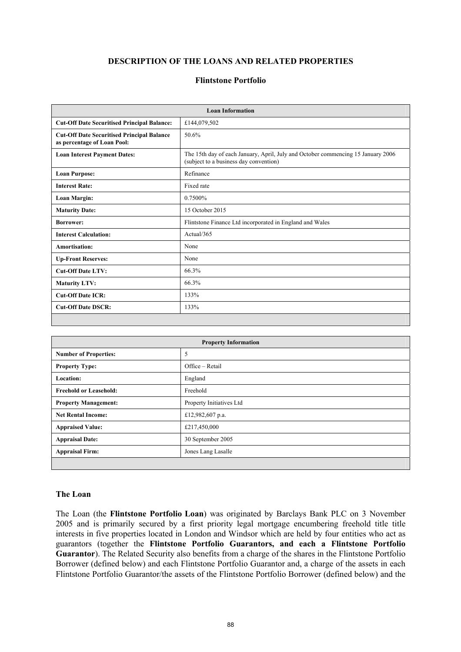# **DESCRIPTION OF THE LOANS AND RELATED PROPERTIES**

#### **Flintstone Portfolio**

|                                                                                  | <b>Loan Information</b>                                                                                                    |
|----------------------------------------------------------------------------------|----------------------------------------------------------------------------------------------------------------------------|
| <b>Cut-Off Date Securitised Principal Balance:</b>                               | £144,079,502                                                                                                               |
| <b>Cut-Off Date Securitised Principal Balance</b><br>as percentage of Loan Pool: | 50.6%                                                                                                                      |
| <b>Loan Interest Payment Dates:</b>                                              | The 15th day of each January, April, July and October commencing 15 January 2006<br>(subject to a business day convention) |
| <b>Loan Purpose:</b>                                                             | Refinance                                                                                                                  |
| <b>Interest Rate:</b>                                                            | Fixed rate                                                                                                                 |
| <b>Loan Margin:</b>                                                              | 0.7500%                                                                                                                    |
| <b>Maturity Date:</b>                                                            | 15 October 2015                                                                                                            |
| <b>Borrower:</b>                                                                 | Flintstone Finance Ltd incorporated in England and Wales                                                                   |
| <b>Interest Calculation:</b>                                                     | Actual/365                                                                                                                 |
| Amortisation:                                                                    | None                                                                                                                       |
| <b>Up-Front Reserves:</b>                                                        | None                                                                                                                       |
| <b>Cut-Off Date LTV:</b>                                                         | 66.3%                                                                                                                      |
| <b>Maturity LTV:</b>                                                             | 66.3%                                                                                                                      |
| <b>Cut-Off Date ICR:</b>                                                         | 133%                                                                                                                       |
| <b>Cut-Off Date DSCR:</b>                                                        | 133%                                                                                                                       |

|                               | <b>Property Information</b> |
|-------------------------------|-----------------------------|
| <b>Number of Properties:</b>  | 5                           |
| <b>Property Type:</b>         | Office – Retail             |
| <b>Location:</b>              | England                     |
| <b>Freehold or Leasehold:</b> | Freehold                    |
| <b>Property Management:</b>   | Property Initiatives Ltd    |
| <b>Net Rental Income:</b>     | £12,982,607 p.a.            |
| <b>Appraised Value:</b>       | £217,450,000                |
| <b>Appraisal Date:</b>        | 30 September 2005           |
| <b>Appraisal Firm:</b>        | Jones Lang Lasalle          |
|                               |                             |

#### **The Loan**

 $\mathbf{I}$ 

The Loan (the **Flintstone Portfolio Loan**) was originated by Barclays Bank PLC on 3 November 2005 and is primarily secured by a first priority legal mortgage encumbering freehold title title interests in five properties located in London and Windsor which are held by four entities who act as guarantors (together the **Flintstone Portfolio Guarantors, and each a Flintstone Portfolio Guarantor**). The Related Security also benefits from a charge of the shares in the Flintstone Portfolio Borrower (defined below) and each Flintstone Portfolio Guarantor and, a charge of the assets in each Flintstone Portfolio Guarantor/the assets of the Flintstone Portfolio Borrower (defined below) and the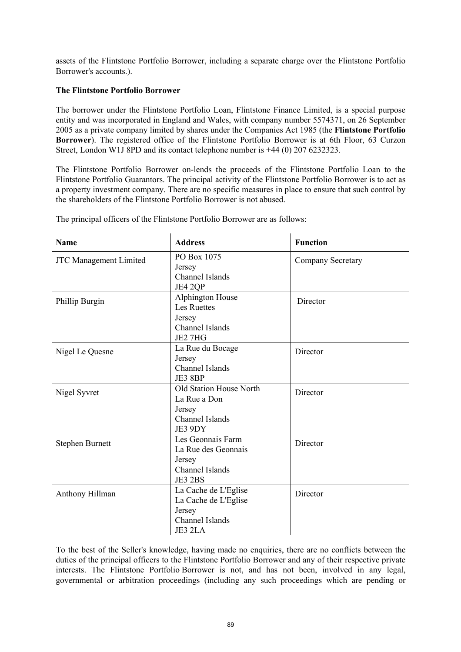assets of the Flintstone Portfolio Borrower, including a separate charge over the Flintstone Portfolio Borrower's accounts.).

# **The Flintstone Portfolio Borrower**

The borrower under the Flintstone Portfolio Loan, Flintstone Finance Limited, is a special purpose entity and was incorporated in England and Wales, with company number 5574371, on 26 September 2005 as a private company limited by shares under the Companies Act 1985 (the **Flintstone Portfolio Borrower**). The registered office of the Flintstone Portfolio Borrower is at 6th Floor, 63 Curzon Street, London W1J 8PD and its contact telephone number is +44 (0) 207 6232323.

The Flintstone Portfolio Borrower on-lends the proceeds of the Flintstone Portfolio Loan to the Flintstone Portfolio Guarantors. The principal activity of the Flintstone Portfolio Borrower is to act as a property investment company. There are no specific measures in place to ensure that such control by the shareholders of the Flintstone Portfolio Borrower is not abused.

| <b>Name</b>                   | <b>Address</b>          | <b>Function</b>   |
|-------------------------------|-------------------------|-------------------|
| <b>JTC Management Limited</b> | PO Box 1075<br>Jersey   | Company Secretary |
|                               | <b>Channel Islands</b>  |                   |
|                               | JE4 2QP                 |                   |
|                               | Alphington House        |                   |
| Phillip Burgin                | <b>Les Ruettes</b>      | Director          |
|                               | Jersey                  |                   |
|                               | Channel Islands         |                   |
|                               | JE2 7HG                 |                   |
| Nigel Le Quesne               | La Rue du Bocage        | Director          |
|                               | Jersey                  |                   |
|                               | Channel Islands         |                   |
|                               | JE3 8BP                 |                   |
| Nigel Syvret                  | Old Station House North | Director          |
|                               | La Rue a Don            |                   |
|                               | Jersey                  |                   |
|                               | <b>Channel Islands</b>  |                   |
|                               | JE3 9DY                 |                   |
| Stephen Burnett               | Les Geonnais Farm       | Director          |
|                               | La Rue des Geonnais     |                   |
|                               | Jersey                  |                   |
|                               | Channel Islands         |                   |
|                               | JE3 2BS                 |                   |
| Anthony Hillman               | La Cache de L'Eglise    | Director          |
|                               | La Cache de L'Eglise    |                   |
|                               | Jersey                  |                   |
|                               | Channel Islands         |                   |
|                               | JE3 2LA                 |                   |

The principal officers of the Flintstone Portfolio Borrower are as follows:

To the best of the Seller's knowledge, having made no enquiries, there are no conflicts between the duties of the principal officers to the Flintstone Portfolio Borrower and any of their respective private interests. The Flintstone Portfolio Borrower is not, and has not been, involved in any legal, governmental or arbitration proceedings (including any such proceedings which are pending or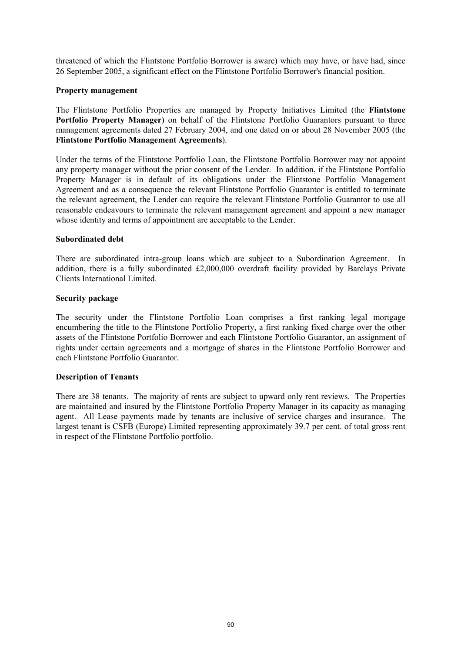threatened of which the Flintstone Portfolio Borrower is aware) which may have, or have had, since 26 September 2005, a significant effect on the Flintstone Portfolio Borrower's financial position.

## **Property management**

The Flintstone Portfolio Properties are managed by Property Initiatives Limited (the **Flintstone Portfolio Property Manager**) on behalf of the Flintstone Portfolio Guarantors pursuant to three management agreements dated 27 February 2004, and one dated on or about 28 November 2005 (the **Flintstone Portfolio Management Agreements**).

Under the terms of the Flintstone Portfolio Loan, the Flintstone Portfolio Borrower may not appoint any property manager without the prior consent of the Lender. In addition, if the Flintstone Portfolio Property Manager is in default of its obligations under the Flintstone Portfolio Management Agreement and as a consequence the relevant Flintstone Portfolio Guarantor is entitled to terminate the relevant agreement, the Lender can require the relevant Flintstone Portfolio Guarantor to use all reasonable endeavours to terminate the relevant management agreement and appoint a new manager whose identity and terms of appointment are acceptable to the Lender.

## **Subordinated debt**

There are subordinated intra-group loans which are subject to a Subordination Agreement. In addition, there is a fully subordinated £2,000,000 overdraft facility provided by Barclays Private Clients International Limited.

## **Security package**

The security under the Flintstone Portfolio Loan comprises a first ranking legal mortgage encumbering the title to the Flintstone Portfolio Property, a first ranking fixed charge over the other assets of the Flintstone Portfolio Borrower and each Flintstone Portfolio Guarantor, an assignment of rights under certain agreements and a mortgage of shares in the Flintstone Portfolio Borrower and each Flintstone Portfolio Guarantor.

## **Description of Tenants**

There are 38 tenants. The majority of rents are subject to upward only rent reviews. The Properties are maintained and insured by the Flintstone Portfolio Property Manager in its capacity as managing agent. All Lease payments made by tenants are inclusive of service charges and insurance. The largest tenant is CSFB (Europe) Limited representing approximately 39.7 per cent. of total gross rent in respect of the Flintstone Portfolio portfolio.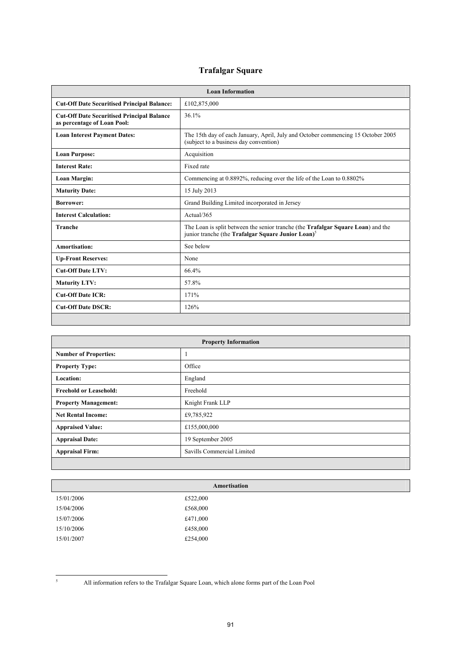# **Trafalgar Square**

|                                                                                  | <b>Loan Information</b>                                                                                                                                    |
|----------------------------------------------------------------------------------|------------------------------------------------------------------------------------------------------------------------------------------------------------|
| <b>Cut-Off Date Securitised Principal Balance:</b>                               | £102,875,000                                                                                                                                               |
| <b>Cut-Off Date Securitised Principal Balance</b><br>as percentage of Loan Pool: | 36.1%                                                                                                                                                      |
| <b>Loan Interest Payment Dates:</b>                                              | The 15th day of each January, April, July and October commencing 15 October 2005<br>(subject to a business day convention)                                 |
| <b>Loan Purpose:</b>                                                             | Acquisition                                                                                                                                                |
| <b>Interest Rate:</b>                                                            | Fixed rate                                                                                                                                                 |
| Loan Margin:                                                                     | Commencing at 0.8892%, reducing over the life of the Loan to 0.8802%                                                                                       |
| <b>Maturity Date:</b>                                                            | 15 July 2013                                                                                                                                               |
| <b>Borrower:</b>                                                                 | Grand Building Limited incorporated in Jersey                                                                                                              |
| <b>Interest Calculation:</b>                                                     | Actual/365                                                                                                                                                 |
| <b>Tranche</b>                                                                   | The Loan is split between the senior tranche (the <b>Trafalgar Square Loan</b> ) and the<br>junior tranche (the Trafalgar Square Junior Loan) <sup>5</sup> |
| Amortisation:                                                                    | See below                                                                                                                                                  |
| <b>Up-Front Reserves:</b>                                                        | None                                                                                                                                                       |
| <b>Cut-Off Date LTV:</b>                                                         | 66.4%                                                                                                                                                      |
| <b>Maturity LTV:</b>                                                             | 57.8%                                                                                                                                                      |
| <b>Cut-Off Date ICR:</b>                                                         | 171%                                                                                                                                                       |
| <b>Cut-Off Date DSCR:</b>                                                        | 126%                                                                                                                                                       |
|                                                                                  |                                                                                                                                                            |

|                               | <b>Property Information</b> |
|-------------------------------|-----------------------------|
| <b>Number of Properties:</b>  |                             |
| <b>Property Type:</b>         | Office                      |
| <b>Location:</b>              | England                     |
| <b>Freehold or Leasehold:</b> | Freehold                    |
| <b>Property Management:</b>   | Knight Frank LLP            |
| <b>Net Rental Income:</b>     | £9,785,922                  |
| <b>Appraised Value:</b>       | £155,000,000                |
| <b>Appraisal Date:</b>        | 19 September 2005           |
| <b>Appraisal Firm:</b>        | Savills Commercial Limited  |
|                               |                             |

|                        | Amortisation |
|------------------------|--------------|
| £522,000<br>15/01/2006 |              |
| £568,000<br>15/04/2006 |              |
| £471,000<br>15/07/2006 |              |
| £458,000<br>15/10/2006 |              |
| £254,000<br>15/01/2007 |              |

5

All information refers to the Trafalgar Square Loan, which alone forms part of the Loan Pool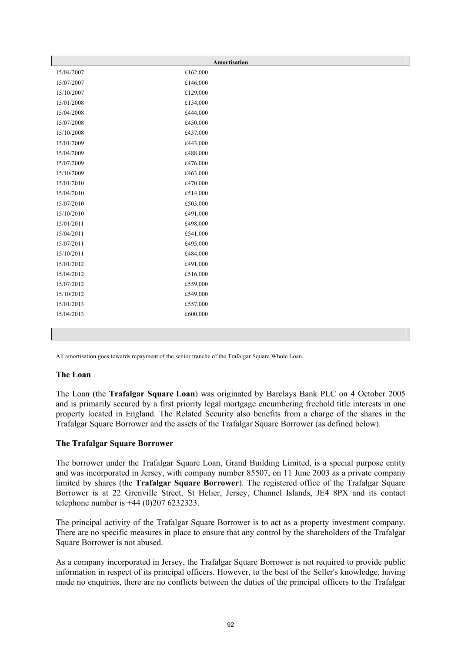|            | Amortisation |
|------------|--------------|
| 15/04/2007 | £162,000     |
| 15/07/2007 | £146,000     |
| 15/10/2007 | £129,000     |
| 15/01/2008 | £134,000     |
| 15/04/2008 | £444,000     |
| 15/07/2008 | £450,000     |
| 15/10/2008 | £437,000     |
| 15/01/2009 | £443,000     |
| 15/04/2009 | £488,000     |
| 15/07/2009 | £476,000     |
| 15/10/2009 | £463,000     |
| 15/01/2010 | £470,000     |
| 15/04/2010 | £514,000     |
| 15/07/2010 | £503,000     |
| 15/10/2010 | £491,000     |
| 15/01/2011 | £498,000     |
| 15/04/2011 | £541,000     |
| 15/07/2011 | £495,000     |
| 15/10/2011 | £484,000     |
| 15/01/2012 | £491,000     |
| 15/04/2012 | £516,000     |
| 15/07/2012 | £559,000     |
| 15/10/2012 | £549,000     |
| 15/01/2013 | £557,000     |
| 15/04/2013 | £600,000     |
|            |              |
|            |              |

All amortisation goes towards repayment of the senior tranche of the Trafalgar Square Whole Loan.

#### **The Loan**

The Loan (the **Trafalgar Square Loan**) was originated by Barclays Bank PLC on 4 October 2005 and is primarily secured by a first priority legal mortgage encumbering freehold title interests in one property located in England. The Related Security also benefits from a charge of the shares in the Trafalgar Square Borrower and the assets of the Trafalgar Square Borrower (as defined below).

## **The Trafalgar Square Borrower**

The borrower under the Trafalgar Square Loan, Grand Building Limited, is a special purpose entity and was incorporated in Jersey, with company number 85507, on 11 June 2003 as a private company limited by shares (the **Trafalgar Square Borrower**). The registered office of the Trafalgar Square Borrower is at 22 Grenville Street, St Helier, Jersey, Channel Islands, JE4 8PX and its contact telephone number is +44 (0)207 6232323.

The principal activity of the Trafalgar Square Borrower is to act as a property investment company. There are no specific measures in place to ensure that any control by the shareholders of the Trafalgar Square Borrower is not abused.

As a company incorporated in Jersey, the Trafalgar Square Borrower is not required to provide public information in respect of its principal officers. However, to the best of the Seller's knowledge, having made no enquiries, there are no conflicts between the duties of the principal officers to the Trafalgar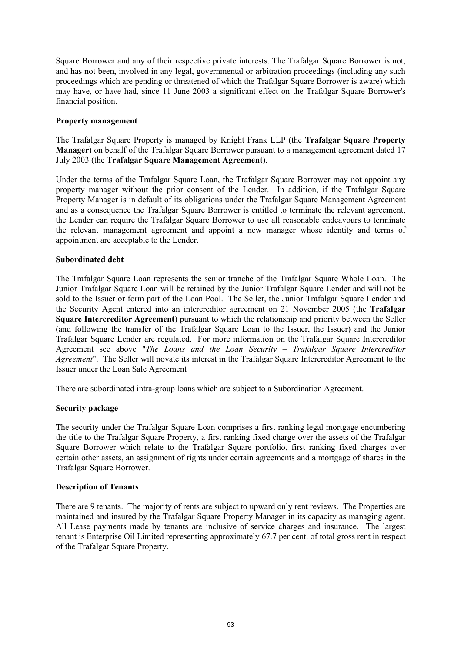Square Borrower and any of their respective private interests. The Trafalgar Square Borrower is not, and has not been, involved in any legal, governmental or arbitration proceedings (including any such proceedings which are pending or threatened of which the Trafalgar Square Borrower is aware) which may have, or have had, since 11 June 2003 a significant effect on the Trafalgar Square Borrower's financial position.

## **Property management**

The Trafalgar Square Property is managed by Knight Frank LLP (the **Trafalgar Square Property Manager**) on behalf of the Trafalgar Square Borrower pursuant to a management agreement dated 17 July 2003 (the **Trafalgar Square Management Agreement**).

Under the terms of the Trafalgar Square Loan, the Trafalgar Square Borrower may not appoint any property manager without the prior consent of the Lender. In addition, if the Trafalgar Square Property Manager is in default of its obligations under the Trafalgar Square Management Agreement and as a consequence the Trafalgar Square Borrower is entitled to terminate the relevant agreement, the Lender can require the Trafalgar Square Borrower to use all reasonable endeavours to terminate the relevant management agreement and appoint a new manager whose identity and terms of appointment are acceptable to the Lender.

## **Subordinated debt**

The Trafalgar Square Loan represents the senior tranche of the Trafalgar Square Whole Loan. The Junior Trafalgar Square Loan will be retained by the Junior Trafalgar Square Lender and will not be sold to the Issuer or form part of the Loan Pool. The Seller, the Junior Trafalgar Square Lender and the Security Agent entered into an intercreditor agreement on 21 November 2005 (the **Trafalgar Square Intercreditor Agreement**) pursuant to which the relationship and priority between the Seller (and following the transfer of the Trafalgar Square Loan to the Issuer, the Issuer) and the Junior Trafalgar Square Lender are regulated. For more information on the Trafalgar Square Intercreditor Agreement see above "*The Loans and the Loan Security – Trafalgar Square Intercreditor Agreement*". The Seller will novate its interest in the Trafalgar Square Intercreditor Agreement to the Issuer under the Loan Sale Agreement

There are subordinated intra-group loans which are subject to a Subordination Agreement.

## **Security package**

The security under the Trafalgar Square Loan comprises a first ranking legal mortgage encumbering the title to the Trafalgar Square Property, a first ranking fixed charge over the assets of the Trafalgar Square Borrower which relate to the Trafalgar Square portfolio, first ranking fixed charges over certain other assets, an assignment of rights under certain agreements and a mortgage of shares in the Trafalgar Square Borrower.

## **Description of Tenants**

There are 9 tenants. The majority of rents are subject to upward only rent reviews. The Properties are maintained and insured by the Trafalgar Square Property Manager in its capacity as managing agent. All Lease payments made by tenants are inclusive of service charges and insurance. The largest tenant is Enterprise Oil Limited representing approximately 67.7 per cent. of total gross rent in respect of the Trafalgar Square Property.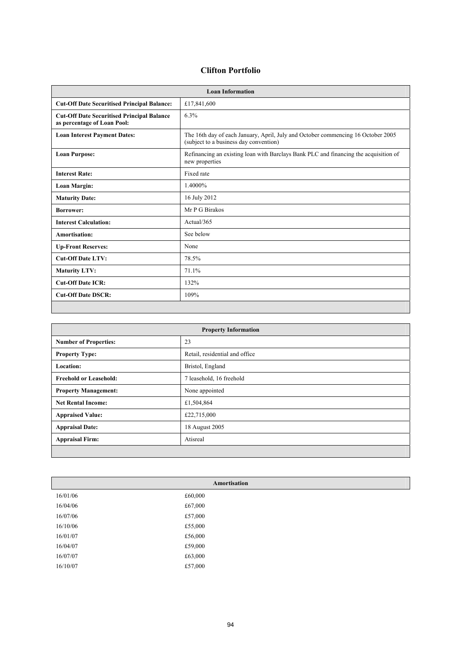## **Clifton Portfolio**

|                                                                                  | <b>Loan Information</b>                                                                                                    |
|----------------------------------------------------------------------------------|----------------------------------------------------------------------------------------------------------------------------|
| <b>Cut-Off Date Securitised Principal Balance:</b>                               | £17,841,600                                                                                                                |
| <b>Cut-Off Date Securitised Principal Balance</b><br>as percentage of Loan Pool: | 6.3%                                                                                                                       |
| <b>Loan Interest Payment Dates:</b>                                              | The 16th day of each January, April, July and October commencing 16 October 2005<br>(subject to a business day convention) |
| <b>Loan Purpose:</b>                                                             | Refinancing an existing loan with Barclays Bank PLC and financing the acquisition of<br>new properties                     |
| <b>Interest Rate:</b>                                                            | Fixed rate                                                                                                                 |
| <b>Loan Margin:</b>                                                              | 1.4000%                                                                                                                    |
| <b>Maturity Date:</b>                                                            | 16 July 2012                                                                                                               |
| <b>Borrower:</b>                                                                 | Mr P G Birakos                                                                                                             |
| <b>Interest Calculation:</b>                                                     | Actual/365                                                                                                                 |
| Amortisation:                                                                    | See below                                                                                                                  |
| <b>Up-Front Reserves:</b>                                                        | None                                                                                                                       |
| <b>Cut-Off Date LTV:</b>                                                         | 78.5%                                                                                                                      |
| <b>Maturity LTV:</b>                                                             | 71.1%                                                                                                                      |
| <b>Cut-Off Date ICR:</b>                                                         | 132%                                                                                                                       |
| <b>Cut-Off Date DSCR:</b>                                                        | 109%                                                                                                                       |
|                                                                                  |                                                                                                                            |

|                               | <b>Property Information</b>    |
|-------------------------------|--------------------------------|
| <b>Number of Properties:</b>  | 23                             |
| <b>Property Type:</b>         | Retail, residential and office |
| <b>Location:</b>              | Bristol, England               |
| <b>Freehold or Leasehold:</b> | 7 leasehold, 16 freehold       |
| <b>Property Management:</b>   | None appointed                 |
| <b>Net Rental Income:</b>     | £1,504,864                     |
| <b>Appraised Value:</b>       | £22,715,000                    |
| <b>Appraisal Date:</b>        | 18 August 2005                 |
| <b>Appraisal Firm:</b>        | Atisreal                       |
|                               |                                |

|                     | Amortisation |
|---------------------|--------------|
| £60,000<br>16/01/06 |              |
| £67,000<br>16/04/06 |              |
| £57,000<br>16/07/06 |              |
| £55,000<br>16/10/06 |              |
| £56,000<br>16/01/07 |              |
| 16/04/07<br>£59,000 |              |
| 16/07/07<br>£63,000 |              |
| £57,000<br>16/10/07 |              |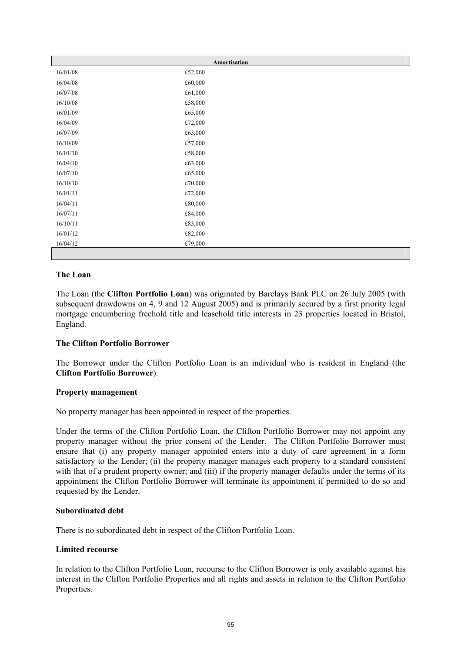|          | Amortisation |
|----------|--------------|
| 16/01/08 | £52,000      |
| 16/04/08 | £60,000      |
| 16/07/08 | £61,000      |
| 16/10/08 | £58,000      |
| 16/01/09 | £65,000      |
| 16/04/09 | £72,000      |
| 16/07/09 | £63,000      |
| 16/10/09 | £57,000      |
| 16/01/10 | £58,000      |
| 16/04/10 | £63,000      |
| 16/07/10 | £65,000      |
| 16/10/10 | £70,000      |
| 16/01/11 | £72,000      |
| 16/04/11 | £80,000      |
| 16/07/11 | £84,000      |
| 16/10/11 | £83,000      |
| 16/01/12 | £82,000      |
| 16/04/12 | £79,000      |
|          |              |

## **The Loan**

The Loan (the **Clifton Portfolio Loan**) was originated by Barclays Bank PLC on 26 July 2005 (with subsequent drawdowns on 4, 9 and 12 August 2005) and is primarily secured by a first priority legal mortgage encumbering freehold title and leasehold title interests in 23 properties located in Bristol, England.

## **The Clifton Portfolio Borrower**

The Borrower under the Clifton Portfolio Loan is an individual who is resident in England (the **Clifton Portfolio Borrower**).

## **Property management**

No property manager has been appointed in respect of the properties.

Under the terms of the Clifton Portfolio Loan, the Clifton Portfolio Borrower may not appoint any property manager without the prior consent of the Lender. The Clifton Portfolio Borrower must ensure that (i) any property manager appointed enters into a duty of care agreement in a form satisfactory to the Lender; (ii) the property manager manages each property to a standard consistent with that of a prudent property owner; and (iii) if the property manager defaults under the terms of its appointment the Clifton Portfolio Borrower will terminate its appointment if permitted to do so and requested by the Lender.

## **Subordinated debt**

There is no subordinated debt in respect of the Clifton Portfolio Loan.

## **Limited recourse**

In relation to the Clifton Portfolio Loan, recourse to the Clifton Borrower is only available against his interest in the Clifton Portfolio Properties and all rights and assets in relation to the Clifton Portfolio Properties.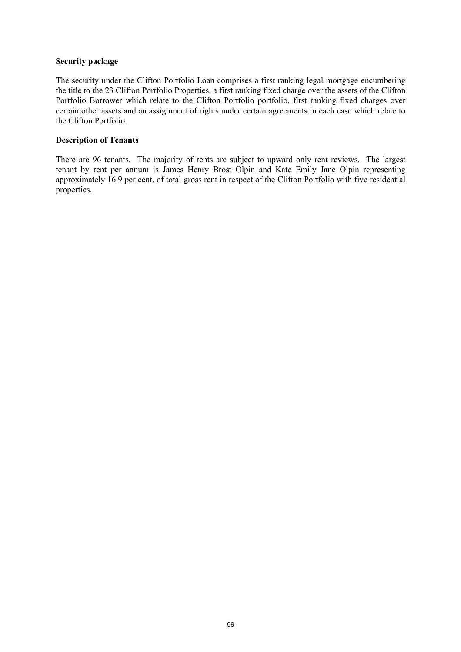#### **Security package**

The security under the Clifton Portfolio Loan comprises a first ranking legal mortgage encumbering the title to the 23 Clifton Portfolio Properties, a first ranking fixed charge over the assets of the Clifton Portfolio Borrower which relate to the Clifton Portfolio portfolio, first ranking fixed charges over certain other assets and an assignment of rights under certain agreements in each case which relate to the Clifton Portfolio.

# **Description of Tenants**

There are 96 tenants. The majority of rents are subject to upward only rent reviews. The largest tenant by rent per annum is James Henry Brost Olpin and Kate Emily Jane Olpin representing approximately 16.9 per cent. of total gross rent in respect of the Clifton Portfolio with five residential properties.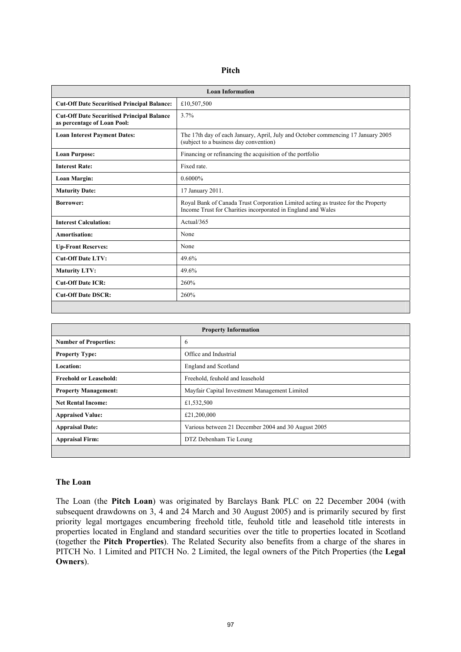| ٠<br>۰.<br>۰. |
|---------------|
|---------------|

| <b>Loan Information</b>                                                          |                                                                                                                                                   |  |
|----------------------------------------------------------------------------------|---------------------------------------------------------------------------------------------------------------------------------------------------|--|
| <b>Cut-Off Date Securitised Principal Balance:</b>                               | £10,507,500                                                                                                                                       |  |
| <b>Cut-Off Date Securitised Principal Balance</b><br>as percentage of Loan Pool: | 3.7%                                                                                                                                              |  |
| <b>Loan Interest Payment Dates:</b>                                              | The 17th day of each January, April, July and October commencing 17 January 2005<br>(subject to a business day convention)                        |  |
| <b>Loan Purpose:</b>                                                             | Financing or refinancing the acquisition of the portfolio                                                                                         |  |
| <b>Interest Rate:</b>                                                            | Fixed rate.                                                                                                                                       |  |
| Loan Margin:                                                                     | $0.6000\%$                                                                                                                                        |  |
| <b>Maturity Date:</b>                                                            | 17 January 2011.                                                                                                                                  |  |
| <b>Borrower:</b>                                                                 | Royal Bank of Canada Trust Corporation Limited acting as trustee for the Property<br>Income Trust for Charities incorporated in England and Wales |  |
| <b>Interest Calculation:</b>                                                     | Actual/365                                                                                                                                        |  |
| Amortisation:                                                                    | None                                                                                                                                              |  |
| <b>Up-Front Reserves:</b>                                                        | None                                                                                                                                              |  |
| <b>Cut-Off Date LTV:</b>                                                         | 49.6%                                                                                                                                             |  |
| <b>Maturity LTV:</b>                                                             | 49.6%                                                                                                                                             |  |
| <b>Cut-Off Date ICR:</b>                                                         | 260%                                                                                                                                              |  |
| <b>Cut-Off Date DSCR:</b>                                                        | 260%                                                                                                                                              |  |

| <b>Property Information</b>   |                                                     |  |
|-------------------------------|-----------------------------------------------------|--|
| <b>Number of Properties:</b>  | 6                                                   |  |
| <b>Property Type:</b>         | Office and Industrial                               |  |
| Location:                     | <b>England and Scotland</b>                         |  |
| <b>Freehold or Leasehold:</b> | Freehold, feuhold and leasehold                     |  |
| <b>Property Management:</b>   | Mayfair Capital Investment Management Limited       |  |
| <b>Net Rental Income:</b>     | £1,532,500                                          |  |
| <b>Appraised Value:</b>       | £21,200,000                                         |  |
| <b>Appraisal Date:</b>        | Various between 21 December 2004 and 30 August 2005 |  |
| <b>Appraisal Firm:</b>        | DTZ Debenham Tie Leung                              |  |
|                               |                                                     |  |

#### **The Loan**

The Loan (the **Pitch Loan**) was originated by Barclays Bank PLC on 22 December 2004 (with subsequent drawdowns on 3, 4 and 24 March and 30 August 2005) and is primarily secured by first priority legal mortgages encumbering freehold title, feuhold title and leasehold title interests in properties located in England and standard securities over the title to properties located in Scotland (together the **Pitch Properties**). The Related Security also benefits from a charge of the shares in PITCH No. 1 Limited and PITCH No. 2 Limited, the legal owners of the Pitch Properties (the **Legal Owners**).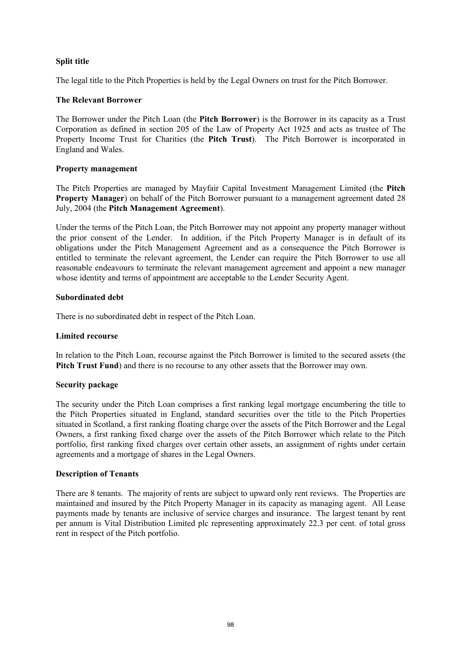## **Split title**

The legal title to the Pitch Properties is held by the Legal Owners on trust for the Pitch Borrower.

## **The Relevant Borrower**

The Borrower under the Pitch Loan (the **Pitch Borrower**) is the Borrower in its capacity as a Trust Corporation as defined in section 205 of the Law of Property Act 1925 and acts as trustee of The Property Income Trust for Charities (the **Pitch Trust**). The Pitch Borrower is incorporated in England and Wales.

## **Property management**

The Pitch Properties are managed by Mayfair Capital Investment Management Limited (the **Pitch Property Manager**) on behalf of the Pitch Borrower pursuant to a management agreement dated 28 July, 2004 (the **Pitch Management Agreement**).

Under the terms of the Pitch Loan, the Pitch Borrower may not appoint any property manager without the prior consent of the Lender. In addition, if the Pitch Property Manager is in default of its obligations under the Pitch Management Agreement and as a consequence the Pitch Borrower is entitled to terminate the relevant agreement, the Lender can require the Pitch Borrower to use all reasonable endeavours to terminate the relevant management agreement and appoint a new manager whose identity and terms of appointment are acceptable to the Lender Security Agent.

## **Subordinated debt**

There is no subordinated debt in respect of the Pitch Loan.

## **Limited recourse**

In relation to the Pitch Loan, recourse against the Pitch Borrower is limited to the secured assets (the **Pitch Trust Fund**) and there is no recourse to any other assets that the Borrower may own.

## **Security package**

The security under the Pitch Loan comprises a first ranking legal mortgage encumbering the title to the Pitch Properties situated in England, standard securities over the title to the Pitch Properties situated in Scotland, a first ranking floating charge over the assets of the Pitch Borrower and the Legal Owners, a first ranking fixed charge over the assets of the Pitch Borrower which relate to the Pitch portfolio, first ranking fixed charges over certain other assets, an assignment of rights under certain agreements and a mortgage of shares in the Legal Owners.

## **Description of Tenants**

There are 8 tenants. The majority of rents are subject to upward only rent reviews. The Properties are maintained and insured by the Pitch Property Manager in its capacity as managing agent. All Lease payments made by tenants are inclusive of service charges and insurance. The largest tenant by rent per annum is Vital Distribution Limited plc representing approximately 22.3 per cent. of total gross rent in respect of the Pitch portfolio.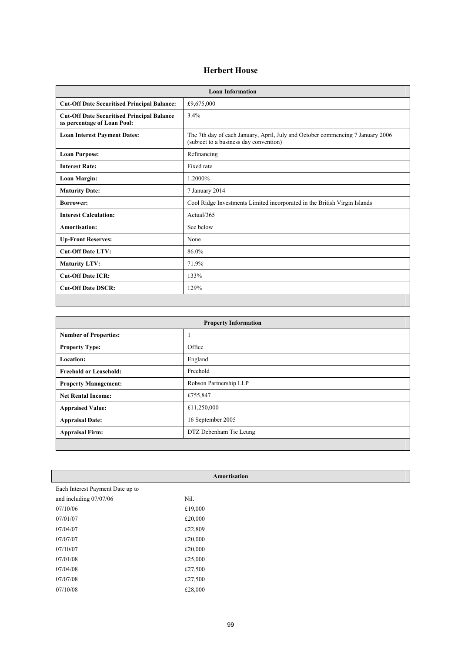## **Herbert House**

| <b>Loan Information</b>                                                          |                                                                                                                          |  |
|----------------------------------------------------------------------------------|--------------------------------------------------------------------------------------------------------------------------|--|
| <b>Cut-Off Date Securitised Principal Balance:</b>                               | £9,675,000                                                                                                               |  |
| <b>Cut-Off Date Securitised Principal Balance</b><br>as percentage of Loan Pool: | 3.4%                                                                                                                     |  |
| <b>Loan Interest Payment Dates:</b>                                              | The 7th day of each January, April, July and October commencing 7 January 2006<br>(subject to a business day convention) |  |
| <b>Loan Purpose:</b>                                                             | Refinancing                                                                                                              |  |
| <b>Interest Rate:</b>                                                            | Fixed rate                                                                                                               |  |
| Loan Margin:                                                                     | 1.2000%                                                                                                                  |  |
| <b>Maturity Date:</b>                                                            | 7 January 2014                                                                                                           |  |
| <b>Borrower:</b>                                                                 | Cool Ridge Investments Limited incorporated in the British Virgin Islands                                                |  |
| <b>Interest Calculation:</b>                                                     | Actual/365                                                                                                               |  |
| Amortisation:                                                                    | See below                                                                                                                |  |
| <b>Up-Front Reserves:</b>                                                        | None                                                                                                                     |  |
| <b>Cut-Off Date LTV:</b>                                                         | 86.0%                                                                                                                    |  |
| <b>Maturity LTV:</b>                                                             | 71.9%                                                                                                                    |  |
| <b>Cut-Off Date ICR:</b>                                                         | 133%                                                                                                                     |  |
| <b>Cut-Off Date DSCR:</b>                                                        | 129%                                                                                                                     |  |
|                                                                                  |                                                                                                                          |  |

| <b>Property Information</b>   |                        |  |
|-------------------------------|------------------------|--|
| <b>Number of Properties:</b>  | 1                      |  |
| <b>Property Type:</b>         | Office                 |  |
| <b>Location:</b>              | England                |  |
| <b>Freehold or Leasehold:</b> | Freehold               |  |
| <b>Property Management:</b>   | Robson Partnership LLP |  |
| <b>Net Rental Income:</b>     | £755,847               |  |
| <b>Appraised Value:</b>       | £11,250,000            |  |
| <b>Appraisal Date:</b>        | 16 September 2005      |  |
| <b>Appraisal Firm:</b>        | DTZ Debenham Tie Leung |  |
|                               |                        |  |

| Amortisation                     |         |  |
|----------------------------------|---------|--|
| Each Interest Payment Date up to |         |  |
| and including 07/07/06           | Nil.    |  |
| 07/10/06                         | £19,000 |  |
| 07/01/07                         | £20,000 |  |
| 07/04/07                         | £22,809 |  |
| 07/07/07                         | £20,000 |  |
| 07/10/07                         | £20,000 |  |
| 07/01/08                         | £25,000 |  |
| 07/04/08                         | £27,500 |  |
| 07/07/08                         | £27,500 |  |
| 07/10/08                         | £28,000 |  |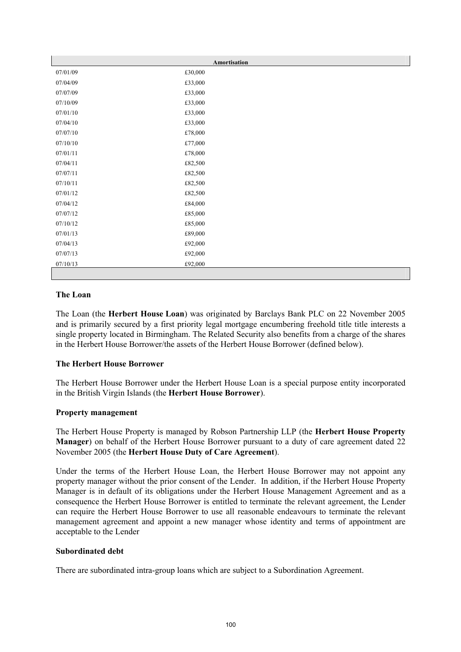| Amortisation |         |  |
|--------------|---------|--|
| 07/01/09     | £30,000 |  |
| 07/04/09     | £33,000 |  |
| 07/07/09     | £33,000 |  |
| 07/10/09     | £33,000 |  |
| 07/01/10     | £33,000 |  |
| 07/04/10     | £33,000 |  |
| 07/07/10     | £78,000 |  |
| 07/10/10     | £77,000 |  |
| 07/01/11     | £78,000 |  |
| 07/04/11     | £82,500 |  |
| 07/07/11     | £82,500 |  |
| 07/10/11     | £82,500 |  |
| 07/01/12     | £82,500 |  |
| 07/04/12     | £84,000 |  |
| 07/07/12     | £85,000 |  |
| 07/10/12     | £85,000 |  |
| 07/01/13     | £89,000 |  |
| 07/04/13     | £92,000 |  |
| 07/07/13     | £92,000 |  |
| 07/10/13     | £92,000 |  |
|              |         |  |

## **The Loan**

The Loan (the **Herbert House Loan**) was originated by Barclays Bank PLC on 22 November 2005 and is primarily secured by a first priority legal mortgage encumbering freehold title title interests a single property located in Birmingham. The Related Security also benefits from a charge of the shares in the Herbert House Borrower/the assets of the Herbert House Borrower (defined below).

# **The Herbert House Borrower**

The Herbert House Borrower under the Herbert House Loan is a special purpose entity incorporated in the British Virgin Islands (the **Herbert House Borrower**).

## **Property management**

The Herbert House Property is managed by Robson Partnership LLP (the **Herbert House Property Manager**) on behalf of the Herbert House Borrower pursuant to a duty of care agreement dated 22 November 2005 (the **Herbert House Duty of Care Agreement**).

Under the terms of the Herbert House Loan, the Herbert House Borrower may not appoint any property manager without the prior consent of the Lender. In addition, if the Herbert House Property Manager is in default of its obligations under the Herbert House Management Agreement and as a consequence the Herbert House Borrower is entitled to terminate the relevant agreement, the Lender can require the Herbert House Borrower to use all reasonable endeavours to terminate the relevant management agreement and appoint a new manager whose identity and terms of appointment are acceptable to the Lender

## **Subordinated debt**

There are subordinated intra-group loans which are subject to a Subordination Agreement.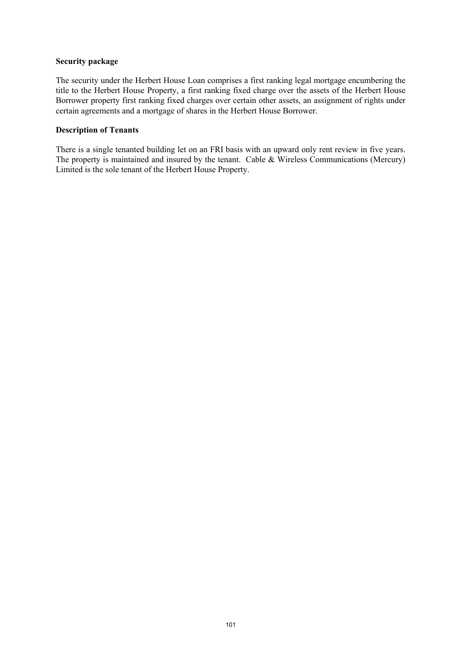#### **Security package**

The security under the Herbert House Loan comprises a first ranking legal mortgage encumbering the title to the Herbert House Property, a first ranking fixed charge over the assets of the Herbert House Borrower property first ranking fixed charges over certain other assets, an assignment of rights under certain agreements and a mortgage of shares in the Herbert House Borrower.

## **Description of Tenants**

There is a single tenanted building let on an FRI basis with an upward only rent review in five years. The property is maintained and insured by the tenant. Cable & Wireless Communications (Mercury) Limited is the sole tenant of the Herbert House Property.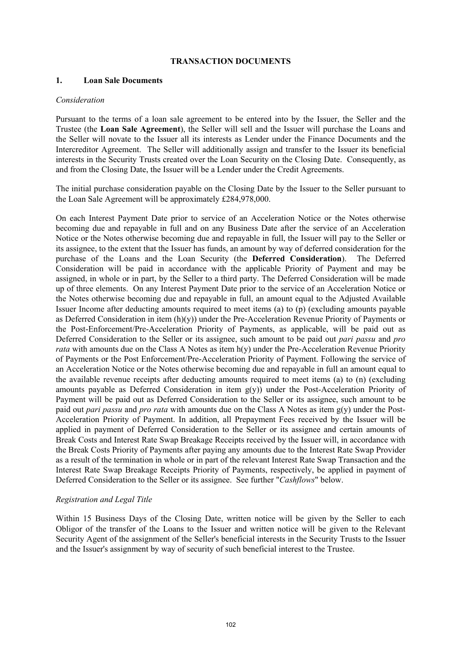#### **TRANSACTION DOCUMENTS**

## **1. Loan Sale Documents**

#### *Consideration*

Pursuant to the terms of a loan sale agreement to be entered into by the Issuer, the Seller and the Trustee (the **Loan Sale Agreement**), the Seller will sell and the Issuer will purchase the Loans and the Seller will novate to the Issuer all its interests as Lender under the Finance Documents and the Intercreditor Agreement. The Seller will additionally assign and transfer to the Issuer its beneficial interests in the Security Trusts created over the Loan Security on the Closing Date. Consequently, as and from the Closing Date, the Issuer will be a Lender under the Credit Agreements.

The initial purchase consideration payable on the Closing Date by the Issuer to the Seller pursuant to the Loan Sale Agreement will be approximately £284,978,000.

On each Interest Payment Date prior to service of an Acceleration Notice or the Notes otherwise becoming due and repayable in full and on any Business Date after the service of an Acceleration Notice or the Notes otherwise becoming due and repayable in full, the Issuer will pay to the Seller or its assignee, to the extent that the Issuer has funds, an amount by way of deferred consideration for the purchase of the Loans and the Loan Security (the **Deferred Consideration**). The Deferred Consideration will be paid in accordance with the applicable Priority of Payment and may be assigned, in whole or in part, by the Seller to a third party. The Deferred Consideration will be made up of three elements. On any Interest Payment Date prior to the service of an Acceleration Notice or the Notes otherwise becoming due and repayable in full, an amount equal to the Adjusted Available Issuer Income after deducting amounts required to meet items (a) to (p) (excluding amounts payable as Deferred Consideration in item (h)(y)) under the Pre-Acceleration Revenue Priority of Payments or the Post-Enforcement/Pre-Acceleration Priority of Payments, as applicable, will be paid out as Deferred Consideration to the Seller or its assignee, such amount to be paid out *pari passu* and *pro rata* with amounts due on the Class A Notes as item h(y) under the Pre-Acceleration Revenue Priority of Payments or the Post Enforcement/Pre-Acceleration Priority of Payment. Following the service of an Acceleration Notice or the Notes otherwise becoming due and repayable in full an amount equal to the available revenue receipts after deducting amounts required to meet items (a) to (n) (excluding amounts payable as Deferred Consideration in item g(y)) under the Post-Acceleration Priority of Payment will be paid out as Deferred Consideration to the Seller or its assignee, such amount to be paid out *pari passu* and *pro rata* with amounts due on the Class A Notes as item g(y) under the Post-Acceleration Priority of Payment. In addition, all Prepayment Fees received by the Issuer will be applied in payment of Deferred Consideration to the Seller or its assignee and certain amounts of Break Costs and Interest Rate Swap Breakage Receipts received by the Issuer will, in accordance with the Break Costs Priority of Payments after paying any amounts due to the Interest Rate Swap Provider as a result of the termination in whole or in part of the relevant Interest Rate Swap Transaction and the Interest Rate Swap Breakage Receipts Priority of Payments, respectively, be applied in payment of Deferred Consideration to the Seller or its assignee. See further "*Cashflows*" below.

## *Registration and Legal Title*

Within 15 Business Days of the Closing Date, written notice will be given by the Seller to each Obligor of the transfer of the Loans to the Issuer and written notice will be given to the Relevant Security Agent of the assignment of the Seller's beneficial interests in the Security Trusts to the Issuer and the Issuer's assignment by way of security of such beneficial interest to the Trustee.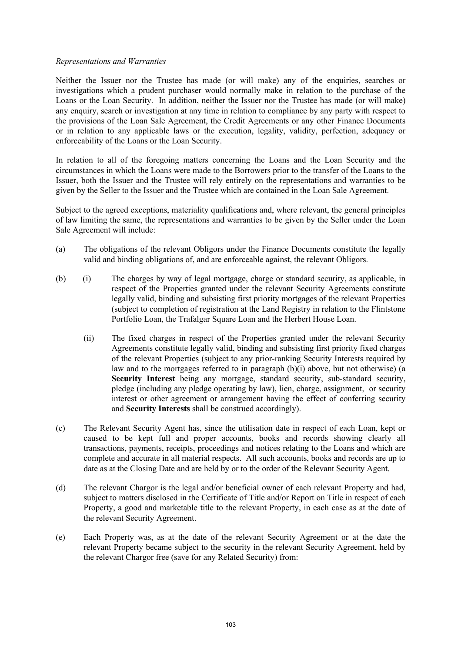### *Representations and Warranties*

Neither the Issuer nor the Trustee has made (or will make) any of the enquiries, searches or investigations which a prudent purchaser would normally make in relation to the purchase of the Loans or the Loan Security. In addition, neither the Issuer nor the Trustee has made (or will make) any enquiry, search or investigation at any time in relation to compliance by any party with respect to the provisions of the Loan Sale Agreement, the Credit Agreements or any other Finance Documents or in relation to any applicable laws or the execution, legality, validity, perfection, adequacy or enforceability of the Loans or the Loan Security.

In relation to all of the foregoing matters concerning the Loans and the Loan Security and the circumstances in which the Loans were made to the Borrowers prior to the transfer of the Loans to the Issuer, both the Issuer and the Trustee will rely entirely on the representations and warranties to be given by the Seller to the Issuer and the Trustee which are contained in the Loan Sale Agreement.

Subject to the agreed exceptions, materiality qualifications and, where relevant, the general principles of law limiting the same, the representations and warranties to be given by the Seller under the Loan Sale Agreement will include:

- (a) The obligations of the relevant Obligors under the Finance Documents constitute the legally valid and binding obligations of, and are enforceable against, the relevant Obligors.
- (b) (i) The charges by way of legal mortgage, charge or standard security, as applicable, in respect of the Properties granted under the relevant Security Agreements constitute legally valid, binding and subsisting first priority mortgages of the relevant Properties (subject to completion of registration at the Land Registry in relation to the Flintstone Portfolio Loan, the Trafalgar Square Loan and the Herbert House Loan.
	- (ii) The fixed charges in respect of the Properties granted under the relevant Security Agreements constitute legally valid, binding and subsisting first priority fixed charges of the relevant Properties (subject to any prior-ranking Security Interests required by law and to the mortgages referred to in paragraph (b)(i) above, but not otherwise) (a **Security Interest** being any mortgage, standard security, sub-standard security, pledge (including any pledge operating by law), lien, charge, assignment, or security interest or other agreement or arrangement having the effect of conferring security and **Security Interests** shall be construed accordingly).
- (c) The Relevant Security Agent has, since the utilisation date in respect of each Loan, kept or caused to be kept full and proper accounts, books and records showing clearly all transactions, payments, receipts, proceedings and notices relating to the Loans and which are complete and accurate in all material respects. All such accounts, books and records are up to date as at the Closing Date and are held by or to the order of the Relevant Security Agent.
- (d) The relevant Chargor is the legal and/or beneficial owner of each relevant Property and had, subject to matters disclosed in the Certificate of Title and/or Report on Title in respect of each Property, a good and marketable title to the relevant Property, in each case as at the date of the relevant Security Agreement.
- (e) Each Property was, as at the date of the relevant Security Agreement or at the date the relevant Property became subject to the security in the relevant Security Agreement, held by the relevant Chargor free (save for any Related Security) from: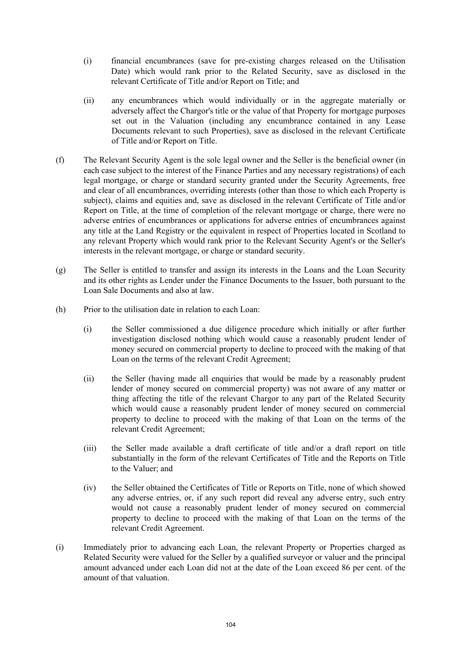- (i) financial encumbrances (save for pre-existing charges released on the Utilisation Date) which would rank prior to the Related Security, save as disclosed in the relevant Certificate of Title and/or Report on Title; and
- (ii) any encumbrances which would individually or in the aggregate materially or adversely affect the Chargor's title or the value of that Property for mortgage purposes set out in the Valuation (including any encumbrance contained in any Lease Documents relevant to such Properties), save as disclosed in the relevant Certificate of Title and/or Report on Title.
- (f) The Relevant Security Agent is the sole legal owner and the Seller is the beneficial owner (in each case subject to the interest of the Finance Parties and any necessary registrations) of each legal mortgage, or charge or standard security granted under the Security Agreements, free and clear of all encumbrances, overriding interests (other than those to which each Property is subject), claims and equities and, save as disclosed in the relevant Certificate of Title and/or Report on Title, at the time of completion of the relevant mortgage or charge, there were no adverse entries of encumbrances or applications for adverse entries of encumbrances against any title at the Land Registry or the equivalent in respect of Properties located in Scotland to any relevant Property which would rank prior to the Relevant Security Agent's or the Seller's interests in the relevant mortgage, or charge or standard security.
- (g) The Seller is entitled to transfer and assign its interests in the Loans and the Loan Security and its other rights as Lender under the Finance Documents to the Issuer, both pursuant to the Loan Sale Documents and also at law.
- (h) Prior to the utilisation date in relation to each Loan:
	- (i) the Seller commissioned a due diligence procedure which initially or after further investigation disclosed nothing which would cause a reasonably prudent lender of money secured on commercial property to decline to proceed with the making of that Loan on the terms of the relevant Credit Agreement;
	- (ii) the Seller (having made all enquiries that would be made by a reasonably prudent lender of money secured on commercial property) was not aware of any matter or thing affecting the title of the relevant Chargor to any part of the Related Security which would cause a reasonably prudent lender of money secured on commercial property to decline to proceed with the making of that Loan on the terms of the relevant Credit Agreement;
	- (iii) the Seller made available a draft certificate of title and/or a draft report on title substantially in the form of the relevant Certificates of Title and the Reports on Title to the Valuer; and
	- (iv) the Seller obtained the Certificates of Title or Reports on Title, none of which showed any adverse entries, or, if any such report did reveal any adverse entry, such entry would not cause a reasonably prudent lender of money secured on commercial property to decline to proceed with the making of that Loan on the terms of the relevant Credit Agreement.
- (i) Immediately prior to advancing each Loan, the relevant Property or Properties charged as Related Security were valued for the Seller by a qualified surveyor or valuer and the principal amount advanced under each Loan did not at the date of the Loan exceed 86 per cent. of the amount of that valuation.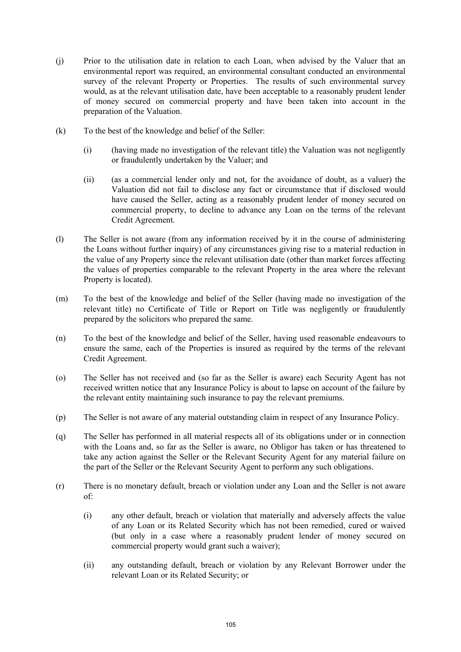- (j) Prior to the utilisation date in relation to each Loan, when advised by the Valuer that an environmental report was required, an environmental consultant conducted an environmental survey of the relevant Property or Properties. The results of such environmental survey would, as at the relevant utilisation date, have been acceptable to a reasonably prudent lender of money secured on commercial property and have been taken into account in the preparation of the Valuation.
- (k) To the best of the knowledge and belief of the Seller:
	- (i) (having made no investigation of the relevant title) the Valuation was not negligently or fraudulently undertaken by the Valuer; and
	- (ii) (as a commercial lender only and not, for the avoidance of doubt, as a valuer) the Valuation did not fail to disclose any fact or circumstance that if disclosed would have caused the Seller, acting as a reasonably prudent lender of money secured on commercial property, to decline to advance any Loan on the terms of the relevant Credit Agreement.
- (l) The Seller is not aware (from any information received by it in the course of administering the Loans without further inquiry) of any circumstances giving rise to a material reduction in the value of any Property since the relevant utilisation date (other than market forces affecting the values of properties comparable to the relevant Property in the area where the relevant Property is located).
- (m) To the best of the knowledge and belief of the Seller (having made no investigation of the relevant title) no Certificate of Title or Report on Title was negligently or fraudulently prepared by the solicitors who prepared the same.
- (n) To the best of the knowledge and belief of the Seller, having used reasonable endeavours to ensure the same, each of the Properties is insured as required by the terms of the relevant Credit Agreement.
- (o) The Seller has not received and (so far as the Seller is aware) each Security Agent has not received written notice that any Insurance Policy is about to lapse on account of the failure by the relevant entity maintaining such insurance to pay the relevant premiums.
- (p) The Seller is not aware of any material outstanding claim in respect of any Insurance Policy.
- (q) The Seller has performed in all material respects all of its obligations under or in connection with the Loans and, so far as the Seller is aware, no Obligor has taken or has threatened to take any action against the Seller or the Relevant Security Agent for any material failure on the part of the Seller or the Relevant Security Agent to perform any such obligations.
- (r) There is no monetary default, breach or violation under any Loan and the Seller is not aware of:
	- (i) any other default, breach or violation that materially and adversely affects the value of any Loan or its Related Security which has not been remedied, cured or waived (but only in a case where a reasonably prudent lender of money secured on commercial property would grant such a waiver);
	- (ii) any outstanding default, breach or violation by any Relevant Borrower under the relevant Loan or its Related Security; or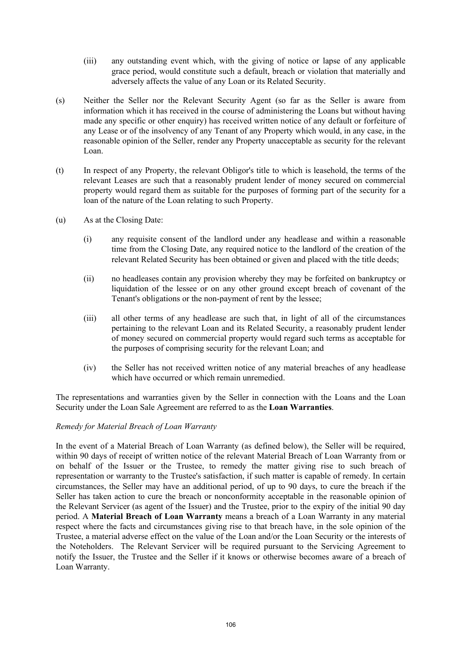- (iii) any outstanding event which, with the giving of notice or lapse of any applicable grace period, would constitute such a default, breach or violation that materially and adversely affects the value of any Loan or its Related Security.
- (s) Neither the Seller nor the Relevant Security Agent (so far as the Seller is aware from information which it has received in the course of administering the Loans but without having made any specific or other enquiry) has received written notice of any default or forfeiture of any Lease or of the insolvency of any Tenant of any Property which would, in any case, in the reasonable opinion of the Seller, render any Property unacceptable as security for the relevant Loan.
- (t) In respect of any Property, the relevant Obligor's title to which is leasehold, the terms of the relevant Leases are such that a reasonably prudent lender of money secured on commercial property would regard them as suitable for the purposes of forming part of the security for a loan of the nature of the Loan relating to such Property.
- (u) As at the Closing Date:
	- (i) any requisite consent of the landlord under any headlease and within a reasonable time from the Closing Date, any required notice to the landlord of the creation of the relevant Related Security has been obtained or given and placed with the title deeds;
	- (ii) no headleases contain any provision whereby they may be forfeited on bankruptcy or liquidation of the lessee or on any other ground except breach of covenant of the Tenant's obligations or the non-payment of rent by the lessee;
	- (iii) all other terms of any headlease are such that, in light of all of the circumstances pertaining to the relevant Loan and its Related Security, a reasonably prudent lender of money secured on commercial property would regard such terms as acceptable for the purposes of comprising security for the relevant Loan; and
	- (iv) the Seller has not received written notice of any material breaches of any headlease which have occurred or which remain unremedied.

The representations and warranties given by the Seller in connection with the Loans and the Loan Security under the Loan Sale Agreement are referred to as the **Loan Warranties**.

## *Remedy for Material Breach of Loan Warranty*

In the event of a Material Breach of Loan Warranty (as defined below), the Seller will be required, within 90 days of receipt of written notice of the relevant Material Breach of Loan Warranty from or on behalf of the Issuer or the Trustee, to remedy the matter giving rise to such breach of representation or warranty to the Trustee's satisfaction, if such matter is capable of remedy. In certain circumstances, the Seller may have an additional period, of up to 90 days, to cure the breach if the Seller has taken action to cure the breach or nonconformity acceptable in the reasonable opinion of the Relevant Servicer (as agent of the Issuer) and the Trustee, prior to the expiry of the initial 90 day period. A **Material Breach of Loan Warranty** means a breach of a Loan Warranty in any material respect where the facts and circumstances giving rise to that breach have, in the sole opinion of the Trustee, a material adverse effect on the value of the Loan and/or the Loan Security or the interests of the Noteholders. The Relevant Servicer will be required pursuant to the Servicing Agreement to notify the Issuer, the Trustee and the Seller if it knows or otherwise becomes aware of a breach of Loan Warranty.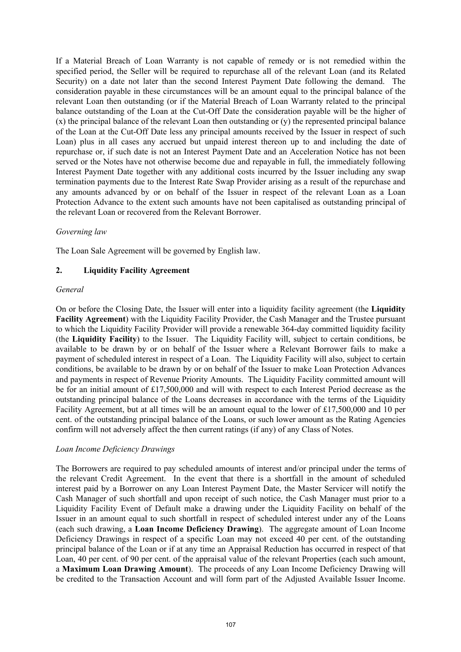If a Material Breach of Loan Warranty is not capable of remedy or is not remedied within the specified period, the Seller will be required to repurchase all of the relevant Loan (and its Related Security) on a date not later than the second Interest Payment Date following the demand. The consideration payable in these circumstances will be an amount equal to the principal balance of the relevant Loan then outstanding (or if the Material Breach of Loan Warranty related to the principal balance outstanding of the Loan at the Cut-Off Date the consideration payable will be the higher of (x) the principal balance of the relevant Loan then outstanding or (y) the represented principal balance of the Loan at the Cut-Off Date less any principal amounts received by the Issuer in respect of such Loan) plus in all cases any accrued but unpaid interest thereon up to and including the date of repurchase or, if such date is not an Interest Payment Date and an Acceleration Notice has not been served or the Notes have not otherwise become due and repayable in full, the immediately following Interest Payment Date together with any additional costs incurred by the Issuer including any swap termination payments due to the Interest Rate Swap Provider arising as a result of the repurchase and any amounts advanced by or on behalf of the Issuer in respect of the relevant Loan as a Loan Protection Advance to the extent such amounts have not been capitalised as outstanding principal of the relevant Loan or recovered from the Relevant Borrower.

## *Governing law*

The Loan Sale Agreement will be governed by English law.

## **2. Liquidity Facility Agreement**

## *General*

On or before the Closing Date, the Issuer will enter into a liquidity facility agreement (the **Liquidity Facility Agreement**) with the Liquidity Facility Provider, the Cash Manager and the Trustee pursuant to which the Liquidity Facility Provider will provide a renewable 364-day committed liquidity facility (the **Liquidity Facility**) to the Issuer. The Liquidity Facility will, subject to certain conditions, be available to be drawn by or on behalf of the Issuer where a Relevant Borrower fails to make a payment of scheduled interest in respect of a Loan. The Liquidity Facility will also, subject to certain conditions, be available to be drawn by or on behalf of the Issuer to make Loan Protection Advances and payments in respect of Revenue Priority Amounts. The Liquidity Facility committed amount will be for an initial amount of £17,500,000 and will with respect to each Interest Period decrease as the outstanding principal balance of the Loans decreases in accordance with the terms of the Liquidity Facility Agreement, but at all times will be an amount equal to the lower of £17,500,000 and 10 per cent. of the outstanding principal balance of the Loans, or such lower amount as the Rating Agencies confirm will not adversely affect the then current ratings (if any) of any Class of Notes.

# *Loan Income Deficiency Drawings*

The Borrowers are required to pay scheduled amounts of interest and/or principal under the terms of the relevant Credit Agreement. In the event that there is a shortfall in the amount of scheduled interest paid by a Borrower on any Loan Interest Payment Date, the Master Servicer will notify the Cash Manager of such shortfall and upon receipt of such notice, the Cash Manager must prior to a Liquidity Facility Event of Default make a drawing under the Liquidity Facility on behalf of the Issuer in an amount equal to such shortfall in respect of scheduled interest under any of the Loans (each such drawing, a **Loan Income Deficiency Drawing**). The aggregate amount of Loan Income Deficiency Drawings in respect of a specific Loan may not exceed 40 per cent. of the outstanding principal balance of the Loan or if at any time an Appraisal Reduction has occurred in respect of that Loan, 40 per cent. of 90 per cent. of the appraisal value of the relevant Properties (each such amount, a **Maximum Loan Drawing Amount**). The proceeds of any Loan Income Deficiency Drawing will be credited to the Transaction Account and will form part of the Adjusted Available Issuer Income.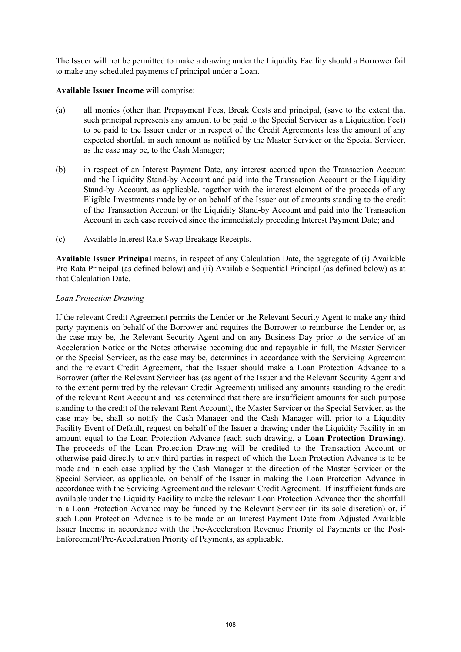The Issuer will not be permitted to make a drawing under the Liquidity Facility should a Borrower fail to make any scheduled payments of principal under a Loan.

## **Available Issuer Income** will comprise:

- (a) all monies (other than Prepayment Fees, Break Costs and principal, (save to the extent that such principal represents any amount to be paid to the Special Servicer as a Liquidation Fee)) to be paid to the Issuer under or in respect of the Credit Agreements less the amount of any expected shortfall in such amount as notified by the Master Servicer or the Special Servicer, as the case may be, to the Cash Manager;
- (b) in respect of an Interest Payment Date, any interest accrued upon the Transaction Account and the Liquidity Stand-by Account and paid into the Transaction Account or the Liquidity Stand-by Account, as applicable, together with the interest element of the proceeds of any Eligible Investments made by or on behalf of the Issuer out of amounts standing to the credit of the Transaction Account or the Liquidity Stand-by Account and paid into the Transaction Account in each case received since the immediately preceding Interest Payment Date; and
- (c) Available Interest Rate Swap Breakage Receipts.

**Available Issuer Principal** means, in respect of any Calculation Date, the aggregate of (i) Available Pro Rata Principal (as defined below) and (ii) Available Sequential Principal (as defined below) as at that Calculation Date.

## *Loan Protection Drawing*

If the relevant Credit Agreement permits the Lender or the Relevant Security Agent to make any third party payments on behalf of the Borrower and requires the Borrower to reimburse the Lender or, as the case may be, the Relevant Security Agent and on any Business Day prior to the service of an Acceleration Notice or the Notes otherwise becoming due and repayable in full, the Master Servicer or the Special Servicer, as the case may be, determines in accordance with the Servicing Agreement and the relevant Credit Agreement, that the Issuer should make a Loan Protection Advance to a Borrower (after the Relevant Servicer has (as agent of the Issuer and the Relevant Security Agent and to the extent permitted by the relevant Credit Agreement) utilised any amounts standing to the credit of the relevant Rent Account and has determined that there are insufficient amounts for such purpose standing to the credit of the relevant Rent Account), the Master Servicer or the Special Servicer, as the case may be, shall so notify the Cash Manager and the Cash Manager will, prior to a Liquidity Facility Event of Default, request on behalf of the Issuer a drawing under the Liquidity Facility in an amount equal to the Loan Protection Advance (each such drawing, a **Loan Protection Drawing**). The proceeds of the Loan Protection Drawing will be credited to the Transaction Account or otherwise paid directly to any third parties in respect of which the Loan Protection Advance is to be made and in each case applied by the Cash Manager at the direction of the Master Servicer or the Special Servicer, as applicable, on behalf of the Issuer in making the Loan Protection Advance in accordance with the Servicing Agreement and the relevant Credit Agreement. If insufficient funds are available under the Liquidity Facility to make the relevant Loan Protection Advance then the shortfall in a Loan Protection Advance may be funded by the Relevant Servicer (in its sole discretion) or, if such Loan Protection Advance is to be made on an Interest Payment Date from Adjusted Available Issuer Income in accordance with the Pre-Acceleration Revenue Priority of Payments or the Post-Enforcement/Pre-Acceleration Priority of Payments, as applicable.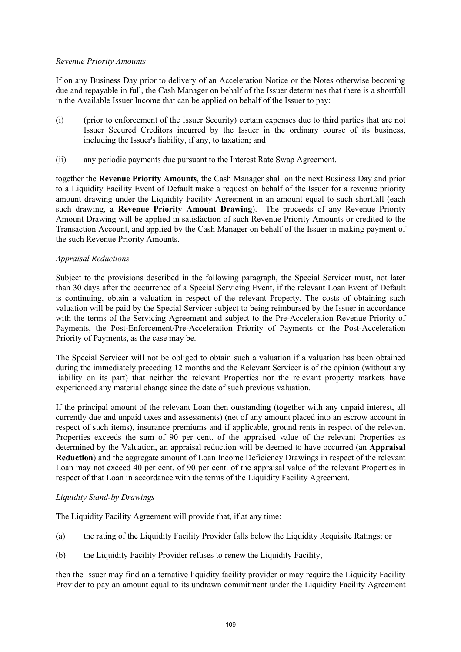### *Revenue Priority Amounts*

If on any Business Day prior to delivery of an Acceleration Notice or the Notes otherwise becoming due and repayable in full, the Cash Manager on behalf of the Issuer determines that there is a shortfall in the Available Issuer Income that can be applied on behalf of the Issuer to pay:

- (i) (prior to enforcement of the Issuer Security) certain expenses due to third parties that are not Issuer Secured Creditors incurred by the Issuer in the ordinary course of its business, including the Issuer's liability, if any, to taxation; and
- (ii) any periodic payments due pursuant to the Interest Rate Swap Agreement,

together the **Revenue Priority Amounts**, the Cash Manager shall on the next Business Day and prior to a Liquidity Facility Event of Default make a request on behalf of the Issuer for a revenue priority amount drawing under the Liquidity Facility Agreement in an amount equal to such shortfall (each such drawing, a **Revenue Priority Amount Drawing**). The proceeds of any Revenue Priority Amount Drawing will be applied in satisfaction of such Revenue Priority Amounts or credited to the Transaction Account, and applied by the Cash Manager on behalf of the Issuer in making payment of the such Revenue Priority Amounts.

## *Appraisal Reductions*

Subject to the provisions described in the following paragraph, the Special Servicer must, not later than 30 days after the occurrence of a Special Servicing Event, if the relevant Loan Event of Default is continuing, obtain a valuation in respect of the relevant Property. The costs of obtaining such valuation will be paid by the Special Servicer subject to being reimbursed by the Issuer in accordance with the terms of the Servicing Agreement and subject to the Pre-Acceleration Revenue Priority of Payments, the Post-Enforcement/Pre-Acceleration Priority of Payments or the Post-Acceleration Priority of Payments, as the case may be.

The Special Servicer will not be obliged to obtain such a valuation if a valuation has been obtained during the immediately preceding 12 months and the Relevant Servicer is of the opinion (without any liability on its part) that neither the relevant Properties nor the relevant property markets have experienced any material change since the date of such previous valuation.

If the principal amount of the relevant Loan then outstanding (together with any unpaid interest, all currently due and unpaid taxes and assessments) (net of any amount placed into an escrow account in respect of such items), insurance premiums and if applicable, ground rents in respect of the relevant Properties exceeds the sum of 90 per cent. of the appraised value of the relevant Properties as determined by the Valuation, an appraisal reduction will be deemed to have occurred (an **Appraisal Reduction**) and the aggregate amount of Loan Income Deficiency Drawings in respect of the relevant Loan may not exceed 40 per cent. of 90 per cent. of the appraisal value of the relevant Properties in respect of that Loan in accordance with the terms of the Liquidity Facility Agreement.

### *Liquidity Stand-by Drawings*

The Liquidity Facility Agreement will provide that, if at any time:

- (a) the rating of the Liquidity Facility Provider falls below the Liquidity Requisite Ratings; or
- (b) the Liquidity Facility Provider refuses to renew the Liquidity Facility,

then the Issuer may find an alternative liquidity facility provider or may require the Liquidity Facility Provider to pay an amount equal to its undrawn commitment under the Liquidity Facility Agreement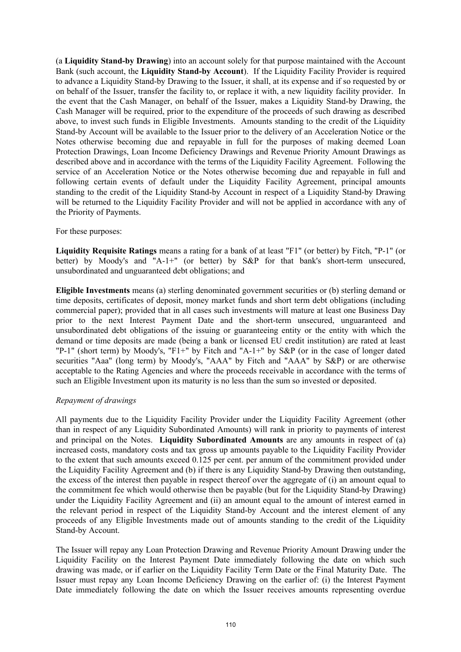(a **Liquidity Stand-by Drawing**) into an account solely for that purpose maintained with the Account Bank (such account, the **Liquidity Stand-by Account**). If the Liquidity Facility Provider is required to advance a Liquidity Stand-by Drawing to the Issuer, it shall, at its expense and if so requested by or on behalf of the Issuer, transfer the facility to, or replace it with, a new liquidity facility provider. In the event that the Cash Manager, on behalf of the Issuer, makes a Liquidity Stand-by Drawing, the Cash Manager will be required, prior to the expenditure of the proceeds of such drawing as described above, to invest such funds in Eligible Investments. Amounts standing to the credit of the Liquidity Stand-by Account will be available to the Issuer prior to the delivery of an Acceleration Notice or the Notes otherwise becoming due and repayable in full for the purposes of making deemed Loan Protection Drawings, Loan Income Deficiency Drawings and Revenue Priority Amount Drawings as described above and in accordance with the terms of the Liquidity Facility Agreement. Following the service of an Acceleration Notice or the Notes otherwise becoming due and repayable in full and following certain events of default under the Liquidity Facility Agreement, principal amounts standing to the credit of the Liquidity Stand-by Account in respect of a Liquidity Stand-by Drawing will be returned to the Liquidity Facility Provider and will not be applied in accordance with any of the Priority of Payments.

### For these purposes:

**Liquidity Requisite Ratings** means a rating for a bank of at least "F1" (or better) by Fitch, "P-1" (or better) by Moody's and "A-1+" (or better) by S&P for that bank's short-term unsecured, unsubordinated and unguaranteed debt obligations; and

**Eligible Investments** means (a) sterling denominated government securities or (b) sterling demand or time deposits, certificates of deposit, money market funds and short term debt obligations (including commercial paper); provided that in all cases such investments will mature at least one Business Day prior to the next Interest Payment Date and the short-term unsecured, unguaranteed and unsubordinated debt obligations of the issuing or guaranteeing entity or the entity with which the demand or time deposits are made (being a bank or licensed EU credit institution) are rated at least "P-1" (short term) by Moody's, "F1+" by Fitch and "A-1+" by S&P (or in the case of longer dated securities "Aaa" (long term) by Moody's, "AAA" by Fitch and "AAA" by S&P) or are otherwise acceptable to the Rating Agencies and where the proceeds receivable in accordance with the terms of such an Eligible Investment upon its maturity is no less than the sum so invested or deposited.

### *Repayment of drawings*

All payments due to the Liquidity Facility Provider under the Liquidity Facility Agreement (other than in respect of any Liquidity Subordinated Amounts) will rank in priority to payments of interest and principal on the Notes. **Liquidity Subordinated Amounts** are any amounts in respect of (a) increased costs, mandatory costs and tax gross up amounts payable to the Liquidity Facility Provider to the extent that such amounts exceed 0.125 per cent. per annum of the commitment provided under the Liquidity Facility Agreement and (b) if there is any Liquidity Stand-by Drawing then outstanding, the excess of the interest then payable in respect thereof over the aggregate of (i) an amount equal to the commitment fee which would otherwise then be payable (but for the Liquidity Stand-by Drawing) under the Liquidity Facility Agreement and (ii) an amount equal to the amount of interest earned in the relevant period in respect of the Liquidity Stand-by Account and the interest element of any proceeds of any Eligible Investments made out of amounts standing to the credit of the Liquidity Stand-by Account.

The Issuer will repay any Loan Protection Drawing and Revenue Priority Amount Drawing under the Liquidity Facility on the Interest Payment Date immediately following the date on which such drawing was made, or if earlier on the Liquidity Facility Term Date or the Final Maturity Date. The Issuer must repay any Loan Income Deficiency Drawing on the earlier of: (i) the Interest Payment Date immediately following the date on which the Issuer receives amounts representing overdue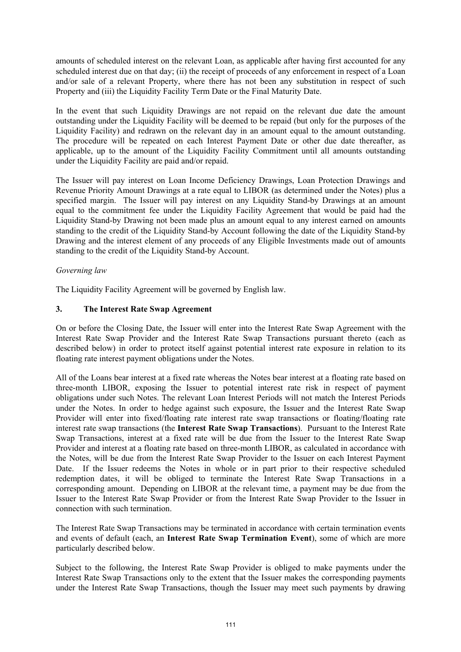amounts of scheduled interest on the relevant Loan, as applicable after having first accounted for any scheduled interest due on that day; (ii) the receipt of proceeds of any enforcement in respect of a Loan and/or sale of a relevant Property, where there has not been any substitution in respect of such Property and (iii) the Liquidity Facility Term Date or the Final Maturity Date.

In the event that such Liquidity Drawings are not repaid on the relevant due date the amount outstanding under the Liquidity Facility will be deemed to be repaid (but only for the purposes of the Liquidity Facility) and redrawn on the relevant day in an amount equal to the amount outstanding. The procedure will be repeated on each Interest Payment Date or other due date thereafter, as applicable, up to the amount of the Liquidity Facility Commitment until all amounts outstanding under the Liquidity Facility are paid and/or repaid.

The Issuer will pay interest on Loan Income Deficiency Drawings, Loan Protection Drawings and Revenue Priority Amount Drawings at a rate equal to LIBOR (as determined under the Notes) plus a specified margin. The Issuer will pay interest on any Liquidity Stand-by Drawings at an amount equal to the commitment fee under the Liquidity Facility Agreement that would be paid had the Liquidity Stand-by Drawing not been made plus an amount equal to any interest earned on amounts standing to the credit of the Liquidity Stand-by Account following the date of the Liquidity Stand-by Drawing and the interest element of any proceeds of any Eligible Investments made out of amounts standing to the credit of the Liquidity Stand-by Account.

# *Governing law*

The Liquidity Facility Agreement will be governed by English law.

# **3. The Interest Rate Swap Agreement**

On or before the Closing Date, the Issuer will enter into the Interest Rate Swap Agreement with the Interest Rate Swap Provider and the Interest Rate Swap Transactions pursuant thereto (each as described below) in order to protect itself against potential interest rate exposure in relation to its floating rate interest payment obligations under the Notes.

All of the Loans bear interest at a fixed rate whereas the Notes bear interest at a floating rate based on three-month LIBOR, exposing the Issuer to potential interest rate risk in respect of payment obligations under such Notes. The relevant Loan Interest Periods will not match the Interest Periods under the Notes. In order to hedge against such exposure, the Issuer and the Interest Rate Swap Provider will enter into fixed/floating rate interest rate swap transactions or floating/floating rate interest rate swap transactions (the **Interest Rate Swap Transactions**). Pursuant to the Interest Rate Swap Transactions, interest at a fixed rate will be due from the Issuer to the Interest Rate Swap Provider and interest at a floating rate based on three-month LIBOR, as calculated in accordance with the Notes, will be due from the Interest Rate Swap Provider to the Issuer on each Interest Payment Date. If the Issuer redeems the Notes in whole or in part prior to their respective scheduled redemption dates, it will be obliged to terminate the Interest Rate Swap Transactions in a corresponding amount. Depending on LIBOR at the relevant time, a payment may be due from the Issuer to the Interest Rate Swap Provider or from the Interest Rate Swap Provider to the Issuer in connection with such termination.

The Interest Rate Swap Transactions may be terminated in accordance with certain termination events and events of default (each, an **Interest Rate Swap Termination Event**), some of which are more particularly described below.

Subject to the following, the Interest Rate Swap Provider is obliged to make payments under the Interest Rate Swap Transactions only to the extent that the Issuer makes the corresponding payments under the Interest Rate Swap Transactions, though the Issuer may meet such payments by drawing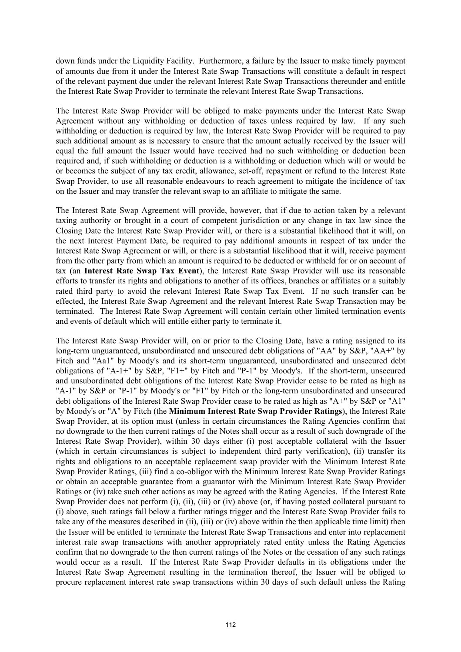down funds under the Liquidity Facility. Furthermore, a failure by the Issuer to make timely payment of amounts due from it under the Interest Rate Swap Transactions will constitute a default in respect of the relevant payment due under the relevant Interest Rate Swap Transactions thereunder and entitle the Interest Rate Swap Provider to terminate the relevant Interest Rate Swap Transactions.

The Interest Rate Swap Provider will be obliged to make payments under the Interest Rate Swap Agreement without any withholding or deduction of taxes unless required by law. If any such withholding or deduction is required by law, the Interest Rate Swap Provider will be required to pay such additional amount as is necessary to ensure that the amount actually received by the Issuer will equal the full amount the Issuer would have received had no such withholding or deduction been required and, if such withholding or deduction is a withholding or deduction which will or would be or becomes the subject of any tax credit, allowance, set-off, repayment or refund to the Interest Rate Swap Provider, to use all reasonable endeavours to reach agreement to mitigate the incidence of tax on the Issuer and may transfer the relevant swap to an affiliate to mitigate the same.

The Interest Rate Swap Agreement will provide, however, that if due to action taken by a relevant taxing authority or brought in a court of competent jurisdiction or any change in tax law since the Closing Date the Interest Rate Swap Provider will, or there is a substantial likelihood that it will, on the next Interest Payment Date, be required to pay additional amounts in respect of tax under the Interest Rate Swap Agreement or will, or there is a substantial likelihood that it will, receive payment from the other party from which an amount is required to be deducted or withheld for or on account of tax (an **Interest Rate Swap Tax Event**), the Interest Rate Swap Provider will use its reasonable efforts to transfer its rights and obligations to another of its offices, branches or affiliates or a suitably rated third party to avoid the relevant Interest Rate Swap Tax Event. If no such transfer can be effected, the Interest Rate Swap Agreement and the relevant Interest Rate Swap Transaction may be terminated. The Interest Rate Swap Agreement will contain certain other limited termination events and events of default which will entitle either party to terminate it.

The Interest Rate Swap Provider will, on or prior to the Closing Date, have a rating assigned to its long-term unguaranteed, unsubordinated and unsecured debt obligations of "AA" by S&P, "AA+" by Fitch and "Aa1" by Moody's and its short-term unguaranteed, unsubordinated and unsecured debt obligations of "A-1+" by S&P, "F1+" by Fitch and "P-1" by Moody's. If the short-term, unsecured and unsubordinated debt obligations of the Interest Rate Swap Provider cease to be rated as high as "A-1" by S&P or "P-1" by Moody's or "F1" by Fitch or the long-term unsubordinated and unsecured debt obligations of the Interest Rate Swap Provider cease to be rated as high as "A+" by S&P or "A1" by Moody's or "A" by Fitch (the **Minimum Interest Rate Swap Provider Ratings**), the Interest Rate Swap Provider, at its option must (unless in certain circumstances the Rating Agencies confirm that no downgrade to the then current ratings of the Notes shall occur as a result of such downgrade of the Interest Rate Swap Provider), within 30 days either (i) post acceptable collateral with the Issuer (which in certain circumstances is subject to independent third party verification), (ii) transfer its rights and obligations to an acceptable replacement swap provider with the Minimum Interest Rate Swap Provider Ratings, (iii) find a co-obligor with the Minimum Interest Rate Swap Provider Ratings or obtain an acceptable guarantee from a guarantor with the Minimum Interest Rate Swap Provider Ratings or (iv) take such other actions as may be agreed with the Rating Agencies. If the Interest Rate Swap Provider does not perform (i), (ii), (iii) or (iv) above (or, if having posted collateral pursuant to (i) above, such ratings fall below a further ratings trigger and the Interest Rate Swap Provider fails to take any of the measures described in (ii), (iii) or (iv) above within the then applicable time limit) then the Issuer will be entitled to terminate the Interest Rate Swap Transactions and enter into replacement interest rate swap transactions with another appropriately rated entity unless the Rating Agencies confirm that no downgrade to the then current ratings of the Notes or the cessation of any such ratings would occur as a result. If the Interest Rate Swap Provider defaults in its obligations under the Interest Rate Swap Agreement resulting in the termination thereof, the Issuer will be obliged to procure replacement interest rate swap transactions within 30 days of such default unless the Rating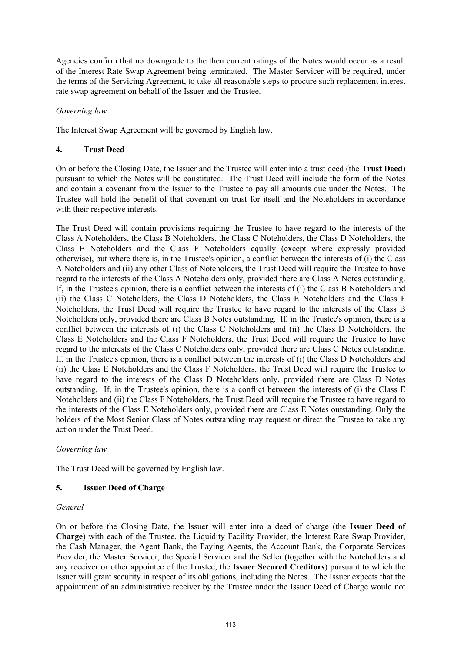Agencies confirm that no downgrade to the then current ratings of the Notes would occur as a result of the Interest Rate Swap Agreement being terminated. The Master Servicer will be required, under the terms of the Servicing Agreement, to take all reasonable steps to procure such replacement interest rate swap agreement on behalf of the Issuer and the Trustee.

## *Governing law*

The Interest Swap Agreement will be governed by English law.

## **4. Trust Deed**

On or before the Closing Date, the Issuer and the Trustee will enter into a trust deed (the **Trust Deed**) pursuant to which the Notes will be constituted. The Trust Deed will include the form of the Notes and contain a covenant from the Issuer to the Trustee to pay all amounts due under the Notes. The Trustee will hold the benefit of that covenant on trust for itself and the Noteholders in accordance with their respective interests.

The Trust Deed will contain provisions requiring the Trustee to have regard to the interests of the Class A Noteholders, the Class B Noteholders, the Class C Noteholders, the Class D Noteholders, the Class E Noteholders and the Class F Noteholders equally (except where expressly provided otherwise), but where there is, in the Trustee's opinion, a conflict between the interests of (i) the Class A Noteholders and (ii) any other Class of Noteholders, the Trust Deed will require the Trustee to have regard to the interests of the Class A Noteholders only, provided there are Class A Notes outstanding. If, in the Trustee's opinion, there is a conflict between the interests of (i) the Class B Noteholders and (ii) the Class C Noteholders, the Class D Noteholders, the Class E Noteholders and the Class F Noteholders, the Trust Deed will require the Trustee to have regard to the interests of the Class B Noteholders only, provided there are Class B Notes outstanding. If, in the Trustee's opinion, there is a conflict between the interests of (i) the Class C Noteholders and (ii) the Class D Noteholders, the Class E Noteholders and the Class F Noteholders, the Trust Deed will require the Trustee to have regard to the interests of the Class C Noteholders only, provided there are Class C Notes outstanding. If, in the Trustee's opinion, there is a conflict between the interests of (i) the Class D Noteholders and (ii) the Class E Noteholders and the Class F Noteholders, the Trust Deed will require the Trustee to have regard to the interests of the Class D Noteholders only, provided there are Class D Notes outstanding. If, in the Trustee's opinion, there is a conflict between the interests of (i) the Class E Noteholders and (ii) the Class F Noteholders, the Trust Deed will require the Trustee to have regard to the interests of the Class E Noteholders only, provided there are Class E Notes outstanding. Only the holders of the Most Senior Class of Notes outstanding may request or direct the Trustee to take any action under the Trust Deed.

### *Governing law*

The Trust Deed will be governed by English law.

# **5. Issuer Deed of Charge**

### *General*

On or before the Closing Date, the Issuer will enter into a deed of charge (the **Issuer Deed of Charge**) with each of the Trustee, the Liquidity Facility Provider, the Interest Rate Swap Provider, the Cash Manager, the Agent Bank, the Paying Agents, the Account Bank, the Corporate Services Provider, the Master Servicer, the Special Servicer and the Seller (together with the Noteholders and any receiver or other appointee of the Trustee, the **Issuer Secured Creditors**) pursuant to which the Issuer will grant security in respect of its obligations, including the Notes. The Issuer expects that the appointment of an administrative receiver by the Trustee under the Issuer Deed of Charge would not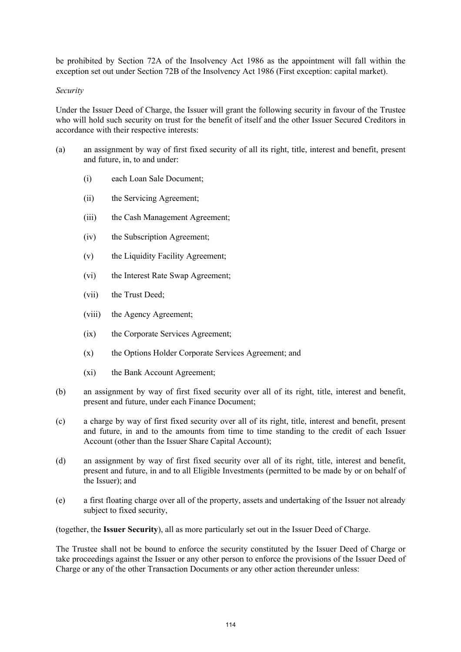be prohibited by Section 72A of the Insolvency Act 1986 as the appointment will fall within the exception set out under Section 72B of the Insolvency Act 1986 (First exception: capital market).

#### *Security*

Under the Issuer Deed of Charge, the Issuer will grant the following security in favour of the Trustee who will hold such security on trust for the benefit of itself and the other Issuer Secured Creditors in accordance with their respective interests:

- (a) an assignment by way of first fixed security of all its right, title, interest and benefit, present and future, in, to and under:
	- (i) each Loan Sale Document;
	- (ii) the Servicing Agreement;
	- (iii) the Cash Management Agreement;
	- (iv) the Subscription Agreement;
	- (v) the Liquidity Facility Agreement;
	- (vi) the Interest Rate Swap Agreement;
	- (vii) the Trust Deed;
	- (viii) the Agency Agreement;
	- (ix) the Corporate Services Agreement;
	- (x) the Options Holder Corporate Services Agreement; and
	- (xi) the Bank Account Agreement;
- (b) an assignment by way of first fixed security over all of its right, title, interest and benefit, present and future, under each Finance Document;
- (c) a charge by way of first fixed security over all of its right, title, interest and benefit, present and future, in and to the amounts from time to time standing to the credit of each Issuer Account (other than the Issuer Share Capital Account);
- (d) an assignment by way of first fixed security over all of its right, title, interest and benefit, present and future, in and to all Eligible Investments (permitted to be made by or on behalf of the Issuer); and
- (e) a first floating charge over all of the property, assets and undertaking of the Issuer not already subject to fixed security,

(together, the **Issuer Security**), all as more particularly set out in the Issuer Deed of Charge.

The Trustee shall not be bound to enforce the security constituted by the Issuer Deed of Charge or take proceedings against the Issuer or any other person to enforce the provisions of the Issuer Deed of Charge or any of the other Transaction Documents or any other action thereunder unless: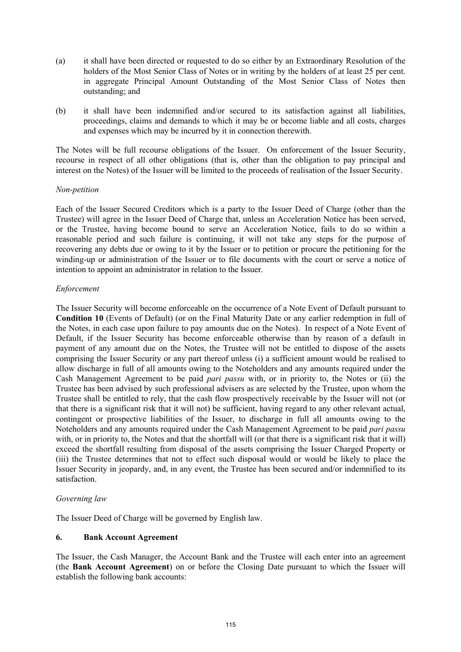- (a) it shall have been directed or requested to do so either by an Extraordinary Resolution of the holders of the Most Senior Class of Notes or in writing by the holders of at least 25 per cent. in aggregate Principal Amount Outstanding of the Most Senior Class of Notes then outstanding; and
- (b) it shall have been indemnified and/or secured to its satisfaction against all liabilities, proceedings, claims and demands to which it may be or become liable and all costs, charges and expenses which may be incurred by it in connection therewith.

The Notes will be full recourse obligations of the Issuer. On enforcement of the Issuer Security, recourse in respect of all other obligations (that is, other than the obligation to pay principal and interest on the Notes) of the Issuer will be limited to the proceeds of realisation of the Issuer Security.

## *Non-petition*

Each of the Issuer Secured Creditors which is a party to the Issuer Deed of Charge (other than the Trustee) will agree in the Issuer Deed of Charge that, unless an Acceleration Notice has been served, or the Trustee, having become bound to serve an Acceleration Notice, fails to do so within a reasonable period and such failure is continuing, it will not take any steps for the purpose of recovering any debts due or owing to it by the Issuer or to petition or procure the petitioning for the winding-up or administration of the Issuer or to file documents with the court or serve a notice of intention to appoint an administrator in relation to the Issuer.

## *Enforcement*

The Issuer Security will become enforceable on the occurrence of a Note Event of Default pursuant to **Condition 10** (Events of Default) (or on the Final Maturity Date or any earlier redemption in full of the Notes, in each case upon failure to pay amounts due on the Notes). In respect of a Note Event of Default, if the Issuer Security has become enforceable otherwise than by reason of a default in payment of any amount due on the Notes, the Trustee will not be entitled to dispose of the assets comprising the Issuer Security or any part thereof unless (i) a sufficient amount would be realised to allow discharge in full of all amounts owing to the Noteholders and any amounts required under the Cash Management Agreement to be paid *pari passu* with, or in priority to, the Notes or (ii) the Trustee has been advised by such professional advisers as are selected by the Trustee, upon whom the Trustee shall be entitled to rely, that the cash flow prospectively receivable by the Issuer will not (or that there is a significant risk that it will not) be sufficient, having regard to any other relevant actual, contingent or prospective liabilities of the Issuer, to discharge in full all amounts owing to the Noteholders and any amounts required under the Cash Management Agreement to be paid *pari passu*  with, or in priority to, the Notes and that the shortfall will (or that there is a significant risk that it will) exceed the shortfall resulting from disposal of the assets comprising the Issuer Charged Property or (iii) the Trustee determines that not to effect such disposal would or would be likely to place the Issuer Security in jeopardy, and, in any event, the Trustee has been secured and/or indemnified to its satisfaction.

# *Governing law*

The Issuer Deed of Charge will be governed by English law.

# **6. Bank Account Agreement**

The Issuer, the Cash Manager, the Account Bank and the Trustee will each enter into an agreement (the **Bank Account Agreement**) on or before the Closing Date pursuant to which the Issuer will establish the following bank accounts: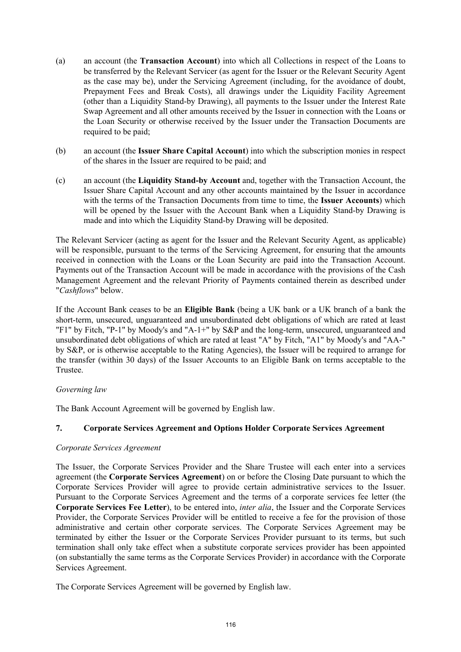- (a) an account (the **Transaction Account**) into which all Collections in respect of the Loans to be transferred by the Relevant Servicer (as agent for the Issuer or the Relevant Security Agent as the case may be), under the Servicing Agreement (including, for the avoidance of doubt, Prepayment Fees and Break Costs), all drawings under the Liquidity Facility Agreement (other than a Liquidity Stand-by Drawing), all payments to the Issuer under the Interest Rate Swap Agreement and all other amounts received by the Issuer in connection with the Loans or the Loan Security or otherwise received by the Issuer under the Transaction Documents are required to be paid;
- (b) an account (the **Issuer Share Capital Account**) into which the subscription monies in respect of the shares in the Issuer are required to be paid; and
- (c) an account (the **Liquidity Stand-by Account** and, together with the Transaction Account, the Issuer Share Capital Account and any other accounts maintained by the Issuer in accordance with the terms of the Transaction Documents from time to time, the **Issuer Accounts**) which will be opened by the Issuer with the Account Bank when a Liquidity Stand-by Drawing is made and into which the Liquidity Stand-by Drawing will be deposited.

The Relevant Servicer (acting as agent for the Issuer and the Relevant Security Agent, as applicable) will be responsible, pursuant to the terms of the Servicing Agreement, for ensuring that the amounts received in connection with the Loans or the Loan Security are paid into the Transaction Account. Payments out of the Transaction Account will be made in accordance with the provisions of the Cash Management Agreement and the relevant Priority of Payments contained therein as described under "*Cashflows*" below.

If the Account Bank ceases to be an **Eligible Bank** (being a UK bank or a UK branch of a bank the short-term, unsecured, unguaranteed and unsubordinated debt obligations of which are rated at least "F1" by Fitch, "P-1" by Moody's and "A-1+" by S&P and the long-term, unsecured, unguaranteed and unsubordinated debt obligations of which are rated at least "A" by Fitch, "A1" by Moody's and "AA-" by S&P, or is otherwise acceptable to the Rating Agencies), the Issuer will be required to arrange for the transfer (within 30 days) of the Issuer Accounts to an Eligible Bank on terms acceptable to the Trustee.

# *Governing law*

The Bank Account Agreement will be governed by English law.

# **7. Corporate Services Agreement and Options Holder Corporate Services Agreement**

### *Corporate Services Agreement*

The Issuer, the Corporate Services Provider and the Share Trustee will each enter into a services agreement (the **Corporate Services Agreement**) on or before the Closing Date pursuant to which the Corporate Services Provider will agree to provide certain administrative services to the Issuer. Pursuant to the Corporate Services Agreement and the terms of a corporate services fee letter (the **Corporate Services Fee Letter**), to be entered into, *inter alia*, the Issuer and the Corporate Services Provider, the Corporate Services Provider will be entitled to receive a fee for the provision of those administrative and certain other corporate services. The Corporate Services Agreement may be terminated by either the Issuer or the Corporate Services Provider pursuant to its terms, but such termination shall only take effect when a substitute corporate services provider has been appointed (on substantially the same terms as the Corporate Services Provider) in accordance with the Corporate Services Agreement.

The Corporate Services Agreement will be governed by English law.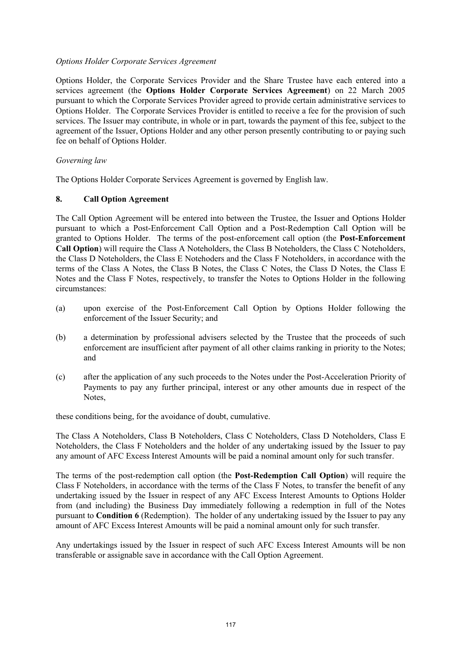### *Options Holder Corporate Services Agreement*

Options Holder, the Corporate Services Provider and the Share Trustee have each entered into a services agreement (the **Options Holder Corporate Services Agreement**) on 22 March 2005 pursuant to which the Corporate Services Provider agreed to provide certain administrative services to Options Holder. The Corporate Services Provider is entitled to receive a fee for the provision of such services. The Issuer may contribute, in whole or in part, towards the payment of this fee, subject to the agreement of the Issuer, Options Holder and any other person presently contributing to or paying such fee on behalf of Options Holder.

## *Governing law*

The Options Holder Corporate Services Agreement is governed by English law.

## **8. Call Option Agreement**

The Call Option Agreement will be entered into between the Trustee, the Issuer and Options Holder pursuant to which a Post-Enforcement Call Option and a Post-Redemption Call Option will be granted to Options Holder. The terms of the post-enforcement call option (the **Post-Enforcement Call Option**) will require the Class A Noteholders, the Class B Noteholders, the Class C Noteholders, the Class D Noteholders, the Class E Notehoders and the Class F Noteholders, in accordance with the terms of the Class A Notes, the Class B Notes, the Class C Notes, the Class D Notes, the Class E Notes and the Class F Notes, respectively, to transfer the Notes to Options Holder in the following circumstances:

- (a) upon exercise of the Post-Enforcement Call Option by Options Holder following the enforcement of the Issuer Security; and
- (b) a determination by professional advisers selected by the Trustee that the proceeds of such enforcement are insufficient after payment of all other claims ranking in priority to the Notes; and
- (c) after the application of any such proceeds to the Notes under the Post-Acceleration Priority of Payments to pay any further principal, interest or any other amounts due in respect of the Notes,

these conditions being, for the avoidance of doubt, cumulative.

The Class A Noteholders, Class B Noteholders, Class C Noteholders, Class D Noteholders, Class E Noteholders, the Class F Noteholders and the holder of any undertaking issued by the Issuer to pay any amount of AFC Excess Interest Amounts will be paid a nominal amount only for such transfer.

The terms of the post-redemption call option (the **Post-Redemption Call Option**) will require the Class F Noteholders, in accordance with the terms of the Class F Notes, to transfer the benefit of any undertaking issued by the Issuer in respect of any AFC Excess Interest Amounts to Options Holder from (and including) the Business Day immediately following a redemption in full of the Notes pursuant to **Condition 6** (Redemption). The holder of any undertaking issued by the Issuer to pay any amount of AFC Excess Interest Amounts will be paid a nominal amount only for such transfer.

Any undertakings issued by the Issuer in respect of such AFC Excess Interest Amounts will be non transferable or assignable save in accordance with the Call Option Agreement.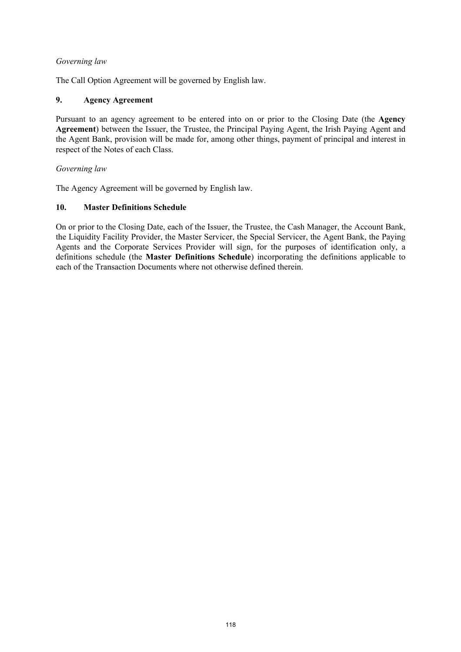## *Governing law*

The Call Option Agreement will be governed by English law.

# **9. Agency Agreement**

Pursuant to an agency agreement to be entered into on or prior to the Closing Date (the **Agency Agreement**) between the Issuer, the Trustee, the Principal Paying Agent, the Irish Paying Agent and the Agent Bank, provision will be made for, among other things, payment of principal and interest in respect of the Notes of each Class.

## *Governing law*

The Agency Agreement will be governed by English law.

## **10. Master Definitions Schedule**

On or prior to the Closing Date, each of the Issuer, the Trustee, the Cash Manager, the Account Bank, the Liquidity Facility Provider, the Master Servicer, the Special Servicer, the Agent Bank, the Paying Agents and the Corporate Services Provider will sign, for the purposes of identification only, a definitions schedule (the **Master Definitions Schedule**) incorporating the definitions applicable to each of the Transaction Documents where not otherwise defined therein.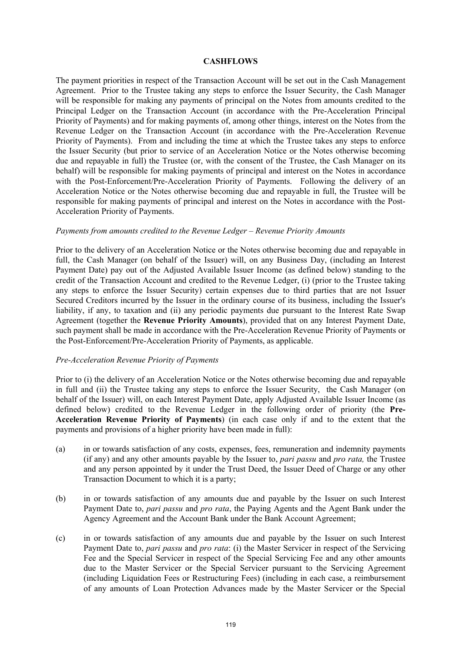#### **CASHFLOWS**

The payment priorities in respect of the Transaction Account will be set out in the Cash Management Agreement. Prior to the Trustee taking any steps to enforce the Issuer Security, the Cash Manager will be responsible for making any payments of principal on the Notes from amounts credited to the Principal Ledger on the Transaction Account (in accordance with the Pre-Acceleration Principal Priority of Payments) and for making payments of, among other things, interest on the Notes from the Revenue Ledger on the Transaction Account (in accordance with the Pre-Acceleration Revenue Priority of Payments). From and including the time at which the Trustee takes any steps to enforce the Issuer Security (but prior to service of an Acceleration Notice or the Notes otherwise becoming due and repayable in full) the Trustee (or, with the consent of the Trustee, the Cash Manager on its behalf) will be responsible for making payments of principal and interest on the Notes in accordance with the Post-Enforcement/Pre-Acceleration Priority of Payments. Following the delivery of an Acceleration Notice or the Notes otherwise becoming due and repayable in full, the Trustee will be responsible for making payments of principal and interest on the Notes in accordance with the Post-Acceleration Priority of Payments.

#### *Payments from amounts credited to the Revenue Ledger – Revenue Priority Amounts*

Prior to the delivery of an Acceleration Notice or the Notes otherwise becoming due and repayable in full, the Cash Manager (on behalf of the Issuer) will, on any Business Day, (including an Interest Payment Date) pay out of the Adjusted Available Issuer Income (as defined below) standing to the credit of the Transaction Account and credited to the Revenue Ledger, (i) (prior to the Trustee taking any steps to enforce the Issuer Security) certain expenses due to third parties that are not Issuer Secured Creditors incurred by the Issuer in the ordinary course of its business, including the Issuer's liability, if any, to taxation and (ii) any periodic payments due pursuant to the Interest Rate Swap Agreement (together the **Revenue Priority Amounts**), provided that on any Interest Payment Date, such payment shall be made in accordance with the Pre-Acceleration Revenue Priority of Payments or the Post-Enforcement/Pre-Acceleration Priority of Payments, as applicable.

### *Pre-Acceleration Revenue Priority of Payments*

Prior to (i) the delivery of an Acceleration Notice or the Notes otherwise becoming due and repayable in full and (ii) the Trustee taking any steps to enforce the Issuer Security, the Cash Manager (on behalf of the Issuer) will, on each Interest Payment Date, apply Adjusted Available Issuer Income (as defined below) credited to the Revenue Ledger in the following order of priority (the **Pre-Acceleration Revenue Priority of Payments**) (in each case only if and to the extent that the payments and provisions of a higher priority have been made in full):

- (a) in or towards satisfaction of any costs, expenses, fees, remuneration and indemnity payments (if any) and any other amounts payable by the Issuer to, *pari passu* and *pro rata,* the Trustee and any person appointed by it under the Trust Deed, the Issuer Deed of Charge or any other Transaction Document to which it is a party;
- (b) in or towards satisfaction of any amounts due and payable by the Issuer on such Interest Payment Date to, *pari passu* and *pro rata*, the Paying Agents and the Agent Bank under the Agency Agreement and the Account Bank under the Bank Account Agreement;
- (c) in or towards satisfaction of any amounts due and payable by the Issuer on such Interest Payment Date to, *pari passu* and *pro rata*: (i) the Master Servicer in respect of the Servicing Fee and the Special Servicer in respect of the Special Servicing Fee and any other amounts due to the Master Servicer or the Special Servicer pursuant to the Servicing Agreement (including Liquidation Fees or Restructuring Fees) (including in each case, a reimbursement of any amounts of Loan Protection Advances made by the Master Servicer or the Special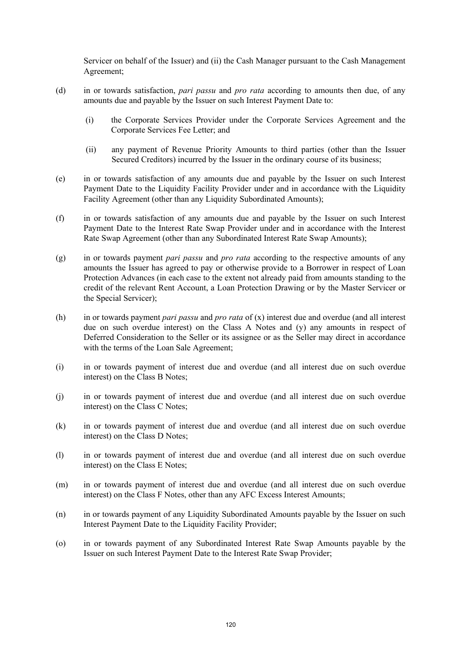Servicer on behalf of the Issuer) and (ii) the Cash Manager pursuant to the Cash Management Agreement;

- (d) in or towards satisfaction, *pari passu* and *pro rata* according to amounts then due, of any amounts due and payable by the Issuer on such Interest Payment Date to:
	- (i) the Corporate Services Provider under the Corporate Services Agreement and the Corporate Services Fee Letter; and
	- (ii) any payment of Revenue Priority Amounts to third parties (other than the Issuer Secured Creditors) incurred by the Issuer in the ordinary course of its business;
- (e) in or towards satisfaction of any amounts due and payable by the Issuer on such Interest Payment Date to the Liquidity Facility Provider under and in accordance with the Liquidity Facility Agreement (other than any Liquidity Subordinated Amounts);
- (f) in or towards satisfaction of any amounts due and payable by the Issuer on such Interest Payment Date to the Interest Rate Swap Provider under and in accordance with the Interest Rate Swap Agreement (other than any Subordinated Interest Rate Swap Amounts);
- (g) in or towards payment *pari passu* and *pro rata* according to the respective amounts of any amounts the Issuer has agreed to pay or otherwise provide to a Borrower in respect of Loan Protection Advances (in each case to the extent not already paid from amounts standing to the credit of the relevant Rent Account, a Loan Protection Drawing or by the Master Servicer or the Special Servicer);
- (h) in or towards payment *pari passu* and *pro rata* of (x) interest due and overdue (and all interest due on such overdue interest) on the Class A Notes and (y) any amounts in respect of Deferred Consideration to the Seller or its assignee or as the Seller may direct in accordance with the terms of the Loan Sale Agreement;
- (i) in or towards payment of interest due and overdue (and all interest due on such overdue interest) on the Class B Notes;
- (j) in or towards payment of interest due and overdue (and all interest due on such overdue interest) on the Class C Notes;
- (k) in or towards payment of interest due and overdue (and all interest due on such overdue interest) on the Class D Notes;
- (l) in or towards payment of interest due and overdue (and all interest due on such overdue interest) on the Class E Notes;
- (m) in or towards payment of interest due and overdue (and all interest due on such overdue interest) on the Class F Notes, other than any AFC Excess Interest Amounts;
- (n) in or towards payment of any Liquidity Subordinated Amounts payable by the Issuer on such Interest Payment Date to the Liquidity Facility Provider;
- (o) in or towards payment of any Subordinated Interest Rate Swap Amounts payable by the Issuer on such Interest Payment Date to the Interest Rate Swap Provider;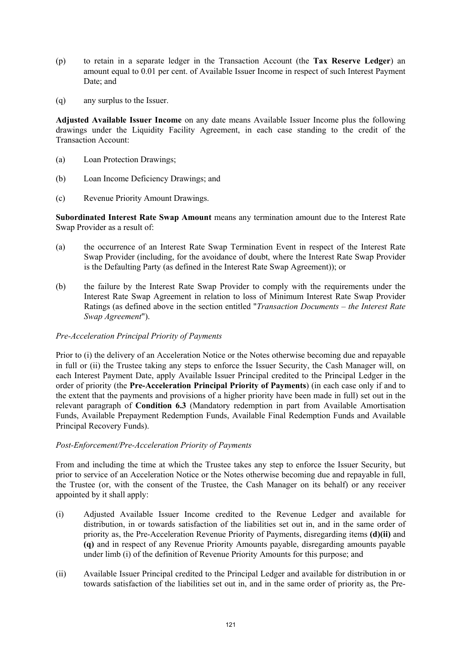- (p) to retain in a separate ledger in the Transaction Account (the **Tax Reserve Ledger**) an amount equal to 0.01 per cent. of Available Issuer Income in respect of such Interest Payment Date; and
- (q) any surplus to the Issuer.

**Adjusted Available Issuer Income** on any date means Available Issuer Income plus the following drawings under the Liquidity Facility Agreement, in each case standing to the credit of the Transaction Account:

- (a) Loan Protection Drawings;
- (b) Loan Income Deficiency Drawings; and
- (c) Revenue Priority Amount Drawings.

**Subordinated Interest Rate Swap Amount** means any termination amount due to the Interest Rate Swap Provider as a result of:

- (a) the occurrence of an Interest Rate Swap Termination Event in respect of the Interest Rate Swap Provider (including, for the avoidance of doubt, where the Interest Rate Swap Provider is the Defaulting Party (as defined in the Interest Rate Swap Agreement)); or
- (b) the failure by the Interest Rate Swap Provider to comply with the requirements under the Interest Rate Swap Agreement in relation to loss of Minimum Interest Rate Swap Provider Ratings (as defined above in the section entitled "*Transaction Documents – the Interest Rate Swap Agreement*").

# *Pre-Acceleration Principal Priority of Payments*

Prior to (i) the delivery of an Acceleration Notice or the Notes otherwise becoming due and repayable in full or (ii) the Trustee taking any steps to enforce the Issuer Security, the Cash Manager will, on each Interest Payment Date, apply Available Issuer Principal credited to the Principal Ledger in the order of priority (the **Pre-Acceleration Principal Priority of Payments**) (in each case only if and to the extent that the payments and provisions of a higher priority have been made in full) set out in the relevant paragraph of **Condition 6.3** (Mandatory redemption in part from Available Amortisation Funds, Available Prepayment Redemption Funds, Available Final Redemption Funds and Available Principal Recovery Funds).

### *Post-Enforcement/Pre-Acceleration Priority of Payments*

From and including the time at which the Trustee takes any step to enforce the Issuer Security, but prior to service of an Acceleration Notice or the Notes otherwise becoming due and repayable in full, the Trustee (or, with the consent of the Trustee, the Cash Manager on its behalf) or any receiver appointed by it shall apply:

- (i) Adjusted Available Issuer Income credited to the Revenue Ledger and available for distribution, in or towards satisfaction of the liabilities set out in, and in the same order of priority as, the Pre-Acceleration Revenue Priority of Payments, disregarding items **(d)(ii)** and **(q)** and in respect of any Revenue Priority Amounts payable, disregarding amounts payable under limb (i) of the definition of Revenue Priority Amounts for this purpose; and
- (ii) Available Issuer Principal credited to the Principal Ledger and available for distribution in or towards satisfaction of the liabilities set out in, and in the same order of priority as, the Pre-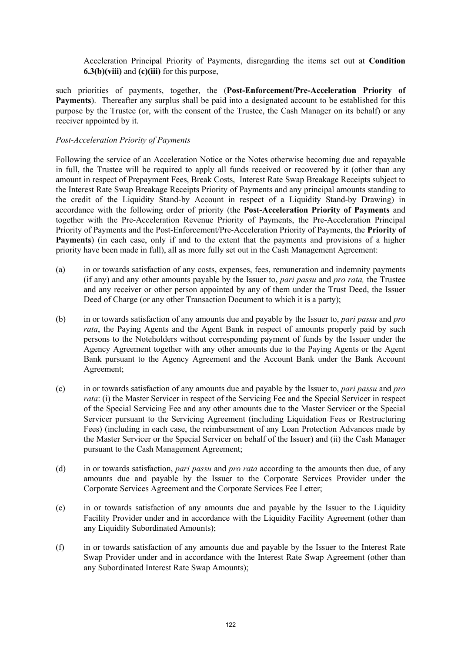Acceleration Principal Priority of Payments, disregarding the items set out at **Condition 6.3(b)(viii)** and **(c)(iii)** for this purpose,

such priorities of payments, together, the (**Post-Enforcement/Pre-Acceleration Priority of Payments**). Thereafter any surplus shall be paid into a designated account to be established for this purpose by the Trustee (or, with the consent of the Trustee, the Cash Manager on its behalf) or any receiver appointed by it.

### *Post-Acceleration Priority of Payments*

Following the service of an Acceleration Notice or the Notes otherwise becoming due and repayable in full, the Trustee will be required to apply all funds received or recovered by it (other than any amount in respect of Prepayment Fees, Break Costs, Interest Rate Swap Breakage Receipts subject to the Interest Rate Swap Breakage Receipts Priority of Payments and any principal amounts standing to the credit of the Liquidity Stand-by Account in respect of a Liquidity Stand-by Drawing) in accordance with the following order of priority (the **Post-Acceleration Priority of Payments** and together with the Pre-Acceleration Revenue Priority of Payments, the Pre-Acceleration Principal Priority of Payments and the Post-Enforcement/Pre-Acceleration Priority of Payments, the **Priority of Payments**) (in each case, only if and to the extent that the payments and provisions of a higher priority have been made in full), all as more fully set out in the Cash Management Agreement:

- (a) in or towards satisfaction of any costs, expenses, fees, remuneration and indemnity payments (if any) and any other amounts payable by the Issuer to, *pari passu* and *pro rata,* the Trustee and any receiver or other person appointed by any of them under the Trust Deed, the Issuer Deed of Charge (or any other Transaction Document to which it is a party);
- (b) in or towards satisfaction of any amounts due and payable by the Issuer to, *pari passu* and *pro rata*, the Paying Agents and the Agent Bank in respect of amounts properly paid by such persons to the Noteholders without corresponding payment of funds by the Issuer under the Agency Agreement together with any other amounts due to the Paying Agents or the Agent Bank pursuant to the Agency Agreement and the Account Bank under the Bank Account Agreement;
- (c) in or towards satisfaction of any amounts due and payable by the Issuer to, *pari passu* and *pro rata*: (i) the Master Servicer in respect of the Servicing Fee and the Special Servicer in respect of the Special Servicing Fee and any other amounts due to the Master Servicer or the Special Servicer pursuant to the Servicing Agreement (including Liquidation Fees or Restructuring Fees) (including in each case, the reimbursement of any Loan Protection Advances made by the Master Servicer or the Special Servicer on behalf of the Issuer) and (ii) the Cash Manager pursuant to the Cash Management Agreement;
- (d) in or towards satisfaction, *pari passu* and *pro rata* according to the amounts then due, of any amounts due and payable by the Issuer to the Corporate Services Provider under the Corporate Services Agreement and the Corporate Services Fee Letter;
- (e) in or towards satisfaction of any amounts due and payable by the Issuer to the Liquidity Facility Provider under and in accordance with the Liquidity Facility Agreement (other than any Liquidity Subordinated Amounts):
- (f) in or towards satisfaction of any amounts due and payable by the Issuer to the Interest Rate Swap Provider under and in accordance with the Interest Rate Swap Agreement (other than any Subordinated Interest Rate Swap Amounts);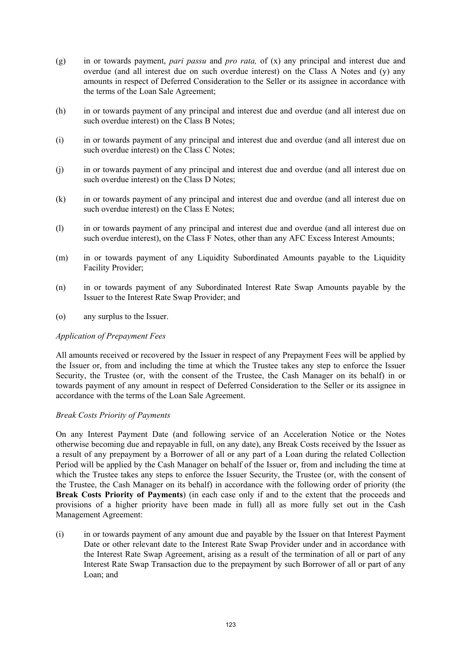- (g) in or towards payment, *pari passu* and *pro rata,* of (x) any principal and interest due and overdue (and all interest due on such overdue interest) on the Class A Notes and (y) any amounts in respect of Deferred Consideration to the Seller or its assignee in accordance with the terms of the Loan Sale Agreement;
- (h) in or towards payment of any principal and interest due and overdue (and all interest due on such overdue interest) on the Class B Notes;
- (i) in or towards payment of any principal and interest due and overdue (and all interest due on such overdue interest) on the Class C Notes;
- (j) in or towards payment of any principal and interest due and overdue (and all interest due on such overdue interest) on the Class D Notes;
- (k) in or towards payment of any principal and interest due and overdue (and all interest due on such overdue interest) on the Class E Notes;
- (l) in or towards payment of any principal and interest due and overdue (and all interest due on such overdue interest), on the Class F Notes, other than any AFC Excess Interest Amounts;
- (m) in or towards payment of any Liquidity Subordinated Amounts payable to the Liquidity Facility Provider;
- (n) in or towards payment of any Subordinated Interest Rate Swap Amounts payable by the Issuer to the Interest Rate Swap Provider; and
- (o) any surplus to the Issuer.

### *Application of Prepayment Fees*

All amounts received or recovered by the Issuer in respect of any Prepayment Fees will be applied by the Issuer or, from and including the time at which the Trustee takes any step to enforce the Issuer Security, the Trustee (or, with the consent of the Trustee, the Cash Manager on its behalf) in or towards payment of any amount in respect of Deferred Consideration to the Seller or its assignee in accordance with the terms of the Loan Sale Agreement.

### *Break Costs Priority of Payments*

On any Interest Payment Date (and following service of an Acceleration Notice or the Notes otherwise becoming due and repayable in full, on any date), any Break Costs received by the Issuer as a result of any prepayment by a Borrower of all or any part of a Loan during the related Collection Period will be applied by the Cash Manager on behalf of the Issuer or, from and including the time at which the Trustee takes any steps to enforce the Issuer Security, the Trustee (or, with the consent of the Trustee, the Cash Manager on its behalf) in accordance with the following order of priority (the **Break Costs Priority of Payments**) (in each case only if and to the extent that the proceeds and provisions of a higher priority have been made in full) all as more fully set out in the Cash Management Agreement:

(i) in or towards payment of any amount due and payable by the Issuer on that Interest Payment Date or other relevant date to the Interest Rate Swap Provider under and in accordance with the Interest Rate Swap Agreement, arising as a result of the termination of all or part of any Interest Rate Swap Transaction due to the prepayment by such Borrower of all or part of any Loan; and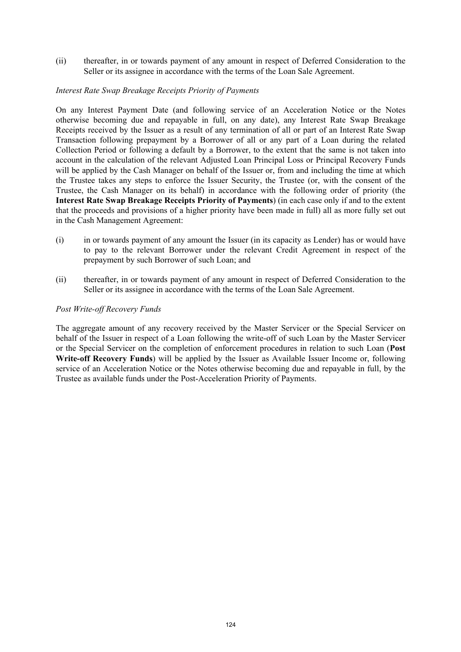(ii) thereafter, in or towards payment of any amount in respect of Deferred Consideration to the Seller or its assignee in accordance with the terms of the Loan Sale Agreement.

## *Interest Rate Swap Breakage Receipts Priority of Payments*

On any Interest Payment Date (and following service of an Acceleration Notice or the Notes otherwise becoming due and repayable in full, on any date), any Interest Rate Swap Breakage Receipts received by the Issuer as a result of any termination of all or part of an Interest Rate Swap Transaction following prepayment by a Borrower of all or any part of a Loan during the related Collection Period or following a default by a Borrower, to the extent that the same is not taken into account in the calculation of the relevant Adjusted Loan Principal Loss or Principal Recovery Funds will be applied by the Cash Manager on behalf of the Issuer or, from and including the time at which the Trustee takes any steps to enforce the Issuer Security, the Trustee (or, with the consent of the Trustee, the Cash Manager on its behalf) in accordance with the following order of priority (the **Interest Rate Swap Breakage Receipts Priority of Payments**) (in each case only if and to the extent that the proceeds and provisions of a higher priority have been made in full) all as more fully set out in the Cash Management Agreement:

- (i) in or towards payment of any amount the Issuer (in its capacity as Lender) has or would have to pay to the relevant Borrower under the relevant Credit Agreement in respect of the prepayment by such Borrower of such Loan; and
- (ii) thereafter, in or towards payment of any amount in respect of Deferred Consideration to the Seller or its assignee in accordance with the terms of the Loan Sale Agreement.

## *Post Write-off Recovery Funds*

The aggregate amount of any recovery received by the Master Servicer or the Special Servicer on behalf of the Issuer in respect of a Loan following the write-off of such Loan by the Master Servicer or the Special Servicer on the completion of enforcement procedures in relation to such Loan (**Post Write-off Recovery Funds**) will be applied by the Issuer as Available Issuer Income or, following service of an Acceleration Notice or the Notes otherwise becoming due and repayable in full, by the Trustee as available funds under the Post-Acceleration Priority of Payments.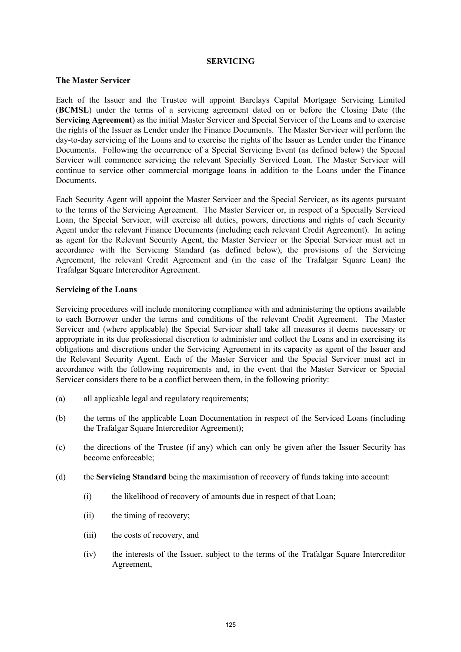#### **SERVICING**

### **The Master Servicer**

Each of the Issuer and the Trustee will appoint Barclays Capital Mortgage Servicing Limited (**BCMSL**) under the terms of a servicing agreement dated on or before the Closing Date (the **Servicing Agreement**) as the initial Master Servicer and Special Servicer of the Loans and to exercise the rights of the Issuer as Lender under the Finance Documents. The Master Servicer will perform the day-to-day servicing of the Loans and to exercise the rights of the Issuer as Lender under the Finance Documents. Following the occurrence of a Special Servicing Event (as defined below) the Special Servicer will commence servicing the relevant Specially Serviced Loan. The Master Servicer will continue to service other commercial mortgage loans in addition to the Loans under the Finance **Documents** 

Each Security Agent will appoint the Master Servicer and the Special Servicer, as its agents pursuant to the terms of the Servicing Agreement. The Master Servicer or, in respect of a Specially Serviced Loan, the Special Servicer, will exercise all duties, powers, directions and rights of each Security Agent under the relevant Finance Documents (including each relevant Credit Agreement). In acting as agent for the Relevant Security Agent, the Master Servicer or the Special Servicer must act in accordance with the Servicing Standard (as defined below), the provisions of the Servicing Agreement, the relevant Credit Agreement and (in the case of the Trafalgar Square Loan) the Trafalgar Square Intercreditor Agreement.

#### **Servicing of the Loans**

Servicing procedures will include monitoring compliance with and administering the options available to each Borrower under the terms and conditions of the relevant Credit Agreement. The Master Servicer and (where applicable) the Special Servicer shall take all measures it deems necessary or appropriate in its due professional discretion to administer and collect the Loans and in exercising its obligations and discretions under the Servicing Agreement in its capacity as agent of the Issuer and the Relevant Security Agent. Each of the Master Servicer and the Special Servicer must act in accordance with the following requirements and, in the event that the Master Servicer or Special Servicer considers there to be a conflict between them, in the following priority:

- (a) all applicable legal and regulatory requirements;
- (b) the terms of the applicable Loan Documentation in respect of the Serviced Loans (including the Trafalgar Square Intercreditor Agreement);
- (c) the directions of the Trustee (if any) which can only be given after the Issuer Security has become enforceable;
- (d) the **Servicing Standard** being the maximisation of recovery of funds taking into account:
	- (i) the likelihood of recovery of amounts due in respect of that Loan;
	- (ii) the timing of recovery;
	- (iii) the costs of recovery, and
	- (iv) the interests of the Issuer, subject to the terms of the Trafalgar Square Intercreditor Agreement,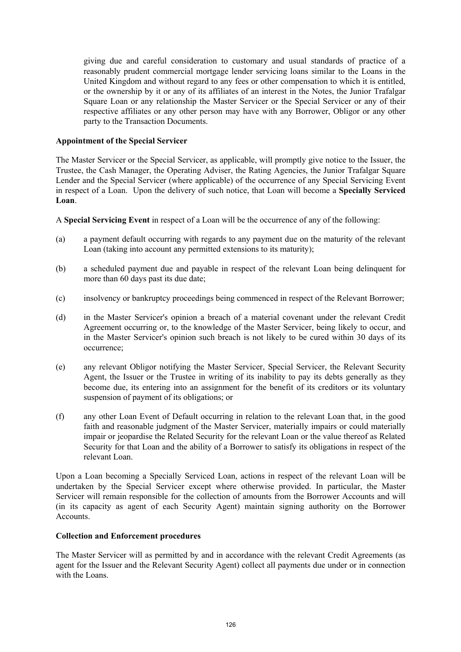giving due and careful consideration to customary and usual standards of practice of a reasonably prudent commercial mortgage lender servicing loans similar to the Loans in the United Kingdom and without regard to any fees or other compensation to which it is entitled, or the ownership by it or any of its affiliates of an interest in the Notes, the Junior Trafalgar Square Loan or any relationship the Master Servicer or the Special Servicer or any of their respective affiliates or any other person may have with any Borrower, Obligor or any other party to the Transaction Documents.

## **Appointment of the Special Servicer**

The Master Servicer or the Special Servicer, as applicable, will promptly give notice to the Issuer, the Trustee, the Cash Manager, the Operating Adviser, the Rating Agencies, the Junior Trafalgar Square Lender and the Special Servicer (where applicable) of the occurrence of any Special Servicing Event in respect of a Loan. Upon the delivery of such notice, that Loan will become a **Specially Serviced Loan**.

A **Special Servicing Event** in respect of a Loan will be the occurrence of any of the following:

- (a) a payment default occurring with regards to any payment due on the maturity of the relevant Loan (taking into account any permitted extensions to its maturity);
- (b) a scheduled payment due and payable in respect of the relevant Loan being delinquent for more than 60 days past its due date;
- (c) insolvency or bankruptcy proceedings being commenced in respect of the Relevant Borrower;
- (d) in the Master Servicer's opinion a breach of a material covenant under the relevant Credit Agreement occurring or, to the knowledge of the Master Servicer, being likely to occur, and in the Master Servicer's opinion such breach is not likely to be cured within 30 days of its occurrence;
- (e) any relevant Obligor notifying the Master Servicer, Special Servicer, the Relevant Security Agent, the Issuer or the Trustee in writing of its inability to pay its debts generally as they become due, its entering into an assignment for the benefit of its creditors or its voluntary suspension of payment of its obligations; or
- (f) any other Loan Event of Default occurring in relation to the relevant Loan that, in the good faith and reasonable judgment of the Master Servicer, materially impairs or could materially impair or jeopardise the Related Security for the relevant Loan or the value thereof as Related Security for that Loan and the ability of a Borrower to satisfy its obligations in respect of the relevant Loan.

Upon a Loan becoming a Specially Serviced Loan, actions in respect of the relevant Loan will be undertaken by the Special Servicer except where otherwise provided. In particular, the Master Servicer will remain responsible for the collection of amounts from the Borrower Accounts and will (in its capacity as agent of each Security Agent) maintain signing authority on the Borrower **Accounts** 

### **Collection and Enforcement procedures**

The Master Servicer will as permitted by and in accordance with the relevant Credit Agreements (as agent for the Issuer and the Relevant Security Agent) collect all payments due under or in connection with the Loans.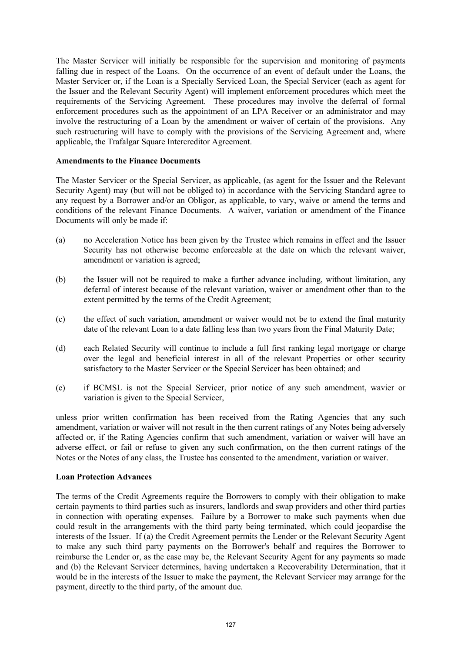The Master Servicer will initially be responsible for the supervision and monitoring of payments falling due in respect of the Loans. On the occurrence of an event of default under the Loans, the Master Servicer or, if the Loan is a Specially Serviced Loan, the Special Servicer (each as agent for the Issuer and the Relevant Security Agent) will implement enforcement procedures which meet the requirements of the Servicing Agreement. These procedures may involve the deferral of formal enforcement procedures such as the appointment of an LPA Receiver or an administrator and may involve the restructuring of a Loan by the amendment or waiver of certain of the provisions. Any such restructuring will have to comply with the provisions of the Servicing Agreement and, where applicable, the Trafalgar Square Intercreditor Agreement.

### **Amendments to the Finance Documents**

The Master Servicer or the Special Servicer, as applicable, (as agent for the Issuer and the Relevant Security Agent) may (but will not be obliged to) in accordance with the Servicing Standard agree to any request by a Borrower and/or an Obligor, as applicable, to vary, waive or amend the terms and conditions of the relevant Finance Documents. A waiver, variation or amendment of the Finance Documents will only be made if:

- (a) no Acceleration Notice has been given by the Trustee which remains in effect and the Issuer Security has not otherwise become enforceable at the date on which the relevant waiver, amendment or variation is agreed;
- (b) the Issuer will not be required to make a further advance including, without limitation, any deferral of interest because of the relevant variation, waiver or amendment other than to the extent permitted by the terms of the Credit Agreement;
- (c) the effect of such variation, amendment or waiver would not be to extend the final maturity date of the relevant Loan to a date falling less than two years from the Final Maturity Date;
- (d) each Related Security will continue to include a full first ranking legal mortgage or charge over the legal and beneficial interest in all of the relevant Properties or other security satisfactory to the Master Servicer or the Special Servicer has been obtained; and
- (e) if BCMSL is not the Special Servicer, prior notice of any such amendment, wavier or variation is given to the Special Servicer,

unless prior written confirmation has been received from the Rating Agencies that any such amendment, variation or waiver will not result in the then current ratings of any Notes being adversely affected or, if the Rating Agencies confirm that such amendment, variation or waiver will have an adverse effect, or fail or refuse to given any such confirmation, on the then current ratings of the Notes or the Notes of any class, the Trustee has consented to the amendment, variation or waiver.

### **Loan Protection Advances**

The terms of the Credit Agreements require the Borrowers to comply with their obligation to make certain payments to third parties such as insurers, landlords and swap providers and other third parties in connection with operating expenses. Failure by a Borrower to make such payments when due could result in the arrangements with the third party being terminated, which could jeopardise the interests of the Issuer. If (a) the Credit Agreement permits the Lender or the Relevant Security Agent to make any such third party payments on the Borrower's behalf and requires the Borrower to reimburse the Lender or, as the case may be, the Relevant Security Agent for any payments so made and (b) the Relevant Servicer determines, having undertaken a Recoverability Determination, that it would be in the interests of the Issuer to make the payment, the Relevant Servicer may arrange for the payment, directly to the third party, of the amount due.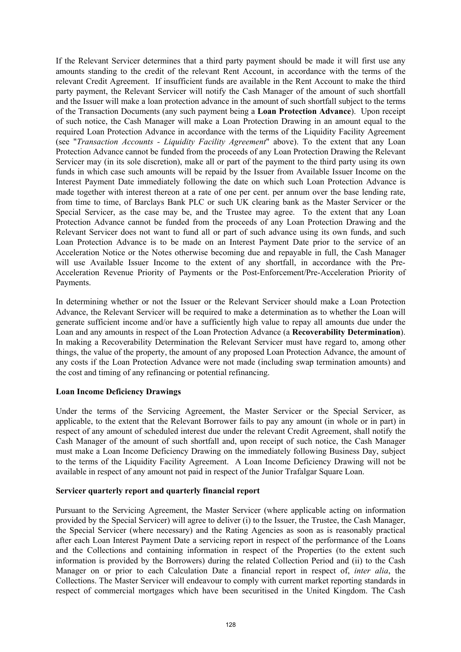If the Relevant Servicer determines that a third party payment should be made it will first use any amounts standing to the credit of the relevant Rent Account, in accordance with the terms of the relevant Credit Agreement. If insufficient funds are available in the Rent Account to make the third party payment, the Relevant Servicer will notify the Cash Manager of the amount of such shortfall and the Issuer will make a loan protection advance in the amount of such shortfall subject to the terms of the Transaction Documents (any such payment being a **Loan Protection Advance**). Upon receipt of such notice, the Cash Manager will make a Loan Protection Drawing in an amount equal to the required Loan Protection Advance in accordance with the terms of the Liquidity Facility Agreement (see "*Transaction Accounts - Liquidity Facility Agreement*" above). To the extent that any Loan Protection Advance cannot be funded from the proceeds of any Loan Protection Drawing the Relevant Servicer may (in its sole discretion), make all or part of the payment to the third party using its own funds in which case such amounts will be repaid by the Issuer from Available Issuer Income on the Interest Payment Date immediately following the date on which such Loan Protection Advance is made together with interest thereon at a rate of one per cent. per annum over the base lending rate, from time to time, of Barclays Bank PLC or such UK clearing bank as the Master Servicer or the Special Servicer, as the case may be, and the Trustee may agree. To the extent that any Loan Protection Advance cannot be funded from the proceeds of any Loan Protection Drawing and the Relevant Servicer does not want to fund all or part of such advance using its own funds, and such Loan Protection Advance is to be made on an Interest Payment Date prior to the service of an Acceleration Notice or the Notes otherwise becoming due and repayable in full, the Cash Manager will use Available Issuer Income to the extent of any shortfall, in accordance with the Pre-Acceleration Revenue Priority of Payments or the Post-Enforcement/Pre-Acceleration Priority of Payments.

In determining whether or not the Issuer or the Relevant Servicer should make a Loan Protection Advance, the Relevant Servicer will be required to make a determination as to whether the Loan will generate sufficient income and/or have a sufficiently high value to repay all amounts due under the Loan and any amounts in respect of the Loan Protection Advance (a **Recoverability Determination**). In making a Recoverability Determination the Relevant Servicer must have regard to, among other things, the value of the property, the amount of any proposed Loan Protection Advance, the amount of any costs if the Loan Protection Advance were not made (including swap termination amounts) and the cost and timing of any refinancing or potential refinancing.

# **Loan Income Deficiency Drawings**

Under the terms of the Servicing Agreement, the Master Servicer or the Special Servicer, as applicable, to the extent that the Relevant Borrower fails to pay any amount (in whole or in part) in respect of any amount of scheduled interest due under the relevant Credit Agreement, shall notify the Cash Manager of the amount of such shortfall and, upon receipt of such notice, the Cash Manager must make a Loan Income Deficiency Drawing on the immediately following Business Day, subject to the terms of the Liquidity Facility Agreement. A Loan Income Deficiency Drawing will not be available in respect of any amount not paid in respect of the Junior Trafalgar Square Loan.

### **Servicer quarterly report and quarterly financial report**

Pursuant to the Servicing Agreement, the Master Servicer (where applicable acting on information provided by the Special Servicer) will agree to deliver (i) to the Issuer, the Trustee, the Cash Manager, the Special Servicer (where necessary) and the Rating Agencies as soon as is reasonably practical after each Loan Interest Payment Date a servicing report in respect of the performance of the Loans and the Collections and containing information in respect of the Properties (to the extent such information is provided by the Borrowers) during the related Collection Period and (ii) to the Cash Manager on or prior to each Calculation Date a financial report in respect of, *inter alia*, the Collections. The Master Servicer will endeavour to comply with current market reporting standards in respect of commercial mortgages which have been securitised in the United Kingdom. The Cash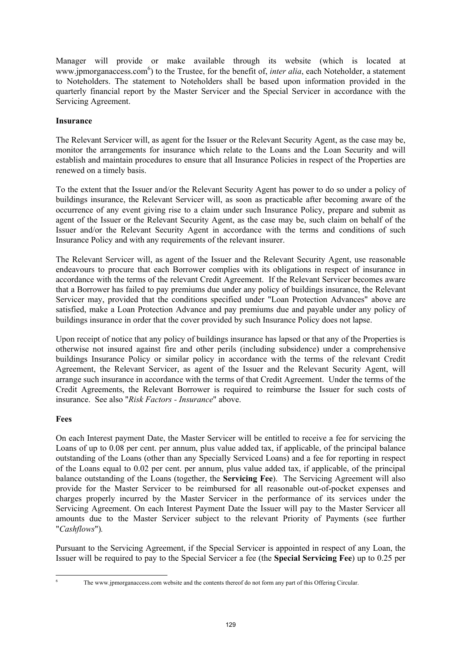Manager will provide or make available through its website (which is located at www.jpmorganaccess.com<sup>6</sup>) to the Trustee, for the benefit of, *inter alia*, each Noteholder, a statement to Noteholders. The statement to Noteholders shall be based upon information provided in the quarterly financial report by the Master Servicer and the Special Servicer in accordance with the Servicing Agreement.

# **Insurance**

The Relevant Servicer will, as agent for the Issuer or the Relevant Security Agent, as the case may be, monitor the arrangements for insurance which relate to the Loans and the Loan Security and will establish and maintain procedures to ensure that all Insurance Policies in respect of the Properties are renewed on a timely basis.

To the extent that the Issuer and/or the Relevant Security Agent has power to do so under a policy of buildings insurance, the Relevant Servicer will, as soon as practicable after becoming aware of the occurrence of any event giving rise to a claim under such Insurance Policy, prepare and submit as agent of the Issuer or the Relevant Security Agent, as the case may be, such claim on behalf of the Issuer and/or the Relevant Security Agent in accordance with the terms and conditions of such Insurance Policy and with any requirements of the relevant insurer.

The Relevant Servicer will, as agent of the Issuer and the Relevant Security Agent, use reasonable endeavours to procure that each Borrower complies with its obligations in respect of insurance in accordance with the terms of the relevant Credit Agreement. If the Relevant Servicer becomes aware that a Borrower has failed to pay premiums due under any policy of buildings insurance, the Relevant Servicer may, provided that the conditions specified under "Loan Protection Advances" above are satisfied, make a Loan Protection Advance and pay premiums due and payable under any policy of buildings insurance in order that the cover provided by such Insurance Policy does not lapse.

Upon receipt of notice that any policy of buildings insurance has lapsed or that any of the Properties is otherwise not insured against fire and other perils (including subsidence) under a comprehensive buildings Insurance Policy or similar policy in accordance with the terms of the relevant Credit Agreement, the Relevant Servicer, as agent of the Issuer and the Relevant Security Agent, will arrange such insurance in accordance with the terms of that Credit Agreement. Under the terms of the Credit Agreements, the Relevant Borrower is required to reimburse the Issuer for such costs of insurance. See also "*Risk Factors - Insurance*" above.

# **Fees**

On each Interest payment Date, the Master Servicer will be entitled to receive a fee for servicing the Loans of up to 0.08 per cent. per annum, plus value added tax, if applicable, of the principal balance outstanding of the Loans (other than any Specially Serviced Loans) and a fee for reporting in respect of the Loans equal to 0.02 per cent. per annum, plus value added tax, if applicable, of the principal balance outstanding of the Loans (together, the **Servicing Fee**). The Servicing Agreement will also provide for the Master Servicer to be reimbursed for all reasonable out-of-pocket expenses and charges properly incurred by the Master Servicer in the performance of its services under the Servicing Agreement. On each Interest Payment Date the Issuer will pay to the Master Servicer all amounts due to the Master Servicer subject to the relevant Priority of Payments (see further "*Cashflows*")*.*

Pursuant to the Servicing Agreement, if the Special Servicer is appointed in respect of any Loan, the Issuer will be required to pay to the Special Servicer a fee (the **Special Servicing Fee**) up to 0.25 per

l 6

The www.jpmorganaccess.com website and the contents thereof do not form any part of this Offering Circular.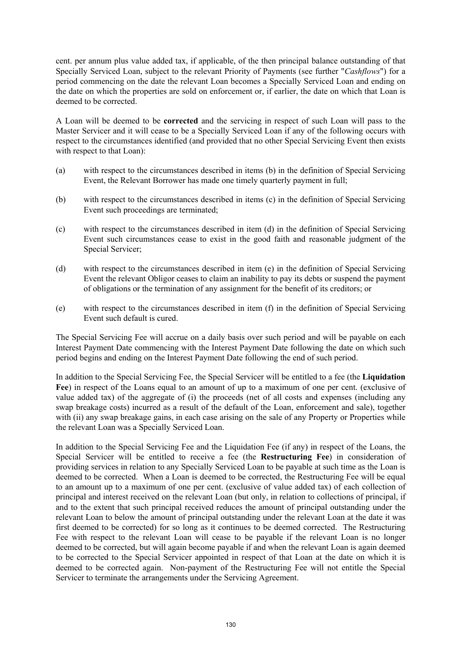cent. per annum plus value added tax, if applicable, of the then principal balance outstanding of that Specially Serviced Loan, subject to the relevant Priority of Payments (see further "*Cashflows*") for a period commencing on the date the relevant Loan becomes a Specially Serviced Loan and ending on the date on which the properties are sold on enforcement or, if earlier, the date on which that Loan is deemed to be corrected.

A Loan will be deemed to be **corrected** and the servicing in respect of such Loan will pass to the Master Servicer and it will cease to be a Specially Serviced Loan if any of the following occurs with respect to the circumstances identified (and provided that no other Special Servicing Event then exists with respect to that Loan):

- (a) with respect to the circumstances described in items (b) in the definition of Special Servicing Event, the Relevant Borrower has made one timely quarterly payment in full;
- (b) with respect to the circumstances described in items (c) in the definition of Special Servicing Event such proceedings are terminated;
- (c) with respect to the circumstances described in item (d) in the definition of Special Servicing Event such circumstances cease to exist in the good faith and reasonable judgment of the Special Servicer;
- (d) with respect to the circumstances described in item (e) in the definition of Special Servicing Event the relevant Obligor ceases to claim an inability to pay its debts or suspend the payment of obligations or the termination of any assignment for the benefit of its creditors; or
- (e) with respect to the circumstances described in item (f) in the definition of Special Servicing Event such default is cured.

The Special Servicing Fee will accrue on a daily basis over such period and will be payable on each Interest Payment Date commencing with the Interest Payment Date following the date on which such period begins and ending on the Interest Payment Date following the end of such period.

In addition to the Special Servicing Fee, the Special Servicer will be entitled to a fee (the **Liquidation Fee**) in respect of the Loans equal to an amount of up to a maximum of one per cent. (exclusive of value added tax) of the aggregate of (i) the proceeds (net of all costs and expenses (including any swap breakage costs) incurred as a result of the default of the Loan, enforcement and sale), together with (ii) any swap breakage gains, in each case arising on the sale of any Property or Properties while the relevant Loan was a Specially Serviced Loan.

In addition to the Special Servicing Fee and the Liquidation Fee (if any) in respect of the Loans, the Special Servicer will be entitled to receive a fee (the **Restructuring Fee**) in consideration of providing services in relation to any Specially Serviced Loan to be payable at such time as the Loan is deemed to be corrected. When a Loan is deemed to be corrected, the Restructuring Fee will be equal to an amount up to a maximum of one per cent. (exclusive of value added tax) of each collection of principal and interest received on the relevant Loan (but only, in relation to collections of principal, if and to the extent that such principal received reduces the amount of principal outstanding under the relevant Loan to below the amount of principal outstanding under the relevant Loan at the date it was first deemed to be corrected) for so long as it continues to be deemed corrected. The Restructuring Fee with respect to the relevant Loan will cease to be payable if the relevant Loan is no longer deemed to be corrected, but will again become payable if and when the relevant Loan is again deemed to be corrected to the Special Servicer appointed in respect of that Loan at the date on which it is deemed to be corrected again. Non-payment of the Restructuring Fee will not entitle the Special Servicer to terminate the arrangements under the Servicing Agreement.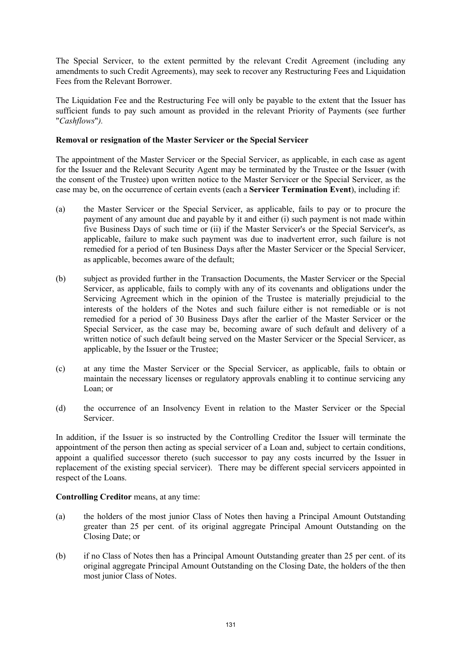The Special Servicer, to the extent permitted by the relevant Credit Agreement (including any amendments to such Credit Agreements), may seek to recover any Restructuring Fees and Liquidation Fees from the Relevant Borrower.

The Liquidation Fee and the Restructuring Fee will only be payable to the extent that the Issuer has sufficient funds to pay such amount as provided in the relevant Priority of Payments (see further "*Cashflows*"*).*

### **Removal or resignation of the Master Servicer or the Special Servicer**

The appointment of the Master Servicer or the Special Servicer, as applicable, in each case as agent for the Issuer and the Relevant Security Agent may be terminated by the Trustee or the Issuer (with the consent of the Trustee) upon written notice to the Master Servicer or the Special Servicer, as the case may be, on the occurrence of certain events (each a **Servicer Termination Event**), including if:

- (a) the Master Servicer or the Special Servicer, as applicable, fails to pay or to procure the payment of any amount due and payable by it and either (i) such payment is not made within five Business Days of such time or (ii) if the Master Servicer's or the Special Servicer's, as applicable, failure to make such payment was due to inadvertent error, such failure is not remedied for a period of ten Business Days after the Master Servicer or the Special Servicer, as applicable, becomes aware of the default;
- (b) subject as provided further in the Transaction Documents, the Master Servicer or the Special Servicer, as applicable, fails to comply with any of its covenants and obligations under the Servicing Agreement which in the opinion of the Trustee is materially prejudicial to the interests of the holders of the Notes and such failure either is not remediable or is not remedied for a period of 30 Business Days after the earlier of the Master Servicer or the Special Servicer, as the case may be, becoming aware of such default and delivery of a written notice of such default being served on the Master Servicer or the Special Servicer, as applicable, by the Issuer or the Trustee;
- (c) at any time the Master Servicer or the Special Servicer, as applicable, fails to obtain or maintain the necessary licenses or regulatory approvals enabling it to continue servicing any Loan; or
- (d) the occurrence of an Insolvency Event in relation to the Master Servicer or the Special Servicer.

In addition, if the Issuer is so instructed by the Controlling Creditor the Issuer will terminate the appointment of the person then acting as special servicer of a Loan and, subject to certain conditions, appoint a qualified successor thereto (such successor to pay any costs incurred by the Issuer in replacement of the existing special servicer). There may be different special servicers appointed in respect of the Loans.

# **Controlling Creditor** means, at any time:

- (a) the holders of the most junior Class of Notes then having a Principal Amount Outstanding greater than 25 per cent. of its original aggregate Principal Amount Outstanding on the Closing Date; or
- (b) if no Class of Notes then has a Principal Amount Outstanding greater than 25 per cent. of its original aggregate Principal Amount Outstanding on the Closing Date, the holders of the then most junior Class of Notes.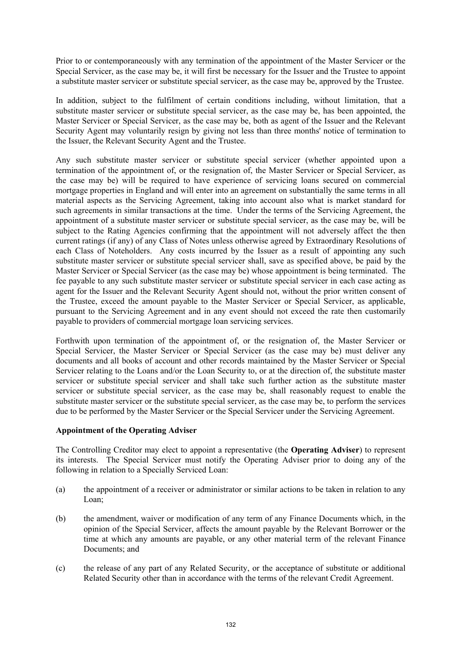Prior to or contemporaneously with any termination of the appointment of the Master Servicer or the Special Servicer, as the case may be, it will first be necessary for the Issuer and the Trustee to appoint a substitute master servicer or substitute special servicer, as the case may be, approved by the Trustee.

In addition, subject to the fulfilment of certain conditions including, without limitation, that a substitute master servicer or substitute special servicer, as the case may be, has been appointed, the Master Servicer or Special Servicer, as the case may be, both as agent of the Issuer and the Relevant Security Agent may voluntarily resign by giving not less than three months' notice of termination to the Issuer, the Relevant Security Agent and the Trustee.

Any such substitute master servicer or substitute special servicer (whether appointed upon a termination of the appointment of, or the resignation of, the Master Servicer or Special Servicer, as the case may be) will be required to have experience of servicing loans secured on commercial mortgage properties in England and will enter into an agreement on substantially the same terms in all material aspects as the Servicing Agreement, taking into account also what is market standard for such agreements in similar transactions at the time. Under the terms of the Servicing Agreement, the appointment of a substitute master servicer or substitute special servicer, as the case may be, will be subject to the Rating Agencies confirming that the appointment will not adversely affect the then current ratings (if any) of any Class of Notes unless otherwise agreed by Extraordinary Resolutions of each Class of Noteholders. Any costs incurred by the Issuer as a result of appointing any such substitute master servicer or substitute special servicer shall, save as specified above, be paid by the Master Servicer or Special Servicer (as the case may be) whose appointment is being terminated. The fee payable to any such substitute master servicer or substitute special servicer in each case acting as agent for the Issuer and the Relevant Security Agent should not, without the prior written consent of the Trustee, exceed the amount payable to the Master Servicer or Special Servicer, as applicable, pursuant to the Servicing Agreement and in any event should not exceed the rate then customarily payable to providers of commercial mortgage loan servicing services.

Forthwith upon termination of the appointment of, or the resignation of, the Master Servicer or Special Servicer, the Master Servicer or Special Servicer (as the case may be) must deliver any documents and all books of account and other records maintained by the Master Servicer or Special Servicer relating to the Loans and/or the Loan Security to, or at the direction of, the substitute master servicer or substitute special servicer and shall take such further action as the substitute master servicer or substitute special servicer, as the case may be, shall reasonably request to enable the substitute master servicer or the substitute special servicer, as the case may be, to perform the services due to be performed by the Master Servicer or the Special Servicer under the Servicing Agreement.

### **Appointment of the Operating Adviser**

The Controlling Creditor may elect to appoint a representative (the **Operating Adviser**) to represent its interests. The Special Servicer must notify the Operating Adviser prior to doing any of the following in relation to a Specially Serviced Loan:

- (a) the appointment of a receiver or administrator or similar actions to be taken in relation to any Loan;
- (b) the amendment, waiver or modification of any term of any Finance Documents which, in the opinion of the Special Servicer, affects the amount payable by the Relevant Borrower or the time at which any amounts are payable, or any other material term of the relevant Finance Documents: and
- (c) the release of any part of any Related Security, or the acceptance of substitute or additional Related Security other than in accordance with the terms of the relevant Credit Agreement.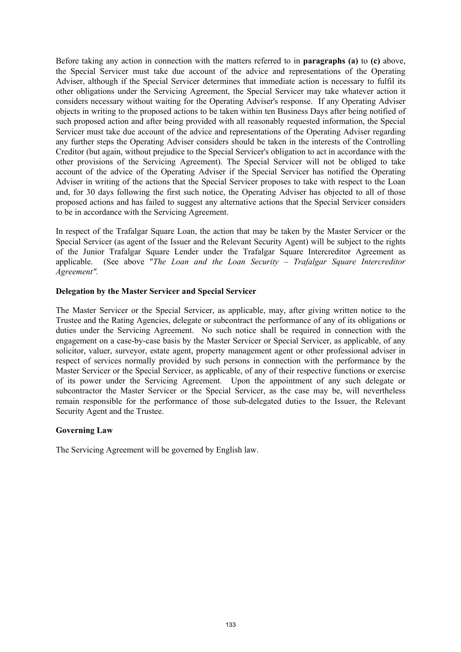Before taking any action in connection with the matters referred to in **paragraphs (a)** to **(c)** above, the Special Servicer must take due account of the advice and representations of the Operating Adviser, although if the Special Servicer determines that immediate action is necessary to fulfil its other obligations under the Servicing Agreement, the Special Servicer may take whatever action it considers necessary without waiting for the Operating Adviser's response. If any Operating Adviser objects in writing to the proposed actions to be taken within ten Business Days after being notified of such proposed action and after being provided with all reasonably requested information, the Special Servicer must take due account of the advice and representations of the Operating Adviser regarding any further steps the Operating Adviser considers should be taken in the interests of the Controlling Creditor (but again, without prejudice to the Special Servicer's obligation to act in accordance with the other provisions of the Servicing Agreement). The Special Servicer will not be obliged to take account of the advice of the Operating Adviser if the Special Servicer has notified the Operating Adviser in writing of the actions that the Special Servicer proposes to take with respect to the Loan and, for 30 days following the first such notice, the Operating Adviser has objected to all of those proposed actions and has failed to suggest any alternative actions that the Special Servicer considers to be in accordance with the Servicing Agreement.

In respect of the Trafalgar Square Loan, the action that may be taken by the Master Servicer or the Special Servicer (as agent of the Issuer and the Relevant Security Agent) will be subject to the rights of the Junior Trafalgar Square Lender under the Trafalgar Square Intercreditor Agreement as applicable. (See above "*The Loan and the Loan Security – Trafalgar Square Intercreditor Agreement".*

### **Delegation by the Master Servicer and Special Servicer**

The Master Servicer or the Special Servicer, as applicable, may, after giving written notice to the Trustee and the Rating Agencies, delegate or subcontract the performance of any of its obligations or duties under the Servicing Agreement. No such notice shall be required in connection with the engagement on a case-by-case basis by the Master Servicer or Special Servicer, as applicable, of any solicitor, valuer, surveyor, estate agent, property management agent or other professional adviser in respect of services normally provided by such persons in connection with the performance by the Master Servicer or the Special Servicer, as applicable, of any of their respective functions or exercise of its power under the Servicing Agreement. Upon the appointment of any such delegate or subcontractor the Master Servicer or the Special Servicer, as the case may be, will nevertheless remain responsible for the performance of those sub-delegated duties to the Issuer, the Relevant Security Agent and the Trustee.

### **Governing Law**

The Servicing Agreement will be governed by English law.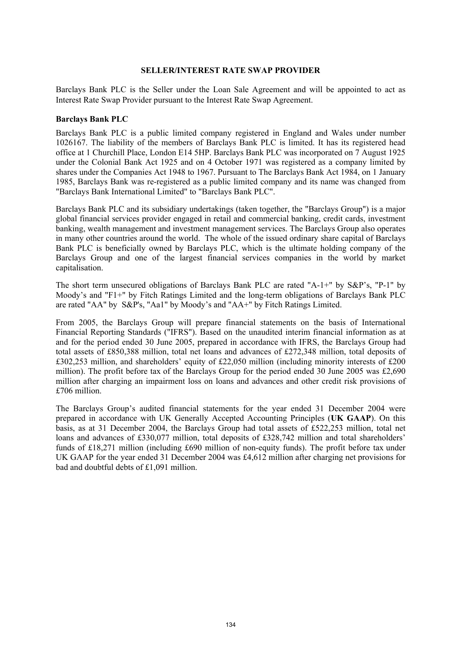#### **SELLER/INTEREST RATE SWAP PROVIDER**

Barclays Bank PLC is the Seller under the Loan Sale Agreement and will be appointed to act as Interest Rate Swap Provider pursuant to the Interest Rate Swap Agreement.

#### **Barclays Bank PLC**

Barclays Bank PLC is a public limited company registered in England and Wales under number 1026167. The liability of the members of Barclays Bank PLC is limited. It has its registered head office at 1 Churchill Place, London E14 5HP. Barclays Bank PLC was incorporated on 7 August 1925 under the Colonial Bank Act 1925 and on 4 October 1971 was registered as a company limited by shares under the Companies Act 1948 to 1967. Pursuant to The Barclays Bank Act 1984, on 1 January 1985, Barclays Bank was re-registered as a public limited company and its name was changed from "Barclays Bank International Limited" to "Barclays Bank PLC".

Barclays Bank PLC and its subsidiary undertakings (taken together, the "Barclays Group") is a major global financial services provider engaged in retail and commercial banking, credit cards, investment banking, wealth management and investment management services. The Barclays Group also operates in many other countries around the world. The whole of the issued ordinary share capital of Barclays Bank PLC is beneficially owned by Barclays PLC, which is the ultimate holding company of the Barclays Group and one of the largest financial services companies in the world by market capitalisation.

The short term unsecured obligations of Barclays Bank PLC are rated "A-1+" by S&P's, "P-1" by Moody's and "F1+" by Fitch Ratings Limited and the long-term obligations of Barclays Bank PLC are rated "AA" by S&P's, "Aa1" by Moody's and "AA+" by Fitch Ratings Limited.

From 2005, the Barclays Group will prepare financial statements on the basis of International Financial Reporting Standards ("IFRS"). Based on the unaudited interim financial information as at and for the period ended 30 June 2005, prepared in accordance with IFRS, the Barclays Group had total assets of £850,388 million, total net loans and advances of £272,348 million, total deposits of £302,253 million, and shareholders' equity of £22,050 million (including minority interests of £200 million). The profit before tax of the Barclays Group for the period ended 30 June 2005 was £2,690 million after charging an impairment loss on loans and advances and other credit risk provisions of £706 million.

The Barclays Group's audited financial statements for the year ended 31 December 2004 were prepared in accordance with UK Generally Accepted Accounting Principles (**UK GAAP**). On this basis, as at 31 December 2004, the Barclays Group had total assets of £522,253 million, total net loans and advances of £330,077 million, total deposits of £328,742 million and total shareholders' funds of £18,271 million (including £690 million of non-equity funds). The profit before tax under UK GAAP for the year ended 31 December 2004 was £4,612 million after charging net provisions for bad and doubtful debts of £1,091 million.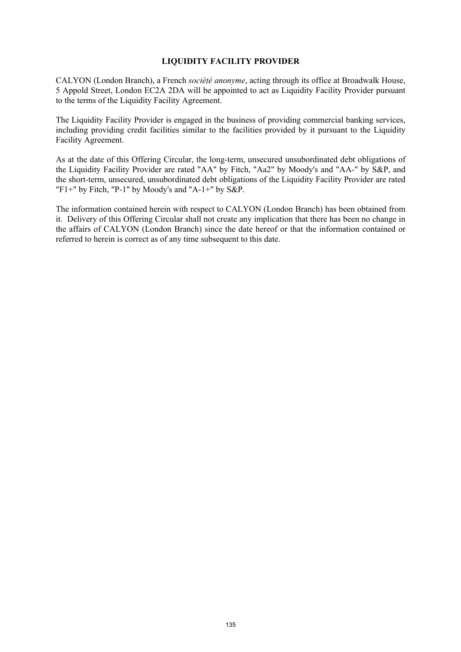### **LIQUIDITY FACILITY PROVIDER**

CALYON (London Branch), a French *société anonyme*, acting through its office at Broadwalk House, 5 Appold Street, London EC2A 2DA will be appointed to act as Liquidity Facility Provider pursuant to the terms of the Liquidity Facility Agreement.

The Liquidity Facility Provider is engaged in the business of providing commercial banking services, including providing credit facilities similar to the facilities provided by it pursuant to the Liquidity Facility Agreement.

As at the date of this Offering Circular, the long-term, unsecured unsubordinated debt obligations of the Liquidity Facility Provider are rated "AA" by Fitch, "Aa2" by Moody's and "AA-" by S&P, and the short-term, unsecured, unsubordinated debt obligations of the Liquidity Facility Provider are rated "F1+" by Fitch, "P-1" by Moody's and "A-1+" by  $S\&P$ .

The information contained herein with respect to CALYON (London Branch) has been obtained from it. Delivery of this Offering Circular shall not create any implication that there has been no change in the affairs of CALYON (London Branch) since the date hereof or that the information contained or referred to herein is correct as of any time subsequent to this date.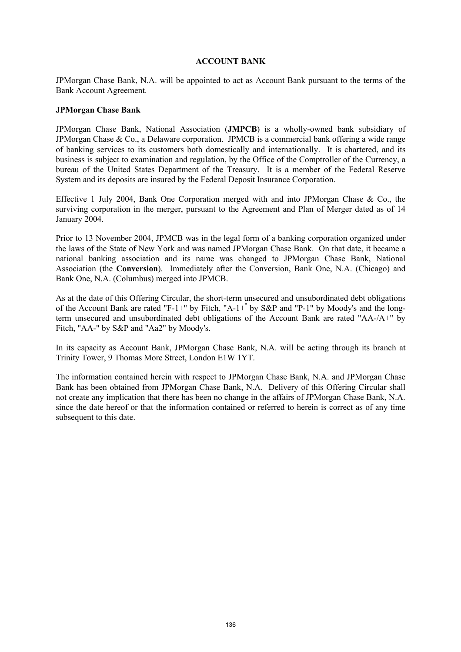#### **ACCOUNT BANK**

JPMorgan Chase Bank, N.A. will be appointed to act as Account Bank pursuant to the terms of the Bank Account Agreement.

### **JPMorgan Chase Bank**

JPMorgan Chase Bank, National Association (**JMPCB**) is a wholly-owned bank subsidiary of JPMorgan Chase & Co., a Delaware corporation. JPMCB is a commercial bank offering a wide range of banking services to its customers both domestically and internationally. It is chartered, and its business is subject to examination and regulation, by the Office of the Comptroller of the Currency, a bureau of the United States Department of the Treasury. It is a member of the Federal Reserve System and its deposits are insured by the Federal Deposit Insurance Corporation.

Effective 1 July 2004, Bank One Corporation merged with and into JPMorgan Chase & Co., the surviving corporation in the merger, pursuant to the Agreement and Plan of Merger dated as of 14 January 2004.

Prior to 13 November 2004, JPMCB was in the legal form of a banking corporation organized under the laws of the State of New York and was named JPMorgan Chase Bank. On that date, it became a national banking association and its name was changed to JPMorgan Chase Bank, National Association (the **Conversion**). Immediately after the Conversion, Bank One, N.A. (Chicago) and Bank One, N.A. (Columbus) merged into JPMCB.

As at the date of this Offering Circular, the short-term unsecured and unsubordinated debt obligations of the Account Bank are rated "F-1+" by Fitch, "A-1+" by S&P and "P-1" by Moody's and the longterm unsecured and unsubordinated debt obligations of the Account Bank are rated "AA-/A+" by Fitch, "AA-" by S&P and "Aa2" by Moody's.

In its capacity as Account Bank, JPMorgan Chase Bank, N.A. will be acting through its branch at Trinity Tower, 9 Thomas More Street, London E1W 1YT.

The information contained herein with respect to JPMorgan Chase Bank, N.A. and JPMorgan Chase Bank has been obtained from JPMorgan Chase Bank, N.A. Delivery of this Offering Circular shall not create any implication that there has been no change in the affairs of JPMorgan Chase Bank, N.A. since the date hereof or that the information contained or referred to herein is correct as of any time subsequent to this date.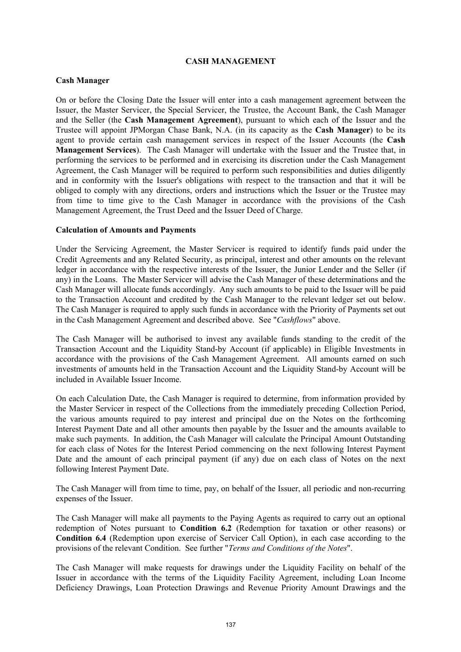### **CASH MANAGEMENT**

### **Cash Manager**

On or before the Closing Date the Issuer will enter into a cash management agreement between the Issuer, the Master Servicer, the Special Servicer, the Trustee, the Account Bank, the Cash Manager and the Seller (the **Cash Management Agreement**), pursuant to which each of the Issuer and the Trustee will appoint JPMorgan Chase Bank, N.A. (in its capacity as the **Cash Manager**) to be its agent to provide certain cash management services in respect of the Issuer Accounts (the **Cash Management Services**). The Cash Manager will undertake with the Issuer and the Trustee that, in performing the services to be performed and in exercising its discretion under the Cash Management Agreement, the Cash Manager will be required to perform such responsibilities and duties diligently and in conformity with the Issuer's obligations with respect to the transaction and that it will be obliged to comply with any directions, orders and instructions which the Issuer or the Trustee may from time to time give to the Cash Manager in accordance with the provisions of the Cash Management Agreement, the Trust Deed and the Issuer Deed of Charge.

### **Calculation of Amounts and Payments**

Under the Servicing Agreement, the Master Servicer is required to identify funds paid under the Credit Agreements and any Related Security, as principal, interest and other amounts on the relevant ledger in accordance with the respective interests of the Issuer, the Junior Lender and the Seller (if any) in the Loans. The Master Servicer will advise the Cash Manager of these determinations and the Cash Manager will allocate funds accordingly. Any such amounts to be paid to the Issuer will be paid to the Transaction Account and credited by the Cash Manager to the relevant ledger set out below. The Cash Manager is required to apply such funds in accordance with the Priority of Payments set out in the Cash Management Agreement and described above. See "*Cashflows*" above.

The Cash Manager will be authorised to invest any available funds standing to the credit of the Transaction Account and the Liquidity Stand-by Account (if applicable) in Eligible Investments in accordance with the provisions of the Cash Management Agreement. All amounts earned on such investments of amounts held in the Transaction Account and the Liquidity Stand-by Account will be included in Available Issuer Income.

On each Calculation Date, the Cash Manager is required to determine, from information provided by the Master Servicer in respect of the Collections from the immediately preceding Collection Period, the various amounts required to pay interest and principal due on the Notes on the forthcoming Interest Payment Date and all other amounts then payable by the Issuer and the amounts available to make such payments. In addition, the Cash Manager will calculate the Principal Amount Outstanding for each class of Notes for the Interest Period commencing on the next following Interest Payment Date and the amount of each principal payment (if any) due on each class of Notes on the next following Interest Payment Date.

The Cash Manager will from time to time, pay, on behalf of the Issuer, all periodic and non-recurring expenses of the Issuer.

The Cash Manager will make all payments to the Paying Agents as required to carry out an optional redemption of Notes pursuant to **Condition 6.2** (Redemption for taxation or other reasons) or **Condition 6.4** (Redemption upon exercise of Servicer Call Option), in each case according to the provisions of the relevant Condition. See further "*Terms and Conditions of the Notes*".

The Cash Manager will make requests for drawings under the Liquidity Facility on behalf of the Issuer in accordance with the terms of the Liquidity Facility Agreement, including Loan Income Deficiency Drawings, Loan Protection Drawings and Revenue Priority Amount Drawings and the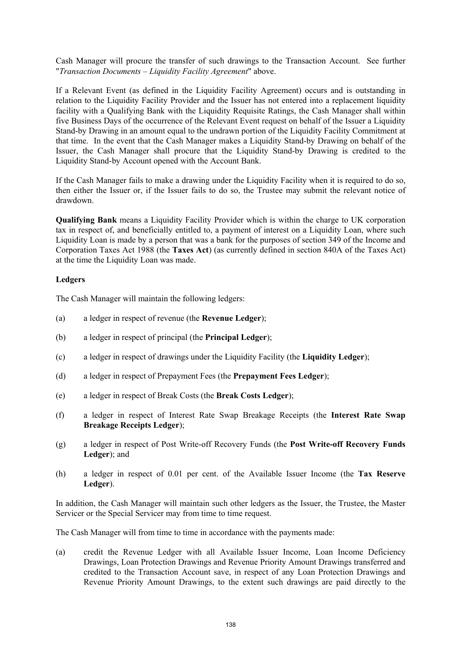Cash Manager will procure the transfer of such drawings to the Transaction Account. See further "*Transaction Documents – Liquidity Facility Agreement*" above.

If a Relevant Event (as defined in the Liquidity Facility Agreement) occurs and is outstanding in relation to the Liquidity Facility Provider and the Issuer has not entered into a replacement liquidity facility with a Qualifying Bank with the Liquidity Requisite Ratings, the Cash Manager shall within five Business Days of the occurrence of the Relevant Event request on behalf of the Issuer a Liquidity Stand-by Drawing in an amount equal to the undrawn portion of the Liquidity Facility Commitment at that time. In the event that the Cash Manager makes a Liquidity Stand-by Drawing on behalf of the Issuer, the Cash Manager shall procure that the Liquidity Stand-by Drawing is credited to the Liquidity Stand-by Account opened with the Account Bank.

If the Cash Manager fails to make a drawing under the Liquidity Facility when it is required to do so, then either the Issuer or, if the Issuer fails to do so, the Trustee may submit the relevant notice of drawdown.

**Qualifying Bank** means a Liquidity Facility Provider which is within the charge to UK corporation tax in respect of, and beneficially entitled to, a payment of interest on a Liquidity Loan, where such Liquidity Loan is made by a person that was a bank for the purposes of section 349 of the Income and Corporation Taxes Act 1988 (the **Taxes Act**) (as currently defined in section 840A of the Taxes Act) at the time the Liquidity Loan was made.

## **Ledgers**

The Cash Manager will maintain the following ledgers:

- (a) a ledger in respect of revenue (the **Revenue Ledger**);
- (b) a ledger in respect of principal (the **Principal Ledger**);
- (c) a ledger in respect of drawings under the Liquidity Facility (the **Liquidity Ledger**);
- (d) a ledger in respect of Prepayment Fees (the **Prepayment Fees Ledger**);
- (e) a ledger in respect of Break Costs (the **Break Costs Ledger**);
- (f) a ledger in respect of Interest Rate Swap Breakage Receipts (the **Interest Rate Swap Breakage Receipts Ledger**);
- (g) a ledger in respect of Post Write-off Recovery Funds (the **Post Write-off Recovery Funds Ledger**); and
- (h) a ledger in respect of 0.01 per cent. of the Available Issuer Income (the **Tax Reserve Ledger**).

In addition, the Cash Manager will maintain such other ledgers as the Issuer, the Trustee, the Master Servicer or the Special Servicer may from time to time request.

The Cash Manager will from time to time in accordance with the payments made:

(a) credit the Revenue Ledger with all Available Issuer Income, Loan Income Deficiency Drawings, Loan Protection Drawings and Revenue Priority Amount Drawings transferred and credited to the Transaction Account save, in respect of any Loan Protection Drawings and Revenue Priority Amount Drawings, to the extent such drawings are paid directly to the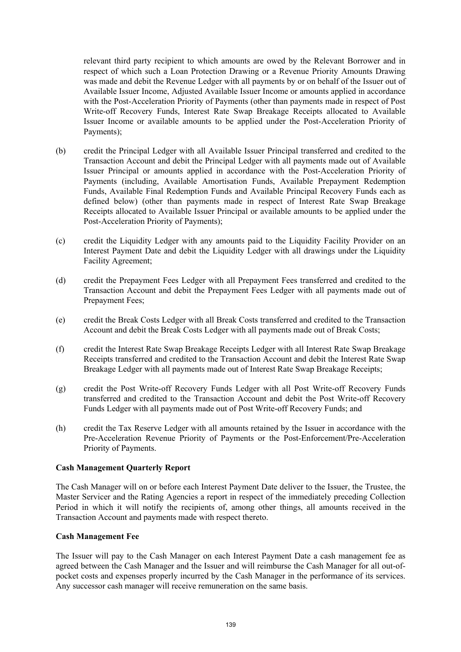relevant third party recipient to which amounts are owed by the Relevant Borrower and in respect of which such a Loan Protection Drawing or a Revenue Priority Amounts Drawing was made and debit the Revenue Ledger with all payments by or on behalf of the Issuer out of Available Issuer Income, Adjusted Available Issuer Income or amounts applied in accordance with the Post-Acceleration Priority of Payments (other than payments made in respect of Post Write-off Recovery Funds, Interest Rate Swap Breakage Receipts allocated to Available Issuer Income or available amounts to be applied under the Post-Acceleration Priority of Payments);

- (b) credit the Principal Ledger with all Available Issuer Principal transferred and credited to the Transaction Account and debit the Principal Ledger with all payments made out of Available Issuer Principal or amounts applied in accordance with the Post-Acceleration Priority of Payments (including, Available Amortisation Funds, Available Prepayment Redemption Funds, Available Final Redemption Funds and Available Principal Recovery Funds each as defined below) (other than payments made in respect of Interest Rate Swap Breakage Receipts allocated to Available Issuer Principal or available amounts to be applied under the Post-Acceleration Priority of Payments);
- (c) credit the Liquidity Ledger with any amounts paid to the Liquidity Facility Provider on an Interest Payment Date and debit the Liquidity Ledger with all drawings under the Liquidity Facility Agreement;
- (d) credit the Prepayment Fees Ledger with all Prepayment Fees transferred and credited to the Transaction Account and debit the Prepayment Fees Ledger with all payments made out of Prepayment Fees;
- (e) credit the Break Costs Ledger with all Break Costs transferred and credited to the Transaction Account and debit the Break Costs Ledger with all payments made out of Break Costs;
- (f) credit the Interest Rate Swap Breakage Receipts Ledger with all Interest Rate Swap Breakage Receipts transferred and credited to the Transaction Account and debit the Interest Rate Swap Breakage Ledger with all payments made out of Interest Rate Swap Breakage Receipts;
- (g) credit the Post Write-off Recovery Funds Ledger with all Post Write-off Recovery Funds transferred and credited to the Transaction Account and debit the Post Write-off Recovery Funds Ledger with all payments made out of Post Write-off Recovery Funds; and
- (h) credit the Tax Reserve Ledger with all amounts retained by the Issuer in accordance with the Pre-Acceleration Revenue Priority of Payments or the Post-Enforcement/Pre-Acceleration Priority of Payments.

### **Cash Management Quarterly Report**

The Cash Manager will on or before each Interest Payment Date deliver to the Issuer, the Trustee, the Master Servicer and the Rating Agencies a report in respect of the immediately preceding Collection Period in which it will notify the recipients of, among other things, all amounts received in the Transaction Account and payments made with respect thereto.

### **Cash Management Fee**

The Issuer will pay to the Cash Manager on each Interest Payment Date a cash management fee as agreed between the Cash Manager and the Issuer and will reimburse the Cash Manager for all out-ofpocket costs and expenses properly incurred by the Cash Manager in the performance of its services. Any successor cash manager will receive remuneration on the same basis.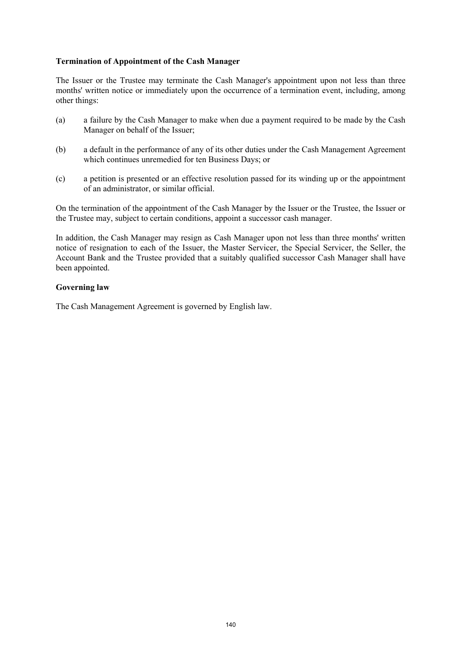## **Termination of Appointment of the Cash Manager**

The Issuer or the Trustee may terminate the Cash Manager's appointment upon not less than three months' written notice or immediately upon the occurrence of a termination event, including, among other things:

- (a) a failure by the Cash Manager to make when due a payment required to be made by the Cash Manager on behalf of the Issuer;
- (b) a default in the performance of any of its other duties under the Cash Management Agreement which continues unremedied for ten Business Days; or
- (c) a petition is presented or an effective resolution passed for its winding up or the appointment of an administrator, or similar official.

On the termination of the appointment of the Cash Manager by the Issuer or the Trustee, the Issuer or the Trustee may, subject to certain conditions, appoint a successor cash manager.

In addition, the Cash Manager may resign as Cash Manager upon not less than three months' written notice of resignation to each of the Issuer, the Master Servicer, the Special Servicer, the Seller, the Account Bank and the Trustee provided that a suitably qualified successor Cash Manager shall have been appointed.

### **Governing law**

The Cash Management Agreement is governed by English law.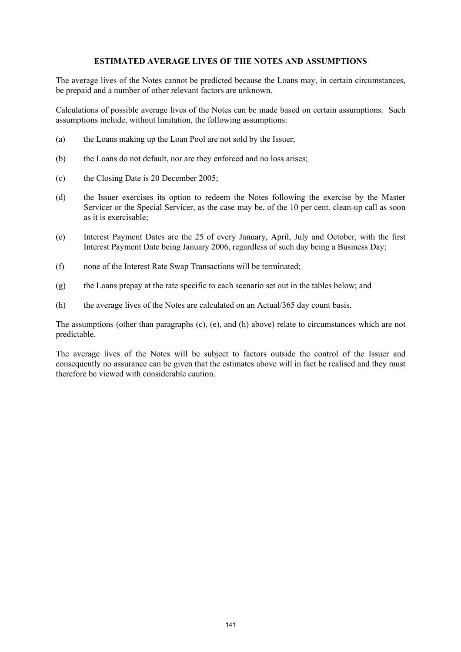### **ESTIMATED AVERAGE LIVES OF THE NOTES AND ASSUMPTIONS**

The average lives of the Notes cannot be predicted because the Loans may, in certain circumstances, be prepaid and a number of other relevant factors are unknown.

Calculations of possible average lives of the Notes can be made based on certain assumptions. Such assumptions include, without limitation, the following assumptions:

- (a) the Loans making up the Loan Pool are not sold by the Issuer;
- (b) the Loans do not default, nor are they enforced and no loss arises;
- (c) the Closing Date is 20 December 2005;
- (d) the Issuer exercises its option to redeem the Notes following the exercise by the Master Servicer or the Special Servicer, as the case may be, of the 10 per cent. clean-up call as soon as it is exercisable;
- (e) Interest Payment Dates are the 25 of every January, April, July and October, with the first Interest Payment Date being January 2006, regardless of such day being a Business Day;
- (f) none of the Interest Rate Swap Transactions will be terminated;
- (g) the Loans prepay at the rate specific to each scenario set out in the tables below; and
- (h) the average lives of the Notes are calculated on an Actual/365 day count basis.

The assumptions (other than paragraphs (c), (e), and (h) above) relate to circumstances which are not predictable.

The average lives of the Notes will be subject to factors outside the control of the Issuer and consequently no assurance can be given that the estimates above will in fact be realised and they must therefore be viewed with considerable caution.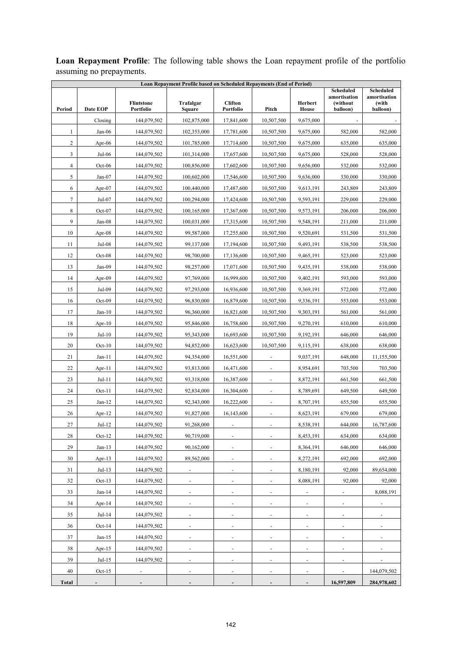| Loan Repayment Profile based on Scheduled Repayments (End of Period) |           |                                |                              |                              |                          |                              |                                                          |                                                       |  |  |
|----------------------------------------------------------------------|-----------|--------------------------------|------------------------------|------------------------------|--------------------------|------------------------------|----------------------------------------------------------|-------------------------------------------------------|--|--|
| Period                                                               | Date EOP  | <b>Flintstone</b><br>Portfolio | Trafalgar<br><b>Square</b>   | <b>Clifton</b><br>Portfolio  | Pitch                    | Herbert<br><b>House</b>      | <b>Scheduled</b><br>amortisation<br>(without<br>balloon) | <b>Scheduled</b><br>amortisation<br>(with<br>balloon) |  |  |
|                                                                      | Closing   | 144,079,502                    | 102,875,000                  | 17,841,600                   | 10,507,500               | 9,675,000                    |                                                          |                                                       |  |  |
| 1                                                                    | $Jan-06$  | 144,079,502                    | 102,353,000                  | 17,781,600                   | 10,507,500               | 9,675,000                    | 582,000                                                  | 582,000                                               |  |  |
| 2                                                                    | Apr- $06$ | 144,079,502                    | 101,785,000                  | 17,714,600                   | 10,507,500               | 9,675,000                    | 635,000                                                  | 635,000                                               |  |  |
| 3                                                                    | Jul-06    | 144,079,502                    | 101,314,000                  | 17,657,600                   | 10,507,500               | 9,675,000                    | 528,000                                                  | 528,000                                               |  |  |
| 4                                                                    | $Oct-06$  | 144,079,502                    | 100,856,000                  | 17,602,600                   | 10,507,500               | 9,656,000                    | 532,000                                                  | 532,000                                               |  |  |
| 5                                                                    | $Jan-07$  | 144,079,502                    | 100,602,000                  | 17,546,600                   | 10,507,500               | 9,636,000                    | 330,000                                                  | 330,000                                               |  |  |
| 6                                                                    | Apr-07    | 144,079,502                    | 100,440,000                  | 17,487,600                   | 10,507,500               | 9,613,191                    | 243,809                                                  | 243,809                                               |  |  |
| $\tau$                                                               | Jul-07    | 144,079,502                    | 100,294,000                  | 17,424,600                   | 10,507,500               | 9,593,191                    | 229,000                                                  | 229,000                                               |  |  |
| 8                                                                    | Oct-07    | 144,079,502                    | 100,165,000                  | 17,367,600                   | 10,507,500               | 9,573,191                    | 206,000                                                  | 206,000                                               |  |  |
| 9                                                                    | $Jan-08$  | 144,079,502                    | 100,031,000                  | 17,315,600                   | 10,507,500               | 9,548,191                    | 211,000                                                  | 211,000                                               |  |  |
| 10                                                                   | Apr-08    | 144,079,502                    | 99,587,000                   | 17,255,600                   | 10,507,500               | 9,520,691                    | 531,500                                                  | 531,500                                               |  |  |
| 11                                                                   | Jul-08    | 144,079,502                    | 99,137,000                   | 17,194,600                   | 10,507,500               | 9,493,191                    | 538,500                                                  | 538,500                                               |  |  |
| 12                                                                   | Oct-08    | 144,079,502                    | 98,700,000                   | 17,136,600                   | 10,507,500               | 9,465,191                    | 523,000                                                  | 523,000                                               |  |  |
| 13                                                                   | Jan-09    | 144,079,502                    | 98,257,000                   | 17,071,600                   | 10,507,500               | 9,435,191                    | 538,000                                                  | 538,000                                               |  |  |
| 14                                                                   | Apr-09    | 144,079,502                    | 97,769,000                   | 16,999,600                   | 10,507,500               | 9,402,191                    | 593,000                                                  | 593,000                                               |  |  |
| 15                                                                   | Jul-09    | 144,079,502                    | 97,293,000                   | 16,936,600                   | 10,507,500               | 9,369,191                    | 572,000                                                  | 572,000                                               |  |  |
| 16                                                                   | Oct-09    | 144,079,502                    | 96,830,000                   | 16,879,600                   | 10,507,500               | 9,336,191                    | 553,000                                                  | 553,000                                               |  |  |
| 17                                                                   | $Jan-10$  | 144,079,502                    | 96,360,000                   | 16,821,600                   | 10,507,500               | 9,303,191                    | 561,000                                                  | 561,000                                               |  |  |
| 18                                                                   | Apr- $10$ | 144,079,502                    | 95,846,000                   | 16,758,600                   | 10,507,500               | 9,270,191                    | 610,000                                                  | 610,000                                               |  |  |
| 19                                                                   | $Jul-10$  | 144,079,502                    | 95,343,000                   | 16,693,600                   | 10,507,500               | 9,192,191                    | 646,000                                                  | 646,000                                               |  |  |
| 20                                                                   | $Oct-10$  | 144,079,502                    | 94,852,000                   | 16,623,600                   | 10,507,500               | 9,115,191                    | 638,000                                                  | 638,000                                               |  |  |
| 21                                                                   | $Jan-11$  | 144,079,502                    | 94,354,000                   | 16,551,600                   |                          | 9,037,191                    | 648,000                                                  | 11,155,500                                            |  |  |
| 22                                                                   | Apr-11    | 144,079,502                    | 93,813,000                   | 16,471,600                   | $\overline{\phantom{a}}$ | 8,954,691                    | 703,500                                                  | 703,500                                               |  |  |
| 23                                                                   | $Jul-11$  | 144,079,502                    | 93,318,000                   | 16,387,600                   | $\overline{\phantom{a}}$ | 8,872,191                    | 661,500                                                  | 661,500                                               |  |  |
| 24                                                                   | $Oct-11$  | 144,079,502                    | 92,834,000                   | 16,304,600                   | $\overline{\phantom{a}}$ | 8,789,691                    | 649,500                                                  | 649,500                                               |  |  |
| 25                                                                   | $Jan-12$  | 144,079,502                    | 92,343,000                   | 16,222,600                   | $\overline{\phantom{a}}$ | 8,707,191                    | 655,500                                                  | 655,500                                               |  |  |
| 26                                                                   | Apr- $12$ | 144,079,502                    | 91,827,000                   | 16,143,600                   |                          | 8,623,191                    | 679,000                                                  | 679,000                                               |  |  |
| 27                                                                   | $Jul-12$  | 144,079,502                    | 91,268,000                   |                              |                          | 8,538,191                    | 644,000                                                  | 16,787,600                                            |  |  |
| 28                                                                   | $Oct-12$  | 144,079,502                    | 90,719,000                   | $\blacksquare$               | $\blacksquare$           | 8,453,191                    | 634,000                                                  | 634,000                                               |  |  |
| 29                                                                   | $Jan-13$  | 144,079,502                    | 90,162,000                   | $\overline{a}$               | $\overline{\phantom{a}}$ | 8,364,191                    | 646,000                                                  | 646,000                                               |  |  |
| 30                                                                   | Apr- $13$ | 144,079,502                    | 89,562,000                   | $\overline{\phantom{a}}$     | $\overline{\phantom{a}}$ | 8,272,191                    | 692,000                                                  | 692,000                                               |  |  |
| 31                                                                   | $Jul-13$  | 144,079,502                    | $\overline{\phantom{a}}$     | $\overline{\phantom{a}}$     | $\overline{\phantom{a}}$ | 8,180,191                    | 92,000                                                   | 89,654,000                                            |  |  |
| 32                                                                   | $Oct-13$  | 144,079,502                    | $\qquad \qquad \blacksquare$ | $\overline{\phantom{a}}$     | $\overline{\phantom{a}}$ | 8,088,191                    | 92,000                                                   | 92,000                                                |  |  |
| 33                                                                   | $Jan-14$  | 144,079,502                    |                              |                              |                          |                              |                                                          | 8,088,191                                             |  |  |
| 34                                                                   | Apr-14    | 144,079,502                    |                              | $\qquad \qquad \blacksquare$ |                          | $\qquad \qquad \blacksquare$ |                                                          |                                                       |  |  |
| 35                                                                   | $Jul-14$  | 144,079,502                    | $\blacksquare$               | ÷,                           | ÷,                       | $\blacksquare$               | $\overline{\phantom{a}}$                                 | ÷,                                                    |  |  |
| 36                                                                   | $Oct-14$  | 144,079,502                    |                              | $\blacksquare$               | ä,                       | ÷                            | ٠                                                        |                                                       |  |  |
| 37                                                                   | $Jan-15$  | 144,079,502                    | $\overline{\phantom{a}}$     | $\overline{\phantom{a}}$     | $\overline{\phantom{a}}$ | $\overline{\phantom{m}}$     | $\overline{\phantom{a}}$                                 | $\overline{\phantom{a}}$                              |  |  |
| 38                                                                   | Apr- $15$ | 144,079,502                    | $\overline{\phantom{a}}$     | $\overline{\phantom{a}}$     | $\frac{1}{2}$            | -                            | ٠                                                        |                                                       |  |  |
| 39                                                                   | $Jul-15$  | 144,079,502                    | $\frac{1}{2}$                | $\overline{\phantom{m}}$     |                          | $\overline{\phantom{m}}$     | $\overline{\phantom{a}}$                                 | -                                                     |  |  |
| 40                                                                   | $Oct-15$  | $\frac{1}{2}$                  |                              |                              |                          |                              | ä,                                                       | 144,079,502                                           |  |  |
| Total                                                                |           |                                |                              |                              |                          |                              | 16,597,809                                               | 284,978,602                                           |  |  |

**Loan Repayment Profile**: The following table shows the Loan repayment profile of the portfolio assuming no prepayments.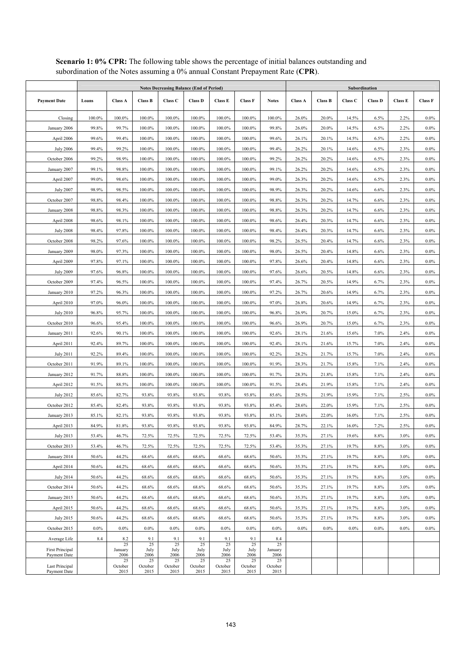|                                        | <b>Notes Decreasing Balance (End of Period)</b> |                       |                       |                       |                       |                       |                       |                       | Subordination  |                |         |                |                |                |  |
|----------------------------------------|-------------------------------------------------|-----------------------|-----------------------|-----------------------|-----------------------|-----------------------|-----------------------|-----------------------|----------------|----------------|---------|----------------|----------------|----------------|--|
| <b>Payment Date</b>                    | Loans                                           | <b>Class A</b>        | <b>Class B</b>        | Class C               | <b>Class D</b>        | <b>Class E</b>        | <b>Class F</b>        | <b>Notes</b>          | <b>Class A</b> | <b>Class B</b> | Class C | <b>Class D</b> | <b>Class E</b> | <b>Class F</b> |  |
| Closing                                | 100.0%                                          | 100.0%                | 100.0%                | 100.0%                | 100.0%                | 100.0%                | 100.0%                | 100.0%                | 26.0%          | 20.0%          | 14.5%   | 6.5%           | 2.2%           | $0.0\%$        |  |
| January 2006                           | 99.8%                                           | 99.7%                 | 100.0%                | 100.0%                | 100.0%                | 100.0%                | 100.0%                | 99.8%                 | 26.0%          | 20.0%          | 14.5%   | 6.5%           | 2.2%           | $0.0\%$        |  |
| April 2006                             | 99.6%                                           | 99.4%                 | 100.0%                | 100.0%                | 100.0%                | 100.0%                | 100.0%                | 99.6%                 | 26.1%          | 20.1%          | 14.5%   | 6.5%           | 2.2%           | $0.0\%$        |  |
| <b>July 2006</b>                       | 99.4%                                           | 99.2%                 | 100.0%                | 100.0%                | 100.0%                | 100.0%                | 100.0%                | 99.4%                 | 26.2%          | 20.1%          | 14.6%   | 6.5%           | 2.3%           | $0.0\%$        |  |
| October 2006                           | 99.2%                                           | 98.9%                 | 100.0%                | 100.0%                | 100.0%                | 100.0%                | 100.0%                | 99.2%                 | 26.2%          | 20.2%          | 14.6%   | 6.5%           | 2.3%           | $0.0\%$        |  |
| January 2007                           | 99.1%                                           | 98.8%                 | 100.0%                | 100.0%                | 100.0%                | 100.0%                | 100.0%                | 99.1%                 | 26.2%          | 20.2%          | 14.6%   | 6.5%           | 2.3%           | $0.0\%$        |  |
| April 2007                             | 99.0%                                           | 98.6%                 | 100.0%                | 100.0%                | 100.0%                | 100.0%                | 100.0%                | 99.0%                 | 26.3%          | 20.2%          | 14.6%   | 6.5%           | 2.3%           | $0.0\%$        |  |
| <b>July 2007</b>                       | 98.9%                                           | 98.5%                 | 100.0%                | 100.0%                | 100.0%                | 100.0%                | 100.0%                | 98.9%                 | 26.3%          | 20.2%          | 14.6%   | 6.6%           | 2.3%           | $0.0\%$        |  |
| October 2007                           | 98.8%                                           | 98.4%                 | 100.0%                | 100.0%                | 100.0%                | 100.0%                | 100.0%                | 98.8%                 | 26.3%          | 20.2%          | 14.7%   | 6.6%           | 2.3%           | $0.0\%$        |  |
| January 2008                           | 98.8%                                           | 98.3%                 | 100.0%                | 100.0%                | 100.0%                | 100.0%                | 100.0%                | 98.8%                 | 26.3%          | 20.2%          | 14.7%   | 6.6%           | 2.3%           | $0.0\%$        |  |
| April 2008                             | 98.6%                                           | 98.1%                 | 100.0%                | 100.0%                | 100.0%                | 100.0%                | 100.0%                | 98.6%                 | 26.4%          | 20.3%          | 14.7%   | 6.6%           | 2.3%           | $0.0\%$        |  |
| <b>July 2008</b>                       | 98.4%                                           | 97.8%                 | 100.0%                | 100.0%                | 100.0%                | 100.0%                | 100.0%                | 98.4%                 | 26.4%          | 20.3%          | 14.7%   | 6.6%           | 2.3%           | $0.0\%$        |  |
| October 2008                           | 98.2%                                           | 97.6%                 | 100.0%                | 100.0%                | 100.0%                | 100.0%                | 100.0%                | 98.2%                 | 26.5%          | 20.4%          | 14.7%   | 6.6%           | 2.3%           | $0.0\%$        |  |
| January 2009                           | 98.0%                                           | 97.3%                 | 100.0%                | 100.0%                | 100.0%                | 100.0%                | 100.0%                | 98.0%                 | 26.5%          | 20.4%          | 14.8%   | 6.6%           | 2.3%           | $0.0\%$        |  |
| April 2009                             | 97.8%                                           | 97.1%                 | 100.0%                | 100.0%                | 100.0%                | 100.0%                | 100.0%                | 97.8%                 | 26.6%          | 20.4%          | 14.8%   | 6.6%           | 2.3%           | $0.0\%$        |  |
| <b>July 2009</b>                       | 97.6%                                           | 96.8%                 | 100.0%                | 100.0%                | 100.0%                | 100.0%                | 100.0%                | 97.6%                 | 26.6%          | 20.5%          | 14.8%   | 6.6%           | 2.3%           | $0.0\%$        |  |
| October 2009                           | 97.4%                                           | 96.5%                 | 100.0%                | 100.0%                | 100.0%                | 100.0%                | 100.0%                | 97.4%                 | 26.7%          | 20.5%          | 14.9%   | 6.7%           | 2.3%           | $0.0\%$        |  |
| January 2010                           | 97.2%                                           | 96.3%                 | 100.0%                | 100.0%                | 100.0%                | 100.0%                | 100.0%                | 97.2%                 | 26.7%          | 20.6%          | 14.9%   | 6.7%           | 2.3%           | $0.0\%$        |  |
| April 2010                             | 97.0%                                           | 96.0%                 | 100.0%                | 100.0%                | 100.0%                | 100.0%                | 100.0%                | 97.0%                 | 26.8%          | 20.6%          | 14.9%   | 6.7%           | 2.3%           | $0.0\%$        |  |
| <b>July 2010</b>                       | 96.8%                                           | 95.7%                 | 100.0%                | 100.0%                | 100.0%                | 100.0%                | 100.0%                | 96.8%                 | 26.9%          | 20.7%          | 15.0%   | 6.7%           | 2.3%           | $0.0\%$        |  |
| October 2010                           | 96.6%                                           | 95.4%                 | 100.0%                | 100.0%                | 100.0%                | 100.0%                | 100.0%                | 96.6%                 | 26.9%          | 20.7%          | 15.0%   | 6.7%           | 2.3%           | $0.0\%$        |  |
| January 2011                           | 92.6%                                           | 90.1%                 | 100.0%                | 100.0%                | 100.0%                | 100.0%                | 100.0%                | 92.6%                 | 28.1%          | 21.6%          | 15.6%   | 7.0%           | 2.4%           | $0.0\%$        |  |
| April 2011                             | 92.4%                                           | 89.7%                 | 100.0%                | 100.0%                | 100.0%                | 100.0%                | $100.0\%$             | 92.4%                 | 28.1%          | 21.6%          | 15.7%   | 7.0%           | 2.4%           | $0.0\%$        |  |
| <b>July 2011</b>                       | 92.2%                                           | 89.4%                 | 100.0%                | 100.0%                | 100.0%                | 100.0%                | 100.0%                | 92.2%                 | 28.2%          | 21.7%          | 15.7%   | 7.0%           | 2.4%           | $0.0\%$        |  |
| October 2011                           | 91.9%                                           | 89.1%                 | 100.0%                | 100.0%                | 100.0%                | 100.0%                | 100.0%                | 91.9%                 | 28.3%          | 21.7%          | 15.8%   | 7.1%           | 2.4%           | $0.0\%$        |  |
| January 2012                           | 91.7%                                           | 88.8%                 | 100.0%                | 100.0%                | 100.0%                | 100.0%                | 100.0%                | 91.7%                 | 28.3%          | 21.8%          | 15.8%   | 7.1%           | 2.4%           | $0.0\%$        |  |
| April 2012                             | 91.5%                                           | 88.5%                 | 100.0%                | 100.0%                | 100.0%                | 100.0%                | 100.0%                | 91.5%                 | 28.4%          | 21.9%          | 15.8%   | 7.1%           | 2.4%           | $0.0\%$        |  |
| <b>July 2012</b>                       | 85.6%                                           | 82.7%                 | 93.8%                 | 93.8%                 | 93.8%                 | 93.8%                 | 93.8%                 | 85.6%                 | 28.5%          | 21.9%          | 15.9%   | 7.1%           | 2.5%           | $0.0\%$        |  |
| October 2012                           | 85.4%                                           | 82.4%                 | 93.8%                 | 93.8%                 | 93.8%                 | 93.8%                 | 93.8%                 | 85.4%                 | 28.6%          | 22.0%          | 15.9%   | 7.1%           | 2.5%           | $0.0\%$        |  |
| January 2013                           | 85.1%                                           | 82.1%                 | 93.8%                 | 93.8%                 | 93.8%                 | 93.8%                 | 93.8%                 | 85.1%                 | 28.6%          | 22.0%          | 16.0%   | 7.1%           | 2.5%           | $0.0\%$        |  |
| April 2013                             | 84.9%                                           | 81.8%                 | 93.8%                 | 93.8%                 | 93.8%                 | 93.8%                 | 93.8%                 | 84.9%                 | 28.7%          | 22.1%          | 16.0%   | 7.2%           | 2.5%           | $0.0\%$        |  |
| <b>July 2013</b>                       | 53.4%                                           | 46.7%                 | 72.5%                 | 72.5%                 | 72.5%                 | 72.5%                 | 72.5%                 | 53.4%                 | 35.3%          | 27.1%          | 19.6%   | 8.8%           | 3.0%           | $0.0\%$        |  |
| October 2013                           | 53.4%                                           | 46.7%                 | 72.5%                 | 72.5%                 | 72.5%                 | 72.5%                 | 72.5%                 | 53.4%                 | 35.3%          | 27.1%          | 19.7%   | 8.8%           | 3.0%           | $0.0\%$        |  |
| January 2014                           | 50.6%                                           | 44.2%                 | 68.6%                 | 68.6%                 | 68.6%                 | 68.6%                 | 68.6%                 | 50.6%                 | 35.3%          | 27.1%          | 19.7%   | 8.8%           | 3.0%           | $0.0\%$        |  |
| April 2014                             | 50.6%                                           | 44.2%                 | 68.6%                 | 68.6%                 | 68.6%                 | 68.6%                 | 68.6%                 | 50.6%                 | 35.3%          | 27.1%          | 19.7%   | 8.8%           | 3.0%           | $0.0\%$        |  |
| <b>July 2014</b>                       | 50.6%                                           | 44.2%                 | 68.6%                 | $68.6\%$              | 68.6%                 | 68.6%                 | 68.6%                 | 50.6%                 | 35.3%          | 27.1%          | 19.7%   | 8.8%           | 3.0%           | $0.0\%$        |  |
| October 2014                           | 50.6%                                           | 44.2%                 | 68.6%                 | 68.6%                 | 68.6%                 | 68.6%                 | 68.6%                 | 50.6%                 | 35.3%          | 27.1%          | 19.7%   | 8.8%           | 3.0%           | $0.0\%$        |  |
| January 2015                           | 50.6%                                           | 44.2%                 | 68.6%                 | 68.6%                 | 68.6%                 | 68.6%                 | 68.6%                 | 50.6%                 | 35.3%          | 27.1%          | 19.7%   | 8.8%           | 3.0%           | $0.0\%$        |  |
| April 2015                             | 50.6%                                           | 44.2%                 | 68.6%                 | 68.6%                 | 68.6%                 | 68.6%                 | 68.6%                 | 50.6%                 | 35.3%          | 27.1%          | 19.7%   | 8.8%           | 3.0%           | $0.0\%$        |  |
| July 2015                              | 50.6%                                           | 44.2%                 | 68.6%                 | 68.6%                 | 68.6%                 | 68.6%                 | 68.6%                 | 50.6%                 | 35.3%          | 27.1%          | 19.7%   | 8.8%           | 3.0%           | $0.0\%$        |  |
| October 2015                           | $0.0\%$                                         | $0.0\%$               | $0.0\%$               | $0.0\%$<br>9.1        | $0.0\%$<br>9.1        | 0.0%                  | 0.0%                  | $0.0\%$               | $0.0\%$        | 0.0%           | 0.0%    | $0.0\%$        | 0.0%           | $0.0\%$        |  |
| Average Life                           | 8.4                                             | 8.2<br>25             | 9.1<br>25             | 25                    | 25                    | 9.1<br>25             | 9.1<br>25             | 8.4<br>25             |                |                |         |                |                |                |  |
| <b>First Principal</b><br>Payment Date |                                                 | January<br>2006       | July<br>2006          | July<br>2006          | July<br>2006          | July<br>2006          | July<br>2006          | January<br>2006       |                |                |         |                |                |                |  |
| Last Principal<br>Payment Date         |                                                 | 25<br>October<br>2015 | 25<br>October<br>2015 | 25<br>October<br>2015 | 25<br>October<br>2015 | 25<br>October<br>2015 | 25<br>October<br>2015 | 25<br>October<br>2015 |                |                |         |                |                |                |  |

## Scenario 1: 0% CPR: The following table shows the percentage of initial balances outstanding and subordination of the Notes assuming a 0% annual Constant Prepayment Rate (**CPR**).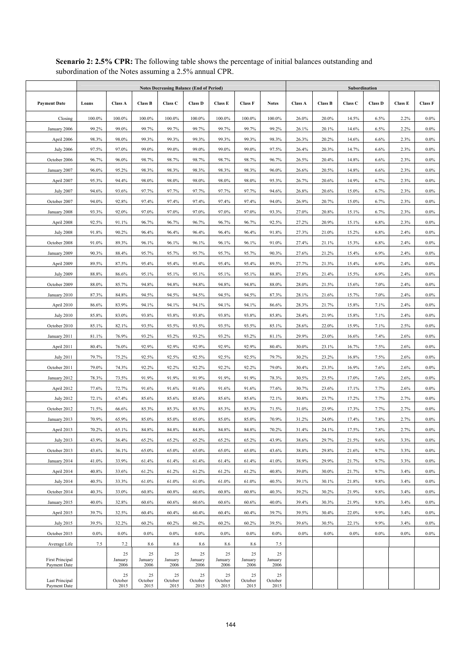|                                        | <b>Notes Decreasing Balance (End of Period)</b> |                       |                       |                       |                       |                       |                       |                       |                | Subordination  |                |                |                |                    |  |  |
|----------------------------------------|-------------------------------------------------|-----------------------|-----------------------|-----------------------|-----------------------|-----------------------|-----------------------|-----------------------|----------------|----------------|----------------|----------------|----------------|--------------------|--|--|
| <b>Payment Date</b>                    | Loans                                           | <b>Class A</b>        | <b>Class B</b>        | Class C               | <b>Class D</b>        | <b>Class E</b>        | <b>Class F</b>        | <b>Notes</b>          | <b>Class A</b> | <b>Class B</b> | Class C        | <b>Class D</b> | <b>Class E</b> | <b>Class F</b>     |  |  |
| Closing                                | 100.0%                                          | 100.0%                | 100.0%                | 100.0%                | 100.0%                | 100.0%                | 100.0%                | 100.0%                | 26.0%          | 20.0%          | 14.5%          | 6.5%           | 2.2%           | $0.0\%$            |  |  |
| January 2006                           | 99.2%                                           | 99.0%                 | 99.7%                 | 99.7%                 | 99.7%                 | 99.7%                 | 99.7%                 | 99.2%                 | 26.1%          | 20.1%          | 14.6%          | 6.5%           | 2.2%           | $0.0\%$            |  |  |
| April 2006                             | 98.3%                                           | 98.0%                 | 99.3%                 | 99.3%                 | 99.3%                 | 99.3%                 | 99.3%                 | 98.3%                 | 26.3%          | 20.2%          | 14.6%          | 6.6%           | 2.3%           | $0.0\%$            |  |  |
| <b>July 2006</b>                       | 97.5%                                           | 97.0%                 | 99.0%                 | 99.0%                 | 99.0%                 | 99.0%                 | 99.0%                 | 97.5%                 | 26.4%          | 20.3%          | 14.7%          | 6.6%           | 2.3%           | $0.0\%$            |  |  |
| October 2006                           | 96.7%                                           | 96.0%                 | 98.7%                 | 98.7%                 | 98.7%                 | 98.7%                 | 98.7%                 | 96.7%                 | 26.5%          | 20.4%          | 14.8%          | 6.6%           | 2.3%           | $0.0\%$            |  |  |
| January 2007                           | 96.0%                                           | 95.2%                 | 98.3%                 | 98.3%                 | 98.3%                 | 98.3%                 | 98.3%                 | 96.0%                 | 26.6%          | 20.5%          | 14.8%          | 6.6%           | 2.3%           | $0.0\%$            |  |  |
| April 2007                             | 95.3%                                           | 94.4%                 | 98.0%                 | 98.0%                 | 98.0%                 | 98.0%                 | 98.0%                 | 95.3%                 | 26.7%          | 20.6%          | 14.9%          | 6.7%           | 2.3%           | $0.0\%$            |  |  |
| <b>July 2007</b>                       | 94.6%                                           | 93.6%                 | 97.7%                 | 97.7%                 | 97.7%                 | 97.7%                 | 97.7%                 | 94.6%                 | 26.8%          | 20.6%          | 15.0%          | 6.7%           | 2.3%           | $0.0\%$            |  |  |
| October 2007                           | 94.0%                                           | 92.8%                 | 97.4%                 | 97.4%                 | 97.4%                 | 97.4%                 | 97.4%                 | 94.0%                 | 26.9%          | 20.7%          | 15.0%          | 6.7%           | 2.3%           | $0.0\%$            |  |  |
| January 2008                           | 93.3%                                           | 92.0%                 | 97.0%                 | 97.0%                 | 97.0%                 | 97.0%                 | 97.0%                 | 93.3%                 | 27.0%          | 20.8%          | 15.1%          | 6.7%           | 2.3%           | $0.0\%$            |  |  |
| April 2008                             | 92.5%                                           | 91.1%                 | 96.7%                 | 96.7%                 | 96.7%                 | 96.7%                 | 96.7%                 | 92.5%                 | 27.2%          | 20.9%          | 15.1%          | 6.8%           | 2.3%           | $0.0\%$            |  |  |
| <b>July 2008</b>                       | 91.8%                                           | 90.2%                 | 96.4%                 | 96.4%                 | 96.4%                 | 96.4%                 | 96.4%                 | 91.8%                 | 27.3%          | 21.0%          | 15.2%          | 6.8%           | 2.4%           | $0.0\%$            |  |  |
| October 2008                           | 91.0%                                           | 89.3%                 | 96.1%                 | 96.1%                 | 96.1%                 | 96.1%                 | 96.1%                 | 91.0%                 | 27.4%          | 21.1%          | 15.3%          | 6.8%           | 2.4%           | $0.0\%$            |  |  |
| January 2009                           | 90.3%                                           | 88.4%                 | 95.7%                 | 95.7%                 | 95.7%                 | 95.7%                 | 95.7%                 | 90.3%                 | 27.6%          | 21.2%          | 15.4%          | 6.9%           | 2.4%           | $0.0\%$            |  |  |
| April 2009                             | 89.5%                                           | 87.5%                 | 95.4%                 | 95.4%                 | 95.4%                 | 95.4%                 | 95.4%                 | 89.5%                 | 27.7%          | 21.3%          | 15.4%          | 6.9%           | 2.4%           | $0.0\%$            |  |  |
| <b>July 2009</b>                       | 88.8%                                           | 86.6%                 | 95.1%                 | 95.1%                 | 95.1%                 | 95.1%                 | 95.1%                 | 88.8%                 | 27.8%          | 21.4%          | 15.5%          | 6.9%           | 2.4%           | $0.0\%$            |  |  |
| October 2009                           | 88.0%                                           | 85.7%                 | 94.8%                 | 94.8%                 | 94.8%                 | 94.8%                 | 94.8%                 | 88.0%                 | 28.0%          | 21.5%          | 15.6%          | 7.0%           | 2.4%           | $0.0\%$            |  |  |
| January 2010                           | 87.3%                                           | 84.8%                 | 94.5%                 | 94.5%                 | 94.5%                 | 94.5%                 | 94.5%                 | 87.3%                 | 28.1%          | 21.6%          | 15.7%          | 7.0%           | 2.4%           | $0.0\%$            |  |  |
| April 2010                             | 86.6%                                           | 83.9%                 | 94.1%                 | 94.1%                 | 94.1%                 | 94.1%                 | 94.1%                 | 86.6%                 | 28.3%          | 21.7%          | 15.8%          | 7.1%           | 2.4%           | $0.0\%$            |  |  |
| <b>July 2010</b>                       | 85.8%                                           | 83.0%                 | 93.8%                 | 93.8%                 | 93.8%                 | 93.8%                 | 93.8%                 | 85.8%                 | 28.4%          | 21.9%          | 15.8%          | 7.1%           | 2.4%           | $0.0\%$            |  |  |
| October 2010                           | 85.1%                                           | 82.1%                 | 93.5%                 | 93.5%                 | 93.5%                 | 93.5%                 | 93.5%                 | 85.1%                 | 28.6%          | 22.0%          | 15.9%          | 7.1%           | 2.5%           | $0.0\%$            |  |  |
| January 2011                           | 81.1%                                           | 76.9%                 | 93.2%                 | 93.2%                 | 93.2%                 | 93.2%                 | 93.2%                 | 81.1%                 | 29.9%          | 23.0%          | 16.6%          | 7.4%           | 2.6%           | $0.0\%$            |  |  |
| April 2011                             | 80.4%                                           | 76.0%                 | 92.9%                 | 92.9%                 | 92.9%                 | 92.9%                 | 92.9%                 | 80.4%                 | 30.0%          | 23.1%          | 16.7%          | 7.5%           | 2.6%           | $0.0\%$            |  |  |
| <b>July 2011</b>                       | 79.7%                                           | 75.2%                 | 92.5%                 | 92.5%                 | 92.5%                 | 92.5%                 | 92.5%                 | 79.7%                 | 30.2%          | 23.2%          | 16.8%          | 7.5%           | 2.6%           | $0.0\%$            |  |  |
| October 2011                           | 79.0%                                           | 74.3%                 | 92.2%                 | 92.2%                 | 92.2%                 | 92.2%                 | 92.2%                 | 79.0%                 | 30.4%          | 23.3%          | 16.9%          | 7.6%           | 2.6%           | $0.0\%$            |  |  |
| January 2012                           | 78.3%                                           | 73.5%                 | 91.9%                 | 91.9%                 | 91.9%                 | 91.9%                 | 91.9%                 | 78.3%                 | 30.5%          | 23.5%          | 17.0%          | 7.6%           | 2.6%           | $0.0\%$            |  |  |
| April 2012                             | 77.6%                                           | 72.7%                 | 91.6%                 | 91.6%                 | 91.6%                 | 91.6%                 | 91.6%                 | 77.6%                 | 30.7%          | 23.6%          | 17.1%          | 7.7%           | 2.6%           | $0.0\%$            |  |  |
| <b>July 2012</b>                       | 72.1%                                           | 67.4%                 | 85.6%                 | 85.6%                 | 85.6%                 | 85.6%                 | 85.6%                 | 72.1%                 | 30.8%          | 23.7%          | 17.2%          | 7.7%           | 2.7%           | $0.0\%$            |  |  |
| October 2012                           | 71.5%                                           | 66.6%                 | 85.3%                 | 85.3%                 | 85.3%                 | 85.3%                 | 85.3%                 | 71.5%                 | 31.0%          | 23.9%          | 17.3%          | 7.7%           | 2.7%           | $0.0\%$            |  |  |
| January 2013                           | 70.9%                                           | 65.9%                 | 85.0%                 | 85.0%                 | 85.0%                 | 85.0%                 | 85.0%                 | 70.9%                 | 31.2%          | 24.0%          | 17.4%          | 7.8%           | 2.7%           | $0.0\%$            |  |  |
| April 2013                             | 70.2%                                           | 65.1%                 | 84.8%                 | 84.8%                 | 84.8%                 | 84.8%                 | 84.8%                 | 70.2%                 | 31.4%          | 24.1%          | 17.5%          | 7.8%           | 2.7%           | $0.0\%$            |  |  |
| <b>July 2013</b>                       | 43.9%                                           | 36.4%                 | 65.2%                 | 65.2%                 | 65.2%                 | 65.2%                 | 65.2%                 | 43.9%                 | 38.6%          | 29.7%          | 21.5%          | 9.6%           | 3.3%           | $0.0\%$            |  |  |
| October 2013                           | 43.6%<br>41.0%                                  | 36.1%<br>33.9%        | 65.0%                 | 65.0%                 | 65.0%                 | 65.0%                 | 65.0%                 | 43.6%<br>41.0%        | 38.8%          | 29.8%<br>29.9% | 21.6%          | 9.7%           | 3.3%           | $0.0\%$            |  |  |
| January 2014<br>April 2014             |                                                 |                       | 61.4%                 | 61.4%                 | 61.4%                 | 61.4%                 | 61.4%                 |                       | 38.9%          |                | 21.7%          | 9.7%           | 3.3%           | $0.0\%$            |  |  |
|                                        | 40.8%                                           | 33.6%                 | 61.2%                 | 61.2%                 | 61.2%                 | 61.2%                 | 61.2%                 | 40.8%<br>40.5%        | 39.0%          | 30.0%          | 21.7%<br>21.8% | 9.7%<br>9.8%   | 3.4%           | $0.0\%$            |  |  |
| <b>July 2014</b>                       | 40.5%                                           | 33.3%                 | 61.0%                 | 61.0%                 | 61.0%                 | 61.0%                 | 61.0%                 |                       | 39.1%          | 30.1%          |                |                | 3.4%           | $0.0\%$            |  |  |
| October 2014<br>January 2015           | 40.3%<br>40.0%                                  | 33.0%<br>32.8%        | 60.8%                 | 60.8%<br>60.6%        | 60.8%<br>60.6%        | 60.8%<br>60.6%        | 60.8%<br>60.6%        | 40.3%<br>40.0%        | 39.2%<br>39.4% | 30.2%<br>30.3% | 21.9%<br>21.9% | 9.8%<br>9.8%   | 3.4%<br>3.4%   | $0.0\%$<br>$0.0\%$ |  |  |
| April 2015                             | 39.7%                                           | 32.5%                 | 60.6%<br>60.4%        | 60.4%                 | 60.4%                 | 60.4%                 | 60.4%                 | 39.7%                 | 39.5%          | 30.4%          | 22.0%          | 9.9%           | 3.4%           | $0.0\%$            |  |  |
| July 2015                              | 39.5%                                           | 32.2%                 | 60.2%                 | 60.2%                 | 60.2%                 | 60.2%                 | 60.2%                 | 39.5%                 | 39.6%          | 30.5%          | 22.1%          | 9.9%           | 3.4%           | $0.0\%$            |  |  |
| October 2015                           | $0.0\%$                                         | $0.0\%$               | $0.0\%$               | $0.0\%$               | 0.0%                  | $0.0\%$               | $0.0\%$               | $0.0\%$               | $0.0\%$        | $0.0\%$        | $0.0\%$        | 0.0%           | $0.0\%$        | $0.0\%$            |  |  |
| Average Life                           | 7.5                                             | 7.2                   | 8.6                   | 8.6                   | 8.6                   | 8.6                   | 8.6                   | 7.5                   |                |                |                |                |                |                    |  |  |
|                                        |                                                 | 25                    | 25                    | 25                    | 25                    | 25                    | 25                    | 25                    |                |                |                |                |                |                    |  |  |
| <b>First Principal</b><br>Payment Date |                                                 | January<br>2006       | January<br>2006       | January<br>2006       | January<br>2006       | January<br>2006       | January<br>2006       | January<br>2006       |                |                |                |                |                |                    |  |  |
| Last Principal<br>Payment Date         |                                                 | 25<br>October<br>2015 | 25<br>October<br>2015 | 25<br>October<br>2015 | 25<br>October<br>2015 | 25<br>October<br>2015 | 25<br>October<br>2015 | 25<br>October<br>2015 |                |                |                |                |                |                    |  |  |

**Scenario 2: 2.5% CPR:** The following table shows the percentage of initial balances outstanding and subordination of the Notes assuming a 2.5% annual CPR.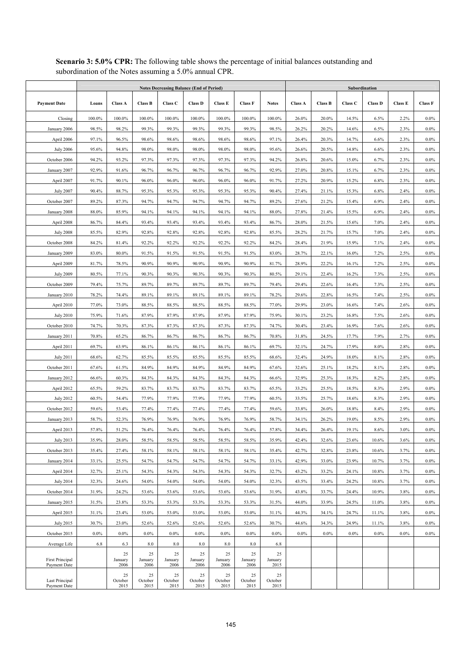|                                | <b>Notes Decreasing Balance (End of Period)</b> |                       |                       |                       |                       |                       |                       |                       |                | Subordination  |                |                |                |                    |  |  |
|--------------------------------|-------------------------------------------------|-----------------------|-----------------------|-----------------------|-----------------------|-----------------------|-----------------------|-----------------------|----------------|----------------|----------------|----------------|----------------|--------------------|--|--|
| <b>Payment Date</b>            | Loans                                           | <b>Class A</b>        | <b>Class B</b>        | Class C               | <b>Class D</b>        | <b>Class E</b>        | <b>Class F</b>        | <b>Notes</b>          | <b>Class A</b> | <b>Class B</b> | Class C        | <b>Class D</b> | <b>Class E</b> | <b>Class F</b>     |  |  |
| Closing                        | 100.0%                                          | 100.0%                | 100.0%                | 100.0%                | 100.0%                | 100.0%                | 100.0%                | 100.0%                | 26.0%          | 20.0%          | 14.5%          | 6.5%           | 2.2%           | $0.0\%$            |  |  |
| January 2006                   | 98.5%                                           | 98.2%                 | 99.3%                 | 99.3%                 | 99.3%                 | 99.3%                 | 99.3%                 | 98.5%                 | 26.2%          | 20.2%          | 14.6%          | 6.5%           | 2.3%           | $0.0\%$            |  |  |
| April 2006                     | 97.1%                                           | 96.5%                 | 98.6%                 | 98.6%                 | 98.6%                 | 98.6%                 | 98.6%                 | 97.1%                 | 26.4%          | 20.3%          | 14.7%          | 6.6%           | 2.3%           | $0.0\%$            |  |  |
| <b>July 2006</b>               | 95.6%                                           | 94.8%                 | 98.0%                 | 98.0%                 | 98.0%                 | 98.0%                 | 98.0%                 | 95.6%                 | 26.6%          | 20.5%          | 14.8%          | 6.6%           | 2.3%           | $0.0\%$            |  |  |
| October 2006                   | 94.2%                                           | 93.2%                 | 97.3%                 | 97.3%                 | 97.3%                 | 97.3%                 | 97.3%                 | 94.2%                 | 26.8%          | 20.6%          | 15.0%          | 6.7%           | 2.3%           | $0.0\%$            |  |  |
| January 2007                   | 92.9%                                           | 91.6%                 | 96.7%                 | 96.7%                 | 96.7%                 | 96.7%                 | 96.7%                 | 92.9%                 | 27.0%          | 20.8%          | 15.1%          | 6.7%           | 2.3%           | $0.0\%$            |  |  |
| April 2007                     | 91.7%                                           | 90.1%                 | 96.0%                 | 96.0%                 | 96.0%                 | 96.0%                 | 96.0%                 | 91.7%                 | 27.2%          | 20.9%          | 15.2%          | 6.8%           | 2.3%           | $0.0\%$            |  |  |
| <b>July 2007</b>               | 90.4%                                           | 88.7%                 | 95.3%                 | 95.3%                 | 95.3%                 | 95.3%                 | 95.3%                 | 90.4%                 | 27.4%          | 21.1%          | 15.3%          | 6.8%           | 2.4%           | $0.0\%$            |  |  |
| October 2007                   | 89.2%                                           | 87.3%                 | 94.7%                 | 94.7%                 | 94.7%                 | 94.7%                 | 94.7%                 | 89.2%                 | 27.6%          | 21.2%          | 15.4%          | 6.9%           | 2.4%           | $0.0\%$            |  |  |
| January 2008                   | 88.0%                                           | 85.9%                 | 94.1%                 | 94.1%                 | 94.1%                 | 94.1%                 | 94.1%                 | 88.0%                 | 27.8%          | 21.4%          | 15.5%          | 6.9%           | 2.4%           | $0.0\%$            |  |  |
| April 2008                     | 86.7%                                           | 84.4%                 | 93.4%                 | 93.4%                 | 93.4%                 | 93.4%                 | 93.4%                 | 86.7%                 | 28.0%          | 21.5%          | 15.6%          | 7.0%           | 2.4%           | $0.0\%$            |  |  |
| <b>July 2008</b>               | 85.5%                                           | 82.9%                 | 92.8%                 | 92.8%                 | 92.8%                 | 92.8%                 | 92.8%                 | 85.5%                 | 28.2%          | 21.7%          | 15.7%          | 7.0%           | 2.4%           | $0.0\%$            |  |  |
| October 2008                   | 84.2%                                           | 81.4%                 | 92.2%                 | 92.2%                 | 92.2%                 | 92.2%                 | 92.2%                 | 84.2%                 | 28.4%          | 21.9%          | 15.9%          | 7.1%           | 2.4%           | $0.0\%$            |  |  |
| January 2009                   | 83.0%                                           | 80.0%                 | 91.5%                 | 91.5%                 | 91.5%                 | 91.5%                 | 91.5%                 | 83.0%                 | 28.7%          | 22.1%          | 16.0%          | 7.2%           | 2.5%           | $0.0\%$            |  |  |
| April 2009                     | 81.7%                                           | 78.5%                 | 90.9%                 | 90.9%                 | 90.9%                 | 90.9%                 | 90.9%                 | 81.7%                 | 28.9%          | 22.2%          | 16.1%          | 7.2%           | 2.5%           | $0.0\%$            |  |  |
| <b>July 2009</b>               | 80.5%                                           | 77.1%                 | 90.3%                 | 90.3%                 | 90.3%                 | 90.3%                 | 90.3%                 | 80.5%                 | 29.1%          | 22.4%          | 16.2%          | 7.3%           | 2.5%           | $0.0\%$            |  |  |
| October 2009                   | 79.4%                                           | 75.7%                 | 89.7%                 | 89.7%                 | 89.7%                 | 89.7%                 | 89.7%                 | 79.4%                 | 29.4%          | 22.6%          | 16.4%          | 7.3%           | 2.5%           | $0.0\%$            |  |  |
| January 2010                   | 78.2%                                           | 74.4%                 | 89.1%                 | 89.1%                 | 89.1%                 | 89.1%                 | 89.1%                 | 78.2%                 | 29.6%          | 22.8%          | 16.5%          | 7.4%           | 2.5%           | $0.0\%$            |  |  |
| April 2010                     | 77.0%                                           | 73.0%                 | 88.5%                 | 88.5%                 | 88.5%                 | 88.5%                 | 88.5%                 | 77.0%                 | 29.9%          | 23.0%          | 16.6%          | 7.4%           | 2.6%           | $0.0\%$            |  |  |
| <b>July 2010</b>               | 75.9%                                           | 71.6%                 | 87.9%                 | 87.9%                 | 87.9%                 | 87.9%                 | 87.9%                 | 75.9%                 | 30.1%          | 23.2%          | 16.8%          | 7.5%           | 2.6%           | $0.0\%$            |  |  |
| October 2010                   | 74.7%                                           | 70.3%                 | 87.3%                 | 87.3%                 | 87.3%                 | 87.3%                 | 87.3%                 | 74.7%                 | 30.4%          | 23.4%          | 16.9%          | 7.6%           | 2.6%           | $0.0\%$            |  |  |
| January 2011                   | 70.8%                                           | 65.2%                 | 86.7%                 | 86.7%                 | 86.7%                 | 86.7%                 | 86.7%                 | 70.8%                 | 31.8%          | 24.5%          | 17.7%          | 7.9%           | 2.7%           | $0.0\%$            |  |  |
| April 2011                     | 69.7%                                           | 63.9%                 | 86.1%                 | 86.1%                 | 86.1%                 | 86.1%                 | 86.1%                 | 69.7%                 | 32.1%          | 24.7%          | 17.9%          | 8.0%           | 2.8%           | $0.0\%$            |  |  |
| <b>July 2011</b>               | 68.6%                                           | 62.7%                 | 85.5%                 | 85.5%                 | 85.5%                 | 85.5%                 | 85.5%                 | 68.6%                 | 32.4%          | 24.9%          | 18.0%          | 8.1%           | 2.8%           | $0.0\%$            |  |  |
| October 2011                   | 67.6%                                           | 61.5%                 | 84.9%                 | 84.9%                 | 84.9%                 | 84.9%                 | 84.9%                 | 67.6%                 | 32.6%          | 25.1%          | 18.2%          | 8.1%           | 2.8%           | $0.0\%$            |  |  |
| January 2012                   | 66.6%                                           | 60.3%                 | 84.3%                 | 84.3%                 | 84.3%                 | 84.3%                 | 84.3%                 | 66.6%                 | 32.9%          | 25.3%          | 18.3%          | 8.2%           | 2.8%           | $0.0\%$            |  |  |
| April 2012                     | 65.5%                                           | 59.2%                 | 83.7%                 | 83.7%                 | 83.7%                 | 83.7%                 | 83.7%                 | 65.5%                 | 33.2%          | 25.5%          | 18.5%          | 8.3%           | 2.9%           | $0.0\%$            |  |  |
| <b>July 2012</b>               | 60.5%                                           | 54.4%                 | 77.9%                 | 77.9%                 | 77.9%                 | 77.9%                 | 77.9%                 | 60.5%                 | 33.5%          | 25.7%          | 18.6%          | 8.3%           | 2.9%           | $0.0\%$            |  |  |
| October 2012                   | 59.6%                                           | 53.4%                 | 77.4%                 | 77.4%                 | 77.4%                 | 77.4%                 | 77.4%                 | 59.6%                 | 33.8%          | 26.0%          | 18.8%          | 8.4%           | 2.9%           | $0.0\%$            |  |  |
| January 2013                   | 58.7%                                           | 52.3%                 | 76.9%                 | 76.9%                 | 76.9%                 | 76.9%                 | 76.9%                 | 58.7%                 | 34.1%          | 26.2%          | 19.0%          | 8.5%           | 2.9%           | $0.0\%$            |  |  |
| April 2013                     | 57.8%                                           | 51.2%                 | 76.4%                 | 76.4%                 | 76.4%                 | 76.4%                 | 76.4%                 | 57.8%                 | 34.4%          | 26.4%          | 19.1%          | 8.6%           | 3.0%           | $0.0\%$            |  |  |
| July 2013                      | 35.9%                                           | 28.0%                 | 58.5%                 | 58.5%                 | 58.5%                 | 58.5%                 | 58.5%                 | 35.9%                 | 42.4%          | 32.6%          | 23.6%<br>23.8% | 10.6%          | 3.6%           | $0.0\%$<br>$0.0\%$ |  |  |
| October 2013<br>January 2014   | 35.4%<br>33.1%                                  | 27.4%<br>25.5%        | 58.1%<br>54.7%        | 58.1%<br>54.7%        | 58.1%<br>54.7%        | 58.1%<br>54.7%        | 58.1%<br>54.7%        | 35.4%<br>33.1%        | 42.7%<br>42.9% | 32.8%<br>33.0% | 23.9%          | 10.6%<br>10.7% | 3.7%<br>3.7%   | $0.0\%$            |  |  |
| April 2014                     | 32.7%                                           | 25.1%                 | 54.3%                 | 54.3%                 | 54.3%                 | 54.3%                 | 54.3%                 | 32.7%                 | 43.2%          | 33.2%          | 24.1%          | 10.8%          | 3.7%           | $0.0\%$            |  |  |
| <b>July 2014</b>               | 32.3%                                           | 24.6%                 | 54.0%                 | 54.0%                 | 54.0%                 | 54.0%                 | 54.0%                 | 32.3%                 | 43.5%          | 33.4%          | 24.2%          | 10.8%          | 3.7%           | $0.0\%$            |  |  |
| October 2014                   | 31.9%                                           | 24.2%                 | 53.6%                 | 53.6%                 | 53.6%                 | 53.6%                 | 53.6%                 | 31.9%                 | 43.8%          | 33.7%          | 24.4%          | 10.9%          | 3.8%           | $0.0\%$            |  |  |
| January 2015                   | 31.5%                                           | 23.8%                 | 53.3%                 | 53.3%                 | 53.3%                 | 53.3%                 | 53.3%                 | 31.5%                 | 44.0%          | 33.9%          | 24.5%          | 11.0%          | 3.8%           | $0.0\%$            |  |  |
| April 2015                     | 31.1%                                           | 23.4%                 | 53.0%                 | 53.0%                 | 53.0%                 | 53.0%                 | 53.0%                 | 31.1%                 | 44.3%          | 34.1%          | 24.7%          | 11.1%          | 3.8%           | $0.0\%$            |  |  |
| July 2015                      | 30.7%                                           | 23.0%                 | 52.6%                 | 52.6%                 | 52.6%                 | 52.6%                 | 52.6%                 | 30.7%                 | 44.6%          | 34.3%          | 24.9%          | 11.1%          | 3.8%           | $0.0\%$            |  |  |
| October 2015                   | $0.0\%$                                         | $0.0\%$               | $0.0\%$               | $0.0\%$               | 0.0%                  | $0.0\%$               | $0.0\%$               | $0.0\%$               | 0.0%           | $0.0\%$        | $0.0\%$        | $0.0\%$        | $0.0\%$        | $0.0\%$            |  |  |
| Average Life                   | 6.8                                             | 6.3                   | $8.0\,$               | 8.0                   | 8.0                   | $8.0\,$               | 8.0                   | 6.8                   |                |                |                |                |                |                    |  |  |
| <b>First Principal</b>         |                                                 | 25<br>January         | 25<br>January         | 25<br>January         | 25<br>January         | 25<br>January         | 25<br>January         | 25<br>January         |                |                |                |                |                |                    |  |  |
| Payment Date                   |                                                 | 2006                  | 2006                  | 2006                  | 2006                  | 2006                  | 2006                  | 2015                  |                |                |                |                |                |                    |  |  |
| Last Principal<br>Payment Date |                                                 | 25<br>October<br>2015 | 25<br>October<br>2015 | 25<br>October<br>2015 | 25<br>October<br>2015 | 25<br>October<br>2015 | 25<br>October<br>2015 | 25<br>October<br>2015 |                |                |                |                |                |                    |  |  |

**Scenario 3: 5.0% CPR:** The following table shows the percentage of initial balances outstanding and subordination of the Notes assuming a 5.0% annual CPR.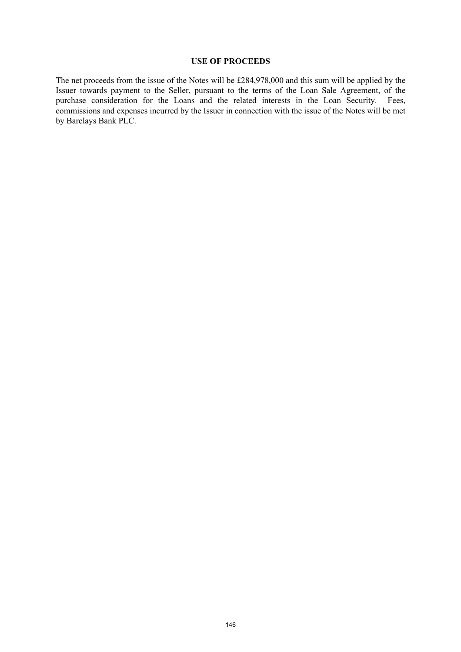#### **USE OF PROCEEDS**

The net proceeds from the issue of the Notes will be £284,978,000 and this sum will be applied by the Issuer towards payment to the Seller, pursuant to the terms of the Loan Sale Agreement, of the purchase consideration for the Loans and the related interests in the Loan Security. Fees, commissions and expenses incurred by the Issuer in connection with the issue of the Notes will be met by Barclays Bank PLC.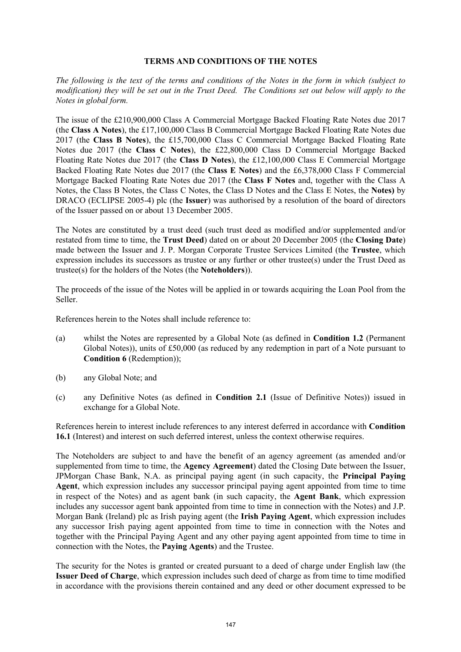#### **TERMS AND CONDITIONS OF THE NOTES**

*The following is the text of the terms and conditions of the Notes in the form in which (subject to modification) they will be set out in the Trust Deed. The Conditions set out below will apply to the Notes in global form.* 

The issue of the £210,900,000 Class A Commercial Mortgage Backed Floating Rate Notes due 2017 (the **Class A Notes**), the £17,100,000 Class B Commercial Mortgage Backed Floating Rate Notes due 2017 (the **Class B Notes**), the £15,700,000 Class C Commercial Mortgage Backed Floating Rate Notes due 2017 (the **Class C Notes**), the £22,800,000 Class D Commercial Mortgage Backed Floating Rate Notes due 2017 (the **Class D Notes**), the £12,100,000 Class E Commercial Mortgage Backed Floating Rate Notes due 2017 (the **Class E Notes**) and the £6,378,000 Class F Commercial Mortgage Backed Floating Rate Notes due 2017 (the **Class F Notes** and, together with the Class A Notes, the Class B Notes, the Class C Notes, the Class D Notes and the Class E Notes, the **Notes)** by DRACO (ECLIPSE 2005-4) plc (the **Issuer**) was authorised by a resolution of the board of directors of the Issuer passed on or about 13 December 2005.

The Notes are constituted by a trust deed (such trust deed as modified and/or supplemented and/or restated from time to time, the **Trust Deed**) dated on or about 20 December 2005 (the **Closing Date**) made between the Issuer and J. P. Morgan Corporate Trustee Services Limited (the **Trustee**, which expression includes its successors as trustee or any further or other trustee(s) under the Trust Deed as trustee(s) for the holders of the Notes (the **Noteholders**)).

The proceeds of the issue of the Notes will be applied in or towards acquiring the Loan Pool from the Seller.

References herein to the Notes shall include reference to:

- (a) whilst the Notes are represented by a Global Note (as defined in **Condition 1.2** (Permanent Global Notes)), units of £50,000 (as reduced by any redemption in part of a Note pursuant to **Condition 6** (Redemption));
- (b) any Global Note; and
- (c) any Definitive Notes (as defined in **Condition 2.1** (Issue of Definitive Notes)) issued in exchange for a Global Note.

References herein to interest include references to any interest deferred in accordance with **Condition 16.1** (Interest) and interest on such deferred interest, unless the context otherwise requires.

The Noteholders are subject to and have the benefit of an agency agreement (as amended and/or supplemented from time to time, the **Agency Agreement**) dated the Closing Date between the Issuer, JPMorgan Chase Bank, N.A. as principal paying agent (in such capacity, the **Principal Paying Agent**, which expression includes any successor principal paying agent appointed from time to time in respect of the Notes) and as agent bank (in such capacity, the **Agent Bank**, which expression includes any successor agent bank appointed from time to time in connection with the Notes) and J.P. Morgan Bank (Ireland) plc as Irish paying agent (the **Irish Paying Agent**, which expression includes any successor Irish paying agent appointed from time to time in connection with the Notes and together with the Principal Paying Agent and any other paying agent appointed from time to time in connection with the Notes, the **Paying Agents**) and the Trustee.

The security for the Notes is granted or created pursuant to a deed of charge under English law (the **Issuer Deed of Charge**, which expression includes such deed of charge as from time to time modified in accordance with the provisions therein contained and any deed or other document expressed to be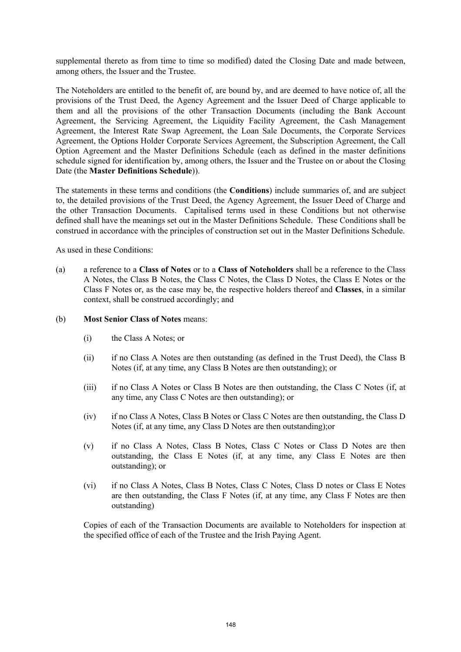supplemental thereto as from time to time so modified) dated the Closing Date and made between, among others, the Issuer and the Trustee.

The Noteholders are entitled to the benefit of, are bound by, and are deemed to have notice of, all the provisions of the Trust Deed, the Agency Agreement and the Issuer Deed of Charge applicable to them and all the provisions of the other Transaction Documents (including the Bank Account Agreement, the Servicing Agreement, the Liquidity Facility Agreement, the Cash Management Agreement, the Interest Rate Swap Agreement, the Loan Sale Documents, the Corporate Services Agreement, the Options Holder Corporate Services Agreement, the Subscription Agreement, the Call Option Agreement and the Master Definitions Schedule (each as defined in the master definitions schedule signed for identification by, among others, the Issuer and the Trustee on or about the Closing Date (the **Master Definitions Schedule**)).

The statements in these terms and conditions (the **Conditions**) include summaries of, and are subject to, the detailed provisions of the Trust Deed, the Agency Agreement, the Issuer Deed of Charge and the other Transaction Documents. Capitalised terms used in these Conditions but not otherwise defined shall have the meanings set out in the Master Definitions Schedule. These Conditions shall be construed in accordance with the principles of construction set out in the Master Definitions Schedule.

As used in these Conditions:

(a) a reference to a **Class of Notes** or to a **Class of Noteholders** shall be a reference to the Class A Notes, the Class B Notes, the Class C Notes, the Class D Notes, the Class E Notes or the Class F Notes or, as the case may be, the respective holders thereof and **Classes**, in a similar context, shall be construed accordingly; and

## (b) **Most Senior Class of Notes** means:

- (i) the Class A Notes; or
- (ii) if no Class A Notes are then outstanding (as defined in the Trust Deed), the Class B Notes (if, at any time, any Class B Notes are then outstanding); or
- (iii) if no Class A Notes or Class B Notes are then outstanding, the Class C Notes (if, at any time, any Class C Notes are then outstanding); or
- (iv) if no Class A Notes, Class B Notes or Class C Notes are then outstanding, the Class D Notes (if, at any time, any Class D Notes are then outstanding);or
- (v) if no Class A Notes, Class B Notes, Class C Notes or Class D Notes are then outstanding, the Class E Notes (if, at any time, any Class E Notes are then outstanding); or
- (vi) if no Class A Notes, Class B Notes, Class C Notes, Class D notes or Class E Notes are then outstanding, the Class F Notes (if, at any time, any Class F Notes are then outstanding)

Copies of each of the Transaction Documents are available to Noteholders for inspection at the specified office of each of the Trustee and the Irish Paying Agent.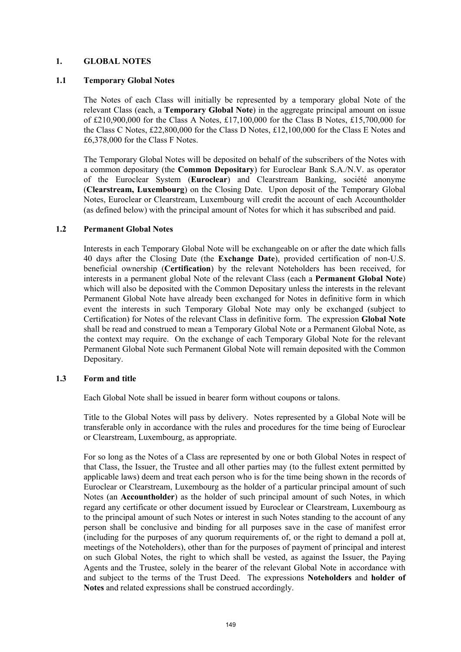## **1. GLOBAL NOTES**

## **1.1 Temporary Global Notes**

The Notes of each Class will initially be represented by a temporary global Note of the relevant Class (each, a **Temporary Global Note**) in the aggregate principal amount on issue of £210,900,000 for the Class A Notes, £17,100,000 for the Class B Notes, £15,700,000 for the Class C Notes, £22,800,000 for the Class D Notes, £12,100,000 for the Class E Notes and £6,378,000 for the Class F Notes.

The Temporary Global Notes will be deposited on behalf of the subscribers of the Notes with a common depositary (the **Common Depositary**) for Euroclear Bank S.A./N.V. as operator of the Euroclear System (**Euroclear**) and Clearstream Banking, société anonyme (**Clearstream, Luxembourg**) on the Closing Date. Upon deposit of the Temporary Global Notes, Euroclear or Clearstream, Luxembourg will credit the account of each Accountholder (as defined below) with the principal amount of Notes for which it has subscribed and paid.

# **1.2 Permanent Global Notes**

Interests in each Temporary Global Note will be exchangeable on or after the date which falls 40 days after the Closing Date (the **Exchange Date**), provided certification of non-U.S. beneficial ownership (**Certification**) by the relevant Noteholders has been received, for interests in a permanent global Note of the relevant Class (each a **Permanent Global Note**) which will also be deposited with the Common Depositary unless the interests in the relevant Permanent Global Note have already been exchanged for Notes in definitive form in which event the interests in such Temporary Global Note may only be exchanged (subject to Certification) for Notes of the relevant Class in definitive form. The expression **Global Note** shall be read and construed to mean a Temporary Global Note or a Permanent Global Note, as the context may require. On the exchange of each Temporary Global Note for the relevant Permanent Global Note such Permanent Global Note will remain deposited with the Common Depositary.

### **1.3 Form and title**

Each Global Note shall be issued in bearer form without coupons or talons.

Title to the Global Notes will pass by delivery. Notes represented by a Global Note will be transferable only in accordance with the rules and procedures for the time being of Euroclear or Clearstream, Luxembourg, as appropriate.

For so long as the Notes of a Class are represented by one or both Global Notes in respect of that Class, the Issuer, the Trustee and all other parties may (to the fullest extent permitted by applicable laws) deem and treat each person who is for the time being shown in the records of Euroclear or Clearstream, Luxembourg as the holder of a particular principal amount of such Notes (an **Accountholder**) as the holder of such principal amount of such Notes, in which regard any certificate or other document issued by Euroclear or Clearstream, Luxembourg as to the principal amount of such Notes or interest in such Notes standing to the account of any person shall be conclusive and binding for all purposes save in the case of manifest error (including for the purposes of any quorum requirements of, or the right to demand a poll at, meetings of the Noteholders), other than for the purposes of payment of principal and interest on such Global Notes, the right to which shall be vested, as against the Issuer, the Paying Agents and the Trustee, solely in the bearer of the relevant Global Note in accordance with and subject to the terms of the Trust Deed. The expressions **Noteholders** and **holder of Notes** and related expressions shall be construed accordingly.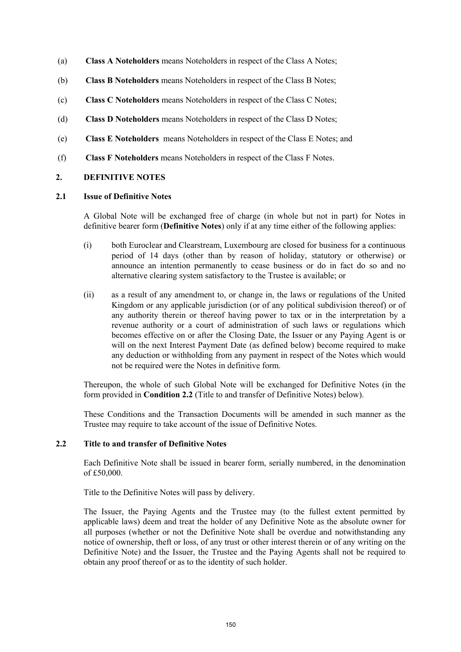- (a) **Class A Noteholders** means Noteholders in respect of the Class A Notes;
- (b) **Class B Noteholders** means Noteholders in respect of the Class B Notes;
- (c) **Class C Noteholders** means Noteholders in respect of the Class C Notes;
- (d) **Class D Noteholders** means Noteholders in respect of the Class D Notes;
- (e) **Class E Noteholders** means Noteholders in respect of the Class E Notes; and
- (f) **Class F Noteholders** means Noteholders in respect of the Class F Notes.

# **2. DEFINITIVE NOTES**

### **2.1 Issue of Definitive Notes**

A Global Note will be exchanged free of charge (in whole but not in part) for Notes in definitive bearer form (**Definitive Notes**) only if at any time either of the following applies:

- (i) both Euroclear and Clearstream, Luxembourg are closed for business for a continuous period of 14 days (other than by reason of holiday, statutory or otherwise) or announce an intention permanently to cease business or do in fact do so and no alternative clearing system satisfactory to the Trustee is available; or
- (ii) as a result of any amendment to, or change in, the laws or regulations of the United Kingdom or any applicable jurisdiction (or of any political subdivision thereof) or of any authority therein or thereof having power to tax or in the interpretation by a revenue authority or a court of administration of such laws or regulations which becomes effective on or after the Closing Date, the Issuer or any Paying Agent is or will on the next Interest Payment Date (as defined below) become required to make any deduction or withholding from any payment in respect of the Notes which would not be required were the Notes in definitive form.

Thereupon, the whole of such Global Note will be exchanged for Definitive Notes (in the form provided in **Condition 2.2** (Title to and transfer of Definitive Notes) below).

These Conditions and the Transaction Documents will be amended in such manner as the Trustee may require to take account of the issue of Definitive Notes.

### **2.2 Title to and transfer of Definitive Notes**

Each Definitive Note shall be issued in bearer form, serially numbered, in the denomination of £50,000.

Title to the Definitive Notes will pass by delivery.

The Issuer, the Paying Agents and the Trustee may (to the fullest extent permitted by applicable laws) deem and treat the holder of any Definitive Note as the absolute owner for all purposes (whether or not the Definitive Note shall be overdue and notwithstanding any notice of ownership, theft or loss, of any trust or other interest therein or of any writing on the Definitive Note) and the Issuer, the Trustee and the Paying Agents shall not be required to obtain any proof thereof or as to the identity of such holder.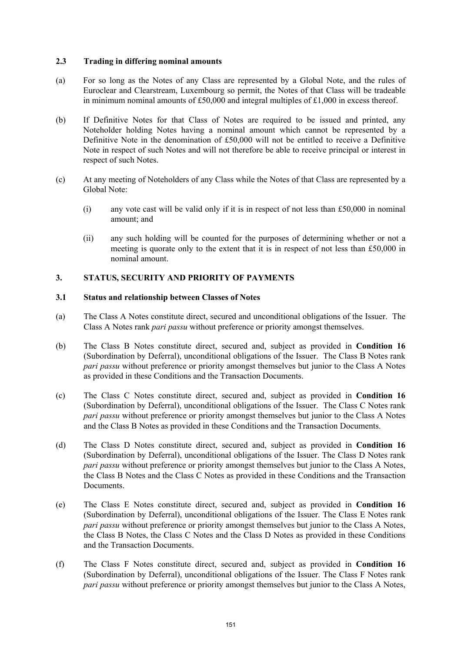## **2.3 Trading in differing nominal amounts**

- (a) For so long as the Notes of any Class are represented by a Global Note, and the rules of Euroclear and Clearstream, Luxembourg so permit, the Notes of that Class will be tradeable in minimum nominal amounts of £50,000 and integral multiples of £1,000 in excess thereof.
- (b) If Definitive Notes for that Class of Notes are required to be issued and printed, any Noteholder holding Notes having a nominal amount which cannot be represented by a Definitive Note in the denomination of £50,000 will not be entitled to receive a Definitive Note in respect of such Notes and will not therefore be able to receive principal or interest in respect of such Notes.
- (c) At any meeting of Noteholders of any Class while the Notes of that Class are represented by a Global Note:
	- (i) any vote cast will be valid only if it is in respect of not less than  $£50,000$  in nominal amount; and
	- (ii) any such holding will be counted for the purposes of determining whether or not a meeting is quorate only to the extent that it is in respect of not less than £50,000 in nominal amount.

# **3. STATUS, SECURITY AND PRIORITY OF PAYMENTS**

### **3.1 Status and relationship between Classes of Notes**

- (a) The Class A Notes constitute direct, secured and unconditional obligations of the Issuer. The Class A Notes rank *pari passu* without preference or priority amongst themselves.
- (b) The Class B Notes constitute direct, secured and, subject as provided in **Condition 16**  (Subordination by Deferral), unconditional obligations of the Issuer. The Class B Notes rank *pari passu* without preference or priority amongst themselves but junior to the Class A Notes as provided in these Conditions and the Transaction Documents.
- (c) The Class C Notes constitute direct, secured and, subject as provided in **Condition 16**  (Subordination by Deferral), unconditional obligations of the Issuer. The Class C Notes rank *pari passu* without preference or priority amongst themselves but junior to the Class A Notes and the Class B Notes as provided in these Conditions and the Transaction Documents.
- (d) The Class D Notes constitute direct, secured and, subject as provided in **Condition 16** (Subordination by Deferral), unconditional obligations of the Issuer. The Class D Notes rank *pari passu* without preference or priority amongst themselves but junior to the Class A Notes, the Class B Notes and the Class C Notes as provided in these Conditions and the Transaction Documents.
- (e) The Class E Notes constitute direct, secured and, subject as provided in **Condition 16** (Subordination by Deferral), unconditional obligations of the Issuer. The Class E Notes rank *pari passu* without preference or priority amongst themselves but junior to the Class A Notes, the Class B Notes, the Class C Notes and the Class D Notes as provided in these Conditions and the Transaction Documents.
- (f) The Class F Notes constitute direct, secured and, subject as provided in **Condition 16** (Subordination by Deferral), unconditional obligations of the Issuer. The Class F Notes rank *pari passu* without preference or priority amongst themselves but junior to the Class A Notes,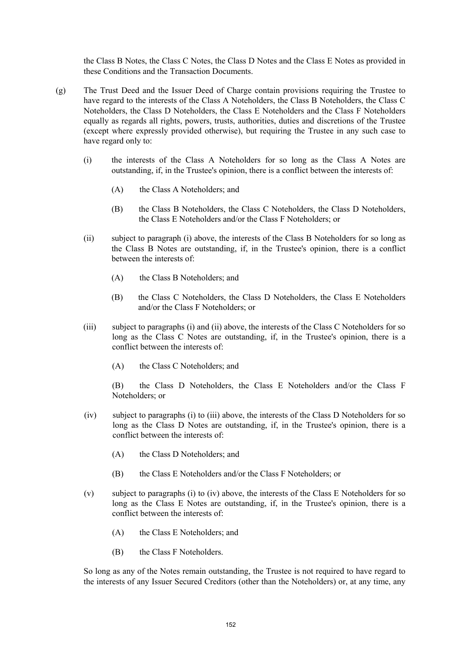the Class B Notes, the Class C Notes, the Class D Notes and the Class E Notes as provided in these Conditions and the Transaction Documents.

- (g) The Trust Deed and the Issuer Deed of Charge contain provisions requiring the Trustee to have regard to the interests of the Class A Noteholders, the Class B Noteholders, the Class C Noteholders, the Class D Noteholders, the Class E Noteholders and the Class F Noteholders equally as regards all rights, powers, trusts, authorities, duties and discretions of the Trustee (except where expressly provided otherwise), but requiring the Trustee in any such case to have regard only to:
	- (i) the interests of the Class A Noteholders for so long as the Class A Notes are outstanding, if, in the Trustee's opinion, there is a conflict between the interests of:
		- (A) the Class A Noteholders; and
		- (B) the Class B Noteholders, the Class C Noteholders, the Class D Noteholders, the Class E Noteholders and/or the Class F Noteholders; or
	- (ii) subject to paragraph (i) above, the interests of the Class B Noteholders for so long as the Class B Notes are outstanding, if, in the Trustee's opinion, there is a conflict between the interests of:
		- (A) the Class B Noteholders; and
		- (B) the Class C Noteholders, the Class D Noteholders, the Class E Noteholders and/or the Class F Noteholders; or
	- (iii) subject to paragraphs (i) and (ii) above, the interests of the Class C Noteholders for so long as the Class C Notes are outstanding, if, in the Trustee's opinion, there is a conflict between the interests of:
		- (A) the Class C Noteholders; and

(B) the Class D Noteholders, the Class E Noteholders and/or the Class F Noteholders; or

- (iv) subject to paragraphs (i) to (iii) above, the interests of the Class D Noteholders for so long as the Class D Notes are outstanding, if, in the Trustee's opinion, there is a conflict between the interests of:
	- (A) the Class D Noteholders; and
	- (B) the Class E Noteholders and/or the Class F Noteholders; or
- (v) subject to paragraphs (i) to (iv) above, the interests of the Class E Noteholders for so long as the Class E Notes are outstanding, if, in the Trustee's opinion, there is a conflict between the interests of:
	- (A) the Class E Noteholders; and
	- (B) the Class F Noteholders.

So long as any of the Notes remain outstanding, the Trustee is not required to have regard to the interests of any Issuer Secured Creditors (other than the Noteholders) or, at any time, any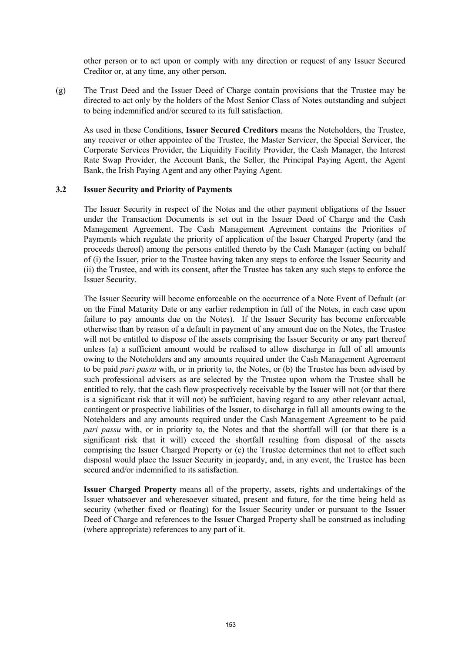other person or to act upon or comply with any direction or request of any Issuer Secured Creditor or, at any time, any other person.

(g) The Trust Deed and the Issuer Deed of Charge contain provisions that the Trustee may be directed to act only by the holders of the Most Senior Class of Notes outstanding and subject to being indemnified and/or secured to its full satisfaction.

As used in these Conditions, **Issuer Secured Creditors** means the Noteholders, the Trustee, any receiver or other appointee of the Trustee, the Master Servicer, the Special Servicer, the Corporate Services Provider, the Liquidity Facility Provider, the Cash Manager, the Interest Rate Swap Provider, the Account Bank, the Seller, the Principal Paying Agent, the Agent Bank, the Irish Paying Agent and any other Paying Agent.

#### **3.2 Issuer Security and Priority of Payments**

The Issuer Security in respect of the Notes and the other payment obligations of the Issuer under the Transaction Documents is set out in the Issuer Deed of Charge and the Cash Management Agreement. The Cash Management Agreement contains the Priorities of Payments which regulate the priority of application of the Issuer Charged Property (and the proceeds thereof) among the persons entitled thereto by the Cash Manager (acting on behalf of (i) the Issuer, prior to the Trustee having taken any steps to enforce the Issuer Security and (ii) the Trustee, and with its consent, after the Trustee has taken any such steps to enforce the Issuer Security.

The Issuer Security will become enforceable on the occurrence of a Note Event of Default (or on the Final Maturity Date or any earlier redemption in full of the Notes, in each case upon failure to pay amounts due on the Notes). If the Issuer Security has become enforceable otherwise than by reason of a default in payment of any amount due on the Notes, the Trustee will not be entitled to dispose of the assets comprising the Issuer Security or any part thereof unless (a) a sufficient amount would be realised to allow discharge in full of all amounts owing to the Noteholders and any amounts required under the Cash Management Agreement to be paid *pari passu* with, or in priority to, the Notes, or (b) the Trustee has been advised by such professional advisers as are selected by the Trustee upon whom the Trustee shall be entitled to rely, that the cash flow prospectively receivable by the Issuer will not (or that there is a significant risk that it will not) be sufficient, having regard to any other relevant actual, contingent or prospective liabilities of the Issuer, to discharge in full all amounts owing to the Noteholders and any amounts required under the Cash Management Agreement to be paid *pari passu* with, or in priority to, the Notes and that the shortfall will (or that there is a significant risk that it will) exceed the shortfall resulting from disposal of the assets comprising the Issuer Charged Property or (c) the Trustee determines that not to effect such disposal would place the Issuer Security in jeopardy, and, in any event, the Trustee has been secured and/or indemnified to its satisfaction.

**Issuer Charged Property** means all of the property, assets, rights and undertakings of the Issuer whatsoever and wheresoever situated, present and future, for the time being held as security (whether fixed or floating) for the Issuer Security under or pursuant to the Issuer Deed of Charge and references to the Issuer Charged Property shall be construed as including (where appropriate) references to any part of it.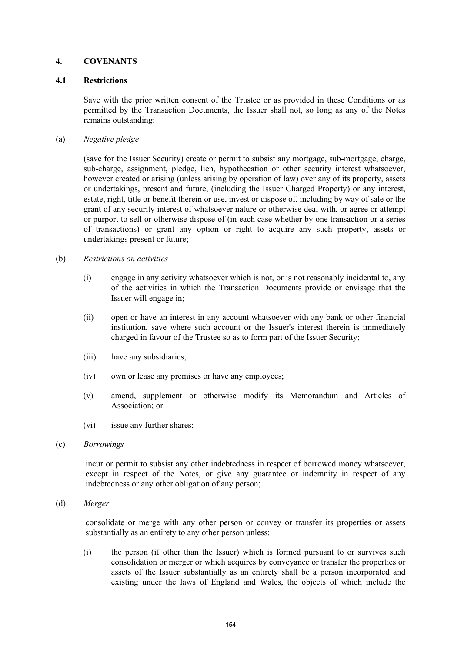# **4. COVENANTS**

### **4.1 Restrictions**

Save with the prior written consent of the Trustee or as provided in these Conditions or as permitted by the Transaction Documents, the Issuer shall not, so long as any of the Notes remains outstanding:

## (a) *Negative pledge*

(save for the Issuer Security) create or permit to subsist any mortgage, sub-mortgage, charge, sub-charge, assignment, pledge, lien, hypothecation or other security interest whatsoever, however created or arising (unless arising by operation of law) over any of its property, assets or undertakings, present and future, (including the Issuer Charged Property) or any interest, estate, right, title or benefit therein or use, invest or dispose of, including by way of sale or the grant of any security interest of whatsoever nature or otherwise deal with, or agree or attempt or purport to sell or otherwise dispose of (in each case whether by one transaction or a series of transactions) or grant any option or right to acquire any such property, assets or undertakings present or future;

### (b) *Restrictions on activities*

- (i) engage in any activity whatsoever which is not, or is not reasonably incidental to, any of the activities in which the Transaction Documents provide or envisage that the Issuer will engage in;
- (ii) open or have an interest in any account whatsoever with any bank or other financial institution, save where such account or the Issuer's interest therein is immediately charged in favour of the Trustee so as to form part of the Issuer Security;
- (iii) have any subsidiaries;
- (iv) own or lease any premises or have any employees;
- (v) amend, supplement or otherwise modify its Memorandum and Articles of Association; or
- (vi) issue any further shares;
- (c) *Borrowings*

incur or permit to subsist any other indebtedness in respect of borrowed money whatsoever, except in respect of the Notes, or give any guarantee or indemnity in respect of any indebtedness or any other obligation of any person;

(d) *Merger*

consolidate or merge with any other person or convey or transfer its properties or assets substantially as an entirety to any other person unless:

(i) the person (if other than the Issuer) which is formed pursuant to or survives such consolidation or merger or which acquires by conveyance or transfer the properties or assets of the Issuer substantially as an entirety shall be a person incorporated and existing under the laws of England and Wales, the objects of which include the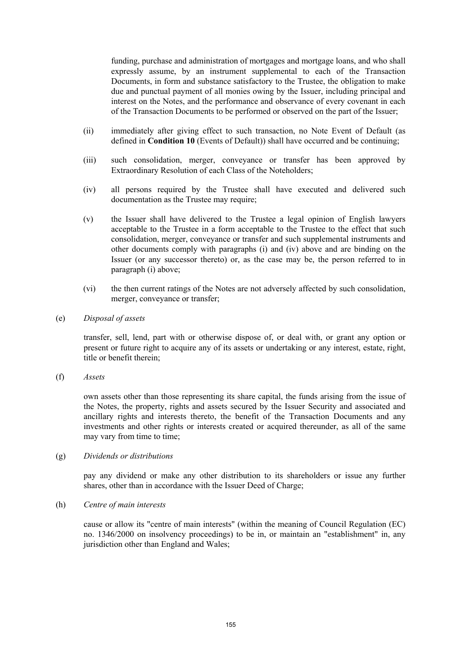funding, purchase and administration of mortgages and mortgage loans, and who shall expressly assume, by an instrument supplemental to each of the Transaction Documents, in form and substance satisfactory to the Trustee, the obligation to make due and punctual payment of all monies owing by the Issuer, including principal and interest on the Notes, and the performance and observance of every covenant in each of the Transaction Documents to be performed or observed on the part of the Issuer;

- (ii) immediately after giving effect to such transaction, no Note Event of Default (as defined in **Condition 10** (Events of Default)) shall have occurred and be continuing;
- (iii) such consolidation, merger, conveyance or transfer has been approved by Extraordinary Resolution of each Class of the Noteholders;
- (iv) all persons required by the Trustee shall have executed and delivered such documentation as the Trustee may require;
- (v) the Issuer shall have delivered to the Trustee a legal opinion of English lawyers acceptable to the Trustee in a form acceptable to the Trustee to the effect that such consolidation, merger, conveyance or transfer and such supplemental instruments and other documents comply with paragraphs (i) and (iv) above and are binding on the Issuer (or any successor thereto) or, as the case may be, the person referred to in paragraph (i) above;
- (vi) the then current ratings of the Notes are not adversely affected by such consolidation, merger, conveyance or transfer;
- (e) *Disposal of assets*

transfer, sell, lend, part with or otherwise dispose of, or deal with, or grant any option or present or future right to acquire any of its assets or undertaking or any interest, estate, right, title or benefit therein;

(f) *Assets*

own assets other than those representing its share capital, the funds arising from the issue of the Notes, the property, rights and assets secured by the Issuer Security and associated and ancillary rights and interests thereto, the benefit of the Transaction Documents and any investments and other rights or interests created or acquired thereunder, as all of the same may vary from time to time;

(g) *Dividends or distributions*

pay any dividend or make any other distribution to its shareholders or issue any further shares, other than in accordance with the Issuer Deed of Charge;

(h) *Centre of main interests*

cause or allow its "centre of main interests" (within the meaning of Council Regulation (EC) no. 1346/2000 on insolvency proceedings) to be in, or maintain an "establishment" in, any jurisdiction other than England and Wales;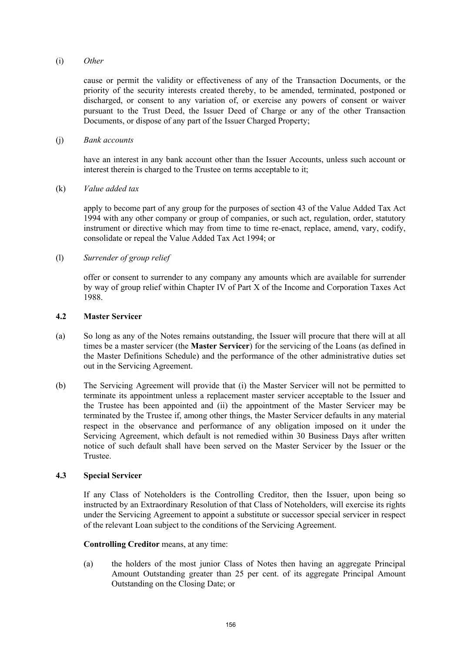### (i) *Other*

cause or permit the validity or effectiveness of any of the Transaction Documents, or the priority of the security interests created thereby, to be amended, terminated, postponed or discharged, or consent to any variation of, or exercise any powers of consent or waiver pursuant to the Trust Deed, the Issuer Deed of Charge or any of the other Transaction Documents, or dispose of any part of the Issuer Charged Property;

#### (j) *Bank accounts*

have an interest in any bank account other than the Issuer Accounts, unless such account or interest therein is charged to the Trustee on terms acceptable to it;

### (k) *Value added tax*

apply to become part of any group for the purposes of section 43 of the Value Added Tax Act 1994 with any other company or group of companies, or such act, regulation, order, statutory instrument or directive which may from time to time re-enact, replace, amend, vary, codify, consolidate or repeal the Value Added Tax Act 1994; or

### (l) *Surrender of group relief*

offer or consent to surrender to any company any amounts which are available for surrender by way of group relief within Chapter IV of Part X of the Income and Corporation Taxes Act 1988.

### **4.2 Master Servicer**

- (a) So long as any of the Notes remains outstanding, the Issuer will procure that there will at all times be a master servicer (the **Master Servicer**) for the servicing of the Loans (as defined in the Master Definitions Schedule) and the performance of the other administrative duties set out in the Servicing Agreement.
- (b) The Servicing Agreement will provide that (i) the Master Servicer will not be permitted to terminate its appointment unless a replacement master servicer acceptable to the Issuer and the Trustee has been appointed and (ii) the appointment of the Master Servicer may be terminated by the Trustee if, among other things, the Master Servicer defaults in any material respect in the observance and performance of any obligation imposed on it under the Servicing Agreement, which default is not remedied within 30 Business Days after written notice of such default shall have been served on the Master Servicer by the Issuer or the Trustee.

### **4.3 Special Servicer**

If any Class of Noteholders is the Controlling Creditor, then the Issuer, upon being so instructed by an Extraordinary Resolution of that Class of Noteholders, will exercise its rights under the Servicing Agreement to appoint a substitute or successor special servicer in respect of the relevant Loan subject to the conditions of the Servicing Agreement.

### **Controlling Creditor** means, at any time:

(a) the holders of the most junior Class of Notes then having an aggregate Principal Amount Outstanding greater than 25 per cent. of its aggregate Principal Amount Outstanding on the Closing Date; or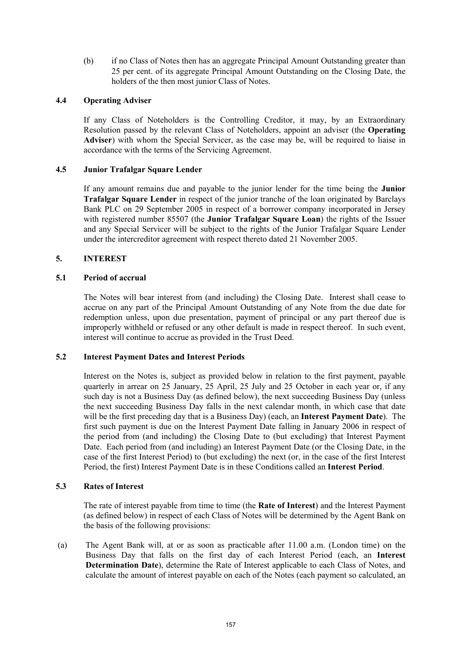(b) if no Class of Notes then has an aggregate Principal Amount Outstanding greater than 25 per cent. of its aggregate Principal Amount Outstanding on the Closing Date, the holders of the then most junior Class of Notes.

# **4.4 Operating Adviser**

If any Class of Noteholders is the Controlling Creditor, it may, by an Extraordinary Resolution passed by the relevant Class of Noteholders, appoint an adviser (the **Operating Adviser**) with whom the Special Servicer, as the case may be, will be required to liaise in accordance with the terms of the Servicing Agreement.

# **4.5 Junior Trafalgar Square Lender**

If any amount remains due and payable to the junior lender for the time being the **Junior Trafalgar Square Lender** in respect of the junior tranche of the loan originated by Barclays Bank PLC on 29 September 2005 in respect of a borrower company incorporated in Jersey with registered number 85507 (the **Junior Trafalgar Square Loan**) the rights of the Issuer and any Special Servicer will be subject to the rights of the Junior Trafalgar Square Lender under the intercreditor agreement with respect thereto dated 21 November 2005.

# **5. INTEREST**

# **5.1 Period of accrual**

The Notes will bear interest from (and including) the Closing Date. Interest shall cease to accrue on any part of the Principal Amount Outstanding of any Note from the due date for redemption unless, upon due presentation, payment of principal or any part thereof due is improperly withheld or refused or any other default is made in respect thereof. In such event, interest will continue to accrue as provided in the Trust Deed.

### **5.2 Interest Payment Dates and Interest Periods**

Interest on the Notes is, subject as provided below in relation to the first payment, payable quarterly in arrear on 25 January, 25 April, 25 July and 25 October in each year or, if any such day is not a Business Day (as defined below), the next succeeding Business Day (unless the next succeeding Business Day falls in the next calendar month, in which case that date will be the first preceding day that is a Business Day) (each, an **Interest Payment Date**). The first such payment is due on the Interest Payment Date falling in January 2006 in respect of the period from (and including) the Closing Date to (but excluding) that Interest Payment Date. Each period from (and including) an Interest Payment Date (or the Closing Date, in the case of the first Interest Period) to (but excluding) the next (or, in the case of the first Interest Period, the first) Interest Payment Date is in these Conditions called an **Interest Period**.

### **5.3 Rates of Interest**

The rate of interest payable from time to time (the **Rate of Interest**) and the Interest Payment (as defined below) in respect of each Class of Notes will be determined by the Agent Bank on the basis of the following provisions:

(a) The Agent Bank will, at or as soon as practicable after 11.00 a.m. (London time) on the Business Day that falls on the first day of each Interest Period (each, an **Interest Determination Date**), determine the Rate of Interest applicable to each Class of Notes, and calculate the amount of interest payable on each of the Notes (each payment so calculated, an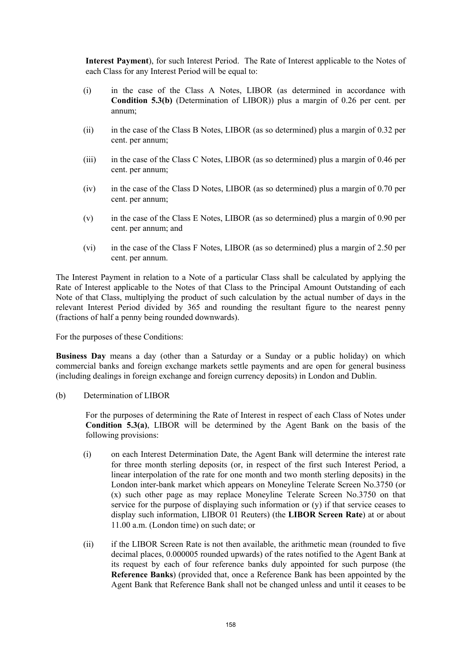**Interest Payment**), for such Interest Period. The Rate of Interest applicable to the Notes of each Class for any Interest Period will be equal to:

- (i) in the case of the Class A Notes, LIBOR (as determined in accordance with **Condition 5.3(b)** (Determination of LIBOR)) plus a margin of 0.26 per cent. per annum;
- (ii) in the case of the Class B Notes, LIBOR (as so determined) plus a margin of 0.32 per cent. per annum;
- (iii) in the case of the Class C Notes, LIBOR (as so determined) plus a margin of 0.46 per cent. per annum;
- (iv) in the case of the Class D Notes, LIBOR (as so determined) plus a margin of 0.70 per cent. per annum;
- (v) in the case of the Class E Notes, LIBOR (as so determined) plus a margin of 0.90 per cent. per annum; and
- (vi) in the case of the Class F Notes, LIBOR (as so determined) plus a margin of 2.50 per cent. per annum.

The Interest Payment in relation to a Note of a particular Class shall be calculated by applying the Rate of Interest applicable to the Notes of that Class to the Principal Amount Outstanding of each Note of that Class, multiplying the product of such calculation by the actual number of days in the relevant Interest Period divided by 365 and rounding the resultant figure to the nearest penny (fractions of half a penny being rounded downwards).

For the purposes of these Conditions:

**Business Day** means a day (other than a Saturday or a Sunday or a public holiday) on which commercial banks and foreign exchange markets settle payments and are open for general business (including dealings in foreign exchange and foreign currency deposits) in London and Dublin.

(b) Determination of LIBOR

For the purposes of determining the Rate of Interest in respect of each Class of Notes under **Condition 5.3(a)**, LIBOR will be determined by the Agent Bank on the basis of the following provisions:

- (i) on each Interest Determination Date, the Agent Bank will determine the interest rate for three month sterling deposits (or, in respect of the first such Interest Period, a linear interpolation of the rate for one month and two month sterling deposits) in the London inter-bank market which appears on Moneyline Telerate Screen No.3750 (or (x) such other page as may replace Moneyline Telerate Screen No.3750 on that service for the purpose of displaying such information or (y) if that service ceases to display such information, LIBOR 01 Reuters) (the **LIBOR Screen Rate**) at or about 11.00 a.m. (London time) on such date; or
- (ii) if the LIBOR Screen Rate is not then available, the arithmetic mean (rounded to five decimal places, 0.000005 rounded upwards) of the rates notified to the Agent Bank at its request by each of four reference banks duly appointed for such purpose (the **Reference Banks**) (provided that, once a Reference Bank has been appointed by the Agent Bank that Reference Bank shall not be changed unless and until it ceases to be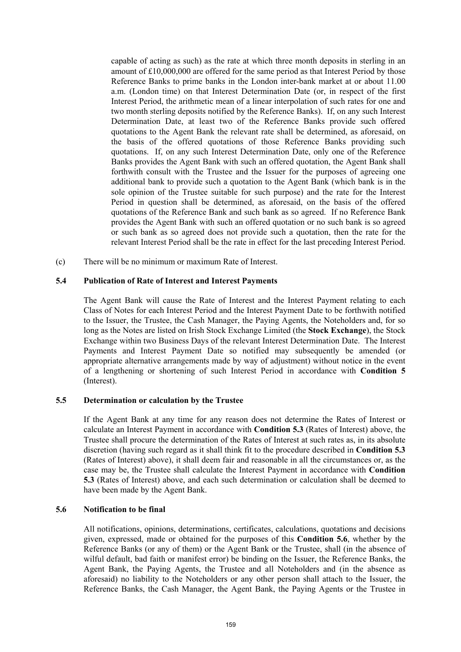capable of acting as such) as the rate at which three month deposits in sterling in an amount of £10,000,000 are offered for the same period as that Interest Period by those Reference Banks to prime banks in the London inter-bank market at or about 11.00 a.m. (London time) on that Interest Determination Date (or, in respect of the first Interest Period, the arithmetic mean of a linear interpolation of such rates for one and two month sterling deposits notified by the Reference Banks). If, on any such Interest Determination Date, at least two of the Reference Banks provide such offered quotations to the Agent Bank the relevant rate shall be determined, as aforesaid, on the basis of the offered quotations of those Reference Banks providing such quotations. If, on any such Interest Determination Date, only one of the Reference Banks provides the Agent Bank with such an offered quotation, the Agent Bank shall forthwith consult with the Trustee and the Issuer for the purposes of agreeing one additional bank to provide such a quotation to the Agent Bank (which bank is in the sole opinion of the Trustee suitable for such purpose) and the rate for the Interest Period in question shall be determined, as aforesaid, on the basis of the offered quotations of the Reference Bank and such bank as so agreed. If no Reference Bank provides the Agent Bank with such an offered quotation or no such bank is so agreed or such bank as so agreed does not provide such a quotation, then the rate for the relevant Interest Period shall be the rate in effect for the last preceding Interest Period.

(c) There will be no minimum or maximum Rate of Interest.

### **5.4 Publication of Rate of Interest and Interest Payments**

The Agent Bank will cause the Rate of Interest and the Interest Payment relating to each Class of Notes for each Interest Period and the Interest Payment Date to be forthwith notified to the Issuer, the Trustee, the Cash Manager, the Paying Agents, the Noteholders and, for so long as the Notes are listed on Irish Stock Exchange Limited (the **Stock Exchange**), the Stock Exchange within two Business Days of the relevant Interest Determination Date. The Interest Payments and Interest Payment Date so notified may subsequently be amended (or appropriate alternative arrangements made by way of adjustment) without notice in the event of a lengthening or shortening of such Interest Period in accordance with **Condition 5** (Interest).

### **5.5 Determination or calculation by the Trustee**

If the Agent Bank at any time for any reason does not determine the Rates of Interest or calculate an Interest Payment in accordance with **Condition 5.3** (Rates of Interest) above, the Trustee shall procure the determination of the Rates of Interest at such rates as, in its absolute discretion (having such regard as it shall think fit to the procedure described in **Condition 5.3** (Rates of Interest) above), it shall deem fair and reasonable in all the circumstances or, as the case may be, the Trustee shall calculate the Interest Payment in accordance with **Condition 5.3** (Rates of Interest) above, and each such determination or calculation shall be deemed to have been made by the Agent Bank.

#### **5.6 Notification to be final**

All notifications, opinions, determinations, certificates, calculations, quotations and decisions given, expressed, made or obtained for the purposes of this **Condition 5.6**, whether by the Reference Banks (or any of them) or the Agent Bank or the Trustee, shall (in the absence of wilful default, bad faith or manifest error) be binding on the Issuer, the Reference Banks, the Agent Bank, the Paying Agents, the Trustee and all Noteholders and (in the absence as aforesaid) no liability to the Noteholders or any other person shall attach to the Issuer, the Reference Banks, the Cash Manager, the Agent Bank, the Paying Agents or the Trustee in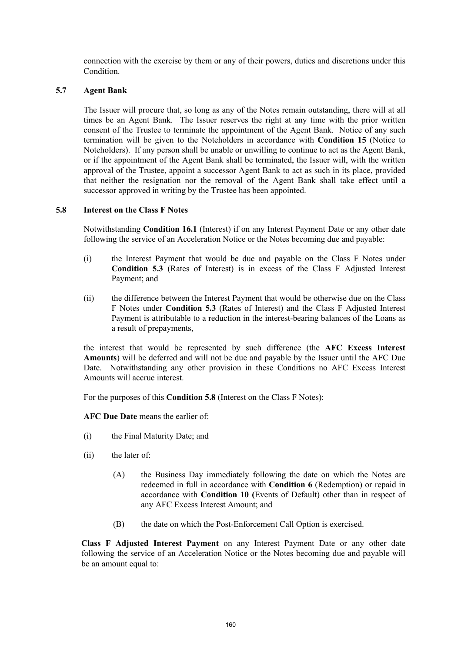connection with the exercise by them or any of their powers, duties and discretions under this **Condition** 

# **5.7 Agent Bank**

The Issuer will procure that, so long as any of the Notes remain outstanding, there will at all times be an Agent Bank. The Issuer reserves the right at any time with the prior written consent of the Trustee to terminate the appointment of the Agent Bank. Notice of any such termination will be given to the Noteholders in accordance with **Condition 15** (Notice to Noteholders). If any person shall be unable or unwilling to continue to act as the Agent Bank, or if the appointment of the Agent Bank shall be terminated, the Issuer will, with the written approval of the Trustee, appoint a successor Agent Bank to act as such in its place, provided that neither the resignation nor the removal of the Agent Bank shall take effect until a successor approved in writing by the Trustee has been appointed.

# **5.8 Interest on the Class F Notes**

Notwithstanding **Condition 16.1** (Interest) if on any Interest Payment Date or any other date following the service of an Acceleration Notice or the Notes becoming due and payable:

- (i) the Interest Payment that would be due and payable on the Class F Notes under **Condition 5.3** (Rates of Interest) is in excess of the Class F Adjusted Interest Payment; and
- (ii) the difference between the Interest Payment that would be otherwise due on the Class F Notes under **Condition 5.3** (Rates of Interest) and the Class F Adjusted Interest Payment is attributable to a reduction in the interest-bearing balances of the Loans as a result of prepayments,

the interest that would be represented by such difference (the **AFC Excess Interest Amounts**) will be deferred and will not be due and payable by the Issuer until the AFC Due Date. Notwithstanding any other provision in these Conditions no AFC Excess Interest Amounts will accrue interest.

For the purposes of this **Condition 5.8** (Interest on the Class F Notes):

**AFC Due Date** means the earlier of:

- (i) the Final Maturity Date; and
- (ii) the later of:
	- (A) the Business Day immediately following the date on which the Notes are redeemed in full in accordance with **Condition 6** (Redemption) or repaid in accordance with **Condition 10 (**Events of Default) other than in respect of any AFC Excess Interest Amount; and
	- (B) the date on which the Post-Enforcement Call Option is exercised.

**Class F Adjusted Interest Payment** on any Interest Payment Date or any other date following the service of an Acceleration Notice or the Notes becoming due and payable will be an amount equal to: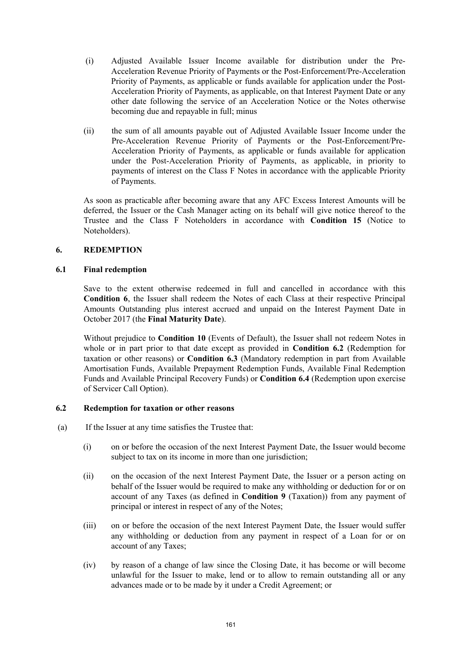- (i) Adjusted Available Issuer Income available for distribution under the Pre-Acceleration Revenue Priority of Payments or the Post-Enforcement/Pre-Acceleration Priority of Payments, as applicable or funds available for application under the Post-Acceleration Priority of Payments, as applicable, on that Interest Payment Date or any other date following the service of an Acceleration Notice or the Notes otherwise becoming due and repayable in full; minus
- (ii) the sum of all amounts payable out of Adjusted Available Issuer Income under the Pre-Acceleration Revenue Priority of Payments or the Post-Enforcement/Pre-Acceleration Priority of Payments, as applicable or funds available for application under the Post-Acceleration Priority of Payments, as applicable, in priority to payments of interest on the Class F Notes in accordance with the applicable Priority of Payments.

 As soon as practicable after becoming aware that any AFC Excess Interest Amounts will be deferred, the Issuer or the Cash Manager acting on its behalf will give notice thereof to the Trustee and the Class F Noteholders in accordance with **Condition 15** (Notice to Noteholders).

# **6. REDEMPTION**

# **6.1 Final redemption**

Save to the extent otherwise redeemed in full and cancelled in accordance with this **Condition 6**, the Issuer shall redeem the Notes of each Class at their respective Principal Amounts Outstanding plus interest accrued and unpaid on the Interest Payment Date in October 2017 (the **Final Maturity Date**).

Without prejudice to **Condition 10** (Events of Default), the Issuer shall not redeem Notes in whole or in part prior to that date except as provided in **Condition 6.2** (Redemption for taxation or other reasons) or **Condition 6.3** (Mandatory redemption in part from Available Amortisation Funds, Available Prepayment Redemption Funds, Available Final Redemption Funds and Available Principal Recovery Funds) or **Condition 6.4** (Redemption upon exercise of Servicer Call Option).

### **6.2 Redemption for taxation or other reasons**

- (a) If the Issuer at any time satisfies the Trustee that:
	- (i) on or before the occasion of the next Interest Payment Date, the Issuer would become subject to tax on its income in more than one jurisdiction;
	- (ii) on the occasion of the next Interest Payment Date, the Issuer or a person acting on behalf of the Issuer would be required to make any withholding or deduction for or on account of any Taxes (as defined in **Condition 9** (Taxation)) from any payment of principal or interest in respect of any of the Notes;
	- (iii) on or before the occasion of the next Interest Payment Date, the Issuer would suffer any withholding or deduction from any payment in respect of a Loan for or on account of any Taxes;
	- (iv) by reason of a change of law since the Closing Date, it has become or will become unlawful for the Issuer to make, lend or to allow to remain outstanding all or any advances made or to be made by it under a Credit Agreement; or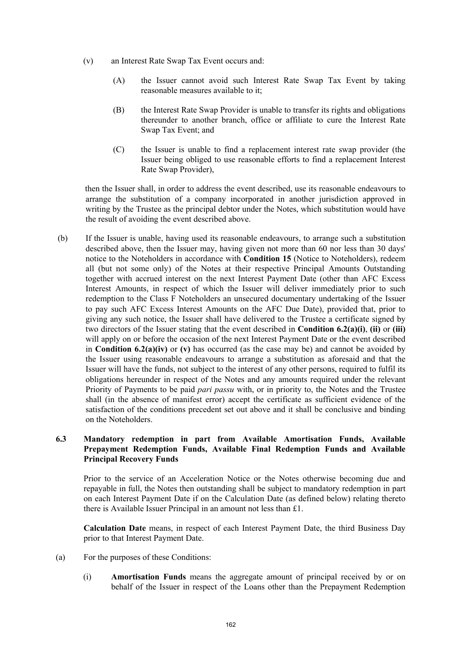- (v) an Interest Rate Swap Tax Event occurs and:
	- (A) the Issuer cannot avoid such Interest Rate Swap Tax Event by taking reasonable measures available to it;
	- (B) the Interest Rate Swap Provider is unable to transfer its rights and obligations thereunder to another branch, office or affiliate to cure the Interest Rate Swap Tax Event; and
	- (C) the Issuer is unable to find a replacement interest rate swap provider (the Issuer being obliged to use reasonable efforts to find a replacement Interest Rate Swap Provider),

then the Issuer shall, in order to address the event described, use its reasonable endeavours to arrange the substitution of a company incorporated in another jurisdiction approved in writing by the Trustee as the principal debtor under the Notes, which substitution would have the result of avoiding the event described above.

(b) If the Issuer is unable, having used its reasonable endeavours, to arrange such a substitution described above, then the Issuer may, having given not more than 60 nor less than 30 days' notice to the Noteholders in accordance with **Condition 15** (Notice to Noteholders), redeem all (but not some only) of the Notes at their respective Principal Amounts Outstanding together with accrued interest on the next Interest Payment Date (other than AFC Excess Interest Amounts, in respect of which the Issuer will deliver immediately prior to such redemption to the Class F Noteholders an unsecured documentary undertaking of the Issuer to pay such AFC Excess Interest Amounts on the AFC Due Date), provided that, prior to giving any such notice, the Issuer shall have delivered to the Trustee a certificate signed by two directors of the Issuer stating that the event described in **Condition 6.2(a)(i)**, **(ii)** or **(iii)** will apply on or before the occasion of the next Interest Payment Date or the event described in **Condition 6.2(a)(iv)** or **(v)** has occurred (as the case may be) and cannot be avoided by the Issuer using reasonable endeavours to arrange a substitution as aforesaid and that the Issuer will have the funds, not subject to the interest of any other persons, required to fulfil its obligations hereunder in respect of the Notes and any amounts required under the relevant Priority of Payments to be paid *pari passu* with, or in priority to, the Notes and the Trustee shall (in the absence of manifest error) accept the certificate as sufficient evidence of the satisfaction of the conditions precedent set out above and it shall be conclusive and binding on the Noteholders.

# **6.3 Mandatory redemption in part from Available Amortisation Funds, Available Prepayment Redemption Funds, Available Final Redemption Funds and Available Principal Recovery Funds**

Prior to the service of an Acceleration Notice or the Notes otherwise becoming due and repayable in full, the Notes then outstanding shall be subject to mandatory redemption in part on each Interest Payment Date if on the Calculation Date (as defined below) relating thereto there is Available Issuer Principal in an amount not less than £1.

**Calculation Date** means, in respect of each Interest Payment Date, the third Business Day prior to that Interest Payment Date.

- (a) For the purposes of these Conditions:
	- (i) **Amortisation Funds** means the aggregate amount of principal received by or on behalf of the Issuer in respect of the Loans other than the Prepayment Redemption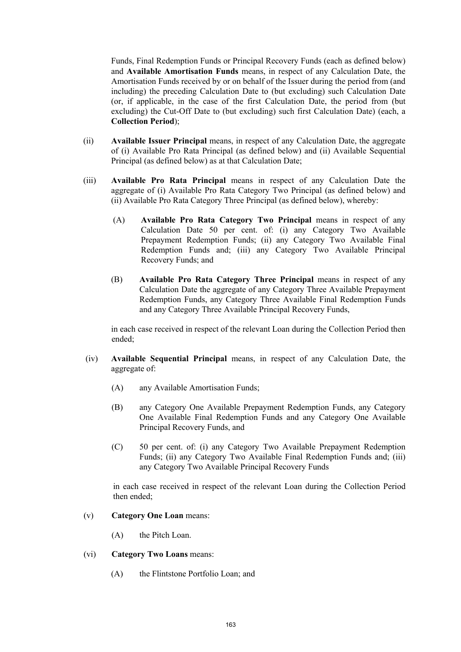Funds, Final Redemption Funds or Principal Recovery Funds (each as defined below) and **Available Amortisation Funds** means, in respect of any Calculation Date, the Amortisation Funds received by or on behalf of the Issuer during the period from (and including) the preceding Calculation Date to (but excluding) such Calculation Date (or, if applicable, in the case of the first Calculation Date, the period from (but excluding) the Cut-Off Date to (but excluding) such first Calculation Date) (each, a **Collection Period**);

- (ii) **Available Issuer Principal** means, in respect of any Calculation Date, the aggregate of (i) Available Pro Rata Principal (as defined below) and (ii) Available Sequential Principal (as defined below) as at that Calculation Date;
- (iii) **Available Pro Rata Principal** means in respect of any Calculation Date the aggregate of (i) Available Pro Rata Category Two Principal (as defined below) and (ii) Available Pro Rata Category Three Principal (as defined below), whereby:
	- (A) **Available Pro Rata Category Two Principal** means in respect of any Calculation Date 50 per cent. of: (i) any Category Two Available Prepayment Redemption Funds; (ii) any Category Two Available Final Redemption Funds and; (iii) any Category Two Available Principal Recovery Funds; and
	- (B) **Available Pro Rata Category Three Principal** means in respect of any Calculation Date the aggregate of any Category Three Available Prepayment Redemption Funds, any Category Three Available Final Redemption Funds and any Category Three Available Principal Recovery Funds,

in each case received in respect of the relevant Loan during the Collection Period then ended;

- (iv) **Available Sequential Principal** means, in respect of any Calculation Date, the aggregate of:
	- (A) any Available Amortisation Funds;
	- (B) any Category One Available Prepayment Redemption Funds, any Category One Available Final Redemption Funds and any Category One Available Principal Recovery Funds, and
	- (C) 50 per cent. of: (i) any Category Two Available Prepayment Redemption Funds; (ii) any Category Two Available Final Redemption Funds and; (iii) any Category Two Available Principal Recovery Funds

in each case received in respect of the relevant Loan during the Collection Period then ended;

#### (v) **Category One Loan** means:

(A) the Pitch Loan.

# (vi) **Category Two Loans** means:

(A) the Flintstone Portfolio Loan; and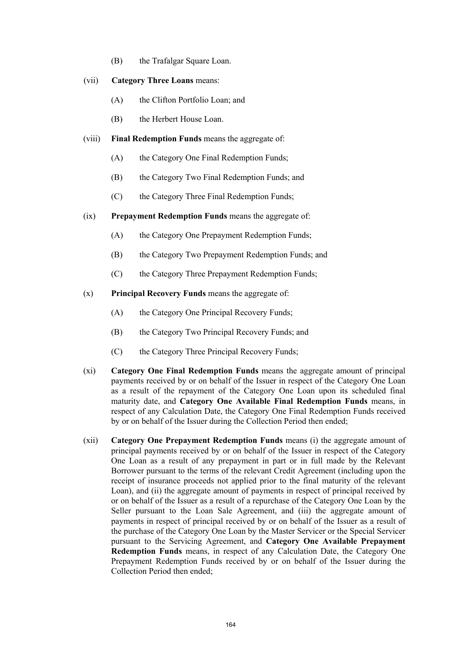(B) the Trafalgar Square Loan.

#### (vii) **Category Three Loans** means:

- (A) the Clifton Portfolio Loan; and
- (B) the Herbert House Loan.
- (viii) **Final Redemption Funds** means the aggregate of:
	- (A) the Category One Final Redemption Funds;
	- (B) the Category Two Final Redemption Funds; and
	- (C) the Category Three Final Redemption Funds;
- (ix) **Prepayment Redemption Funds** means the aggregate of:
	- (A) the Category One Prepayment Redemption Funds;
	- (B) the Category Two Prepayment Redemption Funds; and
	- (C) the Category Three Prepayment Redemption Funds;
- (x) **Principal Recovery Funds** means the aggregate of:
	- (A) the Category One Principal Recovery Funds;
	- (B) the Category Two Principal Recovery Funds; and
	- (C) the Category Three Principal Recovery Funds;
- (xi) **Category One Final Redemption Funds** means the aggregate amount of principal payments received by or on behalf of the Issuer in respect of the Category One Loan as a result of the repayment of the Category One Loan upon its scheduled final maturity date, and **Category One Available Final Redemption Funds** means, in respect of any Calculation Date, the Category One Final Redemption Funds received by or on behalf of the Issuer during the Collection Period then ended;
- (xii) **Category One Prepayment Redemption Funds** means (i) the aggregate amount of principal payments received by or on behalf of the Issuer in respect of the Category One Loan as a result of any prepayment in part or in full made by the Relevant Borrower pursuant to the terms of the relevant Credit Agreement (including upon the receipt of insurance proceeds not applied prior to the final maturity of the relevant Loan), and (ii) the aggregate amount of payments in respect of principal received by or on behalf of the Issuer as a result of a repurchase of the Category One Loan by the Seller pursuant to the Loan Sale Agreement, and (iii) the aggregate amount of payments in respect of principal received by or on behalf of the Issuer as a result of the purchase of the Category One Loan by the Master Servicer or the Special Servicer pursuant to the Servicing Agreement, and **Category One Available Prepayment Redemption Funds** means, in respect of any Calculation Date, the Category One Prepayment Redemption Funds received by or on behalf of the Issuer during the Collection Period then ended;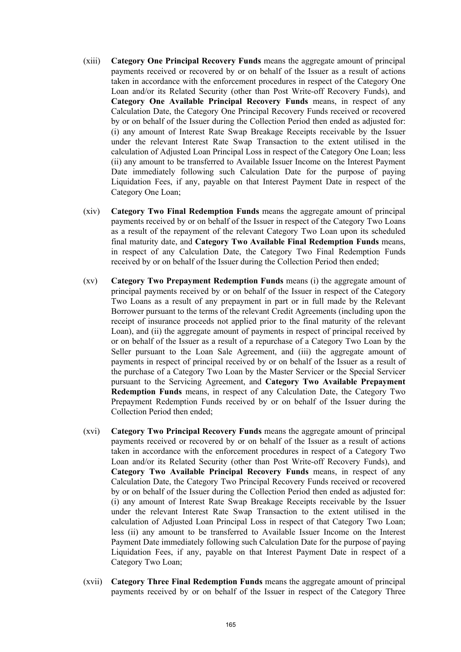- (xiii) **Category One Principal Recovery Funds** means the aggregate amount of principal payments received or recovered by or on behalf of the Issuer as a result of actions taken in accordance with the enforcement procedures in respect of the Category One Loan and/or its Related Security (other than Post Write-off Recovery Funds), and **Category One Available Principal Recovery Funds** means, in respect of any Calculation Date, the Category One Principal Recovery Funds received or recovered by or on behalf of the Issuer during the Collection Period then ended as adjusted for: (i) any amount of Interest Rate Swap Breakage Receipts receivable by the Issuer under the relevant Interest Rate Swap Transaction to the extent utilised in the calculation of Adjusted Loan Principal Loss in respect of the Category One Loan; less (ii) any amount to be transferred to Available Issuer Income on the Interest Payment Date immediately following such Calculation Date for the purpose of paying Liquidation Fees, if any, payable on that Interest Payment Date in respect of the Category One Loan;
- (xiv) **Category Two Final Redemption Funds** means the aggregate amount of principal payments received by or on behalf of the Issuer in respect of the Category Two Loans as a result of the repayment of the relevant Category Two Loan upon its scheduled final maturity date, and **Category Two Available Final Redemption Funds** means, in respect of any Calculation Date, the Category Two Final Redemption Funds received by or on behalf of the Issuer during the Collection Period then ended;
- (xv) **Category Two Prepayment Redemption Funds** means (i) the aggregate amount of principal payments received by or on behalf of the Issuer in respect of the Category Two Loans as a result of any prepayment in part or in full made by the Relevant Borrower pursuant to the terms of the relevant Credit Agreements (including upon the receipt of insurance proceeds not applied prior to the final maturity of the relevant Loan), and (ii) the aggregate amount of payments in respect of principal received by or on behalf of the Issuer as a result of a repurchase of a Category Two Loan by the Seller pursuant to the Loan Sale Agreement, and (iii) the aggregate amount of payments in respect of principal received by or on behalf of the Issuer as a result of the purchase of a Category Two Loan by the Master Servicer or the Special Servicer pursuant to the Servicing Agreement, and **Category Two Available Prepayment Redemption Funds** means, in respect of any Calculation Date, the Category Two Prepayment Redemption Funds received by or on behalf of the Issuer during the Collection Period then ended;
- (xvi) **Category Two Principal Recovery Funds** means the aggregate amount of principal payments received or recovered by or on behalf of the Issuer as a result of actions taken in accordance with the enforcement procedures in respect of a Category Two Loan and/or its Related Security (other than Post Write-off Recovery Funds), and **Category Two Available Principal Recovery Funds** means, in respect of any Calculation Date, the Category Two Principal Recovery Funds received or recovered by or on behalf of the Issuer during the Collection Period then ended as adjusted for: (i) any amount of Interest Rate Swap Breakage Receipts receivable by the Issuer under the relevant Interest Rate Swap Transaction to the extent utilised in the calculation of Adjusted Loan Principal Loss in respect of that Category Two Loan; less (ii) any amount to be transferred to Available Issuer Income on the Interest Payment Date immediately following such Calculation Date for the purpose of paying Liquidation Fees, if any, payable on that Interest Payment Date in respect of a Category Two Loan;
- (xvii) **Category Three Final Redemption Funds** means the aggregate amount of principal payments received by or on behalf of the Issuer in respect of the Category Three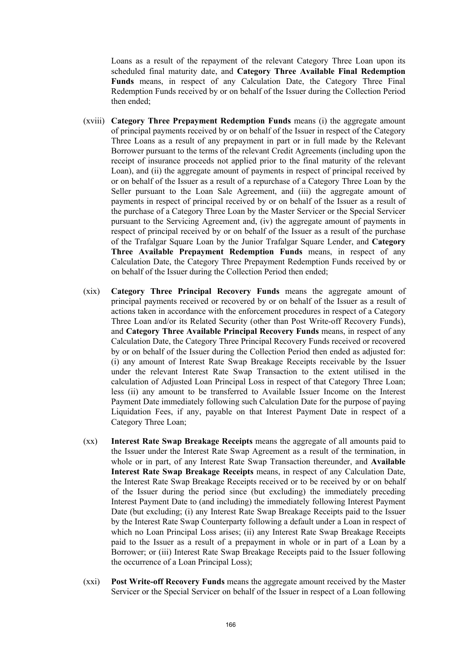Loans as a result of the repayment of the relevant Category Three Loan upon its scheduled final maturity date, and **Category Three Available Final Redemption Funds** means, in respect of any Calculation Date, the Category Three Final Redemption Funds received by or on behalf of the Issuer during the Collection Period then ended;

- (xviii) **Category Three Prepayment Redemption Funds** means (i) the aggregate amount of principal payments received by or on behalf of the Issuer in respect of the Category Three Loans as a result of any prepayment in part or in full made by the Relevant Borrower pursuant to the terms of the relevant Credit Agreements (including upon the receipt of insurance proceeds not applied prior to the final maturity of the relevant Loan), and (ii) the aggregate amount of payments in respect of principal received by or on behalf of the Issuer as a result of a repurchase of a Category Three Loan by the Seller pursuant to the Loan Sale Agreement, and (iii) the aggregate amount of payments in respect of principal received by or on behalf of the Issuer as a result of the purchase of a Category Three Loan by the Master Servicer or the Special Servicer pursuant to the Servicing Agreement and, (iv) the aggregate amount of payments in respect of principal received by or on behalf of the Issuer as a result of the purchase of the Trafalgar Square Loan by the Junior Trafalgar Square Lender, and **Category Three Available Prepayment Redemption Funds** means, in respect of any Calculation Date, the Category Three Prepayment Redemption Funds received by or on behalf of the Issuer during the Collection Period then ended;
- (xix) **Category Three Principal Recovery Funds** means the aggregate amount of principal payments received or recovered by or on behalf of the Issuer as a result of actions taken in accordance with the enforcement procedures in respect of a Category Three Loan and/or its Related Security (other than Post Write-off Recovery Funds), and **Category Three Available Principal Recovery Funds** means, in respect of any Calculation Date, the Category Three Principal Recovery Funds received or recovered by or on behalf of the Issuer during the Collection Period then ended as adjusted for: (i) any amount of Interest Rate Swap Breakage Receipts receivable by the Issuer under the relevant Interest Rate Swap Transaction to the extent utilised in the calculation of Adjusted Loan Principal Loss in respect of that Category Three Loan; less (ii) any amount to be transferred to Available Issuer Income on the Interest Payment Date immediately following such Calculation Date for the purpose of paying Liquidation Fees, if any, payable on that Interest Payment Date in respect of a Category Three Loan;
- (xx) **Interest Rate Swap Breakage Receipts** means the aggregate of all amounts paid to the Issuer under the Interest Rate Swap Agreement as a result of the termination, in whole or in part, of any Interest Rate Swap Transaction thereunder, and **Available Interest Rate Swap Breakage Receipts** means, in respect of any Calculation Date, the Interest Rate Swap Breakage Receipts received or to be received by or on behalf of the Issuer during the period since (but excluding) the immediately preceding Interest Payment Date to (and including) the immediately following Interest Payment Date (but excluding; (i) any Interest Rate Swap Breakage Receipts paid to the Issuer by the Interest Rate Swap Counterparty following a default under a Loan in respect of which no Loan Principal Loss arises; (ii) any Interest Rate Swap Breakage Receipts paid to the Issuer as a result of a prepayment in whole or in part of a Loan by a Borrower; or (iii) Interest Rate Swap Breakage Receipts paid to the Issuer following the occurrence of a Loan Principal Loss);
- (xxi) **Post Write-off Recovery Funds** means the aggregate amount received by the Master Servicer or the Special Servicer on behalf of the Issuer in respect of a Loan following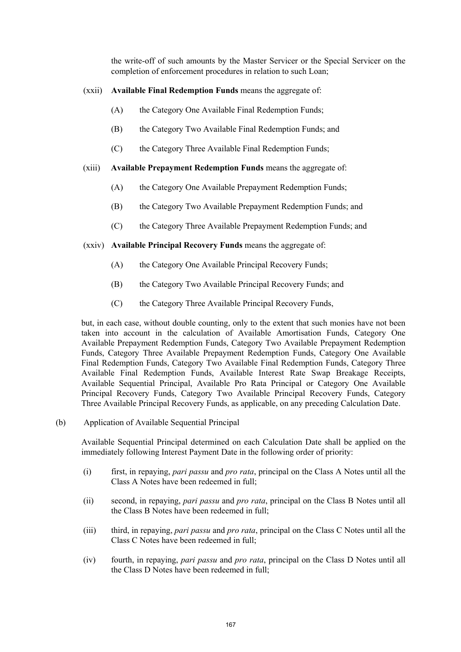the write-off of such amounts by the Master Servicer or the Special Servicer on the completion of enforcement procedures in relation to such Loan;

# (xxii) **Available Final Redemption Funds** means the aggregate of:

- (A) the Category One Available Final Redemption Funds;
- (B) the Category Two Available Final Redemption Funds; and
- (C) the Category Three Available Final Redemption Funds;

## (xiii) **Available Prepayment Redemption Funds** means the aggregate of:

- (A) the Category One Available Prepayment Redemption Funds;
- (B) the Category Two Available Prepayment Redemption Funds; and
- (C) the Category Three Available Prepayment Redemption Funds; and

### (xxiv) **Available Principal Recovery Funds** means the aggregate of:

- (A) the Category One Available Principal Recovery Funds;
- (B) the Category Two Available Principal Recovery Funds; and
- (C) the Category Three Available Principal Recovery Funds,

but, in each case, without double counting, only to the extent that such monies have not been taken into account in the calculation of Available Amortisation Funds, Category One Available Prepayment Redemption Funds, Category Two Available Prepayment Redemption Funds, Category Three Available Prepayment Redemption Funds, Category One Available Final Redemption Funds, Category Two Available Final Redemption Funds, Category Three Available Final Redemption Funds, Available Interest Rate Swap Breakage Receipts, Available Sequential Principal, Available Pro Rata Principal or Category One Available Principal Recovery Funds, Category Two Available Principal Recovery Funds, Category Three Available Principal Recovery Funds, as applicable, on any preceding Calculation Date.

(b) Application of Available Sequential Principal

Available Sequential Principal determined on each Calculation Date shall be applied on the immediately following Interest Payment Date in the following order of priority:

- (i) first, in repaying, *pari passu* and *pro rata*, principal on the Class A Notes until all the Class A Notes have been redeemed in full;
- (ii) second, in repaying, *pari passu* and *pro rata*, principal on the Class B Notes until all the Class B Notes have been redeemed in full;
- (iii) third, in repaying, *pari passu* and *pro rata*, principal on the Class C Notes until all the Class C Notes have been redeemed in full;
- (iv) fourth, in repaying, *pari passu* and *pro rata*, principal on the Class D Notes until all the Class D Notes have been redeemed in full;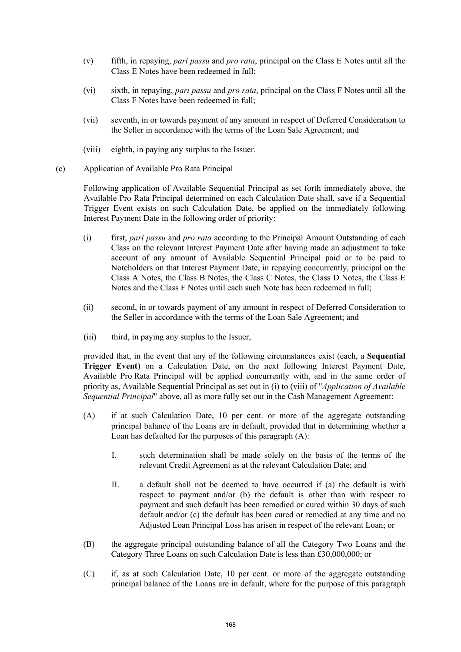- (v) fifth, in repaying, *pari passu* and *pro rata*, principal on the Class E Notes until all the Class E Notes have been redeemed in full;
- (vi) sixth, in repaying, *pari passu* and *pro rata*, principal on the Class F Notes until all the Class F Notes have been redeemed in full;
- (vii) seventh, in or towards payment of any amount in respect of Deferred Consideration to the Seller in accordance with the terms of the Loan Sale Agreement; and
- (viii) eighth, in paying any surplus to the Issuer.
- (c) Application of Available Pro Rata Principal

Following application of Available Sequential Principal as set forth immediately above, the Available Pro Rata Principal determined on each Calculation Date shall, save if a Sequential Trigger Event exists on such Calculation Date, be applied on the immediately following Interest Payment Date in the following order of priority:

- (i) first, *pari passu* and *pro rata* according to the Principal Amount Outstanding of each Class on the relevant Interest Payment Date after having made an adjustment to take account of any amount of Available Sequential Principal paid or to be paid to Noteholders on that Interest Payment Date, in repaying concurrently, principal on the Class A Notes, the Class B Notes, the Class C Notes, the Class D Notes, the Class E Notes and the Class F Notes until each such Note has been redeemed in full;
- (ii) second, in or towards payment of any amount in respect of Deferred Consideration to the Seller in accordance with the terms of the Loan Sale Agreement; and
- (iii) third, in paying any surplus to the Issuer,

provided that, in the event that any of the following circumstances exist (each, a **Sequential Trigger Event**) on a Calculation Date, on the next following Interest Payment Date, Available Pro Rata Principal will be applied concurrently with, and in the same order of priority as, Available Sequential Principal as set out in (i) to (viii) of "*Application of Available Sequential Principal*" above, all as more fully set out in the Cash Management Agreement:

- (A) if at such Calculation Date, 10 per cent. or more of the aggregate outstanding principal balance of the Loans are in default, provided that in determining whether a Loan has defaulted for the purposes of this paragraph (A):
	- I. such determination shall be made solely on the basis of the terms of the relevant Credit Agreement as at the relevant Calculation Date; and
	- II. a default shall not be deemed to have occurred if (a) the default is with respect to payment and/or (b) the default is other than with respect to payment and such default has been remedied or cured within 30 days of such default and/or (c) the default has been cured or remedied at any time and no Adjusted Loan Principal Loss has arisen in respect of the relevant Loan; or
- (B) the aggregate principal outstanding balance of all the Category Two Loans and the Category Three Loans on such Calculation Date is less than £30,000,000; or
- (C) if, as at such Calculation Date, 10 per cent. or more of the aggregate outstanding principal balance of the Loans are in default, where for the purpose of this paragraph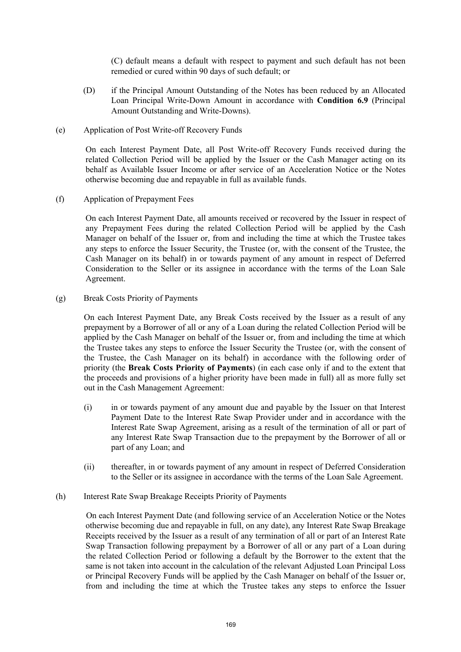(C) default means a default with respect to payment and such default has not been remedied or cured within 90 days of such default; or

- (D) if the Principal Amount Outstanding of the Notes has been reduced by an Allocated Loan Principal Write-Down Amount in accordance with **Condition 6.9** (Principal Amount Outstanding and Write-Downs).
- (e) Application of Post Write-off Recovery Funds

On each Interest Payment Date, all Post Write-off Recovery Funds received during the related Collection Period will be applied by the Issuer or the Cash Manager acting on its behalf as Available Issuer Income or after service of an Acceleration Notice or the Notes otherwise becoming due and repayable in full as available funds.

(f) Application of Prepayment Fees

On each Interest Payment Date, all amounts received or recovered by the Issuer in respect of any Prepayment Fees during the related Collection Period will be applied by the Cash Manager on behalf of the Issuer or, from and including the time at which the Trustee takes any steps to enforce the Issuer Security, the Trustee (or, with the consent of the Trustee, the Cash Manager on its behalf) in or towards payment of any amount in respect of Deferred Consideration to the Seller or its assignee in accordance with the terms of the Loan Sale Agreement.

(g) Break Costs Priority of Payments

On each Interest Payment Date, any Break Costs received by the Issuer as a result of any prepayment by a Borrower of all or any of a Loan during the related Collection Period will be applied by the Cash Manager on behalf of the Issuer or, from and including the time at which the Trustee takes any steps to enforce the Issuer Security the Trustee (or, with the consent of the Trustee, the Cash Manager on its behalf) in accordance with the following order of priority (the **Break Costs Priority of Payments**) (in each case only if and to the extent that the proceeds and provisions of a higher priority have been made in full) all as more fully set out in the Cash Management Agreement:

- (i) in or towards payment of any amount due and payable by the Issuer on that Interest Payment Date to the Interest Rate Swap Provider under and in accordance with the Interest Rate Swap Agreement, arising as a result of the termination of all or part of any Interest Rate Swap Transaction due to the prepayment by the Borrower of all or part of any Loan; and
- (ii) thereafter, in or towards payment of any amount in respect of Deferred Consideration to the Seller or its assignee in accordance with the terms of the Loan Sale Agreement.
- (h) Interest Rate Swap Breakage Receipts Priority of Payments

On each Interest Payment Date (and following service of an Acceleration Notice or the Notes otherwise becoming due and repayable in full, on any date), any Interest Rate Swap Breakage Receipts received by the Issuer as a result of any termination of all or part of an Interest Rate Swap Transaction following prepayment by a Borrower of all or any part of a Loan during the related Collection Period or following a default by the Borrower to the extent that the same is not taken into account in the calculation of the relevant Adjusted Loan Principal Loss or Principal Recovery Funds will be applied by the Cash Manager on behalf of the Issuer or, from and including the time at which the Trustee takes any steps to enforce the Issuer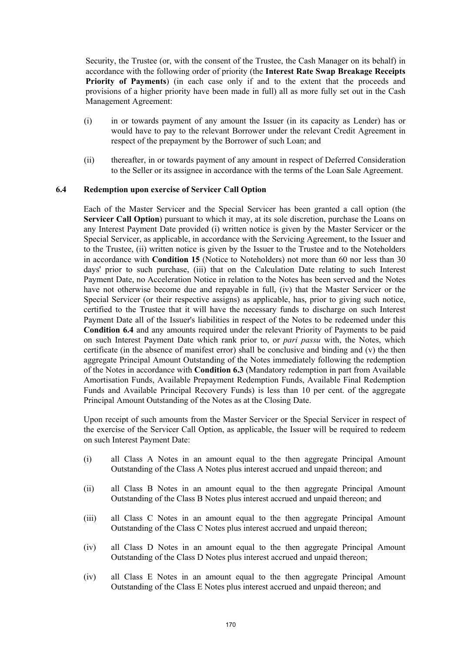Security, the Trustee (or, with the consent of the Trustee, the Cash Manager on its behalf) in accordance with the following order of priority (the **Interest Rate Swap Breakage Receipts Priority of Payments**) (in each case only if and to the extent that the proceeds and provisions of a higher priority have been made in full) all as more fully set out in the Cash Management Agreement:

- (i) in or towards payment of any amount the Issuer (in its capacity as Lender) has or would have to pay to the relevant Borrower under the relevant Credit Agreement in respect of the prepayment by the Borrower of such Loan; and
- (ii) thereafter, in or towards payment of any amount in respect of Deferred Consideration to the Seller or its assignee in accordance with the terms of the Loan Sale Agreement.

### **6.4 Redemption upon exercise of Servicer Call Option**

Each of the Master Servicer and the Special Servicer has been granted a call option (the **Servicer Call Option**) pursuant to which it may, at its sole discretion, purchase the Loans on any Interest Payment Date provided (i) written notice is given by the Master Servicer or the Special Servicer, as applicable, in accordance with the Servicing Agreement, to the Issuer and to the Trustee, (ii) written notice is given by the Issuer to the Trustee and to the Noteholders in accordance with **Condition 15** (Notice to Noteholders) not more than 60 nor less than 30 days' prior to such purchase, (iii) that on the Calculation Date relating to such Interest Payment Date, no Acceleration Notice in relation to the Notes has been served and the Notes have not otherwise become due and repayable in full, (iv) that the Master Servicer or the Special Servicer (or their respective assigns) as applicable, has, prior to giving such notice, certified to the Trustee that it will have the necessary funds to discharge on such Interest Payment Date all of the Issuer's liabilities in respect of the Notes to be redeemed under this **Condition 6.4** and any amounts required under the relevant Priority of Payments to be paid on such Interest Payment Date which rank prior to, or *pari passu* with, the Notes, which certificate (in the absence of manifest error) shall be conclusive and binding and (v) the then aggregate Principal Amount Outstanding of the Notes immediately following the redemption of the Notes in accordance with **Condition 6.3** (Mandatory redemption in part from Available Amortisation Funds, Available Prepayment Redemption Funds, Available Final Redemption Funds and Available Principal Recovery Funds) is less than 10 per cent. of the aggregate Principal Amount Outstanding of the Notes as at the Closing Date.

Upon receipt of such amounts from the Master Servicer or the Special Servicer in respect of the exercise of the Servicer Call Option, as applicable, the Issuer will be required to redeem on such Interest Payment Date:

- (i) all Class A Notes in an amount equal to the then aggregate Principal Amount Outstanding of the Class A Notes plus interest accrued and unpaid thereon; and
- (ii) all Class B Notes in an amount equal to the then aggregate Principal Amount Outstanding of the Class B Notes plus interest accrued and unpaid thereon; and
- (iii) all Class C Notes in an amount equal to the then aggregate Principal Amount Outstanding of the Class C Notes plus interest accrued and unpaid thereon;
- (iv) all Class D Notes in an amount equal to the then aggregate Principal Amount Outstanding of the Class D Notes plus interest accrued and unpaid thereon;
- (iv) all Class E Notes in an amount equal to the then aggregate Principal Amount Outstanding of the Class E Notes plus interest accrued and unpaid thereon; and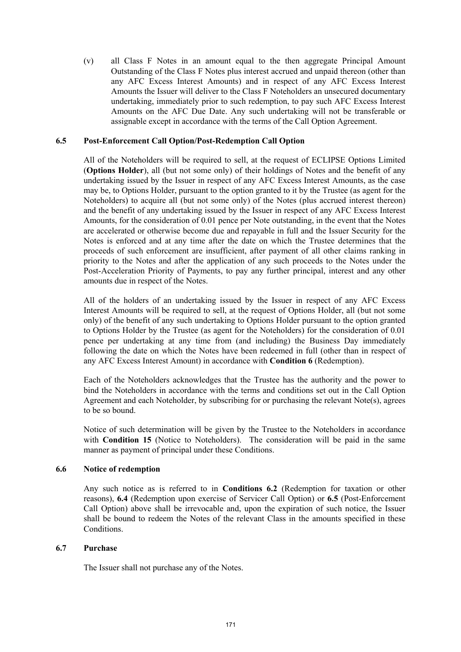(v) all Class F Notes in an amount equal to the then aggregate Principal Amount Outstanding of the Class F Notes plus interest accrued and unpaid thereon (other than any AFC Excess Interest Amounts) and in respect of any AFC Excess Interest Amounts the Issuer will deliver to the Class F Noteholders an unsecured documentary undertaking, immediately prior to such redemption, to pay such AFC Excess Interest Amounts on the AFC Due Date. Any such undertaking will not be transferable or assignable except in accordance with the terms of the Call Option Agreement.

## **6.5 Post-Enforcement Call Option/Post-Redemption Call Option**

All of the Noteholders will be required to sell, at the request of ECLIPSE Options Limited (**Options Holder**), all (but not some only) of their holdings of Notes and the benefit of any undertaking issued by the Issuer in respect of any AFC Excess Interest Amounts, as the case may be, to Options Holder, pursuant to the option granted to it by the Trustee (as agent for the Noteholders) to acquire all (but not some only) of the Notes (plus accrued interest thereon) and the benefit of any undertaking issued by the Issuer in respect of any AFC Excess Interest Amounts, for the consideration of 0.01 pence per Note outstanding, in the event that the Notes are accelerated or otherwise become due and repayable in full and the Issuer Security for the Notes is enforced and at any time after the date on which the Trustee determines that the proceeds of such enforcement are insufficient, after payment of all other claims ranking in priority to the Notes and after the application of any such proceeds to the Notes under the Post-Acceleration Priority of Payments, to pay any further principal, interest and any other amounts due in respect of the Notes.

All of the holders of an undertaking issued by the Issuer in respect of any AFC Excess Interest Amounts will be required to sell, at the request of Options Holder, all (but not some only) of the benefit of any such undertaking to Options Holder pursuant to the option granted to Options Holder by the Trustee (as agent for the Noteholders) for the consideration of 0.01 pence per undertaking at any time from (and including) the Business Day immediately following the date on which the Notes have been redeemed in full (other than in respect of any AFC Excess Interest Amount) in accordance with **Condition 6** (Redemption).

Each of the Noteholders acknowledges that the Trustee has the authority and the power to bind the Noteholders in accordance with the terms and conditions set out in the Call Option Agreement and each Noteholder, by subscribing for or purchasing the relevant Note(s), agrees to be so bound.

Notice of such determination will be given by the Trustee to the Noteholders in accordance with **Condition 15** (Notice to Noteholders). The consideration will be paid in the same manner as payment of principal under these Conditions.

### **6.6 Notice of redemption**

Any such notice as is referred to in **Conditions 6.2** (Redemption for taxation or other reasons), **6.4** (Redemption upon exercise of Servicer Call Option) or **6.5** (Post-Enforcement Call Option) above shall be irrevocable and, upon the expiration of such notice, the Issuer shall be bound to redeem the Notes of the relevant Class in the amounts specified in these Conditions.

### **6.7 Purchase**

The Issuer shall not purchase any of the Notes.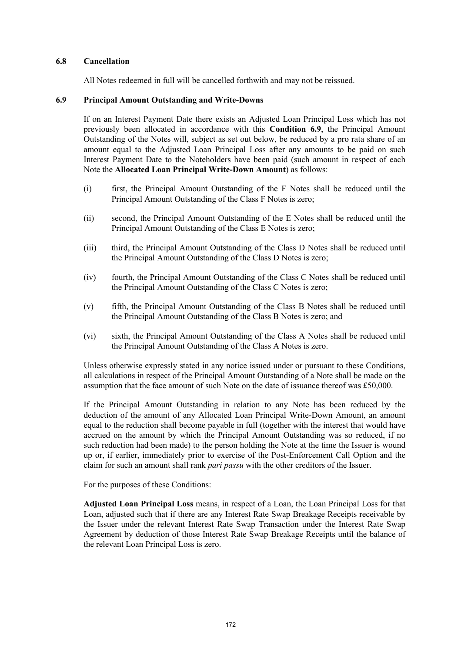#### **6.8 Cancellation**

All Notes redeemed in full will be cancelled forthwith and may not be reissued.

#### **6.9 Principal Amount Outstanding and Write-Downs**

If on an Interest Payment Date there exists an Adjusted Loan Principal Loss which has not previously been allocated in accordance with this **Condition 6.9**, the Principal Amount Outstanding of the Notes will, subject as set out below, be reduced by a pro rata share of an amount equal to the Adjusted Loan Principal Loss after any amounts to be paid on such Interest Payment Date to the Noteholders have been paid (such amount in respect of each Note the **Allocated Loan Principal Write-Down Amount**) as follows:

- (i) first, the Principal Amount Outstanding of the F Notes shall be reduced until the Principal Amount Outstanding of the Class F Notes is zero;
- (ii) second, the Principal Amount Outstanding of the E Notes shall be reduced until the Principal Amount Outstanding of the Class E Notes is zero;
- (iii) third, the Principal Amount Outstanding of the Class D Notes shall be reduced until the Principal Amount Outstanding of the Class D Notes is zero;
- (iv) fourth, the Principal Amount Outstanding of the Class C Notes shall be reduced until the Principal Amount Outstanding of the Class C Notes is zero;
- (v) fifth, the Principal Amount Outstanding of the Class B Notes shall be reduced until the Principal Amount Outstanding of the Class B Notes is zero; and
- (vi) sixth, the Principal Amount Outstanding of the Class A Notes shall be reduced until the Principal Amount Outstanding of the Class A Notes is zero.

Unless otherwise expressly stated in any notice issued under or pursuant to these Conditions, all calculations in respect of the Principal Amount Outstanding of a Note shall be made on the assumption that the face amount of such Note on the date of issuance thereof was £50,000.

If the Principal Amount Outstanding in relation to any Note has been reduced by the deduction of the amount of any Allocated Loan Principal Write-Down Amount, an amount equal to the reduction shall become payable in full (together with the interest that would have accrued on the amount by which the Principal Amount Outstanding was so reduced, if no such reduction had been made) to the person holding the Note at the time the Issuer is wound up or, if earlier, immediately prior to exercise of the Post-Enforcement Call Option and the claim for such an amount shall rank *pari passu* with the other creditors of the Issuer.

For the purposes of these Conditions:

**Adjusted Loan Principal Loss** means, in respect of a Loan, the Loan Principal Loss for that Loan, adjusted such that if there are any Interest Rate Swap Breakage Receipts receivable by the Issuer under the relevant Interest Rate Swap Transaction under the Interest Rate Swap Agreement by deduction of those Interest Rate Swap Breakage Receipts until the balance of the relevant Loan Principal Loss is zero.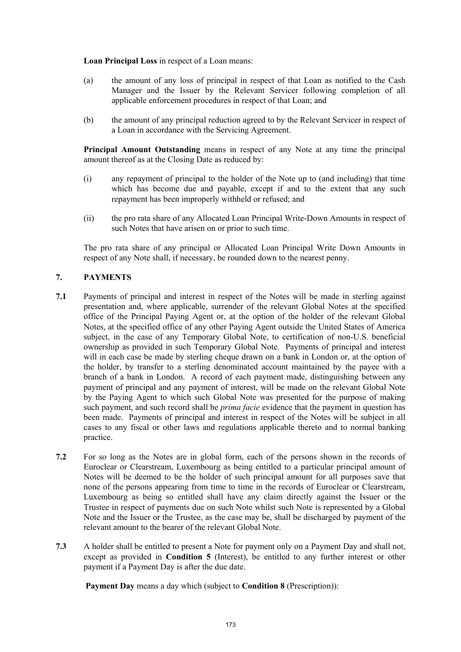**Loan Principal Loss** in respect of a Loan means:

- (a) the amount of any loss of principal in respect of that Loan as notified to the Cash Manager and the Issuer by the Relevant Servicer following completion of all applicable enforcement procedures in respect of that Loan; and
- (b) the amount of any principal reduction agreed to by the Relevant Servicer in respect of a Loan in accordance with the Servicing Agreement.

**Principal Amount Outstanding** means in respect of any Note at any time the principal amount thereof as at the Closing Date as reduced by:

- (i) any repayment of principal to the holder of the Note up to (and including) that time which has become due and payable, except if and to the extent that any such repayment has been improperly withheld or refused; and
- (ii) the pro rata share of any Allocated Loan Principal Write-Down Amounts in respect of such Notes that have arisen on or prior to such time.

The pro rata share of any principal or Allocated Loan Principal Write Down Amounts in respect of any Note shall, if necessary, be rounded down to the nearest penny.

# **7. PAYMENTS**

- **7.1** Payments of principal and interest in respect of the Notes will be made in sterling against presentation and, where applicable, surrender of the relevant Global Notes at the specified office of the Principal Paying Agent or, at the option of the holder of the relevant Global Notes, at the specified office of any other Paying Agent outside the United States of America subject, in the case of any Temporary Global Note, to certification of non-U.S. beneficial ownership as provided in such Temporary Global Note. Payments of principal and interest will in each case be made by sterling cheque drawn on a bank in London or, at the option of the holder, by transfer to a sterling denominated account maintained by the payee with a branch of a bank in London. A record of each payment made, distinguishing between any payment of principal and any payment of interest, will be made on the relevant Global Note by the Paying Agent to which such Global Note was presented for the purpose of making such payment, and such record shall be *prima facie* evidence that the payment in question has been made. Payments of principal and interest in respect of the Notes will be subject in all cases to any fiscal or other laws and regulations applicable thereto and to normal banking practice.
- **7.2** For so long as the Notes are in global form, each of the persons shown in the records of Euroclear or Clearstream, Luxembourg as being entitled to a particular principal amount of Notes will be deemed to be the holder of such principal amount for all purposes save that none of the persons appearing from time to time in the records of Euroclear or Clearstream, Luxembourg as being so entitled shall have any claim directly against the Issuer or the Trustee in respect of payments due on such Note whilst such Note is represented by a Global Note and the Issuer or the Trustee, as the case may be, shall be discharged by payment of the relevant amount to the bearer of the relevant Global Note.
- **7.3** A holder shall be entitled to present a Note for payment only on a Payment Day and shall not, except as provided in **Condition 5** (Interest), be entitled to any further interest or other payment if a Payment Day is after the due date.

**Payment Day** means a day which (subject to **Condition 8** (Prescription)):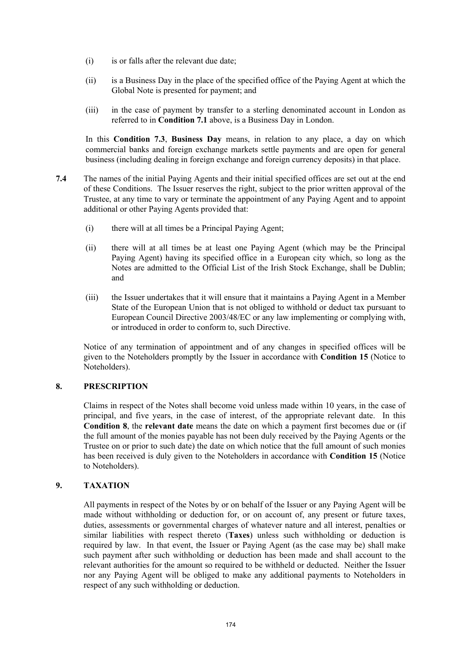- (i) is or falls after the relevant due date;
- (ii) is a Business Day in the place of the specified office of the Paying Agent at which the Global Note is presented for payment; and
- (iii) in the case of payment by transfer to a sterling denominated account in London as referred to in **Condition 7.1** above, is a Business Day in London.

In this **Condition 7.3**, **Business Day** means, in relation to any place, a day on which commercial banks and foreign exchange markets settle payments and are open for general business (including dealing in foreign exchange and foreign currency deposits) in that place.

- **7.4** The names of the initial Paying Agents and their initial specified offices are set out at the end of these Conditions. The Issuer reserves the right, subject to the prior written approval of the Trustee, at any time to vary or terminate the appointment of any Paying Agent and to appoint additional or other Paying Agents provided that:
	- (i) there will at all times be a Principal Paying Agent;
	- (ii) there will at all times be at least one Paying Agent (which may be the Principal Paying Agent) having its specified office in a European city which, so long as the Notes are admitted to the Official List of the Irish Stock Exchange, shall be Dublin; and
	- (iii) the Issuer undertakes that it will ensure that it maintains a Paying Agent in a Member State of the European Union that is not obliged to withhold or deduct tax pursuant to European Council Directive 2003/48/EC or any law implementing or complying with, or introduced in order to conform to, such Directive.

Notice of any termination of appointment and of any changes in specified offices will be given to the Noteholders promptly by the Issuer in accordance with **Condition 15** (Notice to Noteholders).

# **8. PRESCRIPTION**

Claims in respect of the Notes shall become void unless made within 10 years, in the case of principal, and five years, in the case of interest, of the appropriate relevant date. In this **Condition 8**, the **relevant date** means the date on which a payment first becomes due or (if the full amount of the monies payable has not been duly received by the Paying Agents or the Trustee on or prior to such date) the date on which notice that the full amount of such monies has been received is duly given to the Noteholders in accordance with **Condition 15** (Notice to Noteholders).

### **9. TAXATION**

All payments in respect of the Notes by or on behalf of the Issuer or any Paying Agent will be made without withholding or deduction for, or on account of, any present or future taxes, duties, assessments or governmental charges of whatever nature and all interest, penalties or similar liabilities with respect thereto (**Taxes**) unless such withholding or deduction is required by law. In that event, the Issuer or Paying Agent (as the case may be) shall make such payment after such withholding or deduction has been made and shall account to the relevant authorities for the amount so required to be withheld or deducted. Neither the Issuer nor any Paying Agent will be obliged to make any additional payments to Noteholders in respect of any such withholding or deduction.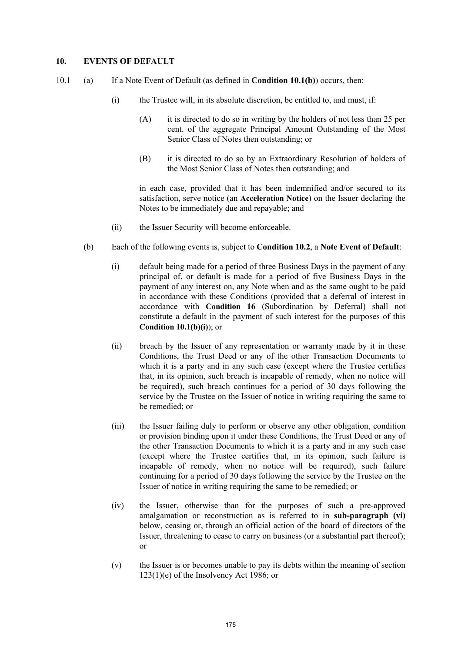### **10. EVENTS OF DEFAULT**

- 10.1 (a) If a Note Event of Default (as defined in **Condition 10.1(b)**) occurs, then:
	- (i) the Trustee will, in its absolute discretion, be entitled to, and must, if:
		- $(A)$  it is directed to do so in writing by the holders of not less than 25 per cent. of the aggregate Principal Amount Outstanding of the Most Senior Class of Notes then outstanding; or
		- (B) it is directed to do so by an Extraordinary Resolution of holders of the Most Senior Class of Notes then outstanding; and

in each case, provided that it has been indemnified and/or secured to its satisfaction, serve notice (an **Acceleration Notice**) on the Issuer declaring the Notes to be immediately due and repayable; and

- (ii) the Issuer Security will become enforceable.
- (b) Each of the following events is, subject to **Condition 10.2**, a **Note Event of Default**:
	- (i) default being made for a period of three Business Days in the payment of any principal of, or default is made for a period of five Business Days in the payment of any interest on, any Note when and as the same ought to be paid in accordance with these Conditions (provided that a deferral of interest in accordance with **Condition 16** (Subordination by Deferral) shall not constitute a default in the payment of such interest for the purposes of this **Condition 10.1(b)(i)**); or
	- (ii) breach by the Issuer of any representation or warranty made by it in these Conditions, the Trust Deed or any of the other Transaction Documents to which it is a party and in any such case (except where the Trustee certifies that, in its opinion, such breach is incapable of remedy, when no notice will be required), such breach continues for a period of 30 days following the service by the Trustee on the Issuer of notice in writing requiring the same to be remedied; or
	- (iii) the Issuer failing duly to perform or observe any other obligation, condition or provision binding upon it under these Conditions, the Trust Deed or any of the other Transaction Documents to which it is a party and in any such case (except where the Trustee certifies that, in its opinion, such failure is incapable of remedy, when no notice will be required), such failure continuing for a period of 30 days following the service by the Trustee on the Issuer of notice in writing requiring the same to be remedied; or
	- (iv) the Issuer, otherwise than for the purposes of such a pre-approved amalgamation or reconstruction as is referred to in **sub-paragraph (vi)** below, ceasing or, through an official action of the board of directors of the Issuer, threatening to cease to carry on business (or a substantial part thereof); or
	- (v) the Issuer is or becomes unable to pay its debts within the meaning of section 123(1)(e) of the Insolvency Act 1986; or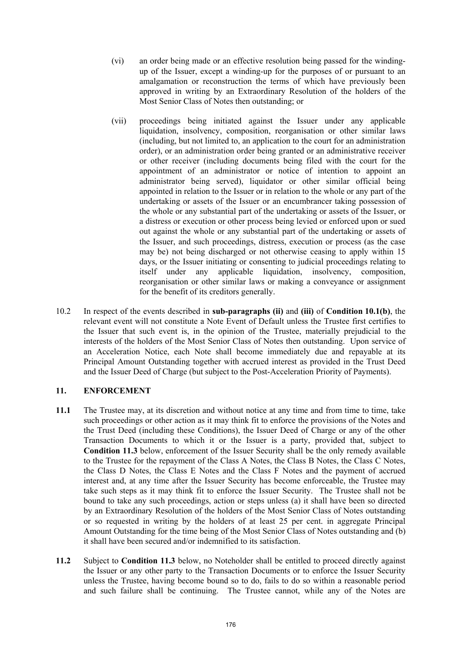- (vi) an order being made or an effective resolution being passed for the windingup of the Issuer, except a winding-up for the purposes of or pursuant to an amalgamation or reconstruction the terms of which have previously been approved in writing by an Extraordinary Resolution of the holders of the Most Senior Class of Notes then outstanding; or
- (vii) proceedings being initiated against the Issuer under any applicable liquidation, insolvency, composition, reorganisation or other similar laws (including, but not limited to, an application to the court for an administration order), or an administration order being granted or an administrative receiver or other receiver (including documents being filed with the court for the appointment of an administrator or notice of intention to appoint an administrator being served), liquidator or other similar official being appointed in relation to the Issuer or in relation to the whole or any part of the undertaking or assets of the Issuer or an encumbrancer taking possession of the whole or any substantial part of the undertaking or assets of the Issuer, or a distress or execution or other process being levied or enforced upon or sued out against the whole or any substantial part of the undertaking or assets of the Issuer, and such proceedings, distress, execution or process (as the case may be) not being discharged or not otherwise ceasing to apply within 15 days, or the Issuer initiating or consenting to judicial proceedings relating to itself under any applicable liquidation, insolvency, composition, reorganisation or other similar laws or making a conveyance or assignment for the benefit of its creditors generally.
- 10.2 In respect of the events described in **sub-paragraphs (ii)** and **(iii)** of **Condition 10.1(b)**, the relevant event will not constitute a Note Event of Default unless the Trustee first certifies to the Issuer that such event is, in the opinion of the Trustee, materially prejudicial to the interests of the holders of the Most Senior Class of Notes then outstanding. Upon service of an Acceleration Notice, each Note shall become immediately due and repayable at its Principal Amount Outstanding together with accrued interest as provided in the Trust Deed and the Issuer Deed of Charge (but subject to the Post-Acceleration Priority of Payments).

# **11. ENFORCEMENT**

- **11.1** The Trustee may, at its discretion and without notice at any time and from time to time, take such proceedings or other action as it may think fit to enforce the provisions of the Notes and the Trust Deed (including these Conditions), the Issuer Deed of Charge or any of the other Transaction Documents to which it or the Issuer is a party, provided that, subject to **Condition 11.3** below, enforcement of the Issuer Security shall be the only remedy available to the Trustee for the repayment of the Class A Notes, the Class B Notes, the Class C Notes, the Class D Notes, the Class E Notes and the Class F Notes and the payment of accrued interest and, at any time after the Issuer Security has become enforceable, the Trustee may take such steps as it may think fit to enforce the Issuer Security. The Trustee shall not be bound to take any such proceedings, action or steps unless (a) it shall have been so directed by an Extraordinary Resolution of the holders of the Most Senior Class of Notes outstanding or so requested in writing by the holders of at least 25 per cent. in aggregate Principal Amount Outstanding for the time being of the Most Senior Class of Notes outstanding and (b) it shall have been secured and/or indemnified to its satisfaction.
- **11.2** Subject to **Condition 11.3** below, no Noteholder shall be entitled to proceed directly against the Issuer or any other party to the Transaction Documents or to enforce the Issuer Security unless the Trustee, having become bound so to do, fails to do so within a reasonable period and such failure shall be continuing. The Trustee cannot, while any of the Notes are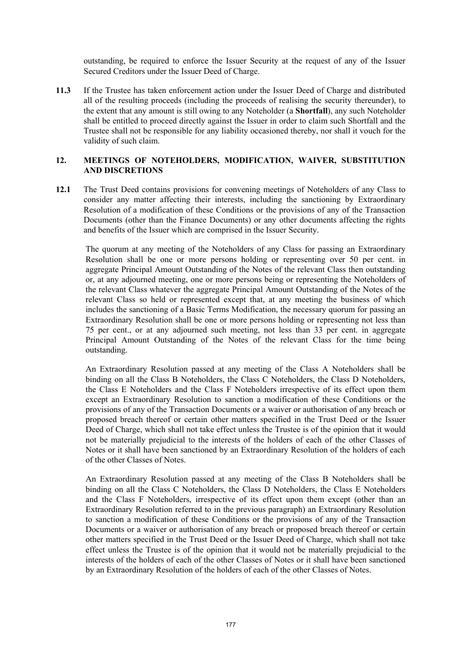outstanding, be required to enforce the Issuer Security at the request of any of the Issuer Secured Creditors under the Issuer Deed of Charge.

**11.3** If the Trustee has taken enforcement action under the Issuer Deed of Charge and distributed all of the resulting proceeds (including the proceeds of realising the security thereunder), to the extent that any amount is still owing to any Noteholder (a **Shortfall**), any such Noteholder shall be entitled to proceed directly against the Issuer in order to claim such Shortfall and the Trustee shall not be responsible for any liability occasioned thereby, nor shall it vouch for the validity of such claim.

## **12. MEETINGS OF NOTEHOLDERS, MODIFICATION, WAIVER, SUBSTITUTION AND DISCRETIONS**

**12.1** The Trust Deed contains provisions for convening meetings of Noteholders of any Class to consider any matter affecting their interests, including the sanctioning by Extraordinary Resolution of a modification of these Conditions or the provisions of any of the Transaction Documents (other than the Finance Documents) or any other documents affecting the rights and benefits of the Issuer which are comprised in the Issuer Security.

The quorum at any meeting of the Noteholders of any Class for passing an Extraordinary Resolution shall be one or more persons holding or representing over 50 per cent. in aggregate Principal Amount Outstanding of the Notes of the relevant Class then outstanding or, at any adjourned meeting, one or more persons being or representing the Noteholders of the relevant Class whatever the aggregate Principal Amount Outstanding of the Notes of the relevant Class so held or represented except that, at any meeting the business of which includes the sanctioning of a Basic Terms Modification, the necessary quorum for passing an Extraordinary Resolution shall be one or more persons holding or representing not less than 75 per cent., or at any adjourned such meeting, not less than 33 per cent. in aggregate Principal Amount Outstanding of the Notes of the relevant Class for the time being outstanding.

An Extraordinary Resolution passed at any meeting of the Class A Noteholders shall be binding on all the Class B Noteholders, the Class C Noteholders, the Class D Noteholders, the Class E Noteholders and the Class F Noteholders irrespective of its effect upon them except an Extraordinary Resolution to sanction a modification of these Conditions or the provisions of any of the Transaction Documents or a waiver or authorisation of any breach or proposed breach thereof or certain other matters specified in the Trust Deed or the Issuer Deed of Charge, which shall not take effect unless the Trustee is of the opinion that it would not be materially prejudicial to the interests of the holders of each of the other Classes of Notes or it shall have been sanctioned by an Extraordinary Resolution of the holders of each of the other Classes of Notes.

An Extraordinary Resolution passed at any meeting of the Class B Noteholders shall be binding on all the Class C Noteholders, the Class D Noteholders, the Class E Noteholders and the Class F Noteholders, irrespective of its effect upon them except (other than an Extraordinary Resolution referred to in the previous paragraph) an Extraordinary Resolution to sanction a modification of these Conditions or the provisions of any of the Transaction Documents or a waiver or authorisation of any breach or proposed breach thereof or certain other matters specified in the Trust Deed or the Issuer Deed of Charge, which shall not take effect unless the Trustee is of the opinion that it would not be materially prejudicial to the interests of the holders of each of the other Classes of Notes or it shall have been sanctioned by an Extraordinary Resolution of the holders of each of the other Classes of Notes.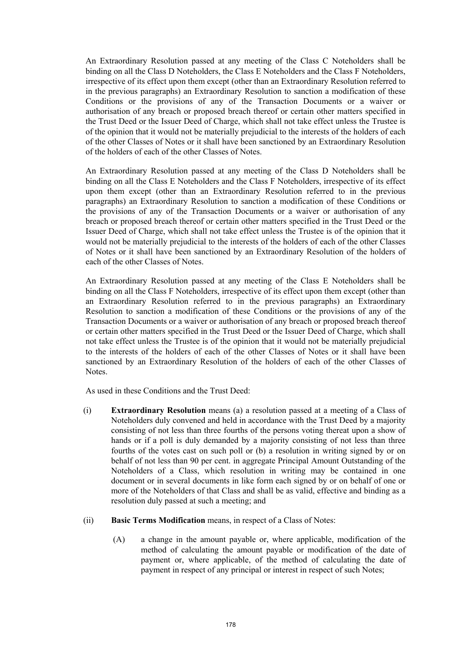An Extraordinary Resolution passed at any meeting of the Class C Noteholders shall be binding on all the Class D Noteholders, the Class E Noteholders and the Class F Noteholders, irrespective of its effect upon them except (other than an Extraordinary Resolution referred to in the previous paragraphs) an Extraordinary Resolution to sanction a modification of these Conditions or the provisions of any of the Transaction Documents or a waiver or authorisation of any breach or proposed breach thereof or certain other matters specified in the Trust Deed or the Issuer Deed of Charge, which shall not take effect unless the Trustee is of the opinion that it would not be materially prejudicial to the interests of the holders of each of the other Classes of Notes or it shall have been sanctioned by an Extraordinary Resolution of the holders of each of the other Classes of Notes.

An Extraordinary Resolution passed at any meeting of the Class D Noteholders shall be binding on all the Class E Noteholders and the Class F Noteholders, irrespective of its effect upon them except (other than an Extraordinary Resolution referred to in the previous paragraphs) an Extraordinary Resolution to sanction a modification of these Conditions or the provisions of any of the Transaction Documents or a waiver or authorisation of any breach or proposed breach thereof or certain other matters specified in the Trust Deed or the Issuer Deed of Charge, which shall not take effect unless the Trustee is of the opinion that it would not be materially prejudicial to the interests of the holders of each of the other Classes of Notes or it shall have been sanctioned by an Extraordinary Resolution of the holders of each of the other Classes of Notes.

An Extraordinary Resolution passed at any meeting of the Class E Noteholders shall be binding on all the Class F Noteholders, irrespective of its effect upon them except (other than an Extraordinary Resolution referred to in the previous paragraphs) an Extraordinary Resolution to sanction a modification of these Conditions or the provisions of any of the Transaction Documents or a waiver or authorisation of any breach or proposed breach thereof or certain other matters specified in the Trust Deed or the Issuer Deed of Charge, which shall not take effect unless the Trustee is of the opinion that it would not be materially prejudicial to the interests of the holders of each of the other Classes of Notes or it shall have been sanctioned by an Extraordinary Resolution of the holders of each of the other Classes of Notes.

As used in these Conditions and the Trust Deed:

- (i) **Extraordinary Resolution** means (a) a resolution passed at a meeting of a Class of Noteholders duly convened and held in accordance with the Trust Deed by a majority consisting of not less than three fourths of the persons voting thereat upon a show of hands or if a poll is duly demanded by a majority consisting of not less than three fourths of the votes cast on such poll or (b) a resolution in writing signed by or on behalf of not less than 90 per cent. in aggregate Principal Amount Outstanding of the Noteholders of a Class, which resolution in writing may be contained in one document or in several documents in like form each signed by or on behalf of one or more of the Noteholders of that Class and shall be as valid, effective and binding as a resolution duly passed at such a meeting; and
- (ii) **Basic Terms Modification** means, in respect of a Class of Notes:
	- (A) a change in the amount payable or, where applicable, modification of the method of calculating the amount payable or modification of the date of payment or, where applicable, of the method of calculating the date of payment in respect of any principal or interest in respect of such Notes;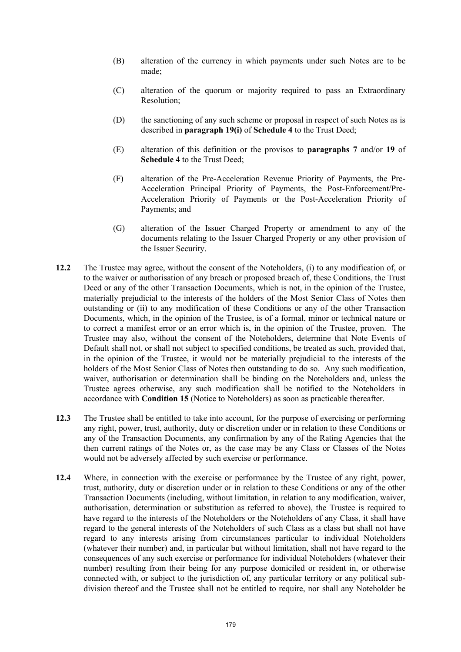- (B) alteration of the currency in which payments under such Notes are to be made;
- (C) alteration of the quorum or majority required to pass an Extraordinary Resolution;
- (D) the sanctioning of any such scheme or proposal in respect of such Notes as is described in **paragraph 19(i)** of **Schedule 4** to the Trust Deed;
- (E) alteration of this definition or the provisos to **paragraphs 7** and/or **19** of **Schedule 4** to the Trust Deed;
- (F) alteration of the Pre-Acceleration Revenue Priority of Payments, the Pre-Acceleration Principal Priority of Payments, the Post-Enforcement/Pre-Acceleration Priority of Payments or the Post-Acceleration Priority of Payments; and
- (G) alteration of the Issuer Charged Property or amendment to any of the documents relating to the Issuer Charged Property or any other provision of the Issuer Security.
- **12.2** The Trustee may agree, without the consent of the Noteholders, (i) to any modification of, or to the waiver or authorisation of any breach or proposed breach of, these Conditions, the Trust Deed or any of the other Transaction Documents, which is not, in the opinion of the Trustee, materially prejudicial to the interests of the holders of the Most Senior Class of Notes then outstanding or (ii) to any modification of these Conditions or any of the other Transaction Documents, which, in the opinion of the Trustee, is of a formal, minor or technical nature or to correct a manifest error or an error which is, in the opinion of the Trustee, proven. The Trustee may also, without the consent of the Noteholders, determine that Note Events of Default shall not, or shall not subject to specified conditions, be treated as such, provided that, in the opinion of the Trustee, it would not be materially prejudicial to the interests of the holders of the Most Senior Class of Notes then outstanding to do so. Any such modification, waiver, authorisation or determination shall be binding on the Noteholders and, unless the Trustee agrees otherwise, any such modification shall be notified to the Noteholders in accordance with **Condition 15** (Notice to Noteholders) as soon as practicable thereafter.
- **12.3** The Trustee shall be entitled to take into account, for the purpose of exercising or performing any right, power, trust, authority, duty or discretion under or in relation to these Conditions or any of the Transaction Documents, any confirmation by any of the Rating Agencies that the then current ratings of the Notes or, as the case may be any Class or Classes of the Notes would not be adversely affected by such exercise or performance.
- **12.4** Where, in connection with the exercise or performance by the Trustee of any right, power, trust, authority, duty or discretion under or in relation to these Conditions or any of the other Transaction Documents (including, without limitation, in relation to any modification, waiver, authorisation, determination or substitution as referred to above), the Trustee is required to have regard to the interests of the Noteholders or the Noteholders of any Class, it shall have regard to the general interests of the Noteholders of such Class as a class but shall not have regard to any interests arising from circumstances particular to individual Noteholders (whatever their number) and, in particular but without limitation, shall not have regard to the consequences of any such exercise or performance for individual Noteholders (whatever their number) resulting from their being for any purpose domiciled or resident in, or otherwise connected with, or subject to the jurisdiction of, any particular territory or any political subdivision thereof and the Trustee shall not be entitled to require, nor shall any Noteholder be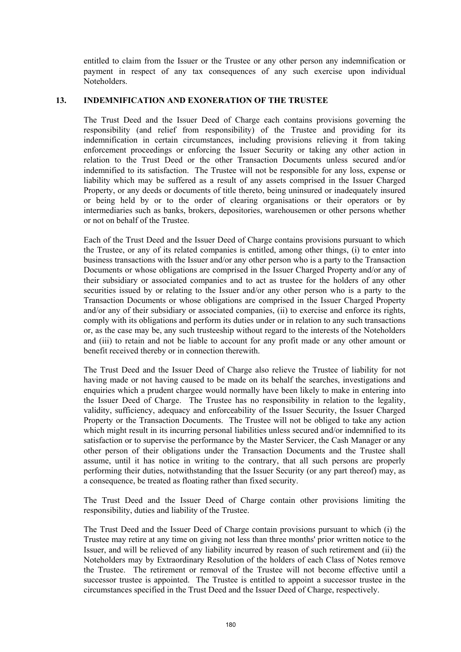entitled to claim from the Issuer or the Trustee or any other person any indemnification or payment in respect of any tax consequences of any such exercise upon individual Noteholders.

#### **13. INDEMNIFICATION AND EXONERATION OF THE TRUSTEE**

The Trust Deed and the Issuer Deed of Charge each contains provisions governing the responsibility (and relief from responsibility) of the Trustee and providing for its indemnification in certain circumstances, including provisions relieving it from taking enforcement proceedings or enforcing the Issuer Security or taking any other action in relation to the Trust Deed or the other Transaction Documents unless secured and/or indemnified to its satisfaction. The Trustee will not be responsible for any loss, expense or liability which may be suffered as a result of any assets comprised in the Issuer Charged Property, or any deeds or documents of title thereto, being uninsured or inadequately insured or being held by or to the order of clearing organisations or their operators or by intermediaries such as banks, brokers, depositories, warehousemen or other persons whether or not on behalf of the Trustee.

Each of the Trust Deed and the Issuer Deed of Charge contains provisions pursuant to which the Trustee, or any of its related companies is entitled, among other things, (i) to enter into business transactions with the Issuer and/or any other person who is a party to the Transaction Documents or whose obligations are comprised in the Issuer Charged Property and/or any of their subsidiary or associated companies and to act as trustee for the holders of any other securities issued by or relating to the Issuer and/or any other person who is a party to the Transaction Documents or whose obligations are comprised in the Issuer Charged Property and/or any of their subsidiary or associated companies, (ii) to exercise and enforce its rights, comply with its obligations and perform its duties under or in relation to any such transactions or, as the case may be, any such trusteeship without regard to the interests of the Noteholders and (iii) to retain and not be liable to account for any profit made or any other amount or benefit received thereby or in connection therewith.

The Trust Deed and the Issuer Deed of Charge also relieve the Trustee of liability for not having made or not having caused to be made on its behalf the searches, investigations and enquiries which a prudent chargee would normally have been likely to make in entering into the Issuer Deed of Charge. The Trustee has no responsibility in relation to the legality, validity, sufficiency, adequacy and enforceability of the Issuer Security, the Issuer Charged Property or the Transaction Documents. The Trustee will not be obliged to take any action which might result in its incurring personal liabilities unless secured and/or indemnified to its satisfaction or to supervise the performance by the Master Servicer, the Cash Manager or any other person of their obligations under the Transaction Documents and the Trustee shall assume, until it has notice in writing to the contrary, that all such persons are properly performing their duties, notwithstanding that the Issuer Security (or any part thereof) may, as a consequence, be treated as floating rather than fixed security.

The Trust Deed and the Issuer Deed of Charge contain other provisions limiting the responsibility, duties and liability of the Trustee.

The Trust Deed and the Issuer Deed of Charge contain provisions pursuant to which (i) the Trustee may retire at any time on giving not less than three months' prior written notice to the Issuer, and will be relieved of any liability incurred by reason of such retirement and (ii) the Noteholders may by Extraordinary Resolution of the holders of each Class of Notes remove the Trustee. The retirement or removal of the Trustee will not become effective until a successor trustee is appointed. The Trustee is entitled to appoint a successor trustee in the circumstances specified in the Trust Deed and the Issuer Deed of Charge, respectively.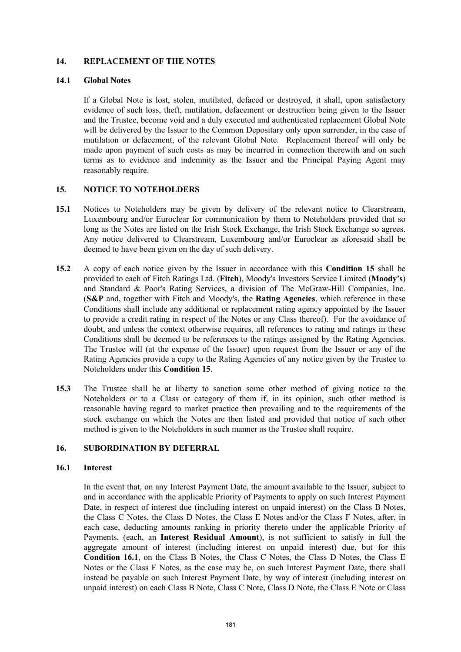#### **14. REPLACEMENT OF THE NOTES**

#### **14.1 Global Notes**

If a Global Note is lost, stolen, mutilated, defaced or destroyed, it shall, upon satisfactory evidence of such loss, theft, mutilation, defacement or destruction being given to the Issuer and the Trustee, become void and a duly executed and authenticated replacement Global Note will be delivered by the Issuer to the Common Depositary only upon surrender, in the case of mutilation or defacement, of the relevant Global Note. Replacement thereof will only be made upon payment of such costs as may be incurred in connection therewith and on such terms as to evidence and indemnity as the Issuer and the Principal Paying Agent may reasonably require.

# **15. NOTICE TO NOTEHOLDERS**

- **15.1** Notices to Noteholders may be given by delivery of the relevant notice to Clearstream, Luxembourg and/or Euroclear for communication by them to Noteholders provided that so long as the Notes are listed on the Irish Stock Exchange, the Irish Stock Exchange so agrees. Any notice delivered to Clearstream, Luxembourg and/or Euroclear as aforesaid shall be deemed to have been given on the day of such delivery.
- **15.2** A copy of each notice given by the Issuer in accordance with this **Condition 15** shall be provided to each of Fitch Ratings Ltd. (**Fitch**), Moody's Investors Service Limited (**Moody's**) and Standard & Poor's Rating Services, a division of The McGraw-Hill Companies, Inc. (**S&P** and, together with Fitch and Moody's, the **Rating Agencies**, which reference in these Conditions shall include any additional or replacement rating agency appointed by the Issuer to provide a credit rating in respect of the Notes or any Class thereof). For the avoidance of doubt, and unless the context otherwise requires, all references to rating and ratings in these Conditions shall be deemed to be references to the ratings assigned by the Rating Agencies. The Trustee will (at the expense of the Issuer) upon request from the Issuer or any of the Rating Agencies provide a copy to the Rating Agencies of any notice given by the Trustee to Noteholders under this **Condition 15**.
- **15.3** The Trustee shall be at liberty to sanction some other method of giving notice to the Noteholders or to a Class or category of them if, in its opinion, such other method is reasonable having regard to market practice then prevailing and to the requirements of the stock exchange on which the Notes are then listed and provided that notice of such other method is given to the Noteholders in such manner as the Trustee shall require.

# **16. SUBORDINATION BY DEFERRAL**

#### **16.1 Interest**

In the event that, on any Interest Payment Date, the amount available to the Issuer, subject to and in accordance with the applicable Priority of Payments to apply on such Interest Payment Date, in respect of interest due (including interest on unpaid interest) on the Class B Notes, the Class C Notes, the Class D Notes, the Class E Notes and/or the Class F Notes, after, in each case, deducting amounts ranking in priority thereto under the applicable Priority of Payments, (each, an **Interest Residual Amount**), is not sufficient to satisfy in full the aggregate amount of interest (including interest on unpaid interest) due, but for this **Condition 16.1**, on the Class B Notes, the Class C Notes, the Class D Notes, the Class E Notes or the Class F Notes, as the case may be, on such Interest Payment Date, there shall instead be payable on such Interest Payment Date, by way of interest (including interest on unpaid interest) on each Class B Note, Class C Note, Class D Note, the Class E Note or Class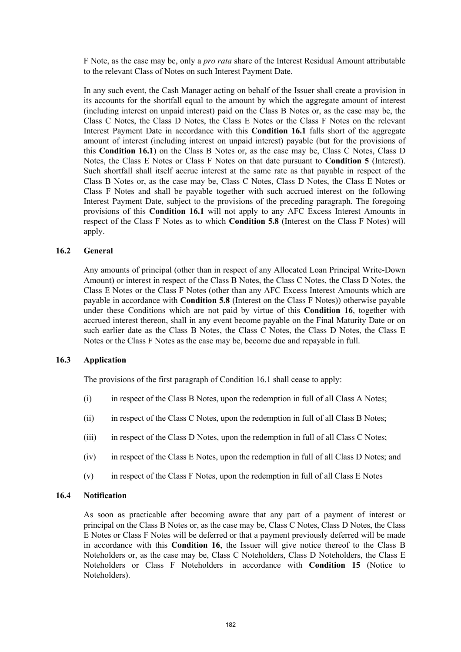F Note, as the case may be, only a *pro rata* share of the Interest Residual Amount attributable to the relevant Class of Notes on such Interest Payment Date.

In any such event, the Cash Manager acting on behalf of the Issuer shall create a provision in its accounts for the shortfall equal to the amount by which the aggregate amount of interest (including interest on unpaid interest) paid on the Class B Notes or, as the case may be, the Class C Notes, the Class D Notes, the Class E Notes or the Class F Notes on the relevant Interest Payment Date in accordance with this **Condition 16.1** falls short of the aggregate amount of interest (including interest on unpaid interest) payable (but for the provisions of this **Condition 16.1**) on the Class B Notes or, as the case may be, Class C Notes, Class D Notes, the Class E Notes or Class F Notes on that date pursuant to **Condition 5** (Interest). Such shortfall shall itself accrue interest at the same rate as that payable in respect of the Class B Notes or, as the case may be, Class C Notes, Class D Notes, the Class E Notes or Class F Notes and shall be payable together with such accrued interest on the following Interest Payment Date, subject to the provisions of the preceding paragraph. The foregoing provisions of this **Condition 16.1** will not apply to any AFC Excess Interest Amounts in respect of the Class F Notes as to which **Condition 5.8** (Interest on the Class F Notes) will apply.

#### **16.2 General**

Any amounts of principal (other than in respect of any Allocated Loan Principal Write-Down Amount) or interest in respect of the Class B Notes, the Class C Notes, the Class D Notes, the Class E Notes or the Class F Notes (other than any AFC Excess Interest Amounts which are payable in accordance with **Condition 5.8** (Interest on the Class F Notes)) otherwise payable under these Conditions which are not paid by virtue of this **Condition 16**, together with accrued interest thereon, shall in any event become payable on the Final Maturity Date or on such earlier date as the Class B Notes, the Class C Notes, the Class D Notes, the Class E Notes or the Class F Notes as the case may be, become due and repayable in full.

#### **16.3 Application**

The provisions of the first paragraph of Condition 16.1 shall cease to apply:

- (i) in respect of the Class B Notes, upon the redemption in full of all Class A Notes;
- (ii) in respect of the Class C Notes, upon the redemption in full of all Class B Notes;
- (iii) in respect of the Class D Notes, upon the redemption in full of all Class C Notes;
- (iv) in respect of the Class E Notes, upon the redemption in full of all Class D Notes; and
- (v) in respect of the Class F Notes, upon the redemption in full of all Class E Notes

#### **16.4 Notification**

As soon as practicable after becoming aware that any part of a payment of interest or principal on the Class B Notes or, as the case may be, Class C Notes, Class D Notes, the Class E Notes or Class F Notes will be deferred or that a payment previously deferred will be made in accordance with this **Condition 16**, the Issuer will give notice thereof to the Class B Noteholders or, as the case may be, Class C Noteholders, Class D Noteholders, the Class E Noteholders or Class F Noteholders in accordance with **Condition 15** (Notice to Noteholders).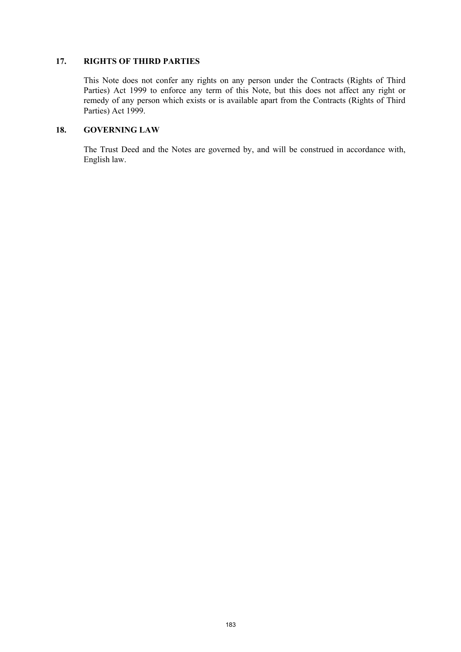#### **17. RIGHTS OF THIRD PARTIES**

This Note does not confer any rights on any person under the Contracts (Rights of Third Parties) Act 1999 to enforce any term of this Note, but this does not affect any right or remedy of any person which exists or is available apart from the Contracts (Rights of Third Parties) Act 1999.

# **18. GOVERNING LAW**

The Trust Deed and the Notes are governed by, and will be construed in accordance with, English law.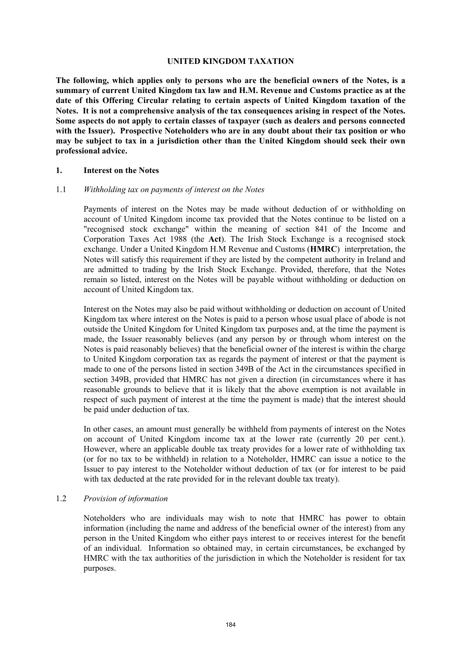#### **UNITED KINGDOM TAXATION**

**The following, which applies only to persons who are the beneficial owners of the Notes, is a summary of current United Kingdom tax law and H.M. Revenue and Customs practice as at the date of this Offering Circular relating to certain aspects of United Kingdom taxation of the Notes. It is not a comprehensive analysis of the tax consequences arising in respect of the Notes. Some aspects do not apply to certain classes of taxpayer (such as dealers and persons connected with the Issuer). Prospective Noteholders who are in any doubt about their tax position or who may be subject to tax in a jurisdiction other than the United Kingdom should seek their own professional advice.** 

#### **1. Interest on the Notes**

#### 1.1 *Withholding tax on payments of interest on the Notes*

Payments of interest on the Notes may be made without deduction of or withholding on account of United Kingdom income tax provided that the Notes continue to be listed on a "recognised stock exchange" within the meaning of section 841 of the Income and Corporation Taxes Act 1988 (the **Act**). The Irish Stock Exchange is a recognised stock exchange. Under a United Kingdom H.M Revenue and Customs (**HMRC**) interpretation, the Notes will satisfy this requirement if they are listed by the competent authority in Ireland and are admitted to trading by the Irish Stock Exchange. Provided, therefore, that the Notes remain so listed, interest on the Notes will be payable without withholding or deduction on account of United Kingdom tax.

Interest on the Notes may also be paid without withholding or deduction on account of United Kingdom tax where interest on the Notes is paid to a person whose usual place of abode is not outside the United Kingdom for United Kingdom tax purposes and, at the time the payment is made, the Issuer reasonably believes (and any person by or through whom interest on the Notes is paid reasonably believes) that the beneficial owner of the interest is within the charge to United Kingdom corporation tax as regards the payment of interest or that the payment is made to one of the persons listed in section 349B of the Act in the circumstances specified in section 349B, provided that HMRC has not given a direction (in circumstances where it has reasonable grounds to believe that it is likely that the above exemption is not available in respect of such payment of interest at the time the payment is made) that the interest should be paid under deduction of tax.

In other cases, an amount must generally be withheld from payments of interest on the Notes on account of United Kingdom income tax at the lower rate (currently 20 per cent.). However, where an applicable double tax treaty provides for a lower rate of withholding tax (or for no tax to be withheld) in relation to a Noteholder, HMRC can issue a notice to the Issuer to pay interest to the Noteholder without deduction of tax (or for interest to be paid with tax deducted at the rate provided for in the relevant double tax treaty).

#### 1.2 *Provision of information*

Noteholders who are individuals may wish to note that HMRC has power to obtain information (including the name and address of the beneficial owner of the interest) from any person in the United Kingdom who either pays interest to or receives interest for the benefit of an individual. Information so obtained may, in certain circumstances, be exchanged by HMRC with the tax authorities of the jurisdiction in which the Noteholder is resident for tax purposes.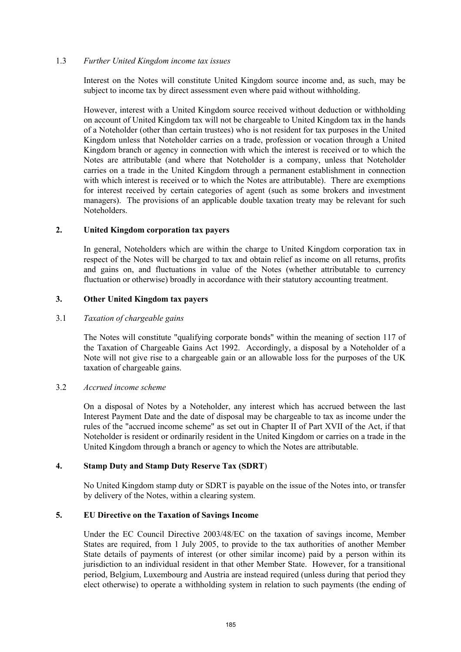#### 1.3 *Further United Kingdom income tax issues*

Interest on the Notes will constitute United Kingdom source income and, as such, may be subject to income tax by direct assessment even where paid without withholding.

However, interest with a United Kingdom source received without deduction or withholding on account of United Kingdom tax will not be chargeable to United Kingdom tax in the hands of a Noteholder (other than certain trustees) who is not resident for tax purposes in the United Kingdom unless that Noteholder carries on a trade, profession or vocation through a United Kingdom branch or agency in connection with which the interest is received or to which the Notes are attributable (and where that Noteholder is a company, unless that Noteholder carries on a trade in the United Kingdom through a permanent establishment in connection with which interest is received or to which the Notes are attributable). There are exemptions for interest received by certain categories of agent (such as some brokers and investment managers). The provisions of an applicable double taxation treaty may be relevant for such Noteholders.

#### **2. United Kingdom corporation tax payers**

In general, Noteholders which are within the charge to United Kingdom corporation tax in respect of the Notes will be charged to tax and obtain relief as income on all returns, profits and gains on, and fluctuations in value of the Notes (whether attributable to currency fluctuation or otherwise) broadly in accordance with their statutory accounting treatment.

# **3. Other United Kingdom tax payers**

#### 3.1 *Taxation of chargeable gains*

The Notes will constitute "qualifying corporate bonds" within the meaning of section 117 of the Taxation of Chargeable Gains Act 1992. Accordingly, a disposal by a Noteholder of a Note will not give rise to a chargeable gain or an allowable loss for the purposes of the UK taxation of chargeable gains.

#### 3.2 *Accrued income scheme*

On a disposal of Notes by a Noteholder, any interest which has accrued between the last Interest Payment Date and the date of disposal may be chargeable to tax as income under the rules of the "accrued income scheme" as set out in Chapter II of Part XVII of the Act, if that Noteholder is resident or ordinarily resident in the United Kingdom or carries on a trade in the United Kingdom through a branch or agency to which the Notes are attributable.

#### **4. Stamp Duty and Stamp Duty Reserve Tax (SDRT**)

No United Kingdom stamp duty or SDRT is payable on the issue of the Notes into, or transfer by delivery of the Notes, within a clearing system.

#### **5. EU Directive on the Taxation of Savings Income**

Under the EC Council Directive 2003/48/EC on the taxation of savings income, Member States are required, from 1 July 2005, to provide to the tax authorities of another Member State details of payments of interest (or other similar income) paid by a person within its jurisdiction to an individual resident in that other Member State. However, for a transitional period, Belgium, Luxembourg and Austria are instead required (unless during that period they elect otherwise) to operate a withholding system in relation to such payments (the ending of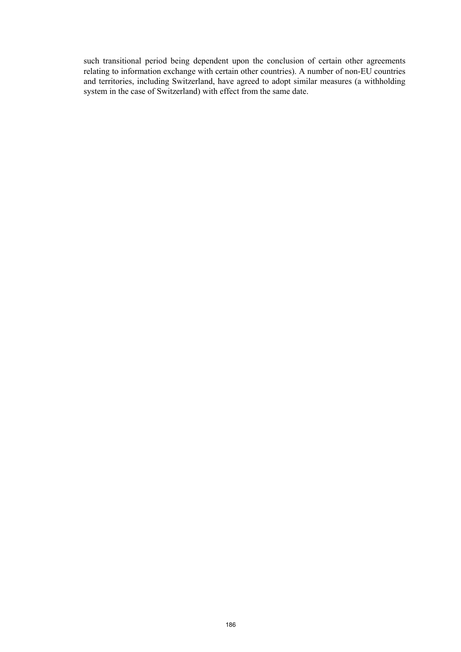such transitional period being dependent upon the conclusion of certain other agreements relating to information exchange with certain other countries). A number of non-EU countries and territories, including Switzerland, have agreed to adopt similar measures (a withholding system in the case of Switzerland) with effect from the same date.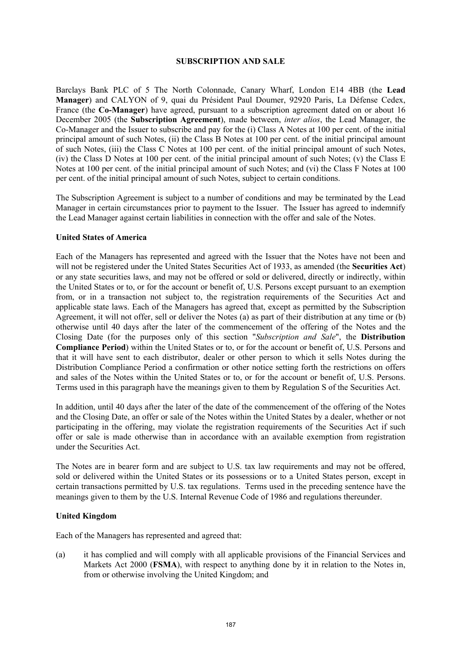#### **SUBSCRIPTION AND SALE**

Barclays Bank PLC of 5 The North Colonnade, Canary Wharf, London E14 4BB (the **Lead Manager**) and CALYON of 9, quai du Président Paul Doumer, 92920 Paris, La Défense Cedex, France (the **Co-Manager**) have agreed, pursuant to a subscription agreement dated on or about 16 December 2005 (the **Subscription Agreement**), made between, *inter alios*, the Lead Manager, the Co-Manager and the Issuer to subscribe and pay for the (i) Class A Notes at 100 per cent. of the initial principal amount of such Notes, (ii) the Class B Notes at 100 per cent. of the initial principal amount of such Notes, (iii) the Class C Notes at 100 per cent. of the initial principal amount of such Notes, (iv) the Class D Notes at 100 per cent. of the initial principal amount of such Notes; (v) the Class E Notes at 100 per cent. of the initial principal amount of such Notes; and (vi) the Class F Notes at 100 per cent. of the initial principal amount of such Notes, subject to certain conditions.

The Subscription Agreement is subject to a number of conditions and may be terminated by the Lead Manager in certain circumstances prior to payment to the Issuer. The Issuer has agreed to indemnify the Lead Manager against certain liabilities in connection with the offer and sale of the Notes.

#### **United States of America**

Each of the Managers has represented and agreed with the Issuer that the Notes have not been and will not be registered under the United States Securities Act of 1933, as amended (the **Securities Act**) or any state securities laws, and may not be offered or sold or delivered, directly or indirectly, within the United States or to, or for the account or benefit of, U.S. Persons except pursuant to an exemption from, or in a transaction not subject to, the registration requirements of the Securities Act and applicable state laws. Each of the Managers has agreed that, except as permitted by the Subscription Agreement, it will not offer, sell or deliver the Notes (a) as part of their distribution at any time or (b) otherwise until 40 days after the later of the commencement of the offering of the Notes and the Closing Date (for the purposes only of this section "*Subscription and Sale*", the **Distribution Compliance Period**) within the United States or to, or for the account or benefit of, U.S. Persons and that it will have sent to each distributor, dealer or other person to which it sells Notes during the Distribution Compliance Period a confirmation or other notice setting forth the restrictions on offers and sales of the Notes within the United States or to, or for the account or benefit of, U.S. Persons. Terms used in this paragraph have the meanings given to them by Regulation S of the Securities Act.

In addition, until 40 days after the later of the date of the commencement of the offering of the Notes and the Closing Date, an offer or sale of the Notes within the United States by a dealer, whether or not participating in the offering, may violate the registration requirements of the Securities Act if such offer or sale is made otherwise than in accordance with an available exemption from registration under the Securities Act.

The Notes are in bearer form and are subject to U.S. tax law requirements and may not be offered, sold or delivered within the United States or its possessions or to a United States person, except in certain transactions permitted by U.S. tax regulations. Terms used in the preceding sentence have the meanings given to them by the U.S. Internal Revenue Code of 1986 and regulations thereunder.

#### **United Kingdom**

Each of the Managers has represented and agreed that:

(a) it has complied and will comply with all applicable provisions of the Financial Services and Markets Act 2000 (**FSMA**), with respect to anything done by it in relation to the Notes in, from or otherwise involving the United Kingdom; and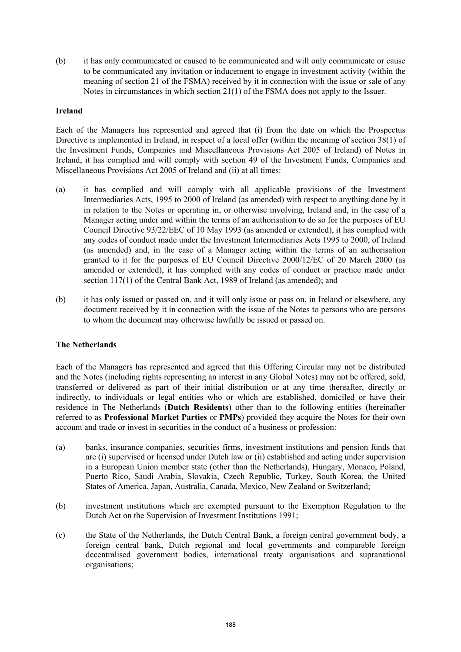(b) it has only communicated or caused to be communicated and will only communicate or cause to be communicated any invitation or inducement to engage in investment activity (within the meaning of section 21 of the FSMA) received by it in connection with the issue or sale of any Notes in circumstances in which section 21(1) of the FSMA does not apply to the Issuer.

#### **Ireland**

Each of the Managers has represented and agreed that (i) from the date on which the Prospectus Directive is implemented in Ireland, in respect of a local offer (within the meaning of section 38(1) of the Investment Funds, Companies and Miscellaneous Provisions Act 2005 of Ireland) of Notes in Ireland, it has complied and will comply with section 49 of the Investment Funds, Companies and Miscellaneous Provisions Act 2005 of Ireland and (ii) at all times:

- (a) it has complied and will comply with all applicable provisions of the Investment Intermediaries Acts, 1995 to 2000 of Ireland (as amended) with respect to anything done by it in relation to the Notes or operating in, or otherwise involving, Ireland and, in the case of a Manager acting under and within the terms of an authorisation to do so for the purposes of EU Council Directive 93/22/EEC of 10 May 1993 (as amended or extended), it has complied with any codes of conduct made under the Investment Intermediaries Acts 1995 to 2000, of Ireland (as amended) and, in the case of a Manager acting within the terms of an authorisation granted to it for the purposes of EU Council Directive 2000/12/EC of 20 March 2000 (as amended or extended), it has complied with any codes of conduct or practice made under section 117(1) of the Central Bank Act, 1989 of Ireland (as amended); and
- (b) it has only issued or passed on, and it will only issue or pass on, in Ireland or elsewhere, any document received by it in connection with the issue of the Notes to persons who are persons to whom the document may otherwise lawfully be issued or passed on.

# **The Netherlands**

Each of the Managers has represented and agreed that this Offering Circular may not be distributed and the Notes (including rights representing an interest in any Global Notes) may not be offered, sold, transferred or delivered as part of their initial distribution or at any time thereafter, directly or indirectly, to individuals or legal entities who or which are established, domiciled or have their residence in The Netherlands (**Dutch Residents**) other than to the following entities (hereinafter referred to as **Professional Market Parties** or **PMPs**) provided they acquire the Notes for their own account and trade or invest in securities in the conduct of a business or profession:

- (a) banks, insurance companies, securities firms, investment institutions and pension funds that are (i) supervised or licensed under Dutch law or (ii) established and acting under supervision in a European Union member state (other than the Netherlands), Hungary, Monaco, Poland, Puerto Rico, Saudi Arabia, Slovakia, Czech Republic, Turkey, South Korea, the United States of America, Japan, Australia, Canada, Mexico, New Zealand or Switzerland;
- (b) investment institutions which are exempted pursuant to the Exemption Regulation to the Dutch Act on the Supervision of Investment Institutions 1991;
- (c) the State of the Netherlands, the Dutch Central Bank, a foreign central government body, a foreign central bank, Dutch regional and local governments and comparable foreign decentralised government bodies, international treaty organisations and supranational organisations;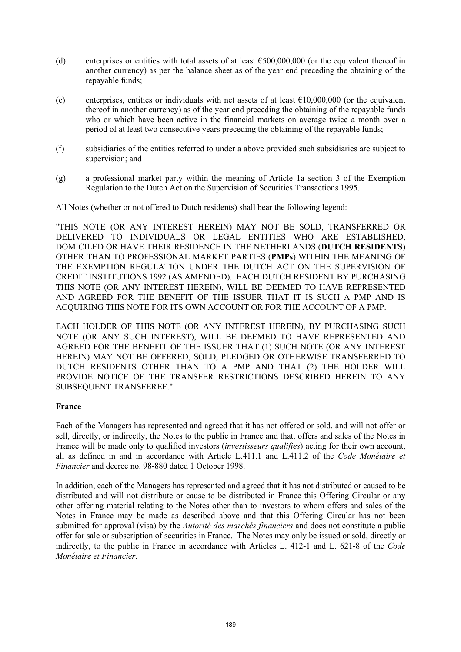- (d) enterprises or entities with total assets of at least  $\epsilon$ 500,000,000 (or the equivalent thereof in another currency) as per the balance sheet as of the year end preceding the obtaining of the repayable funds;
- (e) enterprises, entities or individuals with net assets of at least  $\epsilon$ 10,000,000 (or the equivalent thereof in another currency) as of the year end preceding the obtaining of the repayable funds who or which have been active in the financial markets on average twice a month over a period of at least two consecutive years preceding the obtaining of the repayable funds;
- (f) subsidiaries of the entities referred to under a above provided such subsidiaries are subject to supervision; and
- (g) a professional market party within the meaning of Article 1a section 3 of the Exemption Regulation to the Dutch Act on the Supervision of Securities Transactions 1995.

All Notes (whether or not offered to Dutch residents) shall bear the following legend:

"THIS NOTE (OR ANY INTEREST HEREIN) MAY NOT BE SOLD, TRANSFERRED OR DELIVERED TO INDIVIDUALS OR LEGAL ENTITIES WHO ARE ESTABLISHED, DOMICILED OR HAVE THEIR RESIDENCE IN THE NETHERLANDS (**DUTCH RESIDENTS**) OTHER THAN TO PROFESSIONAL MARKET PARTIES (**PMPs**) WITHIN THE MEANING OF THE EXEMPTION REGULATION UNDER THE DUTCH ACT ON THE SUPERVISION OF CREDIT INSTITUTIONS 1992 (AS AMENDED). EACH DUTCH RESIDENT BY PURCHASING THIS NOTE (OR ANY INTEREST HEREIN), WILL BE DEEMED TO HAVE REPRESENTED AND AGREED FOR THE BENEFIT OF THE ISSUER THAT IT IS SUCH A PMP AND IS ACQUIRING THIS NOTE FOR ITS OWN ACCOUNT OR FOR THE ACCOUNT OF A PMP.

EACH HOLDER OF THIS NOTE (OR ANY INTEREST HEREIN), BY PURCHASING SUCH NOTE (OR ANY SUCH INTEREST), WILL BE DEEMED TO HAVE REPRESENTED AND AGREED FOR THE BENEFIT OF THE ISSUER THAT (1) SUCH NOTE (OR ANY INTEREST HEREIN) MAY NOT BE OFFERED, SOLD, PLEDGED OR OTHERWISE TRANSFERRED TO DUTCH RESIDENTS OTHER THAN TO A PMP AND THAT (2) THE HOLDER WILL PROVIDE NOTICE OF THE TRANSFER RESTRICTIONS DESCRIBED HEREIN TO ANY SUBSEQUENT TRANSFEREE."

#### **France**

Each of the Managers has represented and agreed that it has not offered or sold, and will not offer or sell, directly, or indirectly, the Notes to the public in France and that, offers and sales of the Notes in France will be made only to qualified investors (*investisseurs qualifies*) acting for their own account, all as defined in and in accordance with Article L.411.1 and L.411.2 of the *Code Monétaire et Financier* and decree no. 98-880 dated 1 October 1998.

In addition, each of the Managers has represented and agreed that it has not distributed or caused to be distributed and will not distribute or cause to be distributed in France this Offering Circular or any other offering material relating to the Notes other than to investors to whom offers and sales of the Notes in France may be made as described above and that this Offering Circular has not been submitted for approval (visa) by the *Autorité des marchés financiers* and does not constitute a public offer for sale or subscription of securities in France. The Notes may only be issued or sold, directly or indirectly, to the public in France in accordance with Articles L. 412-1 and L. 621-8 of the *Code Monétaire et Financier*.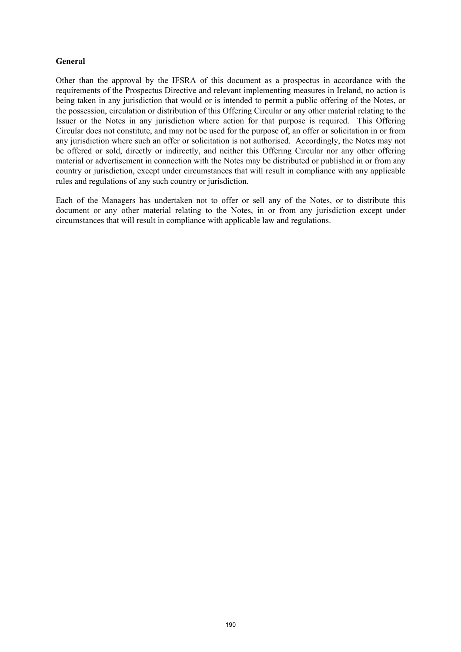# **General**

Other than the approval by the IFSRA of this document as a prospectus in accordance with the requirements of the Prospectus Directive and relevant implementing measures in Ireland, no action is being taken in any jurisdiction that would or is intended to permit a public offering of the Notes, or the possession, circulation or distribution of this Offering Circular or any other material relating to the Issuer or the Notes in any jurisdiction where action for that purpose is required. This Offering Circular does not constitute, and may not be used for the purpose of, an offer or solicitation in or from any jurisdiction where such an offer or solicitation is not authorised. Accordingly, the Notes may not be offered or sold, directly or indirectly, and neither this Offering Circular nor any other offering material or advertisement in connection with the Notes may be distributed or published in or from any country or jurisdiction, except under circumstances that will result in compliance with any applicable rules and regulations of any such country or jurisdiction.

Each of the Managers has undertaken not to offer or sell any of the Notes, or to distribute this document or any other material relating to the Notes, in or from any jurisdiction except under circumstances that will result in compliance with applicable law and regulations.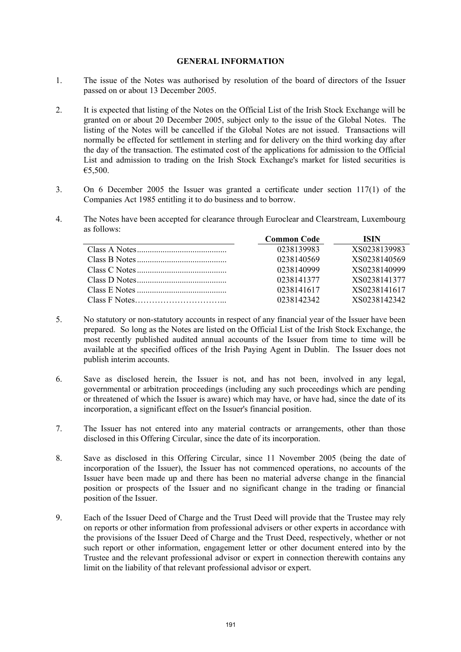#### **GENERAL INFORMATION**

- 1. The issue of the Notes was authorised by resolution of the board of directors of the Issuer passed on or about 13 December 2005.
- 2. It is expected that listing of the Notes on the Official List of the Irish Stock Exchange will be granted on or about 20 December 2005, subject only to the issue of the Global Notes. The listing of the Notes will be cancelled if the Global Notes are not issued. Transactions will normally be effected for settlement in sterling and for delivery on the third working day after the day of the transaction. The estimated cost of the applications for admission to the Official List and admission to trading on the Irish Stock Exchange's market for listed securities is €5,500.
- 3. On 6 December 2005 the Issuer was granted a certificate under section 117(1) of the Companies Act 1985 entitling it to do business and to borrow.
- 4. The Notes have been accepted for clearance through Euroclear and Clearstream, Luxembourg as follows:

| <b>Common Code</b> | ISIN         |
|--------------------|--------------|
| 0238139983         | XS0238139983 |
| 0238140569         | XS0238140569 |
| 0238140999         | XS0238140999 |
| 0238141377         | XS0238141377 |
| 0238141617         | XS0238141617 |
| 0238142342         | XS0238142342 |

- 5. No statutory or non-statutory accounts in respect of any financial year of the Issuer have been prepared. So long as the Notes are listed on the Official List of the Irish Stock Exchange, the most recently published audited annual accounts of the Issuer from time to time will be available at the specified offices of the Irish Paying Agent in Dublin. The Issuer does not publish interim accounts.
- 6. Save as disclosed herein, the Issuer is not, and has not been, involved in any legal, governmental or arbitration proceedings (including any such proceedings which are pending or threatened of which the Issuer is aware) which may have, or have had, since the date of its incorporation, a significant effect on the Issuer's financial position.
- 7. The Issuer has not entered into any material contracts or arrangements, other than those disclosed in this Offering Circular, since the date of its incorporation.
- 8. Save as disclosed in this Offering Circular, since 11 November 2005 (being the date of incorporation of the Issuer), the Issuer has not commenced operations, no accounts of the Issuer have been made up and there has been no material adverse change in the financial position or prospects of the Issuer and no significant change in the trading or financial position of the Issuer.
- 9. Each of the Issuer Deed of Charge and the Trust Deed will provide that the Trustee may rely on reports or other information from professional advisers or other experts in accordance with the provisions of the Issuer Deed of Charge and the Trust Deed, respectively, whether or not such report or other information, engagement letter or other document entered into by the Trustee and the relevant professional advisor or expert in connection therewith contains any limit on the liability of that relevant professional advisor or expert.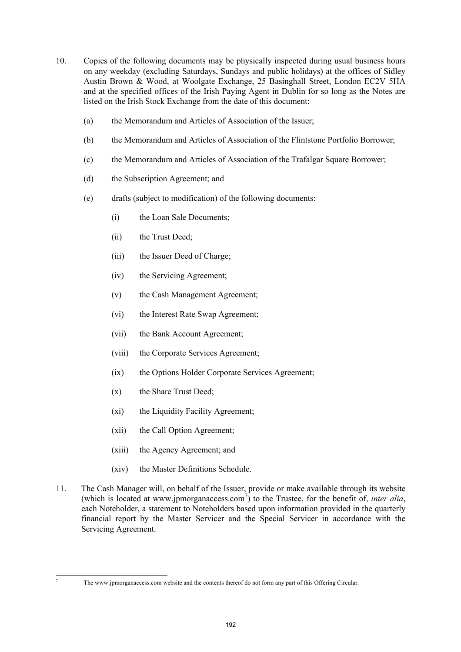- 10. Copies of the following documents may be physically inspected during usual business hours on any weekday (excluding Saturdays, Sundays and public holidays) at the offices of Sidley Austin Brown & Wood, at Woolgate Exchange, 25 Basinghall Street, London EC2V 5HA and at the specified offices of the Irish Paying Agent in Dublin for so long as the Notes are listed on the Irish Stock Exchange from the date of this document:
	- (a) the Memorandum and Articles of Association of the Issuer;
	- (b) the Memorandum and Articles of Association of the Flintstone Portfolio Borrower;
	- (c) the Memorandum and Articles of Association of the Trafalgar Square Borrower;
	- (d) the Subscription Agreement; and
	- (e) drafts (subject to modification) of the following documents:
		- (i) the Loan Sale Documents;
		- (ii) the Trust Deed;
		- (iii) the Issuer Deed of Charge;
		- (iv) the Servicing Agreement;
		- (v) the Cash Management Agreement;
		- (vi) the Interest Rate Swap Agreement;
		- (vii) the Bank Account Agreement;
		- (viii) the Corporate Services Agreement;
		- (ix) the Options Holder Corporate Services Agreement;
		- (x) the Share Trust Deed;
		- (xi) the Liquidity Facility Agreement;
		- (xii) the Call Option Agreement;
		- (xiii) the Agency Agreement; and
		- (xiv) the Master Definitions Schedule.
- 11. The Cash Manager will, on behalf of the Issuer, provide or make available through its website (which is located at www.jpmorganaccess.com<sup>7</sup>) to the Trustee, for the benefit of, *inter alia*, each Noteholder, a statement to Noteholders based upon information provided in the quarterly financial report by the Master Servicer and the Special Servicer in accordance with the Servicing Agreement.

<sup>-&</sup>lt;br>7

The www.jpmorganaccess.com website and the contents thereof do not form any part of this Offering Circular.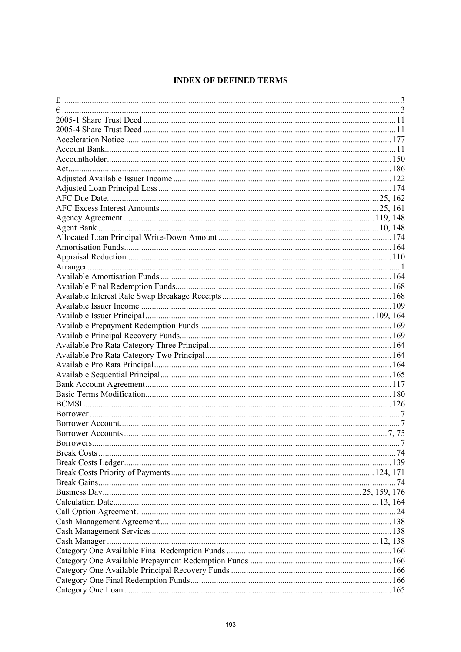# **INDEX OF DEFINED TERMS**